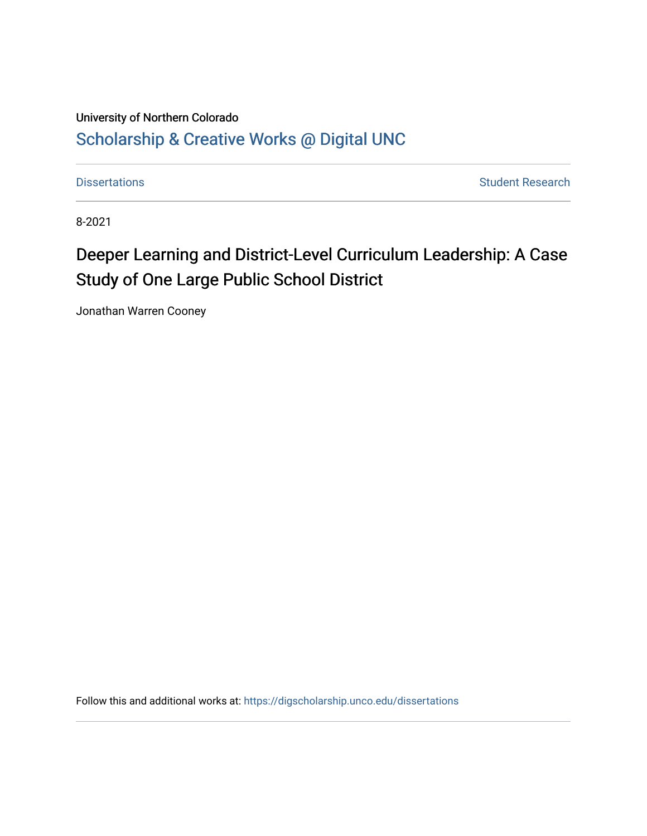## University of Northern Colorado [Scholarship & Creative Works @ Digital UNC](https://digscholarship.unco.edu/)

[Dissertations](https://digscholarship.unco.edu/dissertations) **Student Research** 

8-2021

# Deeper Learning and District-Level Curriculum Leadership: A Case Study of One Large Public School District

Jonathan Warren Cooney

Follow this and additional works at: [https://digscholarship.unco.edu/dissertations](https://digscholarship.unco.edu/dissertations?utm_source=digscholarship.unco.edu%2Fdissertations%2F815&utm_medium=PDF&utm_campaign=PDFCoverPages)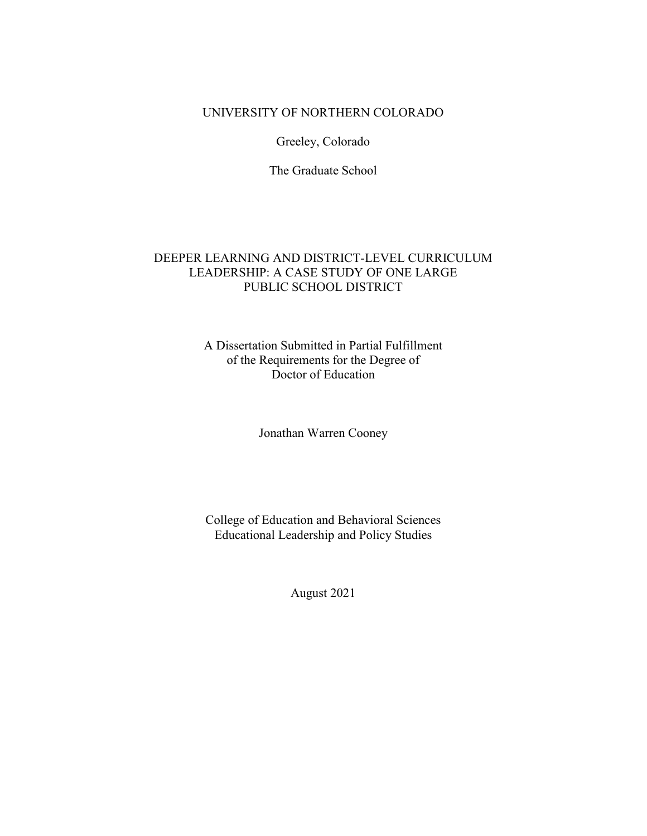## UNIVERSITY OF NORTHERN COLORADO

Greeley, Colorado

The Graduate School

## DEEPER LEARNING AND DISTRICT-LEVEL CURRICULUM LEADERSHIP: A CASE STUDY OF ONE LARGE PUBLIC SCHOOL DISTRICT

### A Dissertation Submitted in Partial Fulfillment of the Requirements for the Degree of Doctor of Education

Jonathan Warren Cooney

College of Education and Behavioral Sciences Educational Leadership and Policy Studies

August 2021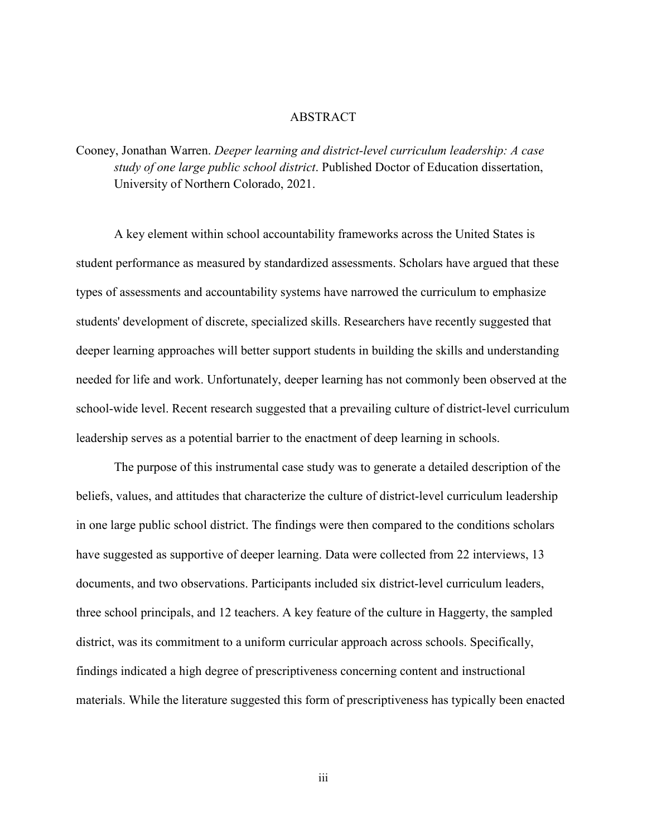#### ABSTRACT

Cooney, Jonathan Warren. *Deeper learning and district-level curriculum leadership: A case study of one large public school district*. Published Doctor of Education dissertation, University of Northern Colorado, 2021.

A key element within school accountability frameworks across the United States is student performance as measured by standardized assessments. Scholars have argued that these types of assessments and accountability systems have narrowed the curriculum to emphasize students' development of discrete, specialized skills. Researchers have recently suggested that deeper learning approaches will better support students in building the skills and understanding needed for life and work. Unfortunately, deeper learning has not commonly been observed at the school-wide level. Recent research suggested that a prevailing culture of district-level curriculum leadership serves as a potential barrier to the enactment of deep learning in schools.

The purpose of this instrumental case study was to generate a detailed description of the beliefs, values, and attitudes that characterize the culture of district-level curriculum leadership in one large public school district. The findings were then compared to the conditions scholars have suggested as supportive of deeper learning. Data were collected from 22 interviews, 13 documents, and two observations. Participants included six district-level curriculum leaders, three school principals, and 12 teachers. A key feature of the culture in Haggerty, the sampled district, was its commitment to a uniform curricular approach across schools. Specifically, findings indicated a high degree of prescriptiveness concerning content and instructional materials. While the literature suggested this form of prescriptiveness has typically been enacted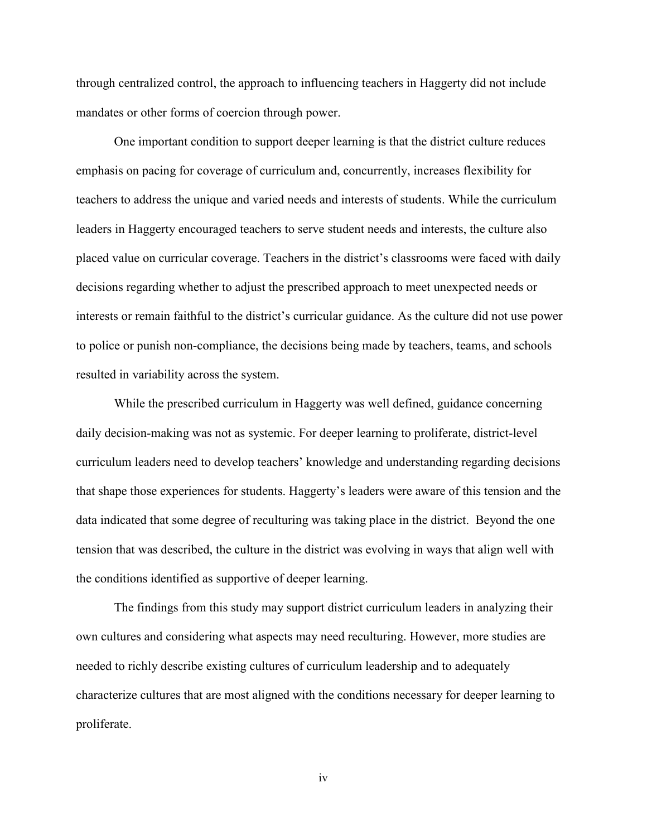through centralized control, the approach to influencing teachers in Haggerty did not include mandates or other forms of coercion through power.

 One important condition to support deeper learning is that the district culture reduces emphasis on pacing for coverage of curriculum and, concurrently, increases flexibility for teachers to address the unique and varied needs and interests of students. While the curriculum leaders in Haggerty encouraged teachers to serve student needs and interests, the culture also placed value on curricular coverage. Teachers in the district's classrooms were faced with daily decisions regarding whether to adjust the prescribed approach to meet unexpected needs or interests or remain faithful to the district's curricular guidance. As the culture did not use power to police or punish non-compliance, the decisions being made by teachers, teams, and schools resulted in variability across the system.

While the prescribed curriculum in Haggerty was well defined, guidance concerning daily decision-making was not as systemic. For deeper learning to proliferate, district-level curriculum leaders need to develop teachers' knowledge and understanding regarding decisions that shape those experiences for students. Haggerty's leaders were aware of this tension and the data indicated that some degree of reculturing was taking place in the district. Beyond the one tension that was described, the culture in the district was evolving in ways that align well with the conditions identified as supportive of deeper learning.

The findings from this study may support district curriculum leaders in analyzing their own cultures and considering what aspects may need reculturing. However, more studies are needed to richly describe existing cultures of curriculum leadership and to adequately characterize cultures that are most aligned with the conditions necessary for deeper learning to proliferate.

iv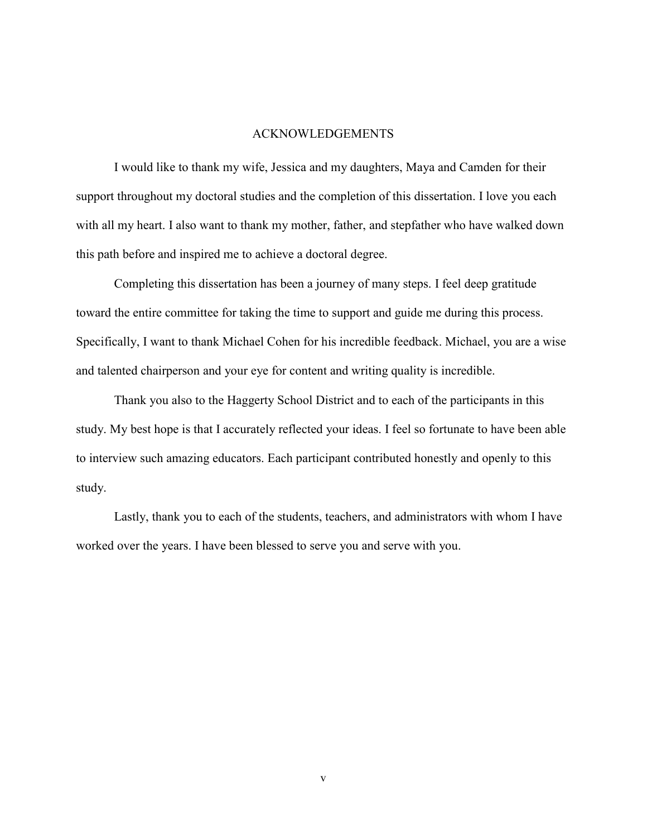#### ACKNOWLEDGEMENTS

I would like to thank my wife, Jessica and my daughters, Maya and Camden for their support throughout my doctoral studies and the completion of this dissertation. I love you each with all my heart. I also want to thank my mother, father, and stepfather who have walked down this path before and inspired me to achieve a doctoral degree.

Completing this dissertation has been a journey of many steps. I feel deep gratitude toward the entire committee for taking the time to support and guide me during this process. Specifically, I want to thank Michael Cohen for his incredible feedback. Michael, you are a wise and talented chairperson and your eye for content and writing quality is incredible.

Thank you also to the Haggerty School District and to each of the participants in this study. My best hope is that I accurately reflected your ideas. I feel so fortunate to have been able to interview such amazing educators. Each participant contributed honestly and openly to this study.

Lastly, thank you to each of the students, teachers, and administrators with whom I have worked over the years. I have been blessed to serve you and serve with you.

v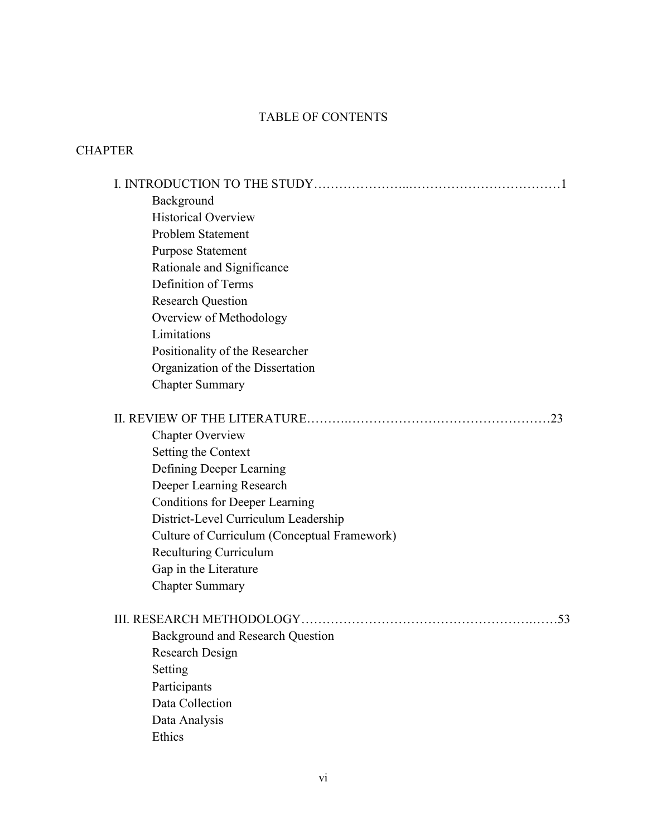## TABLE OF CONTENTS

## CHAPTER

| Background                                   |
|----------------------------------------------|
| <b>Historical Overview</b>                   |
| Problem Statement                            |
| <b>Purpose Statement</b>                     |
| Rationale and Significance                   |
| Definition of Terms                          |
| <b>Research Question</b>                     |
| Overview of Methodology                      |
| Limitations                                  |
| Positionality of the Researcher              |
| Organization of the Dissertation             |
| <b>Chapter Summary</b>                       |
|                                              |
| <b>Chapter Overview</b>                      |
| Setting the Context                          |
| Defining Deeper Learning                     |
| Deeper Learning Research                     |
| <b>Conditions for Deeper Learning</b>        |
| District-Level Curriculum Leadership         |
| Culture of Curriculum (Conceptual Framework) |
| <b>Reculturing Curriculum</b>                |
| Gap in the Literature                        |
| <b>Chapter Summary</b>                       |
| .53                                          |
| <b>Background and Research Question</b>      |
| Research Design                              |
| Setting                                      |
| Participants                                 |
| Data Collection                              |
| Data Analysis                                |
| Ethics                                       |
|                                              |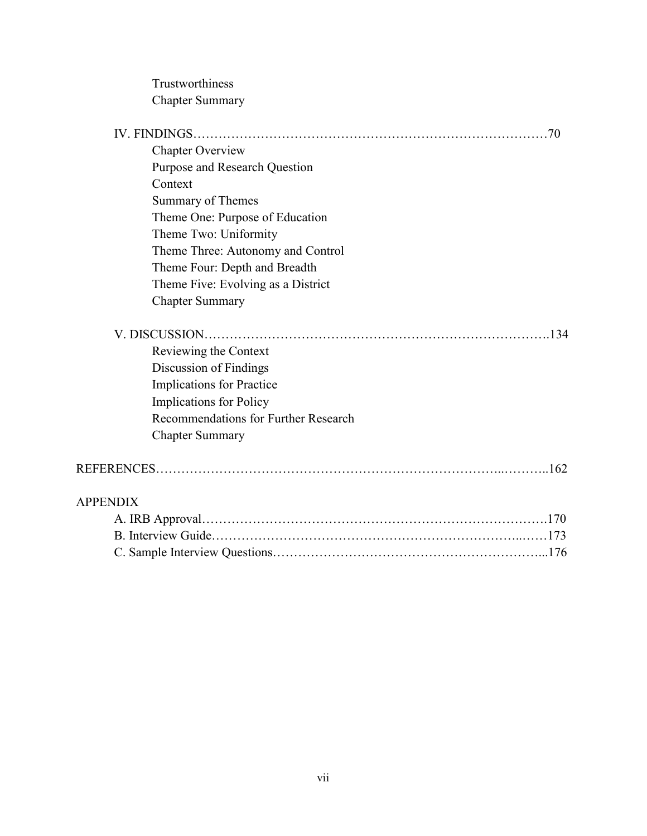Trustworthiness Chapter Summary

| <b>Chapter Overview</b>              |
|--------------------------------------|
| Purpose and Research Question        |
| Context                              |
| Summary of Themes                    |
| Theme One: Purpose of Education      |
| Theme Two: Uniformity                |
| Theme Three: Autonomy and Control    |
| Theme Four: Depth and Breadth        |
| Theme Five: Evolving as a District   |
| <b>Chapter Summary</b>               |
|                                      |
| Reviewing the Context                |
| Discussion of Findings               |
| Implications for Practice            |
| Implications for Policy              |
| Recommendations for Further Research |
| <b>Chapter Summary</b>               |
|                                      |
| <b>APPENDIX</b>                      |
|                                      |
|                                      |
|                                      |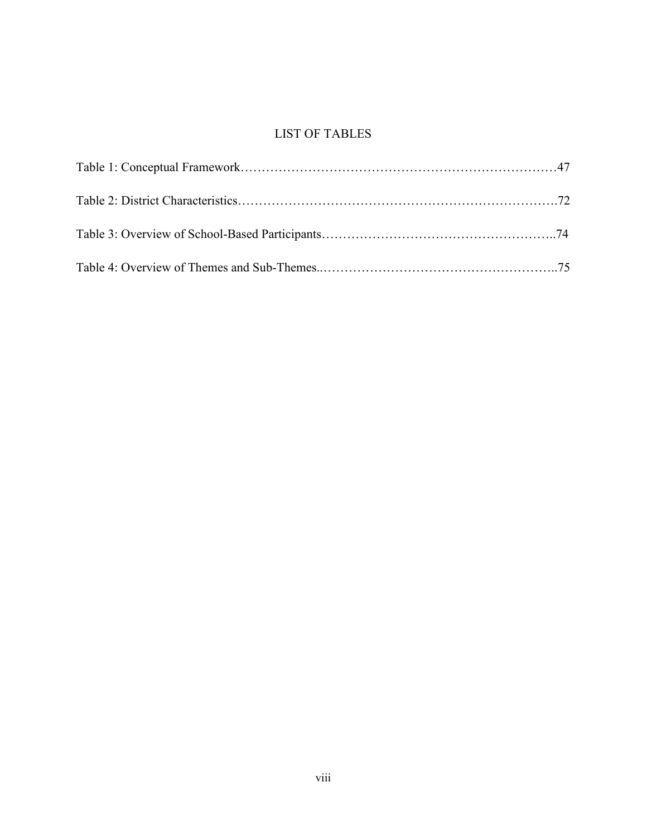## LIST OF TABLES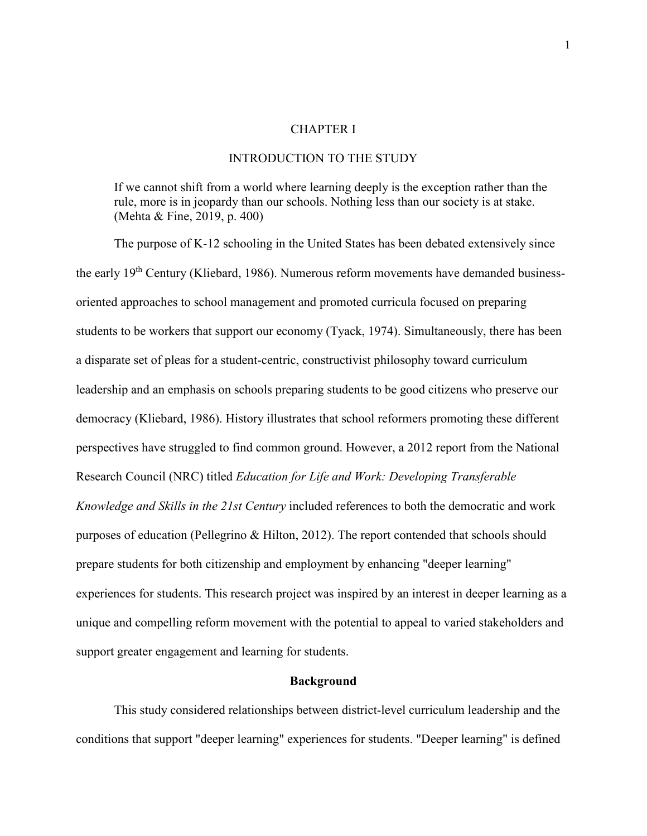#### CHAPTER I

#### INTRODUCTION TO THE STUDY

If we cannot shift from a world where learning deeply is the exception rather than the rule, more is in jeopardy than our schools. Nothing less than our society is at stake. (Mehta & Fine, 2019, p. 400)

The purpose of K-12 schooling in the United States has been debated extensively since the early 19th Century (Kliebard, 1986). Numerous reform movements have demanded businessoriented approaches to school management and promoted curricula focused on preparing students to be workers that support our economy (Tyack, 1974). Simultaneously, there has been a disparate set of pleas for a student-centric, constructivist philosophy toward curriculum leadership and an emphasis on schools preparing students to be good citizens who preserve our democracy (Kliebard, 1986). History illustrates that school reformers promoting these different perspectives have struggled to find common ground. However, a 2012 report from the National Research Council (NRC) titled *Education for Life and Work: Developing Transferable Knowledge and Skills in the 21st Century* included references to both the democratic and work purposes of education (Pellegrino & Hilton, 2012). The report contended that schools should prepare students for both citizenship and employment by enhancing "deeper learning" experiences for students. This research project was inspired by an interest in deeper learning as a unique and compelling reform movement with the potential to appeal to varied stakeholders and support greater engagement and learning for students.

#### **Background**

This study considered relationships between district-level curriculum leadership and the conditions that support "deeper learning" experiences for students. "Deeper learning" is defined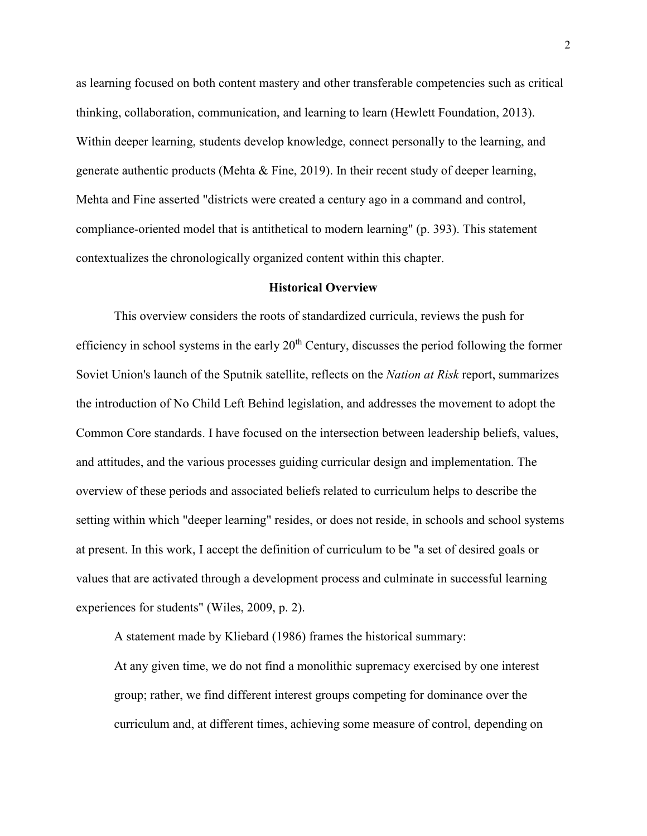as learning focused on both content mastery and other transferable competencies such as critical thinking, collaboration, communication, and learning to learn (Hewlett Foundation, 2013). Within deeper learning, students develop knowledge, connect personally to the learning, and generate authentic products (Mehta  $\&$  Fine, 2019). In their recent study of deeper learning, Mehta and Fine asserted "districts were created a century ago in a command and control, compliance-oriented model that is antithetical to modern learning" (p. 393). This statement contextualizes the chronologically organized content within this chapter.

#### **Historical Overview**

This overview considers the roots of standardized curricula, reviews the push for efficiency in school systems in the early 20<sup>th</sup> Century, discusses the period following the former Soviet Union's launch of the Sputnik satellite, reflects on the *Nation at Risk* report, summarizes the introduction of No Child Left Behind legislation, and addresses the movement to adopt the Common Core standards. I have focused on the intersection between leadership beliefs, values, and attitudes, and the various processes guiding curricular design and implementation. The overview of these periods and associated beliefs related to curriculum helps to describe the setting within which "deeper learning" resides, or does not reside, in schools and school systems at present. In this work, I accept the definition of curriculum to be "a set of desired goals or values that are activated through a development process and culminate in successful learning experiences for students" (Wiles, 2009, p. 2).

A statement made by Kliebard (1986) frames the historical summary:

At any given time, we do not find a monolithic supremacy exercised by one interest group; rather, we find different interest groups competing for dominance over the curriculum and, at different times, achieving some measure of control, depending on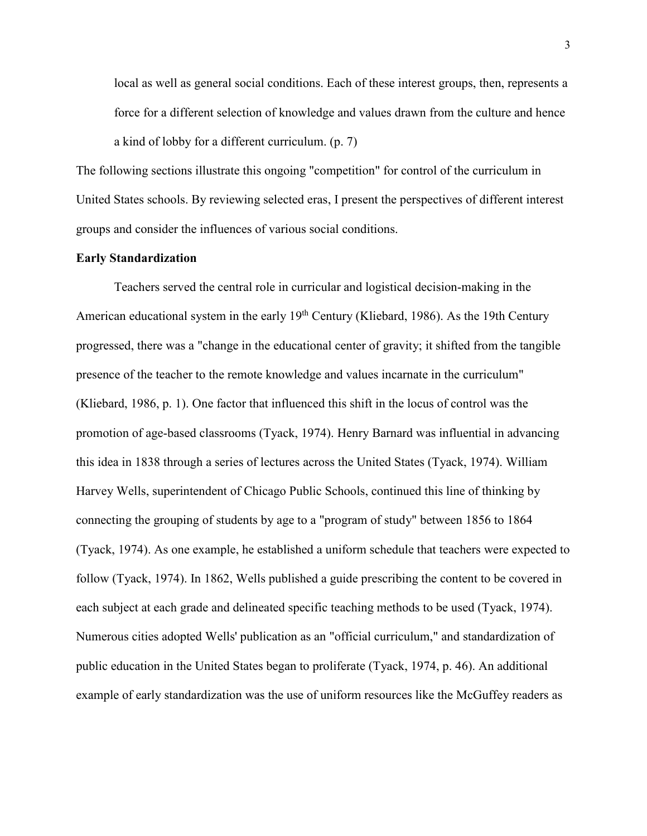local as well as general social conditions. Each of these interest groups, then, represents a force for a different selection of knowledge and values drawn from the culture and hence a kind of lobby for a different curriculum. (p. 7)

The following sections illustrate this ongoing "competition" for control of the curriculum in United States schools. By reviewing selected eras, I present the perspectives of different interest groups and consider the influences of various social conditions.

#### **Early Standardization**

Teachers served the central role in curricular and logistical decision-making in the American educational system in the early  $19<sup>th</sup>$  Century (Kliebard, 1986). As the 19th Century progressed, there was a "change in the educational center of gravity; it shifted from the tangible presence of the teacher to the remote knowledge and values incarnate in the curriculum" (Kliebard, 1986, p. 1). One factor that influenced this shift in the locus of control was the promotion of age-based classrooms (Tyack, 1974). Henry Barnard was influential in advancing this idea in 1838 through a series of lectures across the United States (Tyack, 1974). William Harvey Wells, superintendent of Chicago Public Schools, continued this line of thinking by connecting the grouping of students by age to a "program of study" between 1856 to 1864 (Tyack, 1974). As one example, he established a uniform schedule that teachers were expected to follow (Tyack, 1974). In 1862, Wells published a guide prescribing the content to be covered in each subject at each grade and delineated specific teaching methods to be used (Tyack, 1974). Numerous cities adopted Wells' publication as an "official curriculum," and standardization of public education in the United States began to proliferate (Tyack, 1974, p. 46). An additional example of early standardization was the use of uniform resources like the McGuffey readers as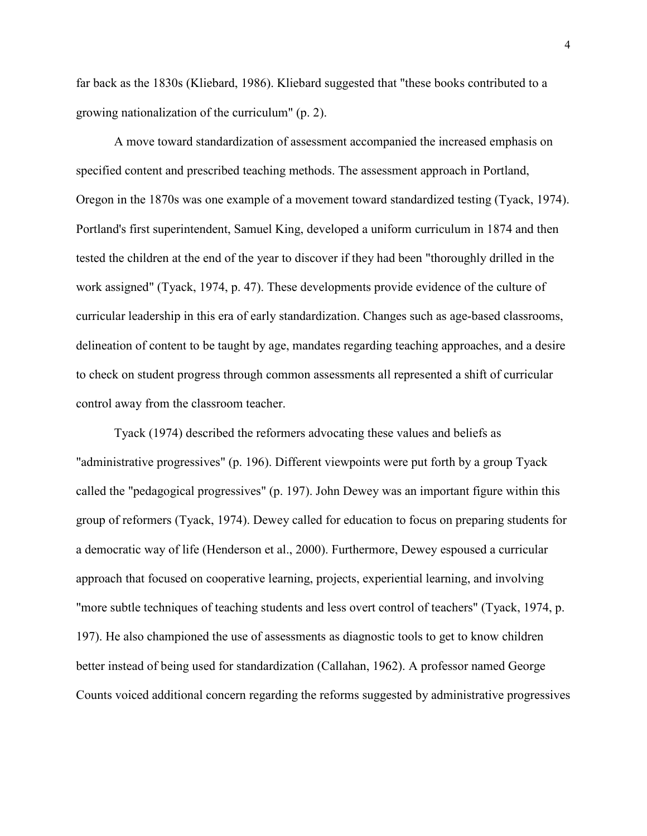far back as the 1830s (Kliebard, 1986). Kliebard suggested that "these books contributed to a growing nationalization of the curriculum" (p. 2).

A move toward standardization of assessment accompanied the increased emphasis on specified content and prescribed teaching methods. The assessment approach in Portland, Oregon in the 1870s was one example of a movement toward standardized testing (Tyack, 1974). Portland's first superintendent, Samuel King, developed a uniform curriculum in 1874 and then tested the children at the end of the year to discover if they had been "thoroughly drilled in the work assigned" (Tyack, 1974, p. 47). These developments provide evidence of the culture of curricular leadership in this era of early standardization. Changes such as age-based classrooms, delineation of content to be taught by age, mandates regarding teaching approaches, and a desire to check on student progress through common assessments all represented a shift of curricular control away from the classroom teacher.

Tyack (1974) described the reformers advocating these values and beliefs as "administrative progressives" (p. 196). Different viewpoints were put forth by a group Tyack called the "pedagogical progressives" (p. 197). John Dewey was an important figure within this group of reformers (Tyack, 1974). Dewey called for education to focus on preparing students for a democratic way of life (Henderson et al., 2000). Furthermore, Dewey espoused a curricular approach that focused on cooperative learning, projects, experiential learning, and involving "more subtle techniques of teaching students and less overt control of teachers" (Tyack, 1974, p. 197). He also championed the use of assessments as diagnostic tools to get to know children better instead of being used for standardization (Callahan, 1962). A professor named George Counts voiced additional concern regarding the reforms suggested by administrative progressives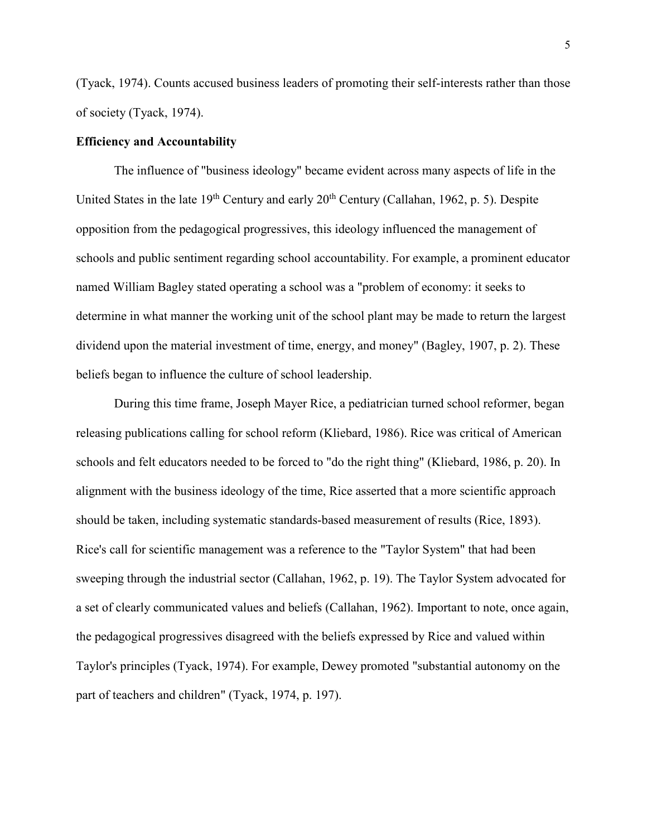(Tyack, 1974). Counts accused business leaders of promoting their self-interests rather than those of society (Tyack, 1974).

#### **Efficiency and Accountability**

The influence of "business ideology" became evident across many aspects of life in the United States in the late  $19<sup>th</sup>$  Century and early  $20<sup>th</sup>$  Century (Callahan, 1962, p. 5). Despite opposition from the pedagogical progressives, this ideology influenced the management of schools and public sentiment regarding school accountability. For example, a prominent educator named William Bagley stated operating a school was a "problem of economy: it seeks to determine in what manner the working unit of the school plant may be made to return the largest dividend upon the material investment of time, energy, and money" (Bagley, 1907, p. 2). These beliefs began to influence the culture of school leadership.

 During this time frame, Joseph Mayer Rice, a pediatrician turned school reformer, began releasing publications calling for school reform (Kliebard, 1986). Rice was critical of American schools and felt educators needed to be forced to "do the right thing" (Kliebard, 1986, p. 20). In alignment with the business ideology of the time, Rice asserted that a more scientific approach should be taken, including systematic standards-based measurement of results (Rice, 1893). Rice's call for scientific management was a reference to the "Taylor System" that had been sweeping through the industrial sector (Callahan, 1962, p. 19). The Taylor System advocated for a set of clearly communicated values and beliefs (Callahan, 1962). Important to note, once again, the pedagogical progressives disagreed with the beliefs expressed by Rice and valued within Taylor's principles (Tyack, 1974). For example, Dewey promoted "substantial autonomy on the part of teachers and children" (Tyack, 1974, p. 197).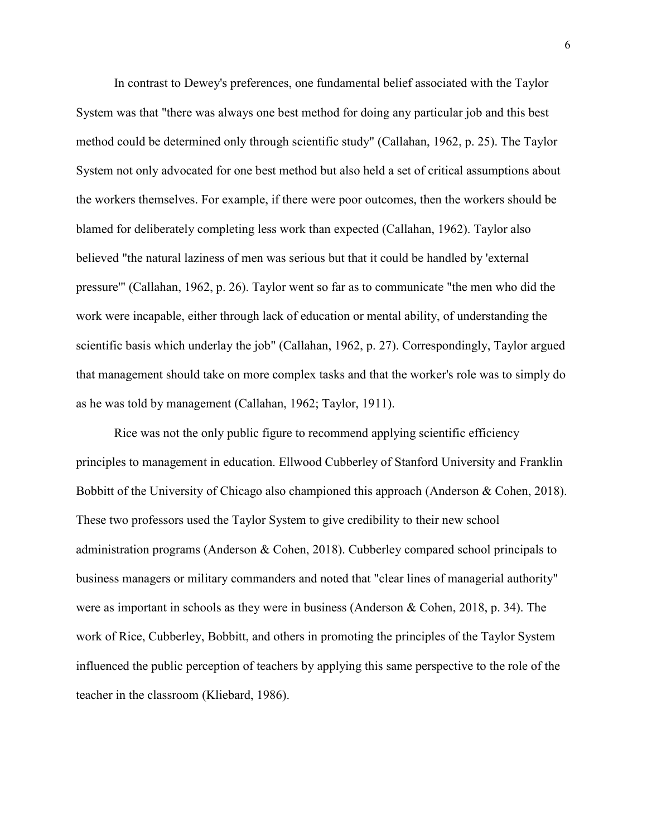In contrast to Dewey's preferences, one fundamental belief associated with the Taylor System was that "there was always one best method for doing any particular job and this best method could be determined only through scientific study" (Callahan, 1962, p. 25). The Taylor System not only advocated for one best method but also held a set of critical assumptions about the workers themselves. For example, if there were poor outcomes, then the workers should be blamed for deliberately completing less work than expected (Callahan, 1962). Taylor also believed "the natural laziness of men was serious but that it could be handled by 'external pressure'" (Callahan, 1962, p. 26). Taylor went so far as to communicate "the men who did the work were incapable, either through lack of education or mental ability, of understanding the scientific basis which underlay the job" (Callahan, 1962, p. 27). Correspondingly, Taylor argued that management should take on more complex tasks and that the worker's role was to simply do as he was told by management (Callahan, 1962; Taylor, 1911).

Rice was not the only public figure to recommend applying scientific efficiency principles to management in education. Ellwood Cubberley of Stanford University and Franklin Bobbitt of the University of Chicago also championed this approach (Anderson & Cohen, 2018). These two professors used the Taylor System to give credibility to their new school administration programs (Anderson & Cohen, 2018). Cubberley compared school principals to business managers or military commanders and noted that "clear lines of managerial authority" were as important in schools as they were in business (Anderson & Cohen, 2018, p. 34). The work of Rice, Cubberley, Bobbitt, and others in promoting the principles of the Taylor System influenced the public perception of teachers by applying this same perspective to the role of the teacher in the classroom (Kliebard, 1986).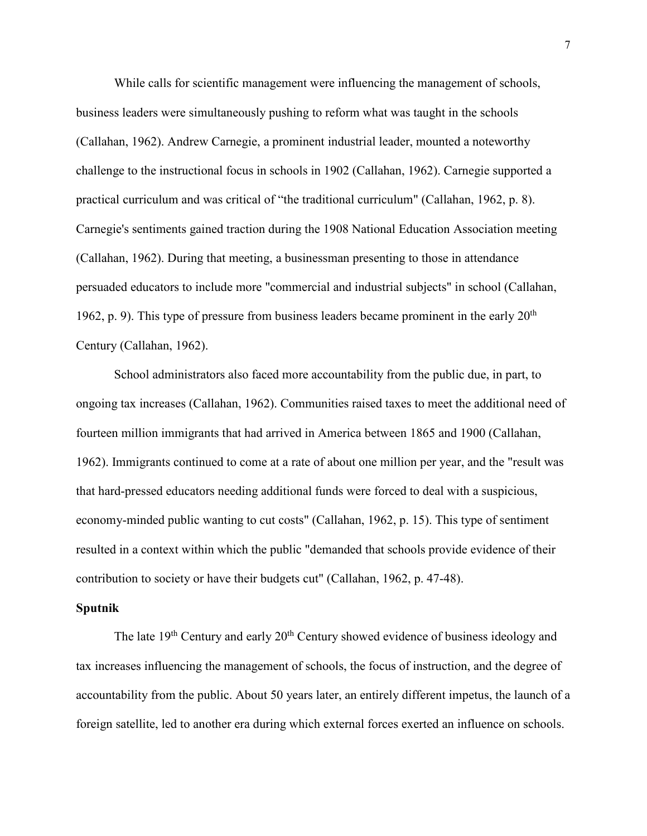While calls for scientific management were influencing the management of schools, business leaders were simultaneously pushing to reform what was taught in the schools (Callahan, 1962). Andrew Carnegie, a prominent industrial leader, mounted a noteworthy challenge to the instructional focus in schools in 1902 (Callahan, 1962). Carnegie supported a practical curriculum and was critical of "the traditional curriculum" (Callahan, 1962, p. 8). Carnegie's sentiments gained traction during the 1908 National Education Association meeting (Callahan, 1962). During that meeting, a businessman presenting to those in attendance persuaded educators to include more "commercial and industrial subjects" in school (Callahan, 1962, p. 9). This type of pressure from business leaders became prominent in the early  $20<sup>th</sup>$ Century (Callahan, 1962).

School administrators also faced more accountability from the public due, in part, to ongoing tax increases (Callahan, 1962). Communities raised taxes to meet the additional need of fourteen million immigrants that had arrived in America between 1865 and 1900 (Callahan, 1962). Immigrants continued to come at a rate of about one million per year, and the "result was that hard-pressed educators needing additional funds were forced to deal with a suspicious, economy-minded public wanting to cut costs" (Callahan, 1962, p. 15). This type of sentiment resulted in a context within which the public "demanded that schools provide evidence of their contribution to society or have their budgets cut" (Callahan, 1962, p. 47-48).

#### **Sputnik**

The late 19<sup>th</sup> Century and early 20<sup>th</sup> Century showed evidence of business ideology and tax increases influencing the management of schools, the focus of instruction, and the degree of accountability from the public. About 50 years later, an entirely different impetus, the launch of a foreign satellite, led to another era during which external forces exerted an influence on schools.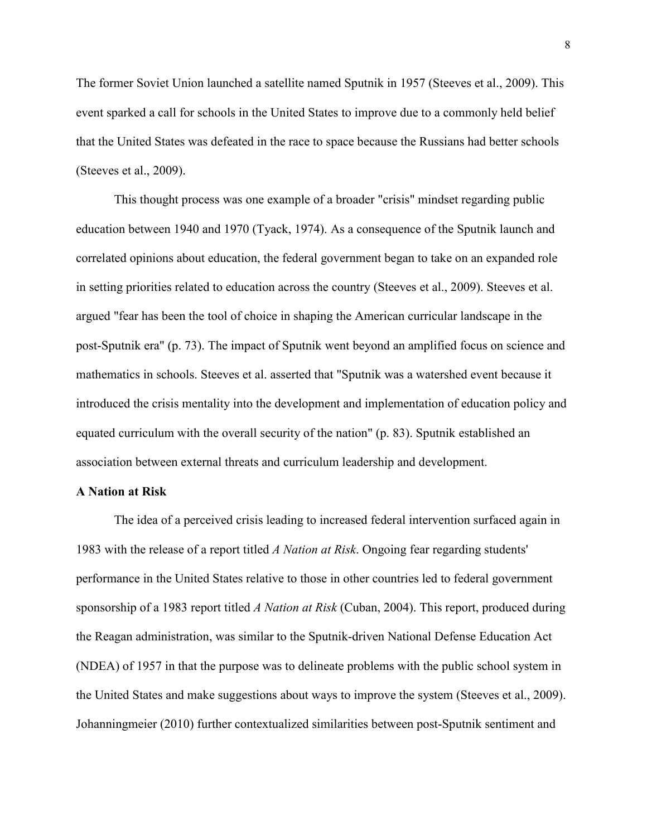The former Soviet Union launched a satellite named Sputnik in 1957 (Steeves et al., 2009). This event sparked a call for schools in the United States to improve due to a commonly held belief that the United States was defeated in the race to space because the Russians had better schools (Steeves et al., 2009).

This thought process was one example of a broader "crisis" mindset regarding public education between 1940 and 1970 (Tyack, 1974). As a consequence of the Sputnik launch and correlated opinions about education, the federal government began to take on an expanded role in setting priorities related to education across the country (Steeves et al., 2009). Steeves et al. argued "fear has been the tool of choice in shaping the American curricular landscape in the post-Sputnik era" (p. 73). The impact of Sputnik went beyond an amplified focus on science and mathematics in schools. Steeves et al. asserted that "Sputnik was a watershed event because it introduced the crisis mentality into the development and implementation of education policy and equated curriculum with the overall security of the nation" (p. 83). Sputnik established an association between external threats and curriculum leadership and development.

#### **A Nation at Risk**

The idea of a perceived crisis leading to increased federal intervention surfaced again in 1983 with the release of a report titled *A Nation at Risk*. Ongoing fear regarding students' performance in the United States relative to those in other countries led to federal government sponsorship of a 1983 report titled *A Nation at Risk* (Cuban, 2004). This report, produced during the Reagan administration, was similar to the Sputnik-driven National Defense Education Act (NDEA) of 1957 in that the purpose was to delineate problems with the public school system in the United States and make suggestions about ways to improve the system (Steeves et al., 2009). Johanningmeier (2010) further contextualized similarities between post-Sputnik sentiment and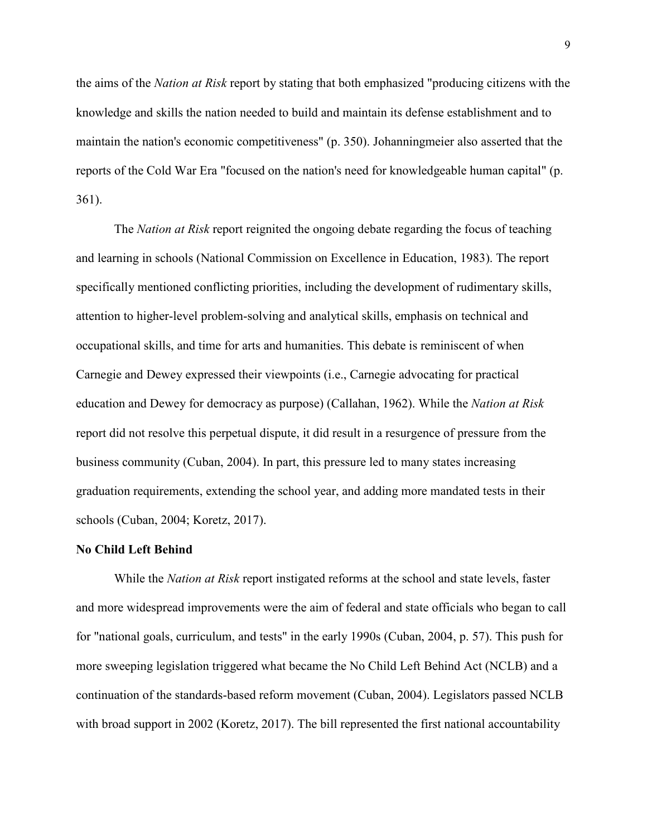the aims of the *Nation at Risk* report by stating that both emphasized "producing citizens with the knowledge and skills the nation needed to build and maintain its defense establishment and to maintain the nation's economic competitiveness" (p. 350). Johanningmeier also asserted that the reports of the Cold War Era "focused on the nation's need for knowledgeable human capital" (p. 361).

The *Nation at Risk* report reignited the ongoing debate regarding the focus of teaching and learning in schools (National Commission on Excellence in Education, 1983). The report specifically mentioned conflicting priorities, including the development of rudimentary skills, attention to higher-level problem-solving and analytical skills, emphasis on technical and occupational skills, and time for arts and humanities. This debate is reminiscent of when Carnegie and Dewey expressed their viewpoints (i.e., Carnegie advocating for practical education and Dewey for democracy as purpose) (Callahan, 1962). While the *Nation at Risk* report did not resolve this perpetual dispute, it did result in a resurgence of pressure from the business community (Cuban, 2004). In part, this pressure led to many states increasing graduation requirements, extending the school year, and adding more mandated tests in their schools (Cuban, 2004; Koretz, 2017).

#### **No Child Left Behind**

While the *Nation at Risk* report instigated reforms at the school and state levels, faster and more widespread improvements were the aim of federal and state officials who began to call for "national goals, curriculum, and tests" in the early 1990s (Cuban, 2004, p. 57). This push for more sweeping legislation triggered what became the No Child Left Behind Act (NCLB) and a continuation of the standards-based reform movement (Cuban, 2004). Legislators passed NCLB with broad support in 2002 (Koretz, 2017). The bill represented the first national accountability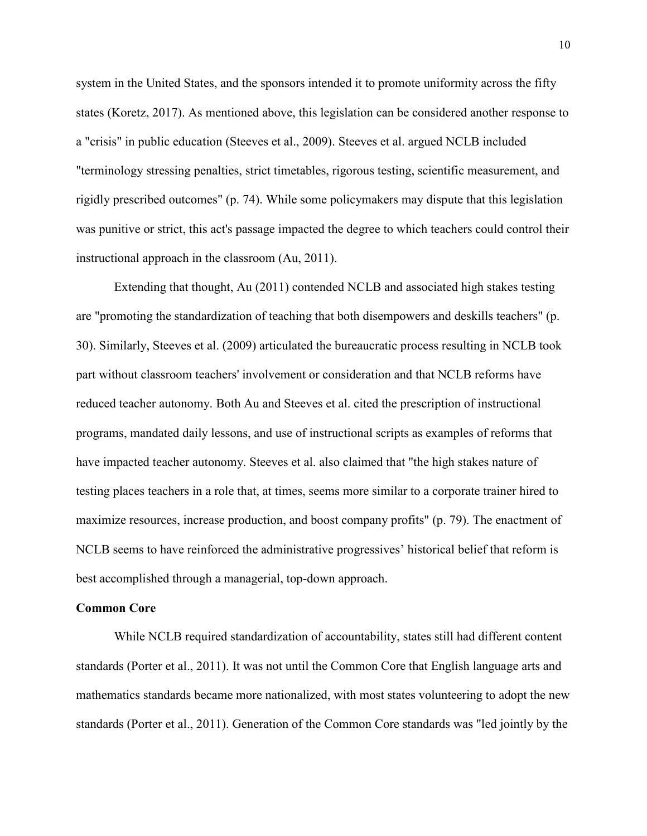system in the United States, and the sponsors intended it to promote uniformity across the fifty states (Koretz, 2017). As mentioned above, this legislation can be considered another response to a "crisis" in public education (Steeves et al., 2009). Steeves et al. argued NCLB included "terminology stressing penalties, strict timetables, rigorous testing, scientific measurement, and rigidly prescribed outcomes" (p. 74). While some policymakers may dispute that this legislation was punitive or strict, this act's passage impacted the degree to which teachers could control their instructional approach in the classroom (Au, 2011).

Extending that thought, Au (2011) contended NCLB and associated high stakes testing are "promoting the standardization of teaching that both disempowers and deskills teachers" (p. 30). Similarly, Steeves et al. (2009) articulated the bureaucratic process resulting in NCLB took part without classroom teachers' involvement or consideration and that NCLB reforms have reduced teacher autonomy. Both Au and Steeves et al. cited the prescription of instructional programs, mandated daily lessons, and use of instructional scripts as examples of reforms that have impacted teacher autonomy. Steeves et al. also claimed that "the high stakes nature of testing places teachers in a role that, at times, seems more similar to a corporate trainer hired to maximize resources, increase production, and boost company profits" (p. 79). The enactment of NCLB seems to have reinforced the administrative progressives' historical belief that reform is best accomplished through a managerial, top-down approach.

#### **Common Core**

While NCLB required standardization of accountability, states still had different content standards (Porter et al., 2011). It was not until the Common Core that English language arts and mathematics standards became more nationalized, with most states volunteering to adopt the new standards (Porter et al., 2011). Generation of the Common Core standards was "led jointly by the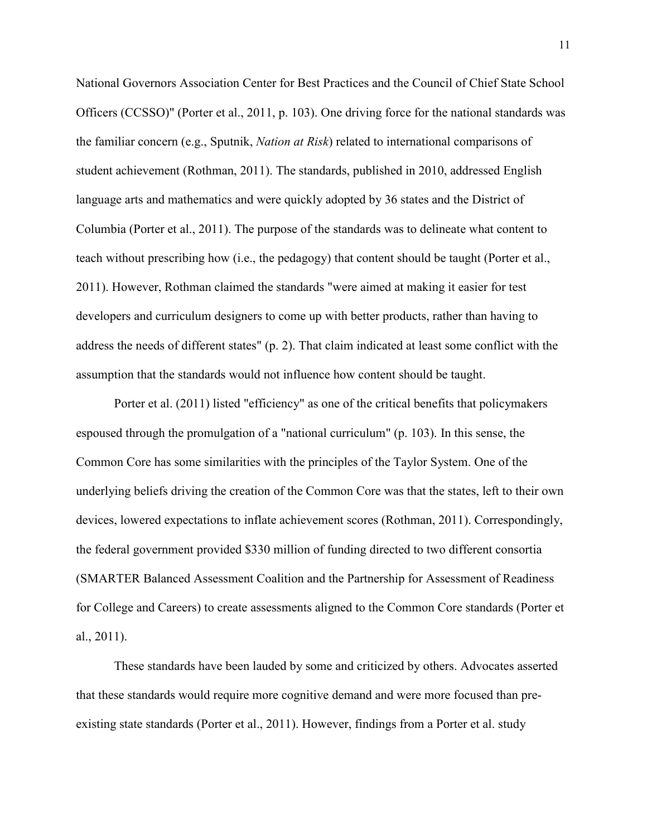National Governors Association Center for Best Practices and the Council of Chief State School Officers (CCSSO)" (Porter et al., 2011, p. 103). One driving force for the national standards was the familiar concern (e.g., Sputnik, *Nation at Risk*) related to international comparisons of student achievement (Rothman, 2011). The standards, published in 2010, addressed English language arts and mathematics and were quickly adopted by 36 states and the District of Columbia (Porter et al., 2011). The purpose of the standards was to delineate what content to teach without prescribing how (i.e., the pedagogy) that content should be taught (Porter et al., 2011). However, Rothman claimed the standards "were aimed at making it easier for test developers and curriculum designers to come up with better products, rather than having to address the needs of different states" (p. 2). That claim indicated at least some conflict with the assumption that the standards would not influence how content should be taught.

Porter et al. (2011) listed "efficiency" as one of the critical benefits that policymakers espoused through the promulgation of a "national curriculum" (p. 103). In this sense, the Common Core has some similarities with the principles of the Taylor System. One of the underlying beliefs driving the creation of the Common Core was that the states, left to their own devices, lowered expectations to inflate achievement scores (Rothman, 2011). Correspondingly, the federal government provided \$330 million of funding directed to two different consortia (SMARTER Balanced Assessment Coalition and the Partnership for Assessment of Readiness for College and Careers) to create assessments aligned to the Common Core standards (Porter et al., 2011).

These standards have been lauded by some and criticized by others. Advocates asserted that these standards would require more cognitive demand and were more focused than preexisting state standards (Porter et al., 2011). However, findings from a Porter et al. study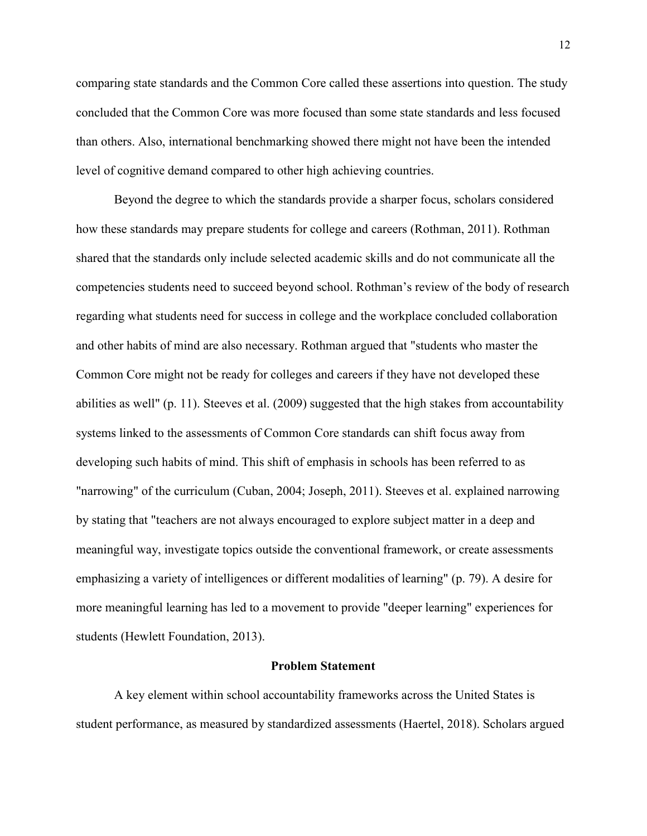comparing state standards and the Common Core called these assertions into question. The study concluded that the Common Core was more focused than some state standards and less focused than others. Also, international benchmarking showed there might not have been the intended level of cognitive demand compared to other high achieving countries.

Beyond the degree to which the standards provide a sharper focus, scholars considered how these standards may prepare students for college and careers (Rothman, 2011). Rothman shared that the standards only include selected academic skills and do not communicate all the competencies students need to succeed beyond school. Rothman's review of the body of research regarding what students need for success in college and the workplace concluded collaboration and other habits of mind are also necessary. Rothman argued that "students who master the Common Core might not be ready for colleges and careers if they have not developed these abilities as well" (p. 11). Steeves et al. (2009) suggested that the high stakes from accountability systems linked to the assessments of Common Core standards can shift focus away from developing such habits of mind. This shift of emphasis in schools has been referred to as "narrowing" of the curriculum (Cuban, 2004; Joseph, 2011). Steeves et al. explained narrowing by stating that "teachers are not always encouraged to explore subject matter in a deep and meaningful way, investigate topics outside the conventional framework, or create assessments emphasizing a variety of intelligences or different modalities of learning" (p. 79). A desire for more meaningful learning has led to a movement to provide "deeper learning" experiences for students (Hewlett Foundation, 2013).

#### **Problem Statement**

A key element within school accountability frameworks across the United States is student performance, as measured by standardized assessments (Haertel, 2018). Scholars argued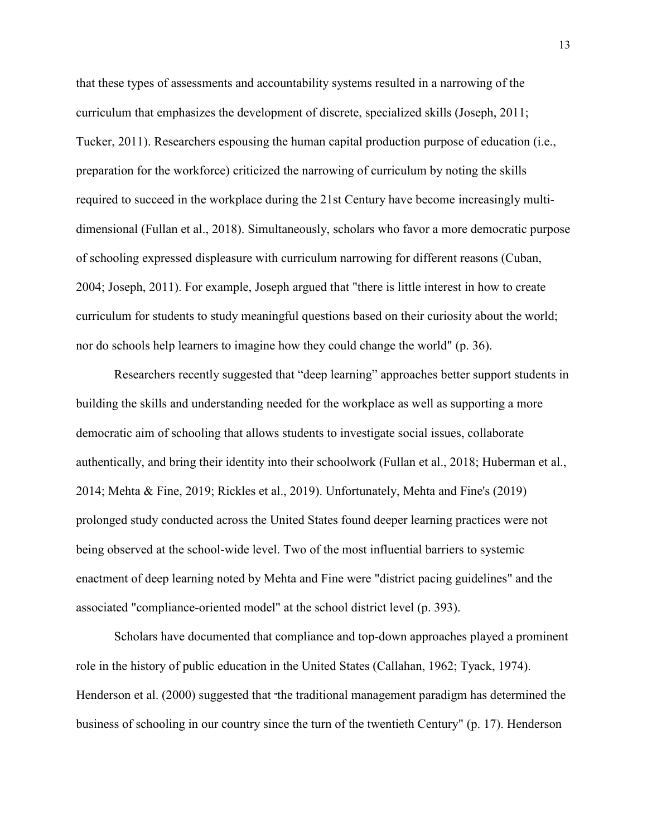that these types of assessments and accountability systems resulted in a narrowing of the curriculum that emphasizes the development of discrete, specialized skills (Joseph, 2011; Tucker, 2011). Researchers espousing the human capital production purpose of education (i.e., preparation for the workforce) criticized the narrowing of curriculum by noting the skills required to succeed in the workplace during the 21st Century have become increasingly multidimensional (Fullan et al., 2018). Simultaneously, scholars who favor a more democratic purpose of schooling expressed displeasure with curriculum narrowing for different reasons (Cuban, 2004; Joseph, 2011). For example, Joseph argued that "there is little interest in how to create curriculum for students to study meaningful questions based on their curiosity about the world; nor do schools help learners to imagine how they could change the world" (p. 36).

Researchers recently suggested that "deep learning" approaches better support students in building the skills and understanding needed for the workplace as well as supporting a more democratic aim of schooling that allows students to investigate social issues, collaborate authentically, and bring their identity into their schoolwork (Fullan et al., 2018; Huberman et al., 2014; Mehta & Fine, 2019; Rickles et al., 2019). Unfortunately, Mehta and Fine's (2019) prolonged study conducted across the United States found deeper learning practices were not being observed at the school-wide level. Two of the most influential barriers to systemic enactment of deep learning noted by Mehta and Fine were "district pacing guidelines" and the associated "compliance-oriented model" at the school district level (p. 393).

Scholars have documented that compliance and top-down approaches played a prominent role in the history of public education in the United States (Callahan, 1962; Tyack, 1974). Henderson et al. (2000) suggested that "the traditional management paradigm has determined the business of schooling in our country since the turn of the twentieth Century" (p. 17). Henderson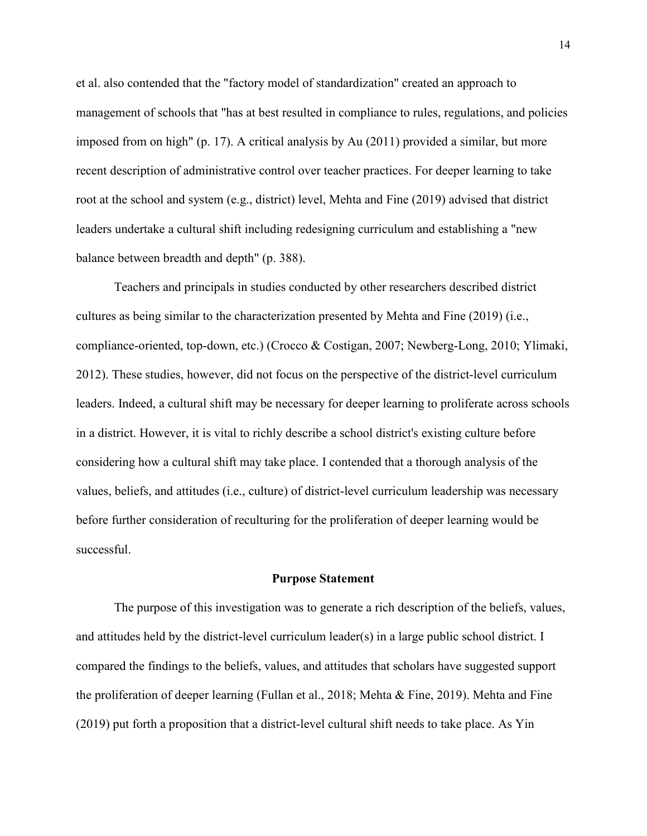et al. also contended that the "factory model of standardization" created an approach to management of schools that "has at best resulted in compliance to rules, regulations, and policies imposed from on high" (p. 17). A critical analysis by Au (2011) provided a similar, but more recent description of administrative control over teacher practices. For deeper learning to take root at the school and system (e.g., district) level, Mehta and Fine (2019) advised that district leaders undertake a cultural shift including redesigning curriculum and establishing a "new balance between breadth and depth" (p. 388).

Teachers and principals in studies conducted by other researchers described district cultures as being similar to the characterization presented by Mehta and Fine (2019) (i.e., compliance-oriented, top-down, etc.) (Crocco & Costigan, 2007; Newberg-Long, 2010; Ylimaki, 2012). These studies, however, did not focus on the perspective of the district-level curriculum leaders. Indeed, a cultural shift may be necessary for deeper learning to proliferate across schools in a district. However, it is vital to richly describe a school district's existing culture before considering how a cultural shift may take place. I contended that a thorough analysis of the values, beliefs, and attitudes (i.e., culture) of district-level curriculum leadership was necessary before further consideration of reculturing for the proliferation of deeper learning would be successful.

#### **Purpose Statement**

The purpose of this investigation was to generate a rich description of the beliefs, values, and attitudes held by the district-level curriculum leader(s) in a large public school district. I compared the findings to the beliefs, values, and attitudes that scholars have suggested support the proliferation of deeper learning (Fullan et al., 2018; Mehta & Fine, 2019). Mehta and Fine (2019) put forth a proposition that a district-level cultural shift needs to take place. As Yin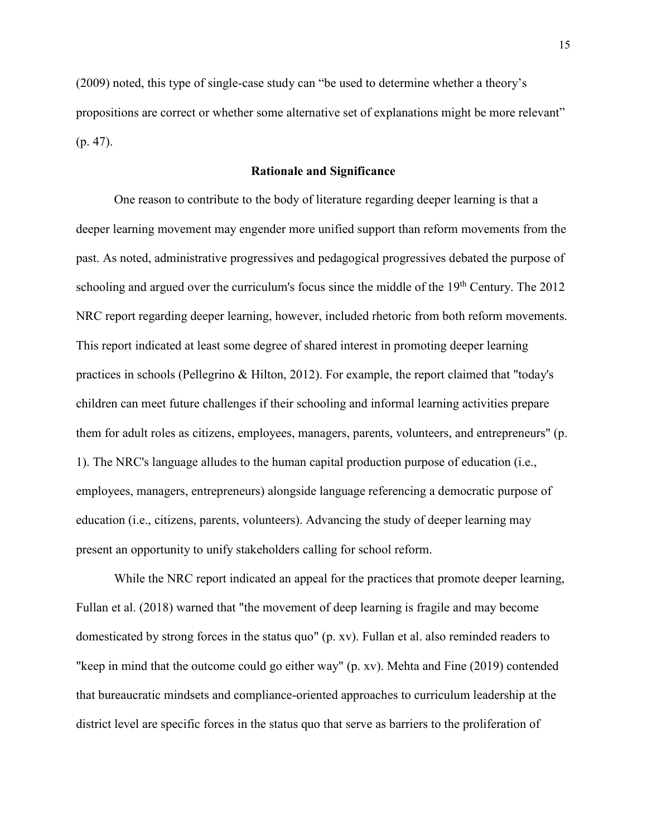(2009) noted, this type of single-case study can "be used to determine whether a theory's propositions are correct or whether some alternative set of explanations might be more relevant" (p. 47).

#### **Rationale and Significance**

One reason to contribute to the body of literature regarding deeper learning is that a deeper learning movement may engender more unified support than reform movements from the past. As noted, administrative progressives and pedagogical progressives debated the purpose of schooling and argued over the curriculum's focus since the middle of the 19<sup>th</sup> Century. The 2012 NRC report regarding deeper learning, however, included rhetoric from both reform movements. This report indicated at least some degree of shared interest in promoting deeper learning practices in schools (Pellegrino & Hilton, 2012). For example, the report claimed that "today's children can meet future challenges if their schooling and informal learning activities prepare them for adult roles as citizens, employees, managers, parents, volunteers, and entrepreneurs" (p. 1). The NRC's language alludes to the human capital production purpose of education (i.e., employees, managers, entrepreneurs) alongside language referencing a democratic purpose of education (i.e., citizens, parents, volunteers). Advancing the study of deeper learning may present an opportunity to unify stakeholders calling for school reform.

While the NRC report indicated an appeal for the practices that promote deeper learning, Fullan et al. (2018) warned that "the movement of deep learning is fragile and may become domesticated by strong forces in the status quo" (p. xv). Fullan et al. also reminded readers to "keep in mind that the outcome could go either way" (p. xv). Mehta and Fine (2019) contended that bureaucratic mindsets and compliance-oriented approaches to curriculum leadership at the district level are specific forces in the status quo that serve as barriers to the proliferation of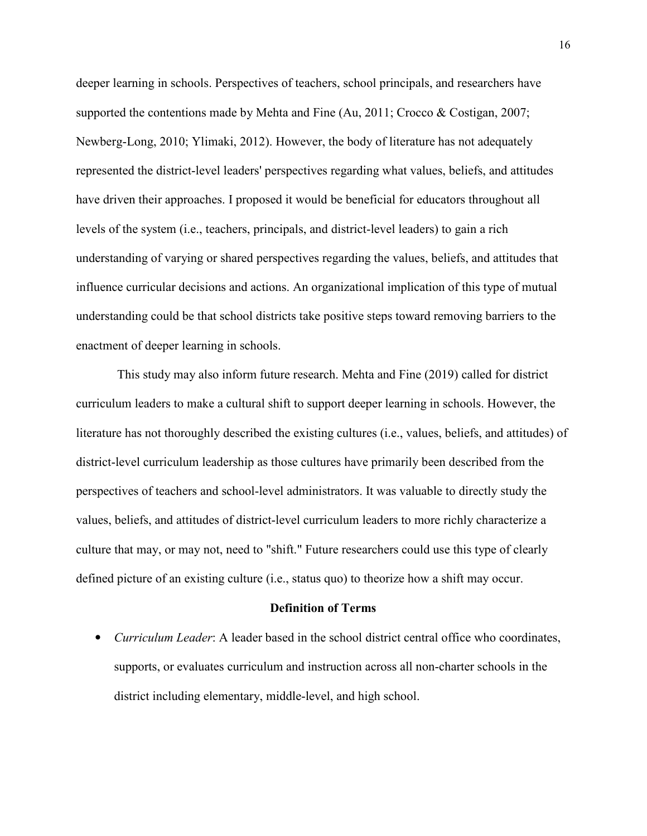deeper learning in schools. Perspectives of teachers, school principals, and researchers have supported the contentions made by Mehta and Fine (Au, 2011; Crocco & Costigan, 2007; Newberg-Long, 2010; Ylimaki, 2012). However, the body of literature has not adequately represented the district-level leaders' perspectives regarding what values, beliefs, and attitudes have driven their approaches. I proposed it would be beneficial for educators throughout all levels of the system (i.e., teachers, principals, and district-level leaders) to gain a rich understanding of varying or shared perspectives regarding the values, beliefs, and attitudes that influence curricular decisions and actions. An organizational implication of this type of mutual understanding could be that school districts take positive steps toward removing barriers to the enactment of deeper learning in schools.

 This study may also inform future research. Mehta and Fine (2019) called for district curriculum leaders to make a cultural shift to support deeper learning in schools. However, the literature has not thoroughly described the existing cultures (i.e., values, beliefs, and attitudes) of district-level curriculum leadership as those cultures have primarily been described from the perspectives of teachers and school-level administrators. It was valuable to directly study the values, beliefs, and attitudes of district-level curriculum leaders to more richly characterize a culture that may, or may not, need to "shift." Future researchers could use this type of clearly defined picture of an existing culture (i.e., status quo) to theorize how a shift may occur.

#### **Definition of Terms**

• *Curriculum Leader*: A leader based in the school district central office who coordinates, supports, or evaluates curriculum and instruction across all non-charter schools in the district including elementary, middle-level, and high school.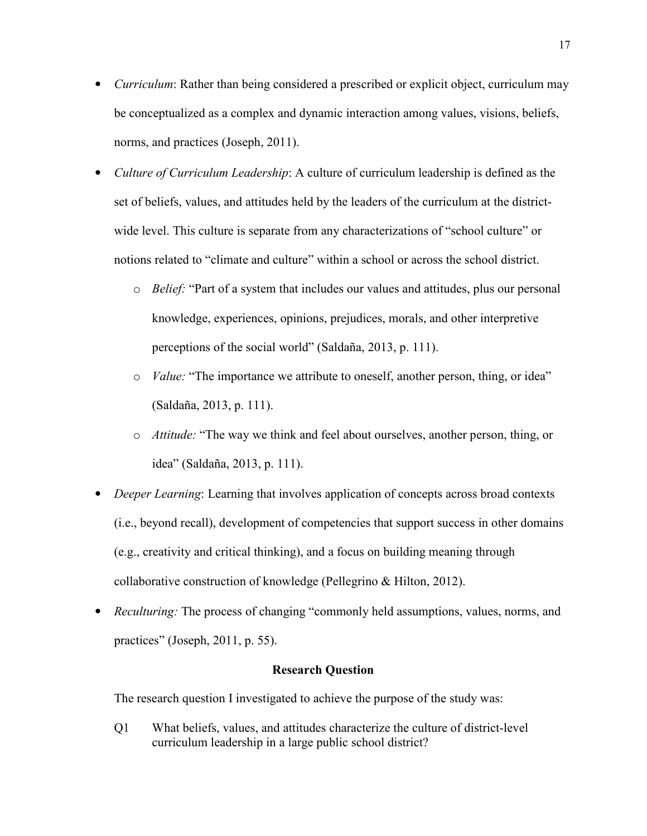- *Curriculum*: Rather than being considered a prescribed or explicit object, curriculum may be conceptualized as a complex and dynamic interaction among values, visions, beliefs, norms, and practices (Joseph, 2011).
- *Culture of Curriculum Leadership*: A culture of curriculum leadership is defined as the set of beliefs, values, and attitudes held by the leaders of the curriculum at the districtwide level. This culture is separate from any characterizations of "school culture" or notions related to "climate and culture" within a school or across the school district.
	- o *Belief:* "Part of a system that includes our values and attitudes, plus our personal knowledge, experiences, opinions, prejudices, morals, and other interpretive perceptions of the social world" (Saldaña, 2013, p. 111).
	- o *Value:* "The importance we attribute to oneself, another person, thing, or idea" (Saldaña, 2013, p. 111).
	- o *Attitude:* "The way we think and feel about ourselves, another person, thing, or idea" (Saldaña, 2013, p. 111).
- *Deeper Learning*: Learning that involves application of concepts across broad contexts (i.e., beyond recall), development of competencies that support success in other domains (e.g., creativity and critical thinking), and a focus on building meaning through collaborative construction of knowledge (Pellegrino & Hilton, 2012).
- *Reculturing:* The process of changing "commonly held assumptions, values, norms, and practices" (Joseph, 2011, p. 55).

#### **Research Question**

The research question I investigated to achieve the purpose of the study was:

Q1 What beliefs, values, and attitudes characterize the culture of district-level curriculum leadership in a large public school district?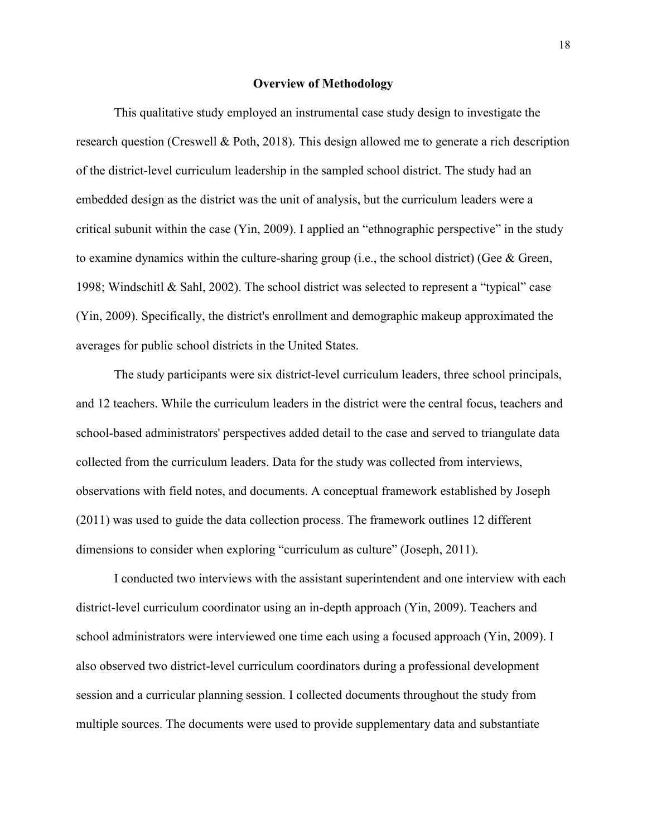#### **Overview of Methodology**

This qualitative study employed an instrumental case study design to investigate the research question (Creswell & Poth, 2018). This design allowed me to generate a rich description of the district-level curriculum leadership in the sampled school district. The study had an embedded design as the district was the unit of analysis, but the curriculum leaders were a critical subunit within the case (Yin, 2009). I applied an "ethnographic perspective" in the study to examine dynamics within the culture-sharing group (i.e., the school district) (Gee & Green, 1998; Windschitl & Sahl, 2002). The school district was selected to represent a "typical" case (Yin, 2009). Specifically, the district's enrollment and demographic makeup approximated the averages for public school districts in the United States.

The study participants were six district-level curriculum leaders, three school principals, and 12 teachers. While the curriculum leaders in the district were the central focus, teachers and school-based administrators' perspectives added detail to the case and served to triangulate data collected from the curriculum leaders. Data for the study was collected from interviews, observations with field notes, and documents. A conceptual framework established by Joseph (2011) was used to guide the data collection process. The framework outlines 12 different dimensions to consider when exploring "curriculum as culture" (Joseph, 2011).

I conducted two interviews with the assistant superintendent and one interview with each district-level curriculum coordinator using an in-depth approach (Yin, 2009). Teachers and school administrators were interviewed one time each using a focused approach (Yin, 2009). I also observed two district-level curriculum coordinators during a professional development session and a curricular planning session. I collected documents throughout the study from multiple sources. The documents were used to provide supplementary data and substantiate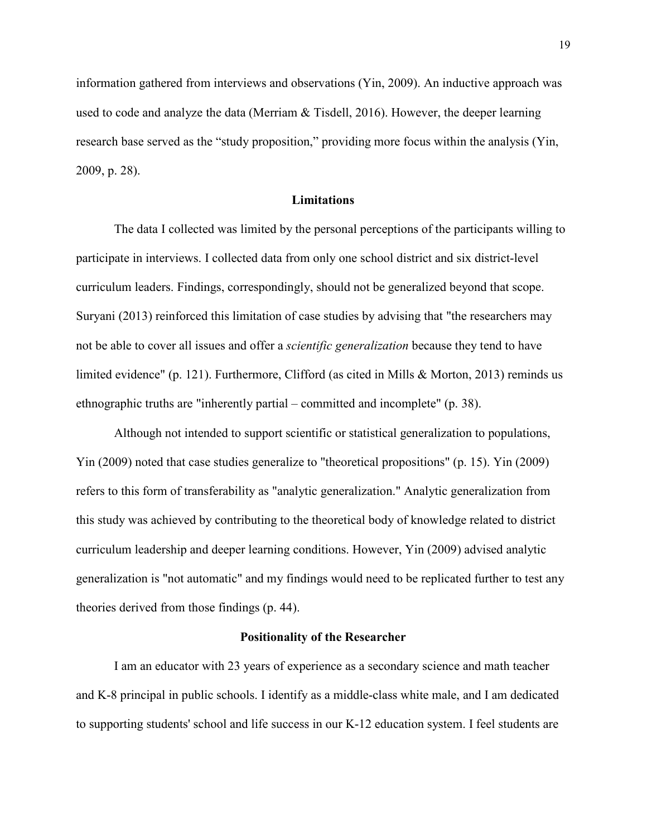information gathered from interviews and observations (Yin, 2009). An inductive approach was used to code and analyze the data (Merriam & Tisdell, 2016). However, the deeper learning research base served as the "study proposition," providing more focus within the analysis (Yin, 2009, p. 28).

#### **Limitations**

The data I collected was limited by the personal perceptions of the participants willing to participate in interviews. I collected data from only one school district and six district-level curriculum leaders. Findings, correspondingly, should not be generalized beyond that scope. Suryani (2013) reinforced this limitation of case studies by advising that "the researchers may not be able to cover all issues and offer a *scientific generalization* because they tend to have limited evidence" (p. 121). Furthermore, Clifford (as cited in Mills & Morton, 2013) reminds us ethnographic truths are "inherently partial – committed and incomplete" (p. 38).

Although not intended to support scientific or statistical generalization to populations, Yin (2009) noted that case studies generalize to "theoretical propositions" (p. 15). Yin (2009) refers to this form of transferability as "analytic generalization." Analytic generalization from this study was achieved by contributing to the theoretical body of knowledge related to district curriculum leadership and deeper learning conditions. However, Yin (2009) advised analytic generalization is "not automatic" and my findings would need to be replicated further to test any theories derived from those findings (p. 44).

#### **Positionality of the Researcher**

I am an educator with 23 years of experience as a secondary science and math teacher and K-8 principal in public schools. I identify as a middle-class white male, and I am dedicated to supporting students' school and life success in our K-12 education system. I feel students are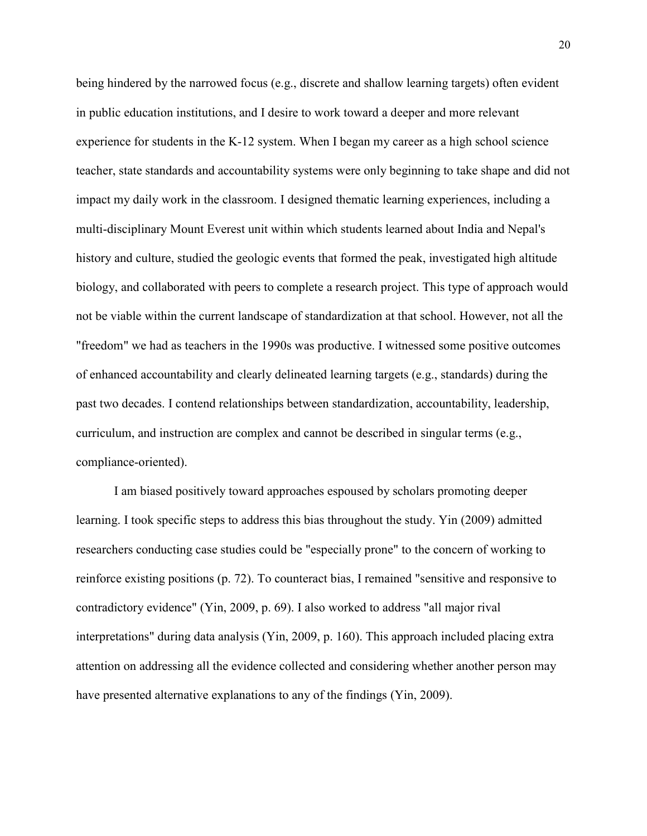being hindered by the narrowed focus (e.g., discrete and shallow learning targets) often evident in public education institutions, and I desire to work toward a deeper and more relevant experience for students in the K-12 system. When I began my career as a high school science teacher, state standards and accountability systems were only beginning to take shape and did not impact my daily work in the classroom. I designed thematic learning experiences, including a multi-disciplinary Mount Everest unit within which students learned about India and Nepal's history and culture, studied the geologic events that formed the peak, investigated high altitude biology, and collaborated with peers to complete a research project. This type of approach would not be viable within the current landscape of standardization at that school. However, not all the "freedom" we had as teachers in the 1990s was productive. I witnessed some positive outcomes of enhanced accountability and clearly delineated learning targets (e.g., standards) during the past two decades. I contend relationships between standardization, accountability, leadership, curriculum, and instruction are complex and cannot be described in singular terms (e.g., compliance-oriented).

I am biased positively toward approaches espoused by scholars promoting deeper learning. I took specific steps to address this bias throughout the study. Yin (2009) admitted researchers conducting case studies could be "especially prone" to the concern of working to reinforce existing positions (p. 72). To counteract bias, I remained "sensitive and responsive to contradictory evidence" (Yin, 2009, p. 69). I also worked to address "all major rival interpretations" during data analysis (Yin, 2009, p. 160). This approach included placing extra attention on addressing all the evidence collected and considering whether another person may have presented alternative explanations to any of the findings (Yin, 2009).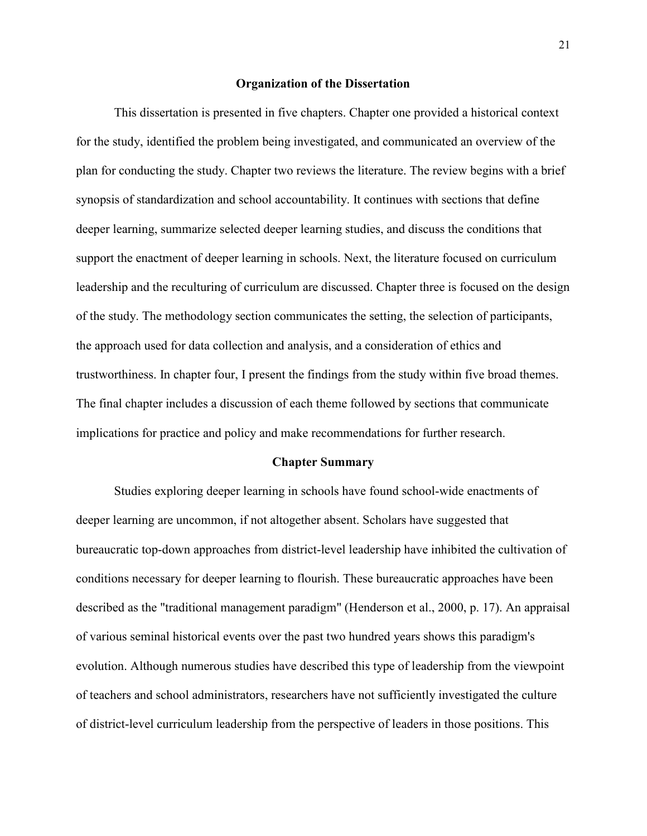#### **Organization of the Dissertation**

This dissertation is presented in five chapters. Chapter one provided a historical context for the study, identified the problem being investigated, and communicated an overview of the plan for conducting the study. Chapter two reviews the literature. The review begins with a brief synopsis of standardization and school accountability. It continues with sections that define deeper learning, summarize selected deeper learning studies, and discuss the conditions that support the enactment of deeper learning in schools. Next, the literature focused on curriculum leadership and the reculturing of curriculum are discussed. Chapter three is focused on the design of the study. The methodology section communicates the setting, the selection of participants, the approach used for data collection and analysis, and a consideration of ethics and trustworthiness. In chapter four, I present the findings from the study within five broad themes. The final chapter includes a discussion of each theme followed by sections that communicate implications for practice and policy and make recommendations for further research.

#### **Chapter Summary**

 Studies exploring deeper learning in schools have found school-wide enactments of deeper learning are uncommon, if not altogether absent. Scholars have suggested that bureaucratic top-down approaches from district-level leadership have inhibited the cultivation of conditions necessary for deeper learning to flourish. These bureaucratic approaches have been described as the "traditional management paradigm" (Henderson et al., 2000, p. 17). An appraisal of various seminal historical events over the past two hundred years shows this paradigm's evolution. Although numerous studies have described this type of leadership from the viewpoint of teachers and school administrators, researchers have not sufficiently investigated the culture of district-level curriculum leadership from the perspective of leaders in those positions. This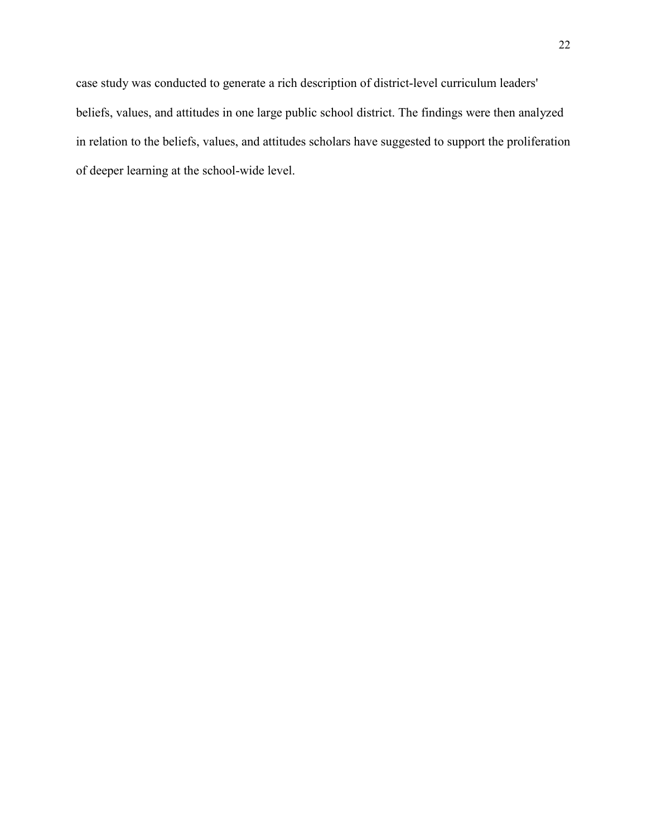case study was conducted to generate a rich description of district-level curriculum leaders' beliefs, values, and attitudes in one large public school district. The findings were then analyzed in relation to the beliefs, values, and attitudes scholars have suggested to support the proliferation of deeper learning at the school-wide level.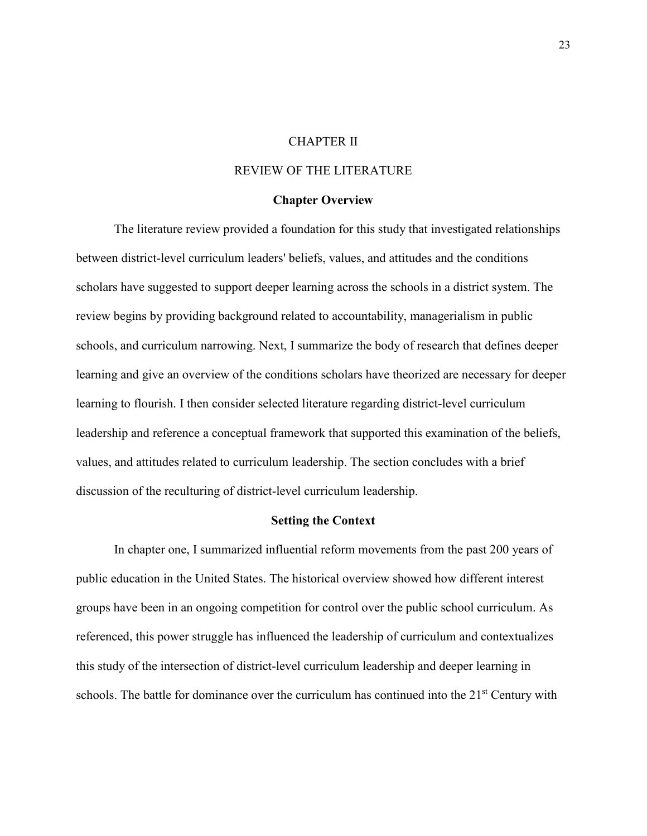#### CHAPTER II

#### REVIEW OF THE LITERATURE

#### **Chapter Overview**

 The literature review provided a foundation for this study that investigated relationships between district-level curriculum leaders' beliefs, values, and attitudes and the conditions scholars have suggested to support deeper learning across the schools in a district system. The review begins by providing background related to accountability, managerialism in public schools, and curriculum narrowing. Next, I summarize the body of research that defines deeper learning and give an overview of the conditions scholars have theorized are necessary for deeper learning to flourish. I then consider selected literature regarding district-level curriculum leadership and reference a conceptual framework that supported this examination of the beliefs, values, and attitudes related to curriculum leadership. The section concludes with a brief discussion of the reculturing of district-level curriculum leadership.

#### **Setting the Context**

In chapter one, I summarized influential reform movements from the past 200 years of public education in the United States. The historical overview showed how different interest groups have been in an ongoing competition for control over the public school curriculum. As referenced, this power struggle has influenced the leadership of curriculum and contextualizes this study of the intersection of district-level curriculum leadership and deeper learning in schools. The battle for dominance over the curriculum has continued into the  $21<sup>st</sup>$  Century with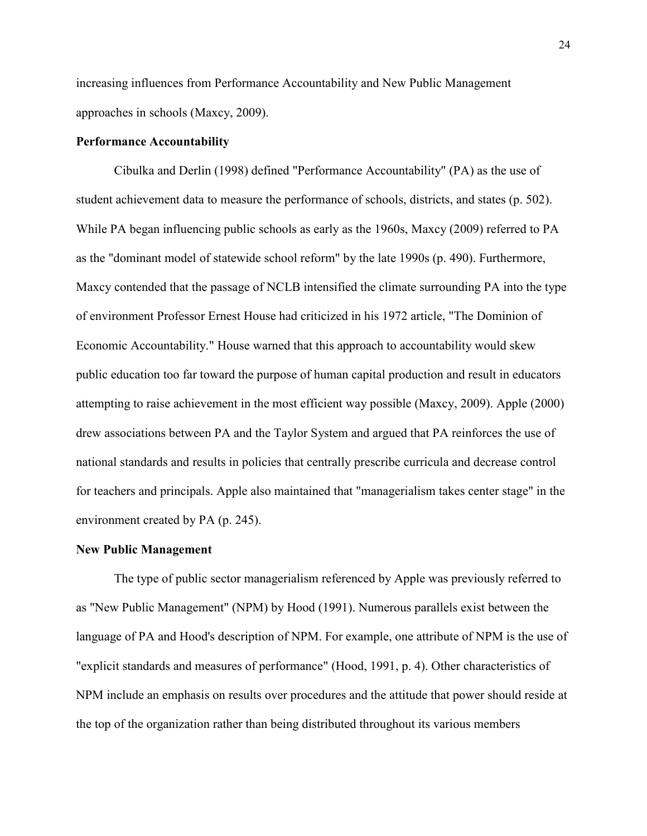increasing influences from Performance Accountability and New Public Management approaches in schools (Maxcy, 2009).

#### **Performance Accountability**

Cibulka and Derlin (1998) defined "Performance Accountability" (PA) as the use of student achievement data to measure the performance of schools, districts, and states (p. 502). While PA began influencing public schools as early as the 1960s, Maxcy (2009) referred to PA as the "dominant model of statewide school reform" by the late 1990s (p. 490). Furthermore, Maxcy contended that the passage of NCLB intensified the climate surrounding PA into the type of environment Professor Ernest House had criticized in his 1972 article, "The Dominion of Economic Accountability." House warned that this approach to accountability would skew public education too far toward the purpose of human capital production and result in educators attempting to raise achievement in the most efficient way possible (Maxcy, 2009). Apple (2000) drew associations between PA and the Taylor System and argued that PA reinforces the use of national standards and results in policies that centrally prescribe curricula and decrease control for teachers and principals. Apple also maintained that "managerialism takes center stage" in the environment created by PA (p. 245).

#### **New Public Management**

The type of public sector managerialism referenced by Apple was previously referred to as "New Public Management" (NPM) by Hood (1991). Numerous parallels exist between the language of PA and Hood's description of NPM. For example, one attribute of NPM is the use of "explicit standards and measures of performance" (Hood, 1991, p. 4). Other characteristics of NPM include an emphasis on results over procedures and the attitude that power should reside at the top of the organization rather than being distributed throughout its various members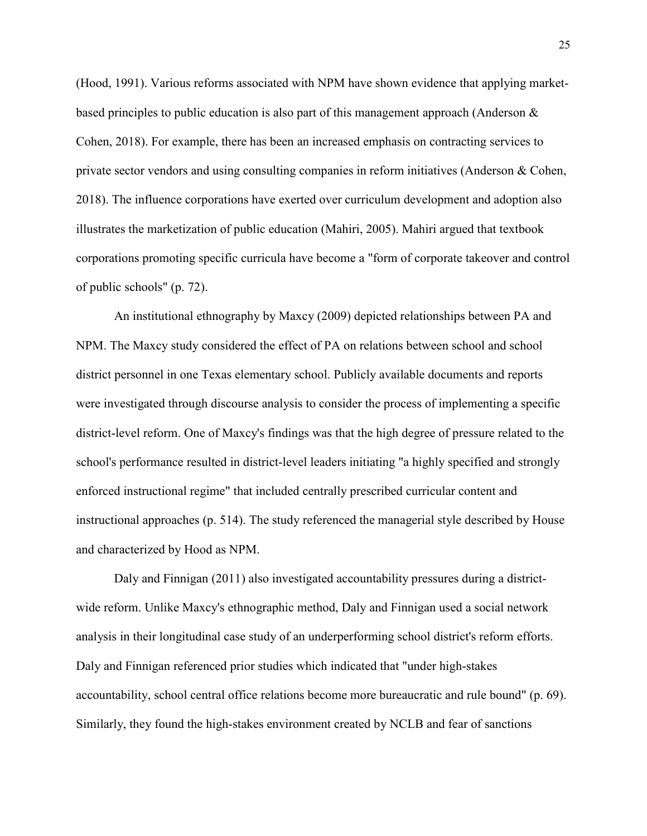(Hood, 1991). Various reforms associated with NPM have shown evidence that applying marketbased principles to public education is also part of this management approach (Anderson & Cohen, 2018). For example, there has been an increased emphasis on contracting services to private sector vendors and using consulting companies in reform initiatives (Anderson & Cohen, 2018). The influence corporations have exerted over curriculum development and adoption also illustrates the marketization of public education (Mahiri, 2005). Mahiri argued that textbook corporations promoting specific curricula have become a "form of corporate takeover and control of public schools" (p. 72).

An institutional ethnography by Maxcy (2009) depicted relationships between PA and NPM. The Maxcy study considered the effect of PA on relations between school and school district personnel in one Texas elementary school. Publicly available documents and reports were investigated through discourse analysis to consider the process of implementing a specific district-level reform. One of Maxcy's findings was that the high degree of pressure related to the school's performance resulted in district-level leaders initiating "a highly specified and strongly enforced instructional regime" that included centrally prescribed curricular content and instructional approaches (p. 514). The study referenced the managerial style described by House and characterized by Hood as NPM.

Daly and Finnigan (2011) also investigated accountability pressures during a districtwide reform. Unlike Maxcy's ethnographic method, Daly and Finnigan used a social network analysis in their longitudinal case study of an underperforming school district's reform efforts. Daly and Finnigan referenced prior studies which indicated that "under high-stakes accountability, school central office relations become more bureaucratic and rule bound" (p. 69). Similarly, they found the high-stakes environment created by NCLB and fear of sanctions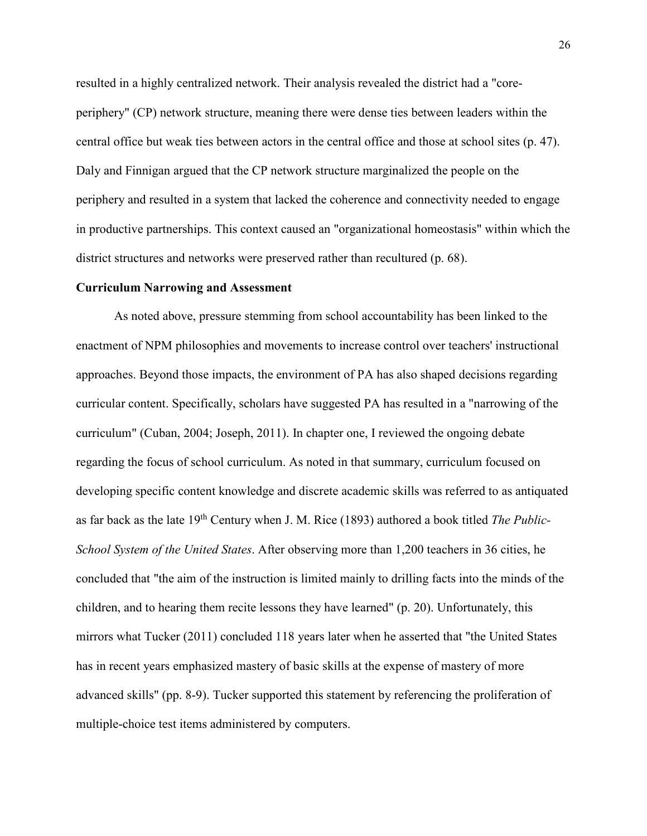resulted in a highly centralized network. Their analysis revealed the district had a "coreperiphery" (CP) network structure, meaning there were dense ties between leaders within the central office but weak ties between actors in the central office and those at school sites (p. 47). Daly and Finnigan argued that the CP network structure marginalized the people on the periphery and resulted in a system that lacked the coherence and connectivity needed to engage in productive partnerships. This context caused an "organizational homeostasis" within which the district structures and networks were preserved rather than recultured (p. 68).

#### **Curriculum Narrowing and Assessment**

As noted above, pressure stemming from school accountability has been linked to the enactment of NPM philosophies and movements to increase control over teachers' instructional approaches. Beyond those impacts, the environment of PA has also shaped decisions regarding curricular content. Specifically, scholars have suggested PA has resulted in a "narrowing of the curriculum" (Cuban, 2004; Joseph, 2011). In chapter one, I reviewed the ongoing debate regarding the focus of school curriculum. As noted in that summary, curriculum focused on developing specific content knowledge and discrete academic skills was referred to as antiquated as far back as the late 19th Century when J. M. Rice (1893) authored a book titled *The Public-School System of the United States*. After observing more than 1,200 teachers in 36 cities, he concluded that "the aim of the instruction is limited mainly to drilling facts into the minds of the children, and to hearing them recite lessons they have learned" (p. 20). Unfortunately, this mirrors what Tucker (2011) concluded 118 years later when he asserted that "the United States has in recent years emphasized mastery of basic skills at the expense of mastery of more advanced skills" (pp. 8-9). Tucker supported this statement by referencing the proliferation of multiple-choice test items administered by computers.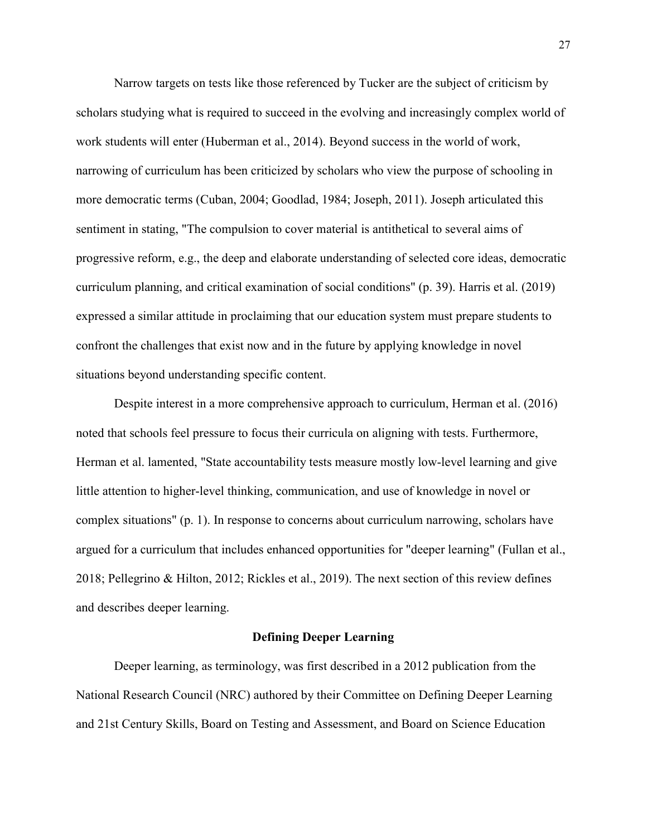Narrow targets on tests like those referenced by Tucker are the subject of criticism by scholars studying what is required to succeed in the evolving and increasingly complex world of work students will enter (Huberman et al., 2014). Beyond success in the world of work, narrowing of curriculum has been criticized by scholars who view the purpose of schooling in more democratic terms (Cuban, 2004; Goodlad, 1984; Joseph, 2011). Joseph articulated this sentiment in stating, "The compulsion to cover material is antithetical to several aims of progressive reform, e.g., the deep and elaborate understanding of selected core ideas, democratic curriculum planning, and critical examination of social conditions" (p. 39). Harris et al. (2019) expressed a similar attitude in proclaiming that our education system must prepare students to confront the challenges that exist now and in the future by applying knowledge in novel situations beyond understanding specific content.

Despite interest in a more comprehensive approach to curriculum, Herman et al. (2016) noted that schools feel pressure to focus their curricula on aligning with tests. Furthermore, Herman et al. lamented, "State accountability tests measure mostly low-level learning and give little attention to higher-level thinking, communication, and use of knowledge in novel or complex situations" (p. 1). In response to concerns about curriculum narrowing, scholars have argued for a curriculum that includes enhanced opportunities for "deeper learning" (Fullan et al., 2018; Pellegrino & Hilton, 2012; Rickles et al., 2019). The next section of this review defines and describes deeper learning.

#### **Defining Deeper Learning**

Deeper learning, as terminology, was first described in a 2012 publication from the National Research Council (NRC) authored by their Committee on Defining Deeper Learning and 21st Century Skills, Board on Testing and Assessment, and Board on Science Education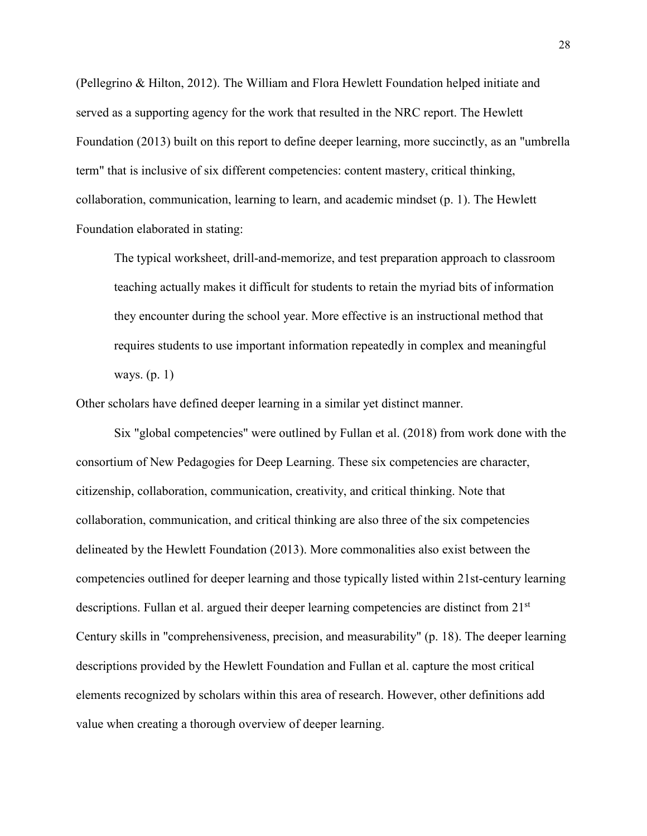(Pellegrino & Hilton, 2012). The William and Flora Hewlett Foundation helped initiate and served as a supporting agency for the work that resulted in the NRC report. The Hewlett Foundation (2013) built on this report to define deeper learning, more succinctly, as an "umbrella term" that is inclusive of six different competencies: content mastery, critical thinking, collaboration, communication, learning to learn, and academic mindset (p. 1). The Hewlett Foundation elaborated in stating:

The typical worksheet, drill-and-memorize, and test preparation approach to classroom teaching actually makes it difficult for students to retain the myriad bits of information they encounter during the school year. More effective is an instructional method that requires students to use important information repeatedly in complex and meaningful ways. (p. 1)

Other scholars have defined deeper learning in a similar yet distinct manner.

Six "global competencies" were outlined by Fullan et al. (2018) from work done with the consortium of New Pedagogies for Deep Learning. These six competencies are character, citizenship, collaboration, communication, creativity, and critical thinking. Note that collaboration, communication, and critical thinking are also three of the six competencies delineated by the Hewlett Foundation (2013). More commonalities also exist between the competencies outlined for deeper learning and those typically listed within 21st-century learning descriptions. Fullan et al. argued their deeper learning competencies are distinct from  $21<sup>st</sup>$ Century skills in "comprehensiveness, precision, and measurability" (p. 18). The deeper learning descriptions provided by the Hewlett Foundation and Fullan et al. capture the most critical elements recognized by scholars within this area of research. However, other definitions add value when creating a thorough overview of deeper learning.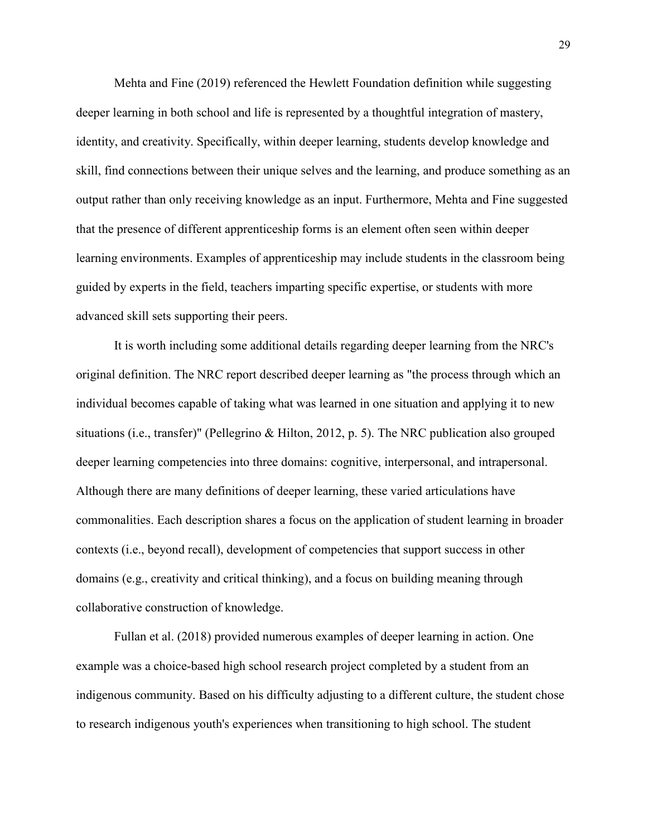Mehta and Fine (2019) referenced the Hewlett Foundation definition while suggesting deeper learning in both school and life is represented by a thoughtful integration of mastery, identity, and creativity. Specifically, within deeper learning, students develop knowledge and skill, find connections between their unique selves and the learning, and produce something as an output rather than only receiving knowledge as an input. Furthermore, Mehta and Fine suggested that the presence of different apprenticeship forms is an element often seen within deeper learning environments. Examples of apprenticeship may include students in the classroom being guided by experts in the field, teachers imparting specific expertise, or students with more advanced skill sets supporting their peers.

It is worth including some additional details regarding deeper learning from the NRC's original definition. The NRC report described deeper learning as "the process through which an individual becomes capable of taking what was learned in one situation and applying it to new situations (i.e., transfer)" (Pellegrino & Hilton, 2012, p. 5). The NRC publication also grouped deeper learning competencies into three domains: cognitive, interpersonal, and intrapersonal. Although there are many definitions of deeper learning, these varied articulations have commonalities. Each description shares a focus on the application of student learning in broader contexts (i.e., beyond recall), development of competencies that support success in other domains (e.g., creativity and critical thinking), and a focus on building meaning through collaborative construction of knowledge.

Fullan et al. (2018) provided numerous examples of deeper learning in action. One example was a choice-based high school research project completed by a student from an indigenous community. Based on his difficulty adjusting to a different culture, the student chose to research indigenous youth's experiences when transitioning to high school. The student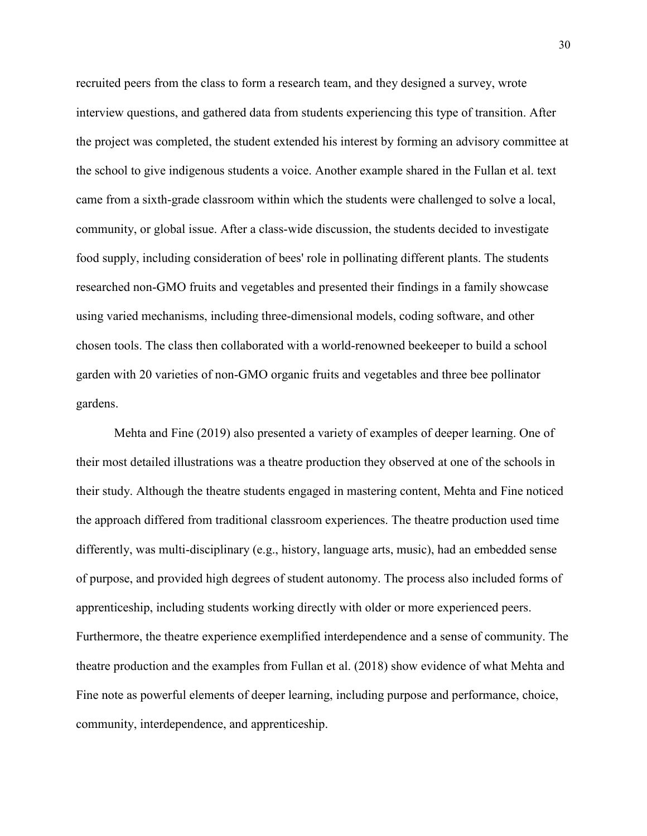recruited peers from the class to form a research team, and they designed a survey, wrote interview questions, and gathered data from students experiencing this type of transition. After the project was completed, the student extended his interest by forming an advisory committee at the school to give indigenous students a voice. Another example shared in the Fullan et al. text came from a sixth-grade classroom within which the students were challenged to solve a local, community, or global issue. After a class-wide discussion, the students decided to investigate food supply, including consideration of bees' role in pollinating different plants. The students researched non-GMO fruits and vegetables and presented their findings in a family showcase using varied mechanisms, including three-dimensional models, coding software, and other chosen tools. The class then collaborated with a world-renowned beekeeper to build a school garden with 20 varieties of non-GMO organic fruits and vegetables and three bee pollinator gardens.

Mehta and Fine (2019) also presented a variety of examples of deeper learning. One of their most detailed illustrations was a theatre production they observed at one of the schools in their study. Although the theatre students engaged in mastering content, Mehta and Fine noticed the approach differed from traditional classroom experiences. The theatre production used time differently, was multi-disciplinary (e.g., history, language arts, music), had an embedded sense of purpose, and provided high degrees of student autonomy. The process also included forms of apprenticeship, including students working directly with older or more experienced peers. Furthermore, the theatre experience exemplified interdependence and a sense of community. The theatre production and the examples from Fullan et al. (2018) show evidence of what Mehta and Fine note as powerful elements of deeper learning, including purpose and performance, choice, community, interdependence, and apprenticeship.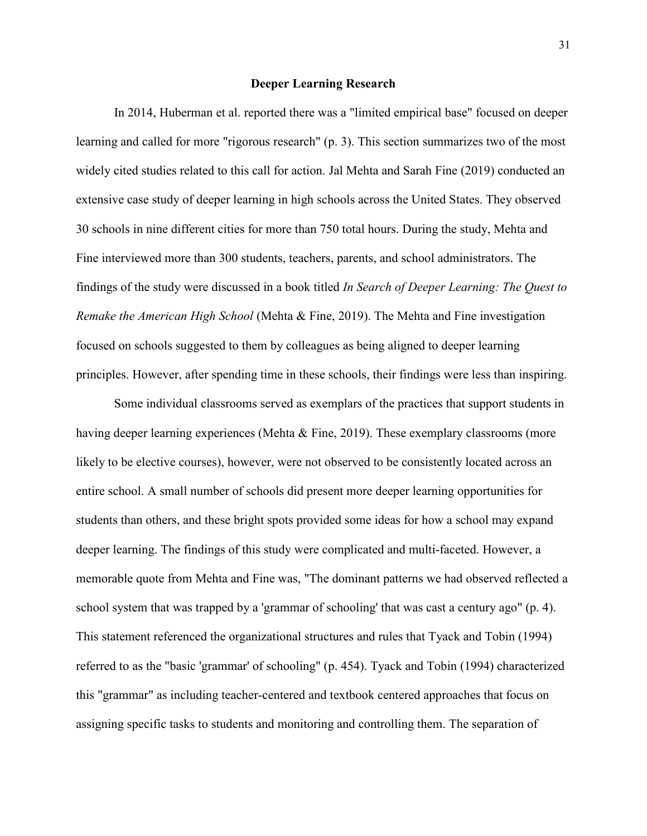## **Deeper Learning Research**

In 2014, Huberman et al. reported there was a "limited empirical base" focused on deeper learning and called for more "rigorous research" (p. 3). This section summarizes two of the most widely cited studies related to this call for action. Jal Mehta and Sarah Fine (2019) conducted an extensive case study of deeper learning in high schools across the United States. They observed 30 schools in nine different cities for more than 750 total hours. During the study, Mehta and Fine interviewed more than 300 students, teachers, parents, and school administrators. The findings of the study were discussed in a book titled *In Search of Deeper Learning: The Quest to Remake the American High School* (Mehta & Fine, 2019). The Mehta and Fine investigation focused on schools suggested to them by colleagues as being aligned to deeper learning principles. However, after spending time in these schools, their findings were less than inspiring.

Some individual classrooms served as exemplars of the practices that support students in having deeper learning experiences (Mehta & Fine, 2019). These exemplary classrooms (more likely to be elective courses), however, were not observed to be consistently located across an entire school. A small number of schools did present more deeper learning opportunities for students than others, and these bright spots provided some ideas for how a school may expand deeper learning. The findings of this study were complicated and multi-faceted. However, a memorable quote from Mehta and Fine was, "The dominant patterns we had observed reflected a school system that was trapped by a 'grammar of schooling' that was cast a century ago" (p. 4). This statement referenced the organizational structures and rules that Tyack and Tobin (1994) referred to as the "basic 'grammar' of schooling" (p. 454). Tyack and Tobin (1994) characterized this "grammar" as including teacher-centered and textbook centered approaches that focus on assigning specific tasks to students and monitoring and controlling them. The separation of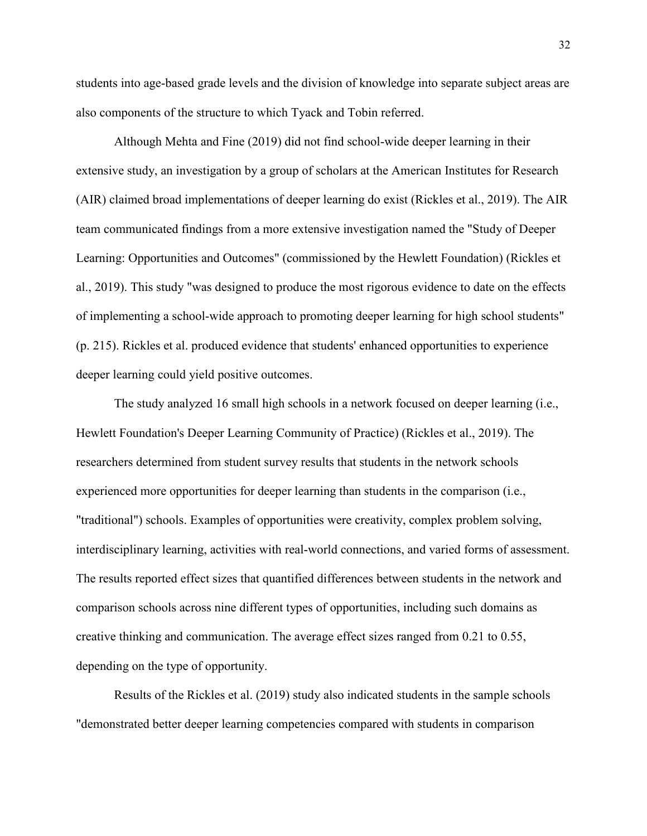students into age-based grade levels and the division of knowledge into separate subject areas are also components of the structure to which Tyack and Tobin referred.

Although Mehta and Fine (2019) did not find school-wide deeper learning in their extensive study, an investigation by a group of scholars at the American Institutes for Research (AIR) claimed broad implementations of deeper learning do exist (Rickles et al., 2019). The AIR team communicated findings from a more extensive investigation named the "Study of Deeper Learning: Opportunities and Outcomes" (commissioned by the Hewlett Foundation) (Rickles et al., 2019). This study "was designed to produce the most rigorous evidence to date on the effects of implementing a school-wide approach to promoting deeper learning for high school students" (p. 215). Rickles et al. produced evidence that students' enhanced opportunities to experience deeper learning could yield positive outcomes.

The study analyzed 16 small high schools in a network focused on deeper learning (i.e., Hewlett Foundation's Deeper Learning Community of Practice) (Rickles et al., 2019). The researchers determined from student survey results that students in the network schools experienced more opportunities for deeper learning than students in the comparison (i.e., "traditional") schools. Examples of opportunities were creativity, complex problem solving, interdisciplinary learning, activities with real-world connections, and varied forms of assessment. The results reported effect sizes that quantified differences between students in the network and comparison schools across nine different types of opportunities, including such domains as creative thinking and communication. The average effect sizes ranged from 0.21 to 0.55, depending on the type of opportunity.

Results of the Rickles et al. (2019) study also indicated students in the sample schools "demonstrated better deeper learning competencies compared with students in comparison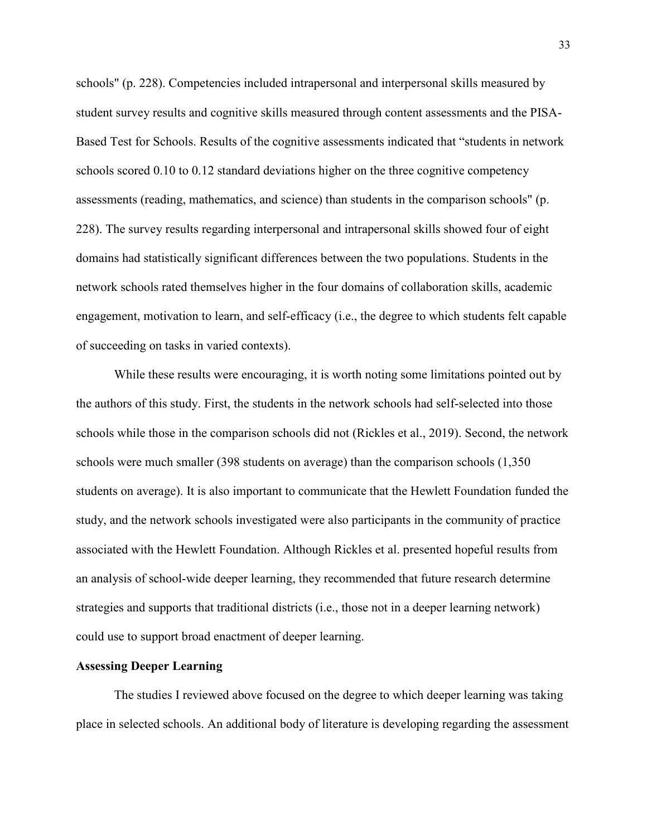schools" (p. 228). Competencies included intrapersonal and interpersonal skills measured by student survey results and cognitive skills measured through content assessments and the PISA-Based Test for Schools. Results of the cognitive assessments indicated that "students in network schools scored 0.10 to 0.12 standard deviations higher on the three cognitive competency assessments (reading, mathematics, and science) than students in the comparison schools" (p. 228). The survey results regarding interpersonal and intrapersonal skills showed four of eight domains had statistically significant differences between the two populations. Students in the network schools rated themselves higher in the four domains of collaboration skills, academic engagement, motivation to learn, and self-efficacy (i.e., the degree to which students felt capable of succeeding on tasks in varied contexts).

While these results were encouraging, it is worth noting some limitations pointed out by the authors of this study. First, the students in the network schools had self-selected into those schools while those in the comparison schools did not (Rickles et al., 2019). Second, the network schools were much smaller (398 students on average) than the comparison schools (1,350 students on average). It is also important to communicate that the Hewlett Foundation funded the study, and the network schools investigated were also participants in the community of practice associated with the Hewlett Foundation. Although Rickles et al. presented hopeful results from an analysis of school-wide deeper learning, they recommended that future research determine strategies and supports that traditional districts (i.e., those not in a deeper learning network) could use to support broad enactment of deeper learning.

## **Assessing Deeper Learning**

The studies I reviewed above focused on the degree to which deeper learning was taking place in selected schools. An additional body of literature is developing regarding the assessment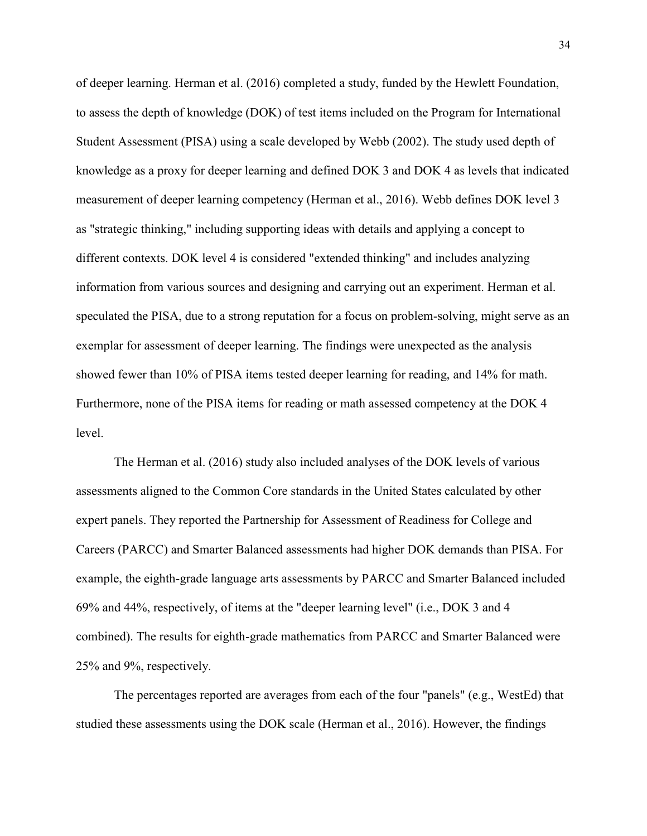of deeper learning. Herman et al. (2016) completed a study, funded by the Hewlett Foundation, to assess the depth of knowledge (DOK) of test items included on the Program for International Student Assessment (PISA) using a scale developed by Webb (2002). The study used depth of knowledge as a proxy for deeper learning and defined DOK 3 and DOK 4 as levels that indicated measurement of deeper learning competency (Herman et al., 2016). Webb defines DOK level 3 as "strategic thinking," including supporting ideas with details and applying a concept to different contexts. DOK level 4 is considered "extended thinking" and includes analyzing information from various sources and designing and carrying out an experiment. Herman et al. speculated the PISA, due to a strong reputation for a focus on problem-solving, might serve as an exemplar for assessment of deeper learning. The findings were unexpected as the analysis showed fewer than 10% of PISA items tested deeper learning for reading, and 14% for math. Furthermore, none of the PISA items for reading or math assessed competency at the DOK 4 level.

The Herman et al. (2016) study also included analyses of the DOK levels of various assessments aligned to the Common Core standards in the United States calculated by other expert panels. They reported the Partnership for Assessment of Readiness for College and Careers (PARCC) and Smarter Balanced assessments had higher DOK demands than PISA. For example, the eighth-grade language arts assessments by PARCC and Smarter Balanced included 69% and 44%, respectively, of items at the "deeper learning level" (i.e., DOK 3 and 4 combined). The results for eighth-grade mathematics from PARCC and Smarter Balanced were 25% and 9%, respectively.

The percentages reported are averages from each of the four "panels" (e.g., WestEd) that studied these assessments using the DOK scale (Herman et al., 2016). However, the findings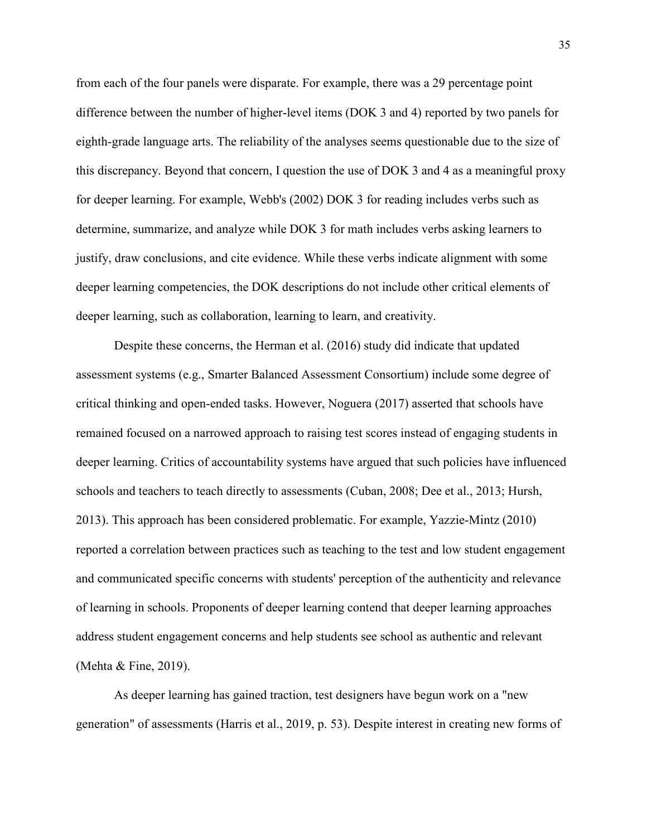from each of the four panels were disparate. For example, there was a 29 percentage point difference between the number of higher-level items (DOK 3 and 4) reported by two panels for eighth-grade language arts. The reliability of the analyses seems questionable due to the size of this discrepancy. Beyond that concern, I question the use of DOK 3 and 4 as a meaningful proxy for deeper learning. For example, Webb's (2002) DOK 3 for reading includes verbs such as determine, summarize, and analyze while DOK 3 for math includes verbs asking learners to justify, draw conclusions, and cite evidence. While these verbs indicate alignment with some deeper learning competencies, the DOK descriptions do not include other critical elements of deeper learning, such as collaboration, learning to learn, and creativity.

Despite these concerns, the Herman et al. (2016) study did indicate that updated assessment systems (e.g., Smarter Balanced Assessment Consortium) include some degree of critical thinking and open-ended tasks. However, Noguera (2017) asserted that schools have remained focused on a narrowed approach to raising test scores instead of engaging students in deeper learning. Critics of accountability systems have argued that such policies have influenced schools and teachers to teach directly to assessments (Cuban, 2008; Dee et al., 2013; Hursh, 2013). This approach has been considered problematic. For example, Yazzie-Mintz (2010) reported a correlation between practices such as teaching to the test and low student engagement and communicated specific concerns with students' perception of the authenticity and relevance of learning in schools. Proponents of deeper learning contend that deeper learning approaches address student engagement concerns and help students see school as authentic and relevant (Mehta & Fine, 2019).

As deeper learning has gained traction, test designers have begun work on a "new generation" of assessments (Harris et al., 2019, p. 53). Despite interest in creating new forms of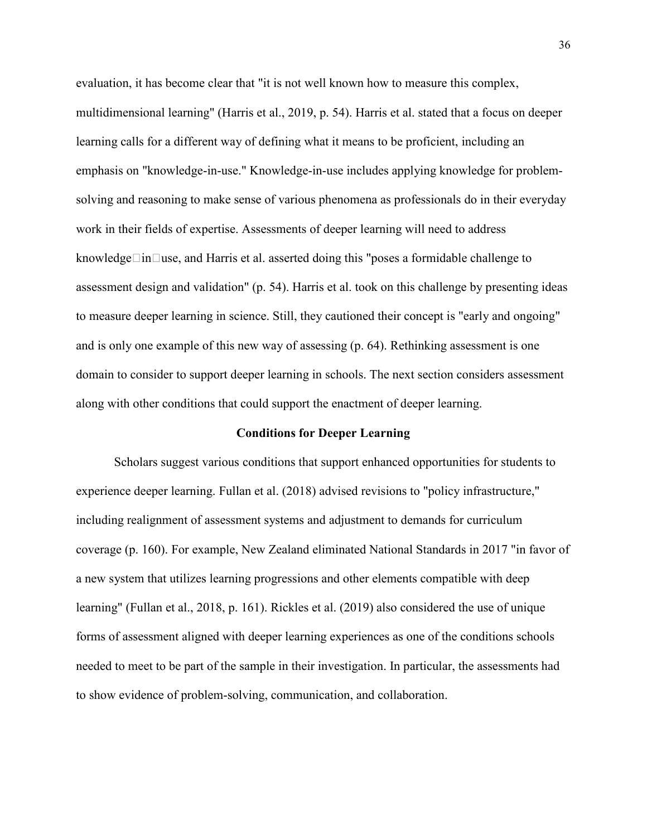evaluation, it has become clear that "it is not well known how to measure this complex, multidimensional learning" (Harris et al., 2019, p. 54). Harris et al. stated that a focus on deeper learning calls for a different way of defining what it means to be proficient, including an emphasis on "knowledge-in-use." Knowledge-in-use includes applying knowledge for problemsolving and reasoning to make sense of various phenomena as professionals do in their everyday work in their fields of expertise. Assessments of deeper learning will need to address knowledge $\Box$ in $\Box$ use, and Harris et al. asserted doing this "poses a formidable challenge to assessment design and validation" (p. 54). Harris et al. took on this challenge by presenting ideas to measure deeper learning in science. Still, they cautioned their concept is "early and ongoing" and is only one example of this new way of assessing (p. 64). Rethinking assessment is one domain to consider to support deeper learning in schools. The next section considers assessment along with other conditions that could support the enactment of deeper learning.

## **Conditions for Deeper Learning**

Scholars suggest various conditions that support enhanced opportunities for students to experience deeper learning. Fullan et al. (2018) advised revisions to "policy infrastructure," including realignment of assessment systems and adjustment to demands for curriculum coverage (p. 160). For example, New Zealand eliminated National Standards in 2017 "in favor of a new system that utilizes learning progressions and other elements compatible with deep learning" (Fullan et al., 2018, p. 161). Rickles et al. (2019) also considered the use of unique forms of assessment aligned with deeper learning experiences as one of the conditions schools needed to meet to be part of the sample in their investigation. In particular, the assessments had to show evidence of problem-solving, communication, and collaboration.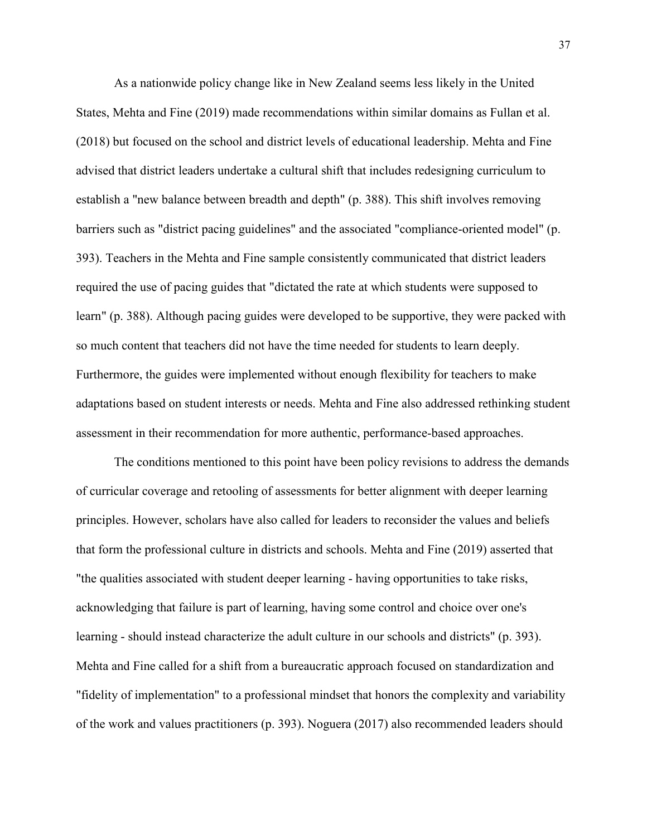As a nationwide policy change like in New Zealand seems less likely in the United States, Mehta and Fine (2019) made recommendations within similar domains as Fullan et al. (2018) but focused on the school and district levels of educational leadership. Mehta and Fine advised that district leaders undertake a cultural shift that includes redesigning curriculum to establish a "new balance between breadth and depth" (p. 388). This shift involves removing barriers such as "district pacing guidelines" and the associated "compliance-oriented model" (p. 393). Teachers in the Mehta and Fine sample consistently communicated that district leaders required the use of pacing guides that "dictated the rate at which students were supposed to learn" (p. 388). Although pacing guides were developed to be supportive, they were packed with so much content that teachers did not have the time needed for students to learn deeply. Furthermore, the guides were implemented without enough flexibility for teachers to make adaptations based on student interests or needs. Mehta and Fine also addressed rethinking student assessment in their recommendation for more authentic, performance-based approaches.

The conditions mentioned to this point have been policy revisions to address the demands of curricular coverage and retooling of assessments for better alignment with deeper learning principles. However, scholars have also called for leaders to reconsider the values and beliefs that form the professional culture in districts and schools. Mehta and Fine (2019) asserted that "the qualities associated with student deeper learning - having opportunities to take risks, acknowledging that failure is part of learning, having some control and choice over one's learning - should instead characterize the adult culture in our schools and districts" (p. 393). Mehta and Fine called for a shift from a bureaucratic approach focused on standardization and "fidelity of implementation" to a professional mindset that honors the complexity and variability of the work and values practitioners (p. 393). Noguera (2017) also recommended leaders should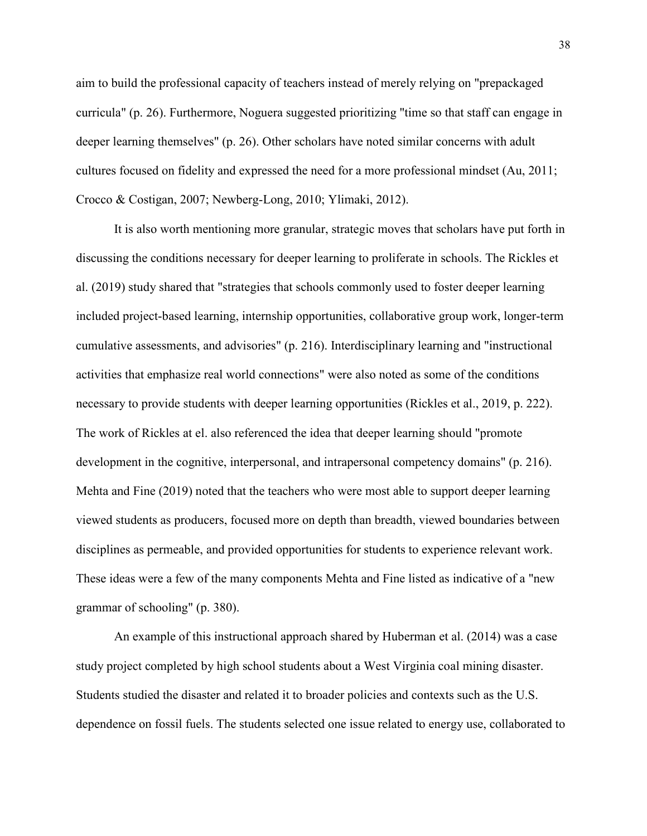aim to build the professional capacity of teachers instead of merely relying on "prepackaged curricula" (p. 26). Furthermore, Noguera suggested prioritizing "time so that staff can engage in deeper learning themselves" (p. 26). Other scholars have noted similar concerns with adult cultures focused on fidelity and expressed the need for a more professional mindset (Au, 2011; Crocco & Costigan, 2007; Newberg-Long, 2010; Ylimaki, 2012).

It is also worth mentioning more granular, strategic moves that scholars have put forth in discussing the conditions necessary for deeper learning to proliferate in schools. The Rickles et al. (2019) study shared that "strategies that schools commonly used to foster deeper learning included project-based learning, internship opportunities, collaborative group work, longer-term cumulative assessments, and advisories" (p. 216). Interdisciplinary learning and "instructional activities that emphasize real world connections" were also noted as some of the conditions necessary to provide students with deeper learning opportunities (Rickles et al., 2019, p. 222). The work of Rickles at el. also referenced the idea that deeper learning should "promote development in the cognitive, interpersonal, and intrapersonal competency domains" (p. 216). Mehta and Fine (2019) noted that the teachers who were most able to support deeper learning viewed students as producers, focused more on depth than breadth, viewed boundaries between disciplines as permeable, and provided opportunities for students to experience relevant work. These ideas were a few of the many components Mehta and Fine listed as indicative of a "new grammar of schooling" (p. 380).

An example of this instructional approach shared by Huberman et al. (2014) was a case study project completed by high school students about a West Virginia coal mining disaster. Students studied the disaster and related it to broader policies and contexts such as the U.S. dependence on fossil fuels. The students selected one issue related to energy use, collaborated to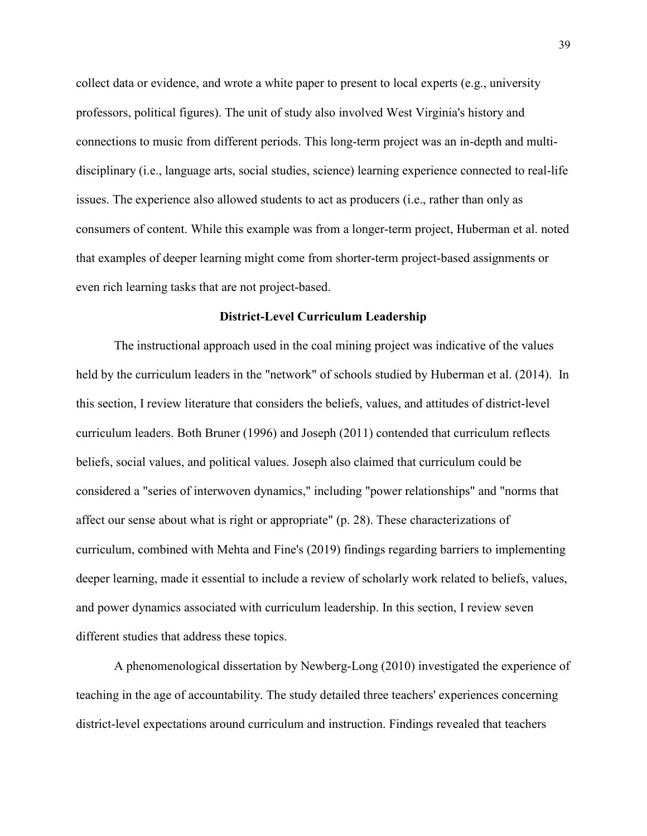collect data or evidence, and wrote a white paper to present to local experts (e.g., university professors, political figures). The unit of study also involved West Virginia's history and connections to music from different periods. This long-term project was an in-depth and multidisciplinary (i.e., language arts, social studies, science) learning experience connected to real-life issues. The experience also allowed students to act as producers (i.e., rather than only as consumers of content. While this example was from a longer-term project, Huberman et al. noted that examples of deeper learning might come from shorter-term project-based assignments or even rich learning tasks that are not project-based.

## **District-Level Curriculum Leadership**

The instructional approach used in the coal mining project was indicative of the values held by the curriculum leaders in the "network" of schools studied by Huberman et al. (2014). In this section, I review literature that considers the beliefs, values, and attitudes of district-level curriculum leaders. Both Bruner (1996) and Joseph (2011) contended that curriculum reflects beliefs, social values, and political values. Joseph also claimed that curriculum could be considered a "series of interwoven dynamics," including "power relationships" and "norms that affect our sense about what is right or appropriate" (p. 28). These characterizations of curriculum, combined with Mehta and Fine's (2019) findings regarding barriers to implementing deeper learning, made it essential to include a review of scholarly work related to beliefs, values, and power dynamics associated with curriculum leadership. In this section, I review seven different studies that address these topics.

A phenomenological dissertation by Newberg-Long (2010) investigated the experience of teaching in the age of accountability. The study detailed three teachers' experiences concerning district-level expectations around curriculum and instruction. Findings revealed that teachers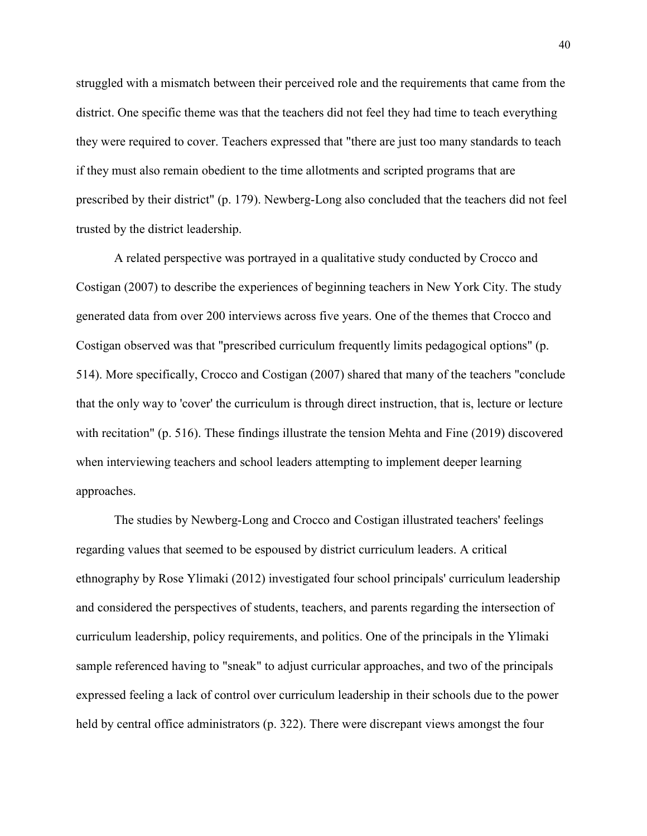struggled with a mismatch between their perceived role and the requirements that came from the district. One specific theme was that the teachers did not feel they had time to teach everything they were required to cover. Teachers expressed that "there are just too many standards to teach if they must also remain obedient to the time allotments and scripted programs that are prescribed by their district" (p. 179). Newberg-Long also concluded that the teachers did not feel trusted by the district leadership.

A related perspective was portrayed in a qualitative study conducted by Crocco and Costigan (2007) to describe the experiences of beginning teachers in New York City. The study generated data from over 200 interviews across five years. One of the themes that Crocco and Costigan observed was that "prescribed curriculum frequently limits pedagogical options" (p. 514). More specifically, Crocco and Costigan (2007) shared that many of the teachers "conclude that the only way to 'cover' the curriculum is through direct instruction, that is, lecture or lecture with recitation" (p. 516). These findings illustrate the tension Mehta and Fine (2019) discovered when interviewing teachers and school leaders attempting to implement deeper learning approaches.

The studies by Newberg-Long and Crocco and Costigan illustrated teachers' feelings regarding values that seemed to be espoused by district curriculum leaders. A critical ethnography by Rose Ylimaki (2012) investigated four school principals' curriculum leadership and considered the perspectives of students, teachers, and parents regarding the intersection of curriculum leadership, policy requirements, and politics. One of the principals in the Ylimaki sample referenced having to "sneak" to adjust curricular approaches, and two of the principals expressed feeling a lack of control over curriculum leadership in their schools due to the power held by central office administrators (p. 322). There were discrepant views amongst the four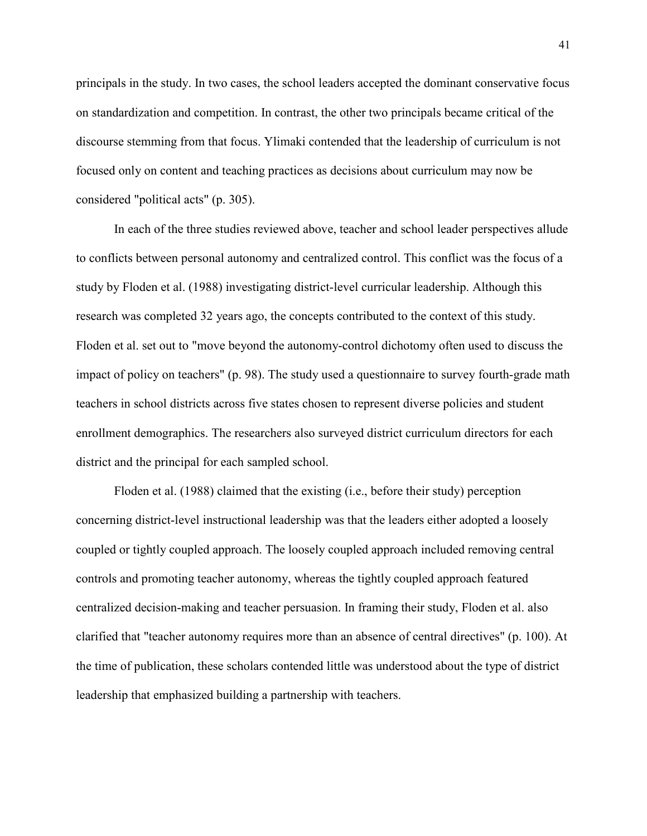principals in the study. In two cases, the school leaders accepted the dominant conservative focus on standardization and competition. In contrast, the other two principals became critical of the discourse stemming from that focus. Ylimaki contended that the leadership of curriculum is not focused only on content and teaching practices as decisions about curriculum may now be considered "political acts" (p. 305).

In each of the three studies reviewed above, teacher and school leader perspectives allude to conflicts between personal autonomy and centralized control. This conflict was the focus of a study by Floden et al. (1988) investigating district-level curricular leadership. Although this research was completed 32 years ago, the concepts contributed to the context of this study. Floden et al. set out to "move beyond the autonomy-control dichotomy often used to discuss the impact of policy on teachers" (p. 98). The study used a questionnaire to survey fourth-grade math teachers in school districts across five states chosen to represent diverse policies and student enrollment demographics. The researchers also surveyed district curriculum directors for each district and the principal for each sampled school.

Floden et al. (1988) claimed that the existing (i.e., before their study) perception concerning district-level instructional leadership was that the leaders either adopted a loosely coupled or tightly coupled approach. The loosely coupled approach included removing central controls and promoting teacher autonomy, whereas the tightly coupled approach featured centralized decision-making and teacher persuasion. In framing their study, Floden et al. also clarified that "teacher autonomy requires more than an absence of central directives" (p. 100). At the time of publication, these scholars contended little was understood about the type of district leadership that emphasized building a partnership with teachers.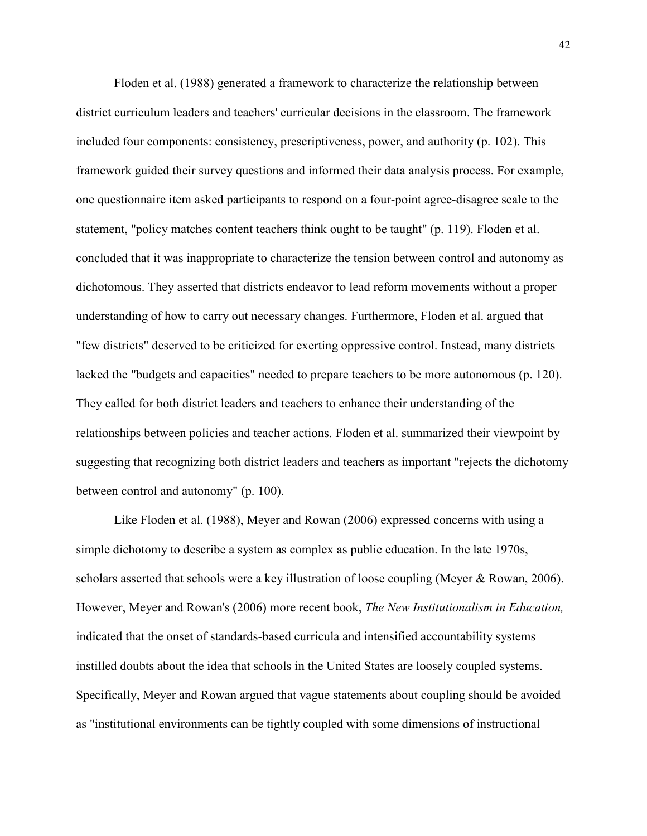Floden et al. (1988) generated a framework to characterize the relationship between district curriculum leaders and teachers' curricular decisions in the classroom. The framework included four components: consistency, prescriptiveness, power, and authority (p. 102). This framework guided their survey questions and informed their data analysis process. For example, one questionnaire item asked participants to respond on a four-point agree-disagree scale to the statement, "policy matches content teachers think ought to be taught" (p. 119). Floden et al. concluded that it was inappropriate to characterize the tension between control and autonomy as dichotomous. They asserted that districts endeavor to lead reform movements without a proper understanding of how to carry out necessary changes. Furthermore, Floden et al. argued that "few districts" deserved to be criticized for exerting oppressive control. Instead, many districts lacked the "budgets and capacities" needed to prepare teachers to be more autonomous (p. 120). They called for both district leaders and teachers to enhance their understanding of the relationships between policies and teacher actions. Floden et al. summarized their viewpoint by suggesting that recognizing both district leaders and teachers as important "rejects the dichotomy between control and autonomy" (p. 100).

Like Floden et al. (1988), Meyer and Rowan (2006) expressed concerns with using a simple dichotomy to describe a system as complex as public education. In the late 1970s, scholars asserted that schools were a key illustration of loose coupling (Meyer & Rowan, 2006). However, Meyer and Rowan's (2006) more recent book, *The New Institutionalism in Education,* indicated that the onset of standards-based curricula and intensified accountability systems instilled doubts about the idea that schools in the United States are loosely coupled systems. Specifically, Meyer and Rowan argued that vague statements about coupling should be avoided as "institutional environments can be tightly coupled with some dimensions of instructional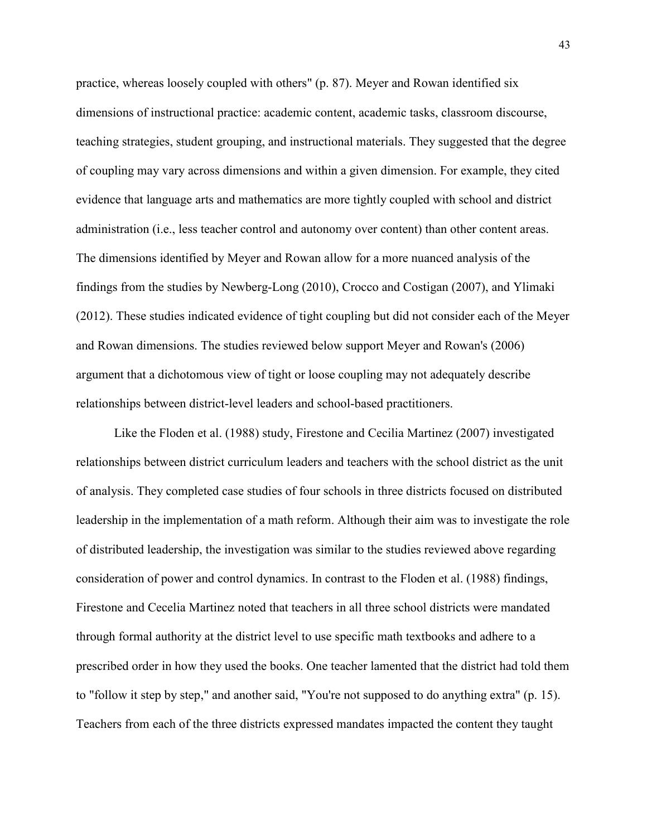practice, whereas loosely coupled with others" (p. 87). Meyer and Rowan identified six dimensions of instructional practice: academic content, academic tasks, classroom discourse, teaching strategies, student grouping, and instructional materials. They suggested that the degree of coupling may vary across dimensions and within a given dimension. For example, they cited evidence that language arts and mathematics are more tightly coupled with school and district administration (i.e., less teacher control and autonomy over content) than other content areas. The dimensions identified by Meyer and Rowan allow for a more nuanced analysis of the findings from the studies by Newberg-Long (2010), Crocco and Costigan (2007), and Ylimaki (2012). These studies indicated evidence of tight coupling but did not consider each of the Meyer and Rowan dimensions. The studies reviewed below support Meyer and Rowan's (2006) argument that a dichotomous view of tight or loose coupling may not adequately describe relationships between district-level leaders and school-based practitioners.

Like the Floden et al. (1988) study, Firestone and Cecilia Martinez (2007) investigated relationships between district curriculum leaders and teachers with the school district as the unit of analysis. They completed case studies of four schools in three districts focused on distributed leadership in the implementation of a math reform. Although their aim was to investigate the role of distributed leadership, the investigation was similar to the studies reviewed above regarding consideration of power and control dynamics. In contrast to the Floden et al. (1988) findings, Firestone and Cecelia Martinez noted that teachers in all three school districts were mandated through formal authority at the district level to use specific math textbooks and adhere to a prescribed order in how they used the books. One teacher lamented that the district had told them to "follow it step by step," and another said, "You're not supposed to do anything extra" (p. 15). Teachers from each of the three districts expressed mandates impacted the content they taught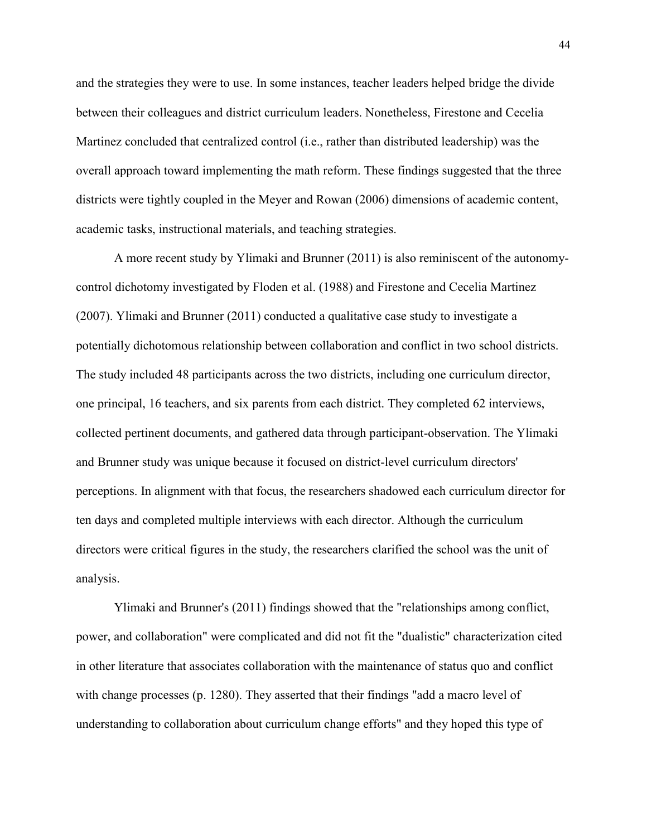and the strategies they were to use. In some instances, teacher leaders helped bridge the divide between their colleagues and district curriculum leaders. Nonetheless, Firestone and Cecelia Martinez concluded that centralized control (i.e., rather than distributed leadership) was the overall approach toward implementing the math reform. These findings suggested that the three districts were tightly coupled in the Meyer and Rowan (2006) dimensions of academic content, academic tasks, instructional materials, and teaching strategies.

A more recent study by Ylimaki and Brunner (2011) is also reminiscent of the autonomycontrol dichotomy investigated by Floden et al. (1988) and Firestone and Cecelia Martinez (2007). Ylimaki and Brunner (2011) conducted a qualitative case study to investigate a potentially dichotomous relationship between collaboration and conflict in two school districts. The study included 48 participants across the two districts, including one curriculum director, one principal, 16 teachers, and six parents from each district. They completed 62 interviews, collected pertinent documents, and gathered data through participant-observation. The Ylimaki and Brunner study was unique because it focused on district-level curriculum directors' perceptions. In alignment with that focus, the researchers shadowed each curriculum director for ten days and completed multiple interviews with each director. Although the curriculum directors were critical figures in the study, the researchers clarified the school was the unit of analysis.

Ylimaki and Brunner's (2011) findings showed that the "relationships among conflict, power, and collaboration" were complicated and did not fit the "dualistic" characterization cited in other literature that associates collaboration with the maintenance of status quo and conflict with change processes (p. 1280). They asserted that their findings "add a macro level of understanding to collaboration about curriculum change efforts" and they hoped this type of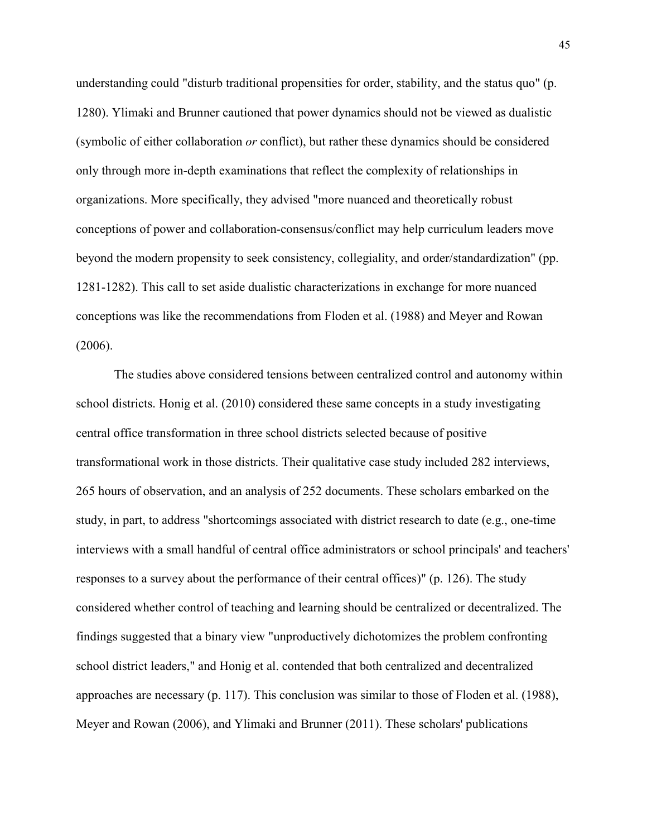understanding could "disturb traditional propensities for order, stability, and the status quo" (p. 1280). Ylimaki and Brunner cautioned that power dynamics should not be viewed as dualistic (symbolic of either collaboration *or* conflict), but rather these dynamics should be considered only through more in-depth examinations that reflect the complexity of relationships in organizations. More specifically, they advised "more nuanced and theoretically robust conceptions of power and collaboration-consensus/conflict may help curriculum leaders move beyond the modern propensity to seek consistency, collegiality, and order/standardization" (pp. 1281-1282). This call to set aside dualistic characterizations in exchange for more nuanced conceptions was like the recommendations from Floden et al. (1988) and Meyer and Rowan (2006).

The studies above considered tensions between centralized control and autonomy within school districts. Honig et al. (2010) considered these same concepts in a study investigating central office transformation in three school districts selected because of positive transformational work in those districts. Their qualitative case study included 282 interviews, 265 hours of observation, and an analysis of 252 documents. These scholars embarked on the study, in part, to address "shortcomings associated with district research to date (e.g., one-time interviews with a small handful of central office administrators or school principals' and teachers' responses to a survey about the performance of their central offices)" (p. 126). The study considered whether control of teaching and learning should be centralized or decentralized. The findings suggested that a binary view "unproductively dichotomizes the problem confronting school district leaders," and Honig et al. contended that both centralized and decentralized approaches are necessary (p. 117). This conclusion was similar to those of Floden et al. (1988), Meyer and Rowan (2006), and Ylimaki and Brunner (2011). These scholars' publications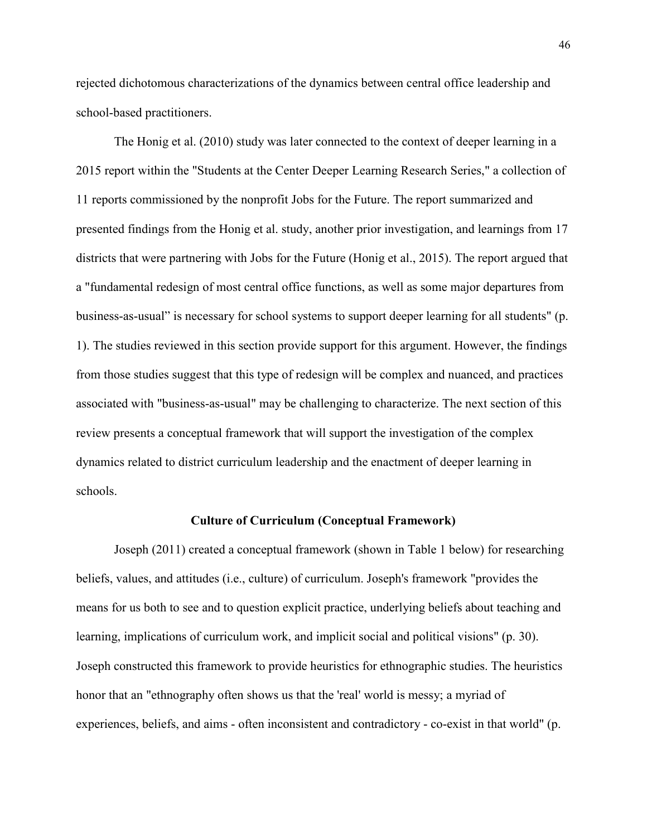rejected dichotomous characterizations of the dynamics between central office leadership and school-based practitioners.

The Honig et al. (2010) study was later connected to the context of deeper learning in a 2015 report within the "Students at the Center Deeper Learning Research Series," a collection of 11 reports commissioned by the nonprofit Jobs for the Future. The report summarized and presented findings from the Honig et al. study, another prior investigation, and learnings from 17 districts that were partnering with Jobs for the Future (Honig et al., 2015). The report argued that a "fundamental redesign of most central office functions, as well as some major departures from business-as-usual" is necessary for school systems to support deeper learning for all students" (p. 1). The studies reviewed in this section provide support for this argument. However, the findings from those studies suggest that this type of redesign will be complex and nuanced, and practices associated with "business-as-usual" may be challenging to characterize. The next section of this review presents a conceptual framework that will support the investigation of the complex dynamics related to district curriculum leadership and the enactment of deeper learning in schools.

## **Culture of Curriculum (Conceptual Framework)**

Joseph (2011) created a conceptual framework (shown in Table 1 below) for researching beliefs, values, and attitudes (i.e., culture) of curriculum. Joseph's framework "provides the means for us both to see and to question explicit practice, underlying beliefs about teaching and learning, implications of curriculum work, and implicit social and political visions" (p. 30). Joseph constructed this framework to provide heuristics for ethnographic studies. The heuristics honor that an "ethnography often shows us that the 'real' world is messy; a myriad of experiences, beliefs, and aims - often inconsistent and contradictory - co-exist in that world" (p.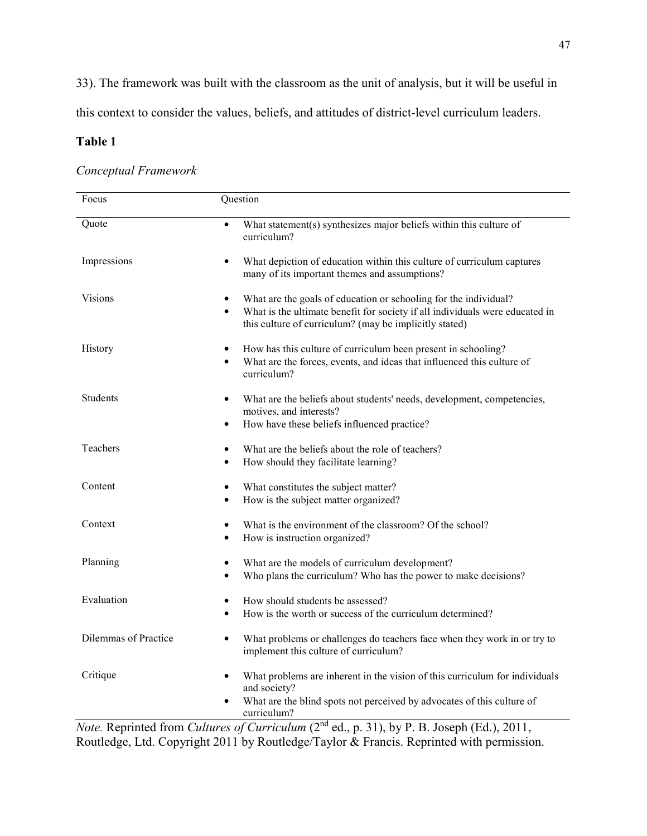33). The framework was built with the classroom as the unit of analysis, but it will be useful in

this context to consider the values, beliefs, and attitudes of district-level curriculum leaders.

# **Table 1**

# *Conceptual Framework*

| Focus                | Question                                                                                                                                                                                                                |
|----------------------|-------------------------------------------------------------------------------------------------------------------------------------------------------------------------------------------------------------------------|
| Quote                | What statement(s) synthesizes major beliefs within this culture of<br>$\bullet$<br>curriculum?                                                                                                                          |
| Impressions          | What depiction of education within this culture of curriculum captures<br>many of its important themes and assumptions?                                                                                                 |
| Visions              | What are the goals of education or schooling for the individual?<br>What is the ultimate benefit for society if all individuals were educated in<br>$\bullet$<br>this culture of curriculum? (may be implicitly stated) |
| History              | How has this culture of curriculum been present in schooling?<br>What are the forces, events, and ideas that influenced this culture of<br>$\bullet$<br>curriculum?                                                     |
| Students             | What are the beliefs about students' needs, development, competencies,<br>motives, and interests?<br>How have these beliefs influenced practice?<br>٠                                                                   |
| Teachers             | What are the beliefs about the role of teachers?<br>How should they facilitate learning?<br>$\bullet$                                                                                                                   |
| Content              | What constitutes the subject matter?<br>$\bullet$<br>How is the subject matter organized?<br>$\bullet$                                                                                                                  |
| Context              | What is the environment of the classroom? Of the school?<br>$\bullet$<br>How is instruction organized?                                                                                                                  |
| Planning             | What are the models of curriculum development?<br>$\bullet$<br>Who plans the curriculum? Who has the power to make decisions?                                                                                           |
| Evaluation           | How should students be assessed?<br>How is the worth or success of the curriculum determined?<br>$\bullet$                                                                                                              |
| Dilemmas of Practice | What problems or challenges do teachers face when they work in or try to<br>$\bullet$<br>implement this culture of curriculum?                                                                                          |
| Critique             | What problems are inherent in the vision of this curriculum for individuals<br>and society?<br>What are the blind spots not perceived by advocates of this culture of<br>curriculum?                                    |

*Note.* Reprinted from *Cultures of Curriculum* (2nd ed., p. 31), by P. B. Joseph (Ed.), 2011, Routledge, Ltd. Copyright 2011 by Routledge/Taylor & Francis. Reprinted with permission.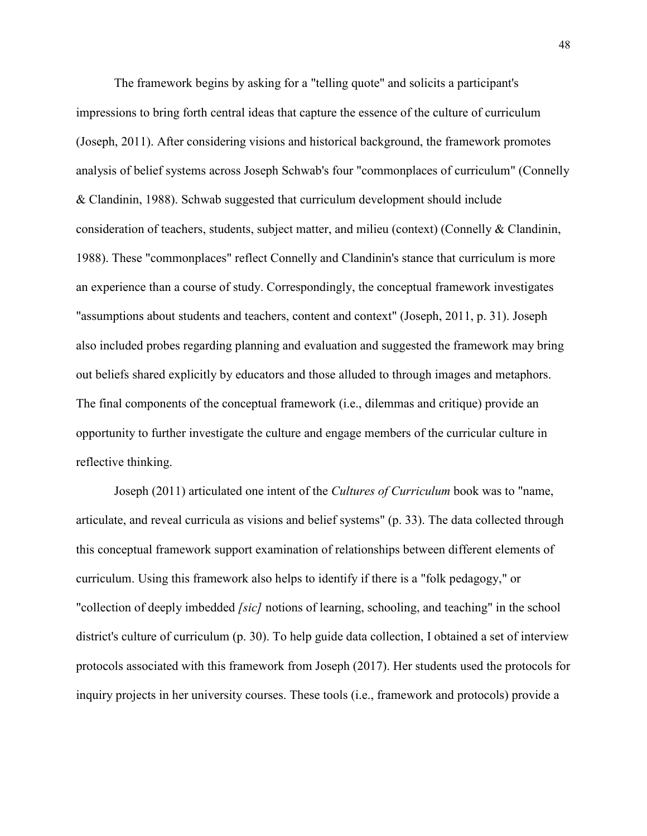The framework begins by asking for a "telling quote" and solicits a participant's impressions to bring forth central ideas that capture the essence of the culture of curriculum (Joseph, 2011). After considering visions and historical background, the framework promotes analysis of belief systems across Joseph Schwab's four "commonplaces of curriculum" (Connelly & Clandinin, 1988). Schwab suggested that curriculum development should include consideration of teachers, students, subject matter, and milieu (context) (Connelly & Clandinin, 1988). These "commonplaces" reflect Connelly and Clandinin's stance that curriculum is more an experience than a course of study. Correspondingly, the conceptual framework investigates "assumptions about students and teachers, content and context" (Joseph, 2011, p. 31). Joseph also included probes regarding planning and evaluation and suggested the framework may bring out beliefs shared explicitly by educators and those alluded to through images and metaphors. The final components of the conceptual framework (i.e., dilemmas and critique) provide an opportunity to further investigate the culture and engage members of the curricular culture in reflective thinking.

Joseph (2011) articulated one intent of the *Cultures of Curriculum* book was to "name, articulate, and reveal curricula as visions and belief systems" (p. 33). The data collected through this conceptual framework support examination of relationships between different elements of curriculum. Using this framework also helps to identify if there is a "folk pedagogy," or "collection of deeply imbedded *[sic]* notions of learning, schooling, and teaching" in the school district's culture of curriculum (p. 30). To help guide data collection, I obtained a set of interview protocols associated with this framework from Joseph (2017). Her students used the protocols for inquiry projects in her university courses. These tools (i.e., framework and protocols) provide a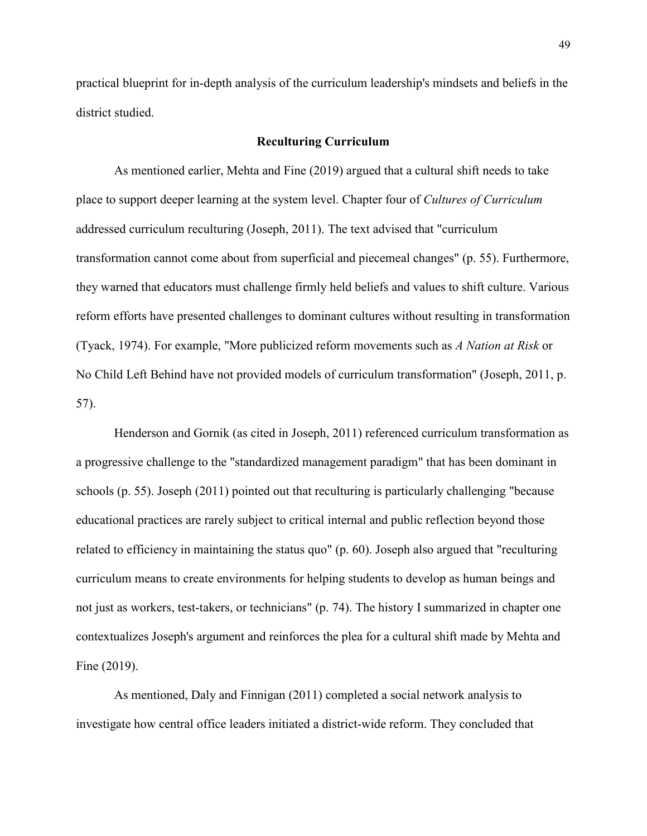practical blueprint for in-depth analysis of the curriculum leadership's mindsets and beliefs in the district studied.

## **Reculturing Curriculum**

As mentioned earlier, Mehta and Fine (2019) argued that a cultural shift needs to take place to support deeper learning at the system level. Chapter four of *Cultures of Curriculum* addressed curriculum reculturing (Joseph, 2011). The text advised that "curriculum transformation cannot come about from superficial and piecemeal changes" (p. 55). Furthermore, they warned that educators must challenge firmly held beliefs and values to shift culture. Various reform efforts have presented challenges to dominant cultures without resulting in transformation (Tyack, 1974). For example, "More publicized reform movements such as *A Nation at Risk* or No Child Left Behind have not provided models of curriculum transformation" (Joseph, 2011, p. 57).

Henderson and Gornik (as cited in Joseph, 2011) referenced curriculum transformation as a progressive challenge to the "standardized management paradigm" that has been dominant in schools (p. 55). Joseph (2011) pointed out that reculturing is particularly challenging "because educational practices are rarely subject to critical internal and public reflection beyond those related to efficiency in maintaining the status quo" (p. 60). Joseph also argued that "reculturing curriculum means to create environments for helping students to develop as human beings and not just as workers, test-takers, or technicians" (p. 74). The history I summarized in chapter one contextualizes Joseph's argument and reinforces the plea for a cultural shift made by Mehta and Fine (2019).

As mentioned, Daly and Finnigan (2011) completed a social network analysis to investigate how central office leaders initiated a district-wide reform. They concluded that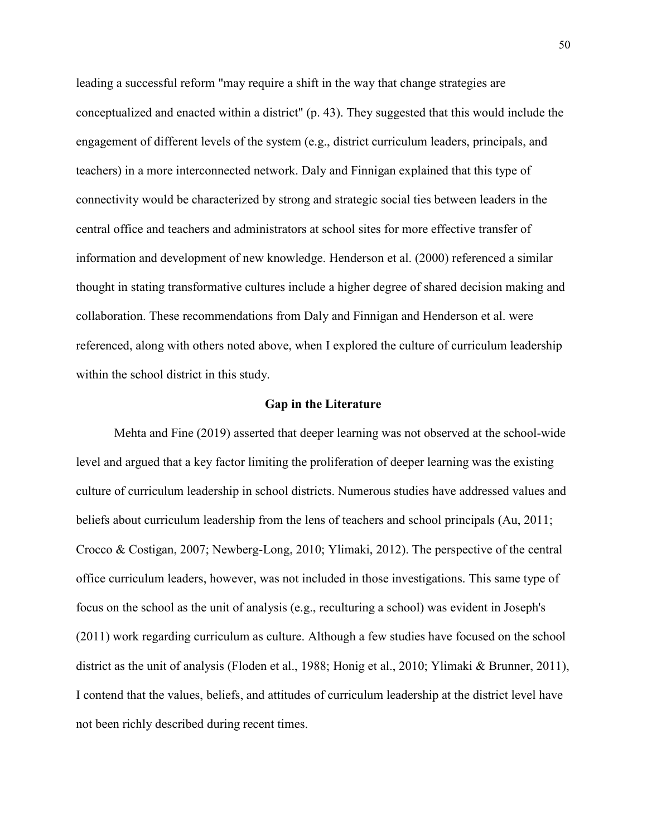leading a successful reform "may require a shift in the way that change strategies are conceptualized and enacted within a district" (p. 43). They suggested that this would include the engagement of different levels of the system (e.g., district curriculum leaders, principals, and teachers) in a more interconnected network. Daly and Finnigan explained that this type of connectivity would be characterized by strong and strategic social ties between leaders in the central office and teachers and administrators at school sites for more effective transfer of information and development of new knowledge. Henderson et al. (2000) referenced a similar thought in stating transformative cultures include a higher degree of shared decision making and collaboration. These recommendations from Daly and Finnigan and Henderson et al. were referenced, along with others noted above, when I explored the culture of curriculum leadership within the school district in this study.

## **Gap in the Literature**

Mehta and Fine (2019) asserted that deeper learning was not observed at the school-wide level and argued that a key factor limiting the proliferation of deeper learning was the existing culture of curriculum leadership in school districts. Numerous studies have addressed values and beliefs about curriculum leadership from the lens of teachers and school principals (Au, 2011; Crocco & Costigan, 2007; Newberg-Long, 2010; Ylimaki, 2012). The perspective of the central office curriculum leaders, however, was not included in those investigations. This same type of focus on the school as the unit of analysis (e.g., reculturing a school) was evident in Joseph's (2011) work regarding curriculum as culture. Although a few studies have focused on the school district as the unit of analysis (Floden et al., 1988; Honig et al., 2010; Ylimaki & Brunner, 2011), I contend that the values, beliefs, and attitudes of curriculum leadership at the district level have not been richly described during recent times.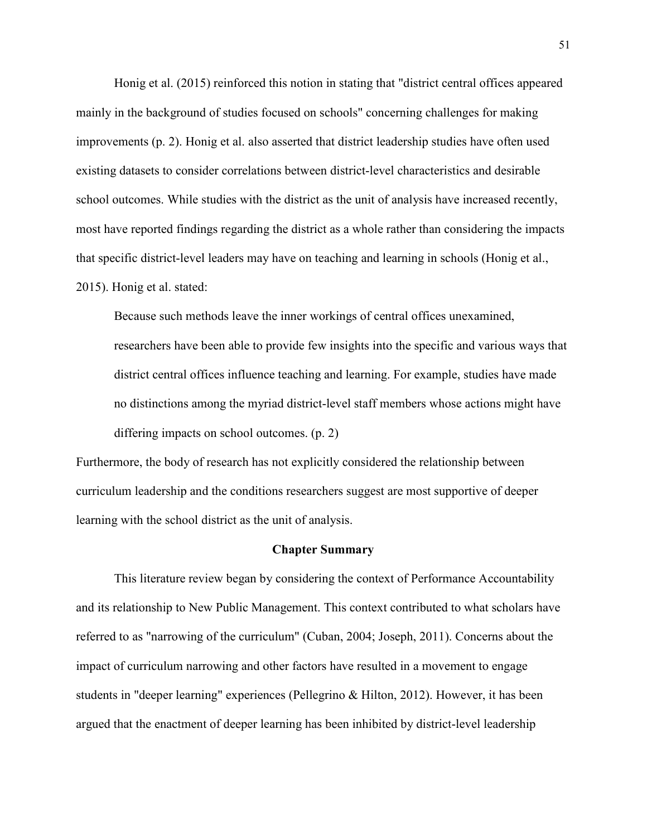Honig et al. (2015) reinforced this notion in stating that "district central offices appeared mainly in the background of studies focused on schools" concerning challenges for making improvements (p. 2). Honig et al. also asserted that district leadership studies have often used existing datasets to consider correlations between district-level characteristics and desirable school outcomes. While studies with the district as the unit of analysis have increased recently, most have reported findings regarding the district as a whole rather than considering the impacts that specific district-level leaders may have on teaching and learning in schools (Honig et al., 2015). Honig et al. stated:

Because such methods leave the inner workings of central offices unexamined, researchers have been able to provide few insights into the specific and various ways that district central offices influence teaching and learning. For example, studies have made no distinctions among the myriad district-level staff members whose actions might have differing impacts on school outcomes. (p. 2)

Furthermore, the body of research has not explicitly considered the relationship between curriculum leadership and the conditions researchers suggest are most supportive of deeper learning with the school district as the unit of analysis.

#### **Chapter Summary**

This literature review began by considering the context of Performance Accountability and its relationship to New Public Management. This context contributed to what scholars have referred to as "narrowing of the curriculum" (Cuban, 2004; Joseph, 2011). Concerns about the impact of curriculum narrowing and other factors have resulted in a movement to engage students in "deeper learning" experiences (Pellegrino & Hilton, 2012). However, it has been argued that the enactment of deeper learning has been inhibited by district-level leadership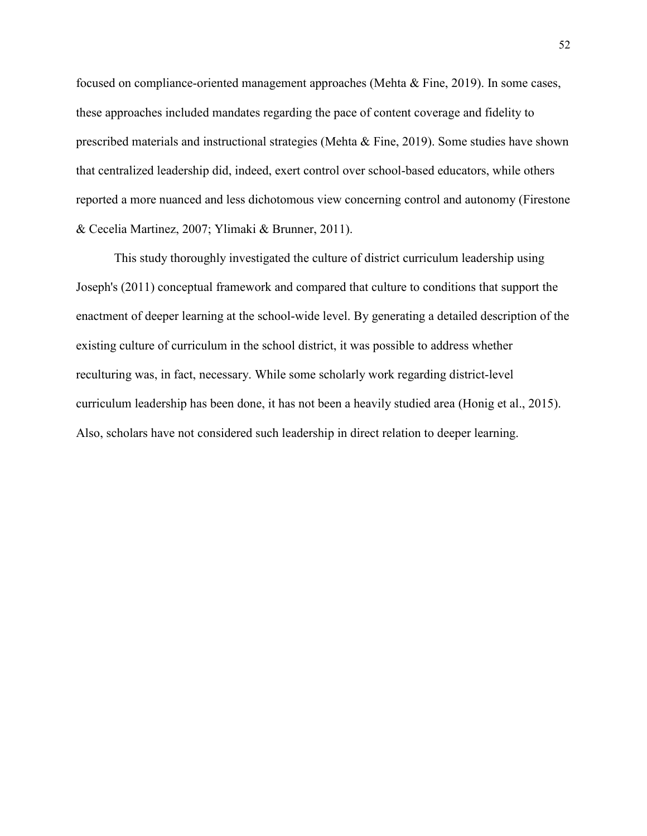focused on compliance-oriented management approaches (Mehta & Fine, 2019). In some cases, these approaches included mandates regarding the pace of content coverage and fidelity to prescribed materials and instructional strategies (Mehta & Fine, 2019). Some studies have shown that centralized leadership did, indeed, exert control over school-based educators, while others reported a more nuanced and less dichotomous view concerning control and autonomy (Firestone & Cecelia Martinez, 2007; Ylimaki & Brunner, 2011).

This study thoroughly investigated the culture of district curriculum leadership using Joseph's (2011) conceptual framework and compared that culture to conditions that support the enactment of deeper learning at the school-wide level. By generating a detailed description of the existing culture of curriculum in the school district, it was possible to address whether reculturing was, in fact, necessary. While some scholarly work regarding district-level curriculum leadership has been done, it has not been a heavily studied area (Honig et al., 2015). Also, scholars have not considered such leadership in direct relation to deeper learning.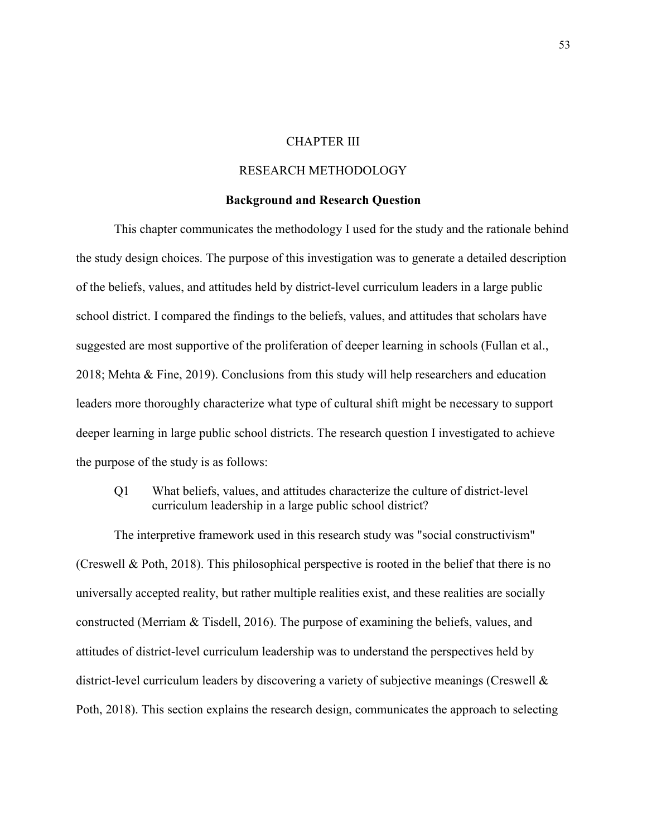# CHAPTER III

## RESEARCH METHODOLOGY

## **Background and Research Question**

This chapter communicates the methodology I used for the study and the rationale behind the study design choices. The purpose of this investigation was to generate a detailed description of the beliefs, values, and attitudes held by district-level curriculum leaders in a large public school district. I compared the findings to the beliefs, values, and attitudes that scholars have suggested are most supportive of the proliferation of deeper learning in schools (Fullan et al., 2018; Mehta & Fine, 2019). Conclusions from this study will help researchers and education leaders more thoroughly characterize what type of cultural shift might be necessary to support deeper learning in large public school districts. The research question I investigated to achieve the purpose of the study is as follows:

Q1 What beliefs, values, and attitudes characterize the culture of district-level curriculum leadership in a large public school district?

The interpretive framework used in this research study was "social constructivism" (Creswell & Poth, 2018). This philosophical perspective is rooted in the belief that there is no universally accepted reality, but rather multiple realities exist, and these realities are socially constructed (Merriam & Tisdell, 2016). The purpose of examining the beliefs, values, and attitudes of district-level curriculum leadership was to understand the perspectives held by district-level curriculum leaders by discovering a variety of subjective meanings (Creswell & Poth, 2018). This section explains the research design, communicates the approach to selecting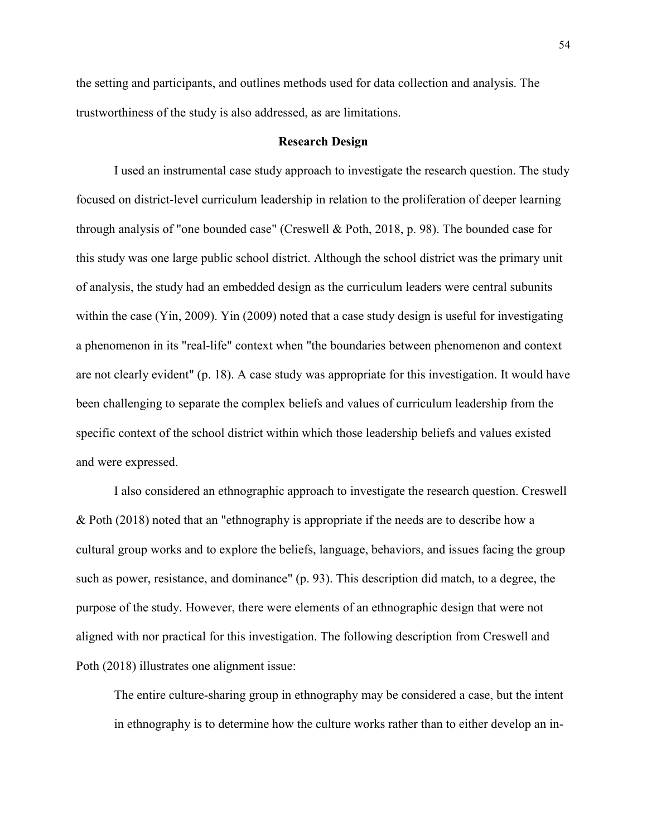the setting and participants, and outlines methods used for data collection and analysis. The trustworthiness of the study is also addressed, as are limitations.

## **Research Design**

I used an instrumental case study approach to investigate the research question. The study focused on district-level curriculum leadership in relation to the proliferation of deeper learning through analysis of "one bounded case" (Creswell & Poth, 2018, p. 98). The bounded case for this study was one large public school district. Although the school district was the primary unit of analysis, the study had an embedded design as the curriculum leaders were central subunits within the case (Yin, 2009). Yin (2009) noted that a case study design is useful for investigating a phenomenon in its "real-life" context when "the boundaries between phenomenon and context are not clearly evident" (p. 18). A case study was appropriate for this investigation. It would have been challenging to separate the complex beliefs and values of curriculum leadership from the specific context of the school district within which those leadership beliefs and values existed and were expressed.

I also considered an ethnographic approach to investigate the research question. Creswell & Poth (2018) noted that an "ethnography is appropriate if the needs are to describe how a cultural group works and to explore the beliefs, language, behaviors, and issues facing the group such as power, resistance, and dominance" (p. 93). This description did match, to a degree, the purpose of the study. However, there were elements of an ethnographic design that were not aligned with nor practical for this investigation. The following description from Creswell and Poth (2018) illustrates one alignment issue:

The entire culture-sharing group in ethnography may be considered a case, but the intent in ethnography is to determine how the culture works rather than to either develop an in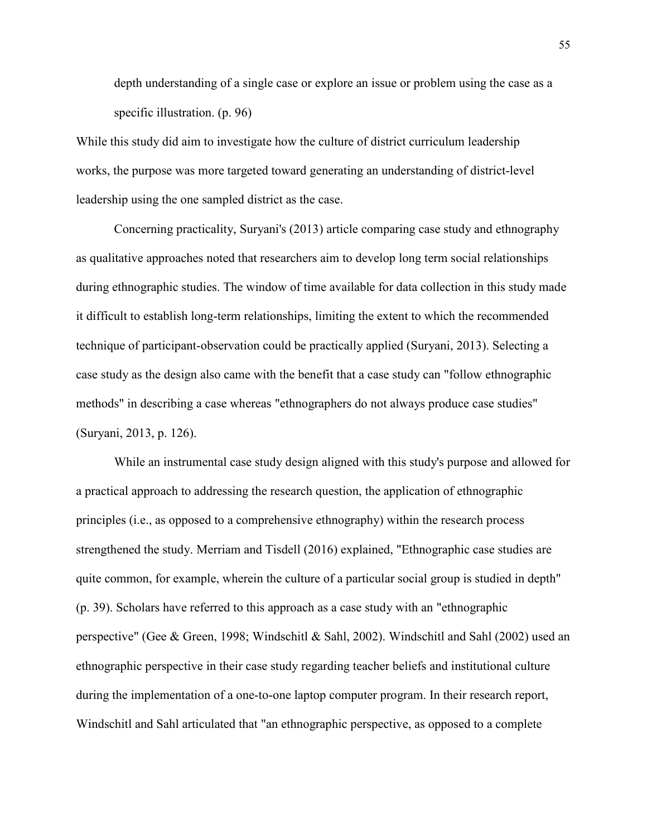depth understanding of a single case or explore an issue or problem using the case as a specific illustration. (p. 96)

While this study did aim to investigate how the culture of district curriculum leadership works, the purpose was more targeted toward generating an understanding of district-level leadership using the one sampled district as the case.

Concerning practicality, Suryani's (2013) article comparing case study and ethnography as qualitative approaches noted that researchers aim to develop long term social relationships during ethnographic studies. The window of time available for data collection in this study made it difficult to establish long-term relationships, limiting the extent to which the recommended technique of participant-observation could be practically applied (Suryani, 2013). Selecting a case study as the design also came with the benefit that a case study can "follow ethnographic methods" in describing a case whereas "ethnographers do not always produce case studies" (Suryani, 2013, p. 126).

 While an instrumental case study design aligned with this study's purpose and allowed for a practical approach to addressing the research question, the application of ethnographic principles (i.e., as opposed to a comprehensive ethnography) within the research process strengthened the study. Merriam and Tisdell (2016) explained, "Ethnographic case studies are quite common, for example, wherein the culture of a particular social group is studied in depth" (p. 39). Scholars have referred to this approach as a case study with an "ethnographic perspective" (Gee & Green, 1998; Windschitl & Sahl, 2002). Windschitl and Sahl (2002) used an ethnographic perspective in their case study regarding teacher beliefs and institutional culture during the implementation of a one-to-one laptop computer program. In their research report, Windschitl and Sahl articulated that "an ethnographic perspective, as opposed to a complete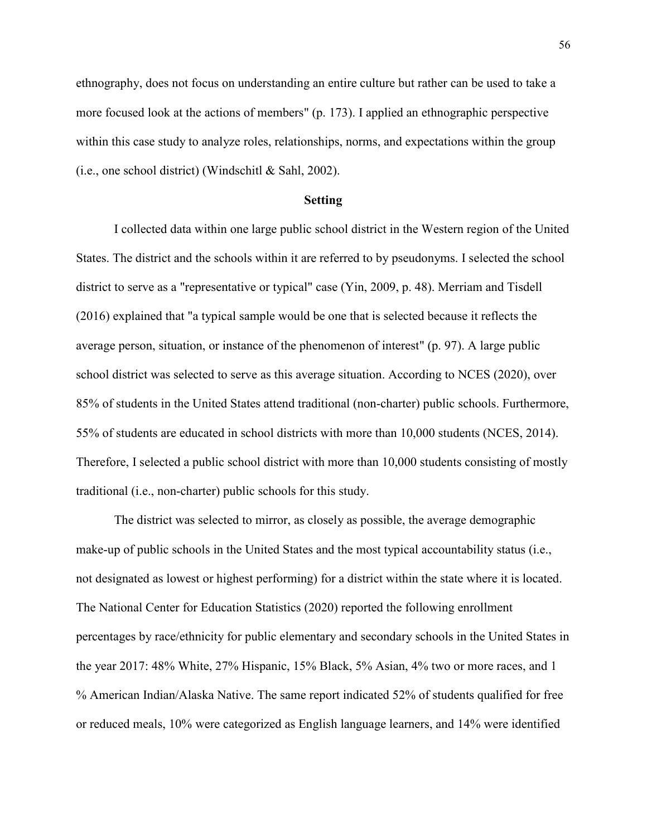ethnography, does not focus on understanding an entire culture but rather can be used to take a more focused look at the actions of members" (p. 173). I applied an ethnographic perspective within this case study to analyze roles, relationships, norms, and expectations within the group  $(i.e., one school district)$  (Windschitl & Sahl, 2002).

#### **Setting**

I collected data within one large public school district in the Western region of the United States. The district and the schools within it are referred to by pseudonyms. I selected the school district to serve as a "representative or typical" case (Yin, 2009, p. 48). Merriam and Tisdell (2016) explained that "a typical sample would be one that is selected because it reflects the average person, situation, or instance of the phenomenon of interest" (p. 97). A large public school district was selected to serve as this average situation. According to NCES (2020), over 85% of students in the United States attend traditional (non-charter) public schools. Furthermore, 55% of students are educated in school districts with more than 10,000 students (NCES, 2014). Therefore, I selected a public school district with more than 10,000 students consisting of mostly traditional (i.e., non-charter) public schools for this study.

The district was selected to mirror, as closely as possible, the average demographic make-up of public schools in the United States and the most typical accountability status (i.e., not designated as lowest or highest performing) for a district within the state where it is located. The National Center for Education Statistics (2020) reported the following enrollment percentages by race/ethnicity for public elementary and secondary schools in the United States in the year 2017: 48% White, 27% Hispanic, 15% Black, 5% Asian, 4% two or more races, and 1 % American Indian/Alaska Native. The same report indicated 52% of students qualified for free or reduced meals, 10% were categorized as English language learners, and 14% were identified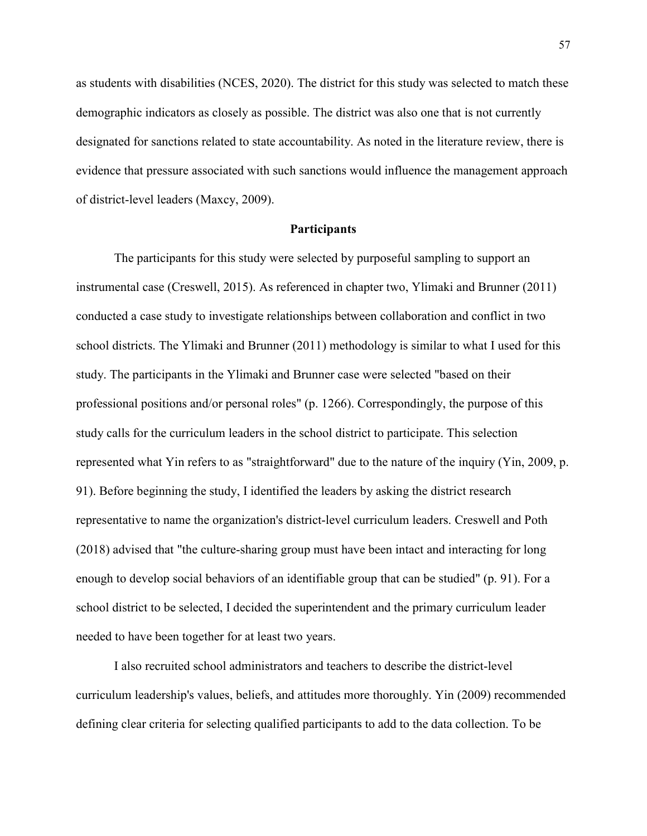as students with disabilities (NCES, 2020). The district for this study was selected to match these demographic indicators as closely as possible. The district was also one that is not currently designated for sanctions related to state accountability. As noted in the literature review, there is evidence that pressure associated with such sanctions would influence the management approach of district-level leaders (Maxcy, 2009).

## **Participants**

The participants for this study were selected by purposeful sampling to support an instrumental case (Creswell, 2015). As referenced in chapter two, Ylimaki and Brunner (2011) conducted a case study to investigate relationships between collaboration and conflict in two school districts. The Ylimaki and Brunner (2011) methodology is similar to what I used for this study. The participants in the Ylimaki and Brunner case were selected "based on their professional positions and/or personal roles" (p. 1266). Correspondingly, the purpose of this study calls for the curriculum leaders in the school district to participate. This selection represented what Yin refers to as "straightforward" due to the nature of the inquiry (Yin, 2009, p. 91). Before beginning the study, I identified the leaders by asking the district research representative to name the organization's district-level curriculum leaders. Creswell and Poth (2018) advised that "the culture-sharing group must have been intact and interacting for long enough to develop social behaviors of an identifiable group that can be studied" (p. 91). For a school district to be selected, I decided the superintendent and the primary curriculum leader needed to have been together for at least two years.

I also recruited school administrators and teachers to describe the district-level curriculum leadership's values, beliefs, and attitudes more thoroughly. Yin (2009) recommended defining clear criteria for selecting qualified participants to add to the data collection. To be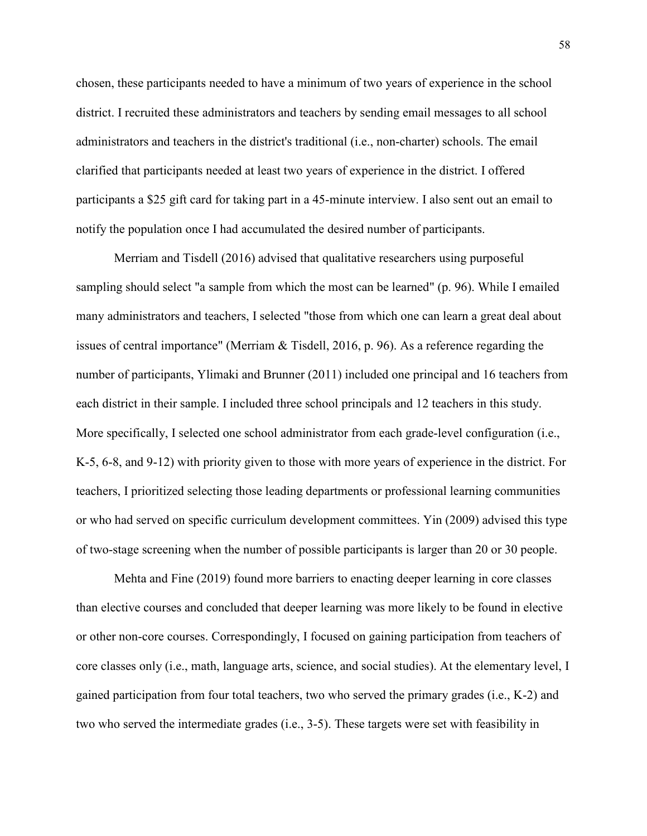chosen, these participants needed to have a minimum of two years of experience in the school district. I recruited these administrators and teachers by sending email messages to all school administrators and teachers in the district's traditional (i.e., non-charter) schools. The email clarified that participants needed at least two years of experience in the district. I offered participants a \$25 gift card for taking part in a 45-minute interview. I also sent out an email to notify the population once I had accumulated the desired number of participants.

Merriam and Tisdell (2016) advised that qualitative researchers using purposeful sampling should select "a sample from which the most can be learned" (p. 96). While I emailed many administrators and teachers, I selected "those from which one can learn a great deal about issues of central importance" (Merriam & Tisdell, 2016, p. 96). As a reference regarding the number of participants, Ylimaki and Brunner (2011) included one principal and 16 teachers from each district in their sample. I included three school principals and 12 teachers in this study. More specifically, I selected one school administrator from each grade-level configuration (i.e., K-5, 6-8, and 9-12) with priority given to those with more years of experience in the district. For teachers, I prioritized selecting those leading departments or professional learning communities or who had served on specific curriculum development committees. Yin (2009) advised this type of two-stage screening when the number of possible participants is larger than 20 or 30 people.

Mehta and Fine (2019) found more barriers to enacting deeper learning in core classes than elective courses and concluded that deeper learning was more likely to be found in elective or other non-core courses. Correspondingly, I focused on gaining participation from teachers of core classes only (i.e., math, language arts, science, and social studies). At the elementary level, I gained participation from four total teachers, two who served the primary grades (i.e., K-2) and two who served the intermediate grades (i.e., 3-5). These targets were set with feasibility in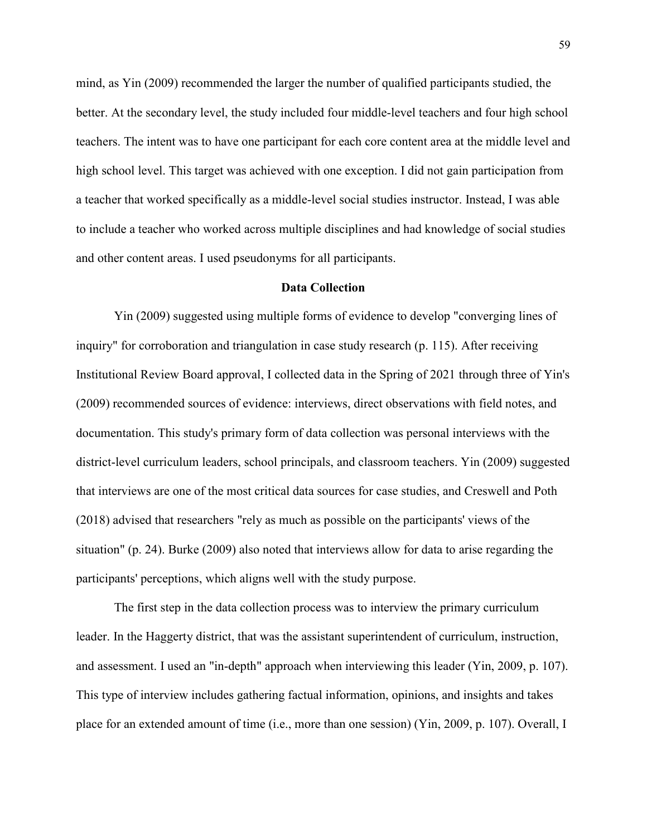mind, as Yin (2009) recommended the larger the number of qualified participants studied, the better. At the secondary level, the study included four middle-level teachers and four high school teachers. The intent was to have one participant for each core content area at the middle level and high school level. This target was achieved with one exception. I did not gain participation from a teacher that worked specifically as a middle-level social studies instructor. Instead, I was able to include a teacher who worked across multiple disciplines and had knowledge of social studies and other content areas. I used pseudonyms for all participants.

### **Data Collection**

Yin (2009) suggested using multiple forms of evidence to develop "converging lines of inquiry" for corroboration and triangulation in case study research (p. 115). After receiving Institutional Review Board approval, I collected data in the Spring of 2021 through three of Yin's (2009) recommended sources of evidence: interviews, direct observations with field notes, and documentation. This study's primary form of data collection was personal interviews with the district-level curriculum leaders, school principals, and classroom teachers. Yin (2009) suggested that interviews are one of the most critical data sources for case studies, and Creswell and Poth (2018) advised that researchers "rely as much as possible on the participants' views of the situation" (p. 24). Burke (2009) also noted that interviews allow for data to arise regarding the participants' perceptions, which aligns well with the study purpose.

The first step in the data collection process was to interview the primary curriculum leader. In the Haggerty district, that was the assistant superintendent of curriculum, instruction, and assessment. I used an "in-depth" approach when interviewing this leader (Yin, 2009, p. 107). This type of interview includes gathering factual information, opinions, and insights and takes place for an extended amount of time (i.e., more than one session) (Yin, 2009, p. 107). Overall, I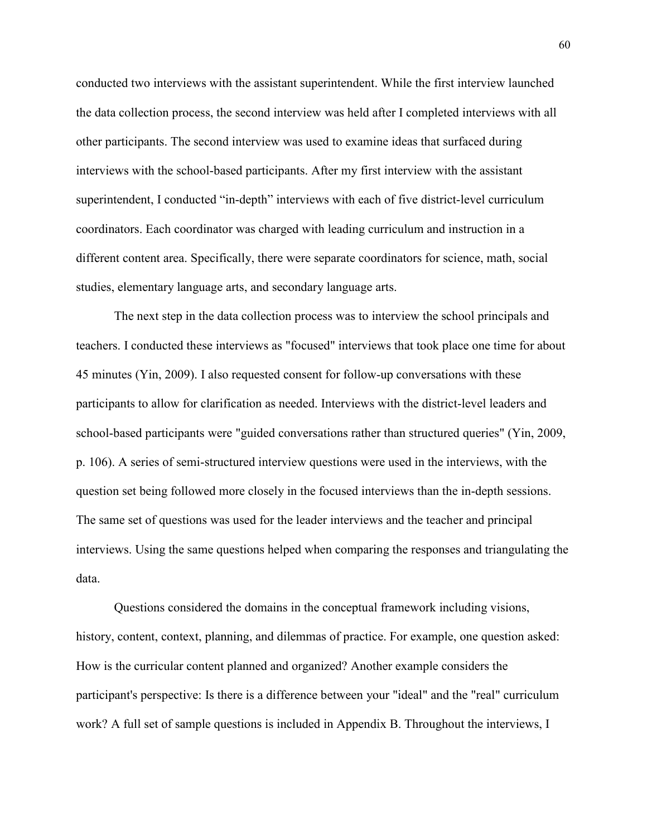conducted two interviews with the assistant superintendent. While the first interview launched the data collection process, the second interview was held after I completed interviews with all other participants. The second interview was used to examine ideas that surfaced during interviews with the school-based participants. After my first interview with the assistant superintendent, I conducted "in-depth" interviews with each of five district-level curriculum coordinators. Each coordinator was charged with leading curriculum and instruction in a different content area. Specifically, there were separate coordinators for science, math, social studies, elementary language arts, and secondary language arts.

The next step in the data collection process was to interview the school principals and teachers. I conducted these interviews as "focused" interviews that took place one time for about 45 minutes (Yin, 2009). I also requested consent for follow-up conversations with these participants to allow for clarification as needed. Interviews with the district-level leaders and school-based participants were "guided conversations rather than structured queries" (Yin, 2009, p. 106). A series of semi-structured interview questions were used in the interviews, with the question set being followed more closely in the focused interviews than the in-depth sessions. The same set of questions was used for the leader interviews and the teacher and principal interviews. Using the same questions helped when comparing the responses and triangulating the data.

Questions considered the domains in the conceptual framework including visions, history, content, context, planning, and dilemmas of practice. For example, one question asked: How is the curricular content planned and organized? Another example considers the participant's perspective: Is there is a difference between your "ideal" and the "real" curriculum work? A full set of sample questions is included in Appendix B. Throughout the interviews, I

60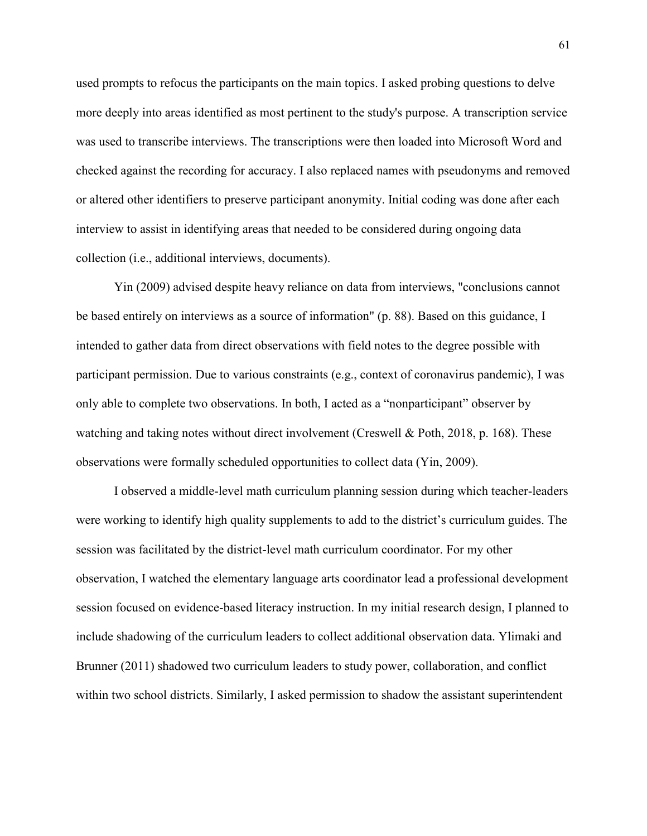used prompts to refocus the participants on the main topics. I asked probing questions to delve more deeply into areas identified as most pertinent to the study's purpose. A transcription service was used to transcribe interviews. The transcriptions were then loaded into Microsoft Word and checked against the recording for accuracy. I also replaced names with pseudonyms and removed or altered other identifiers to preserve participant anonymity. Initial coding was done after each interview to assist in identifying areas that needed to be considered during ongoing data collection (i.e., additional interviews, documents).

Yin (2009) advised despite heavy reliance on data from interviews, "conclusions cannot be based entirely on interviews as a source of information" (p. 88). Based on this guidance, I intended to gather data from direct observations with field notes to the degree possible with participant permission. Due to various constraints (e.g., context of coronavirus pandemic), I was only able to complete two observations. In both, I acted as a "nonparticipant" observer by watching and taking notes without direct involvement (Creswell & Poth, 2018, p. 168). These observations were formally scheduled opportunities to collect data (Yin, 2009).

I observed a middle-level math curriculum planning session during which teacher-leaders were working to identify high quality supplements to add to the district's curriculum guides. The session was facilitated by the district-level math curriculum coordinator. For my other observation, I watched the elementary language arts coordinator lead a professional development session focused on evidence-based literacy instruction. In my initial research design, I planned to include shadowing of the curriculum leaders to collect additional observation data. Ylimaki and Brunner (2011) shadowed two curriculum leaders to study power, collaboration, and conflict within two school districts. Similarly, I asked permission to shadow the assistant superintendent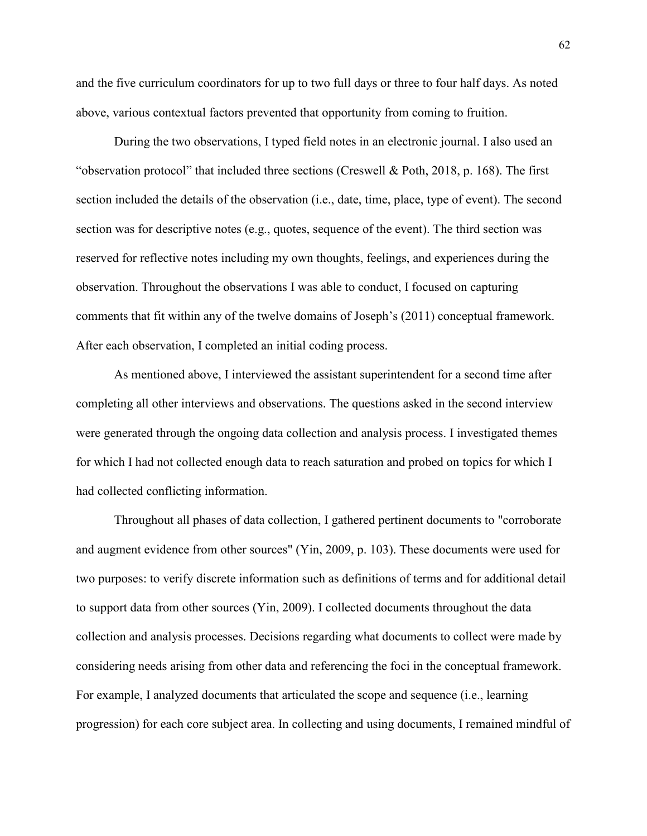and the five curriculum coordinators for up to two full days or three to four half days. As noted above, various contextual factors prevented that opportunity from coming to fruition.

During the two observations, I typed field notes in an electronic journal. I also used an "observation protocol" that included three sections (Creswell & Poth, 2018, p. 168). The first section included the details of the observation (i.e., date, time, place, type of event). The second section was for descriptive notes (e.g., quotes, sequence of the event). The third section was reserved for reflective notes including my own thoughts, feelings, and experiences during the observation. Throughout the observations I was able to conduct, I focused on capturing comments that fit within any of the twelve domains of Joseph's (2011) conceptual framework. After each observation, I completed an initial coding process.

As mentioned above, I interviewed the assistant superintendent for a second time after completing all other interviews and observations. The questions asked in the second interview were generated through the ongoing data collection and analysis process. I investigated themes for which I had not collected enough data to reach saturation and probed on topics for which I had collected conflicting information.

Throughout all phases of data collection, I gathered pertinent documents to "corroborate and augment evidence from other sources" (Yin, 2009, p. 103). These documents were used for two purposes: to verify discrete information such as definitions of terms and for additional detail to support data from other sources (Yin, 2009). I collected documents throughout the data collection and analysis processes. Decisions regarding what documents to collect were made by considering needs arising from other data and referencing the foci in the conceptual framework. For example, I analyzed documents that articulated the scope and sequence (i.e., learning progression) for each core subject area. In collecting and using documents, I remained mindful of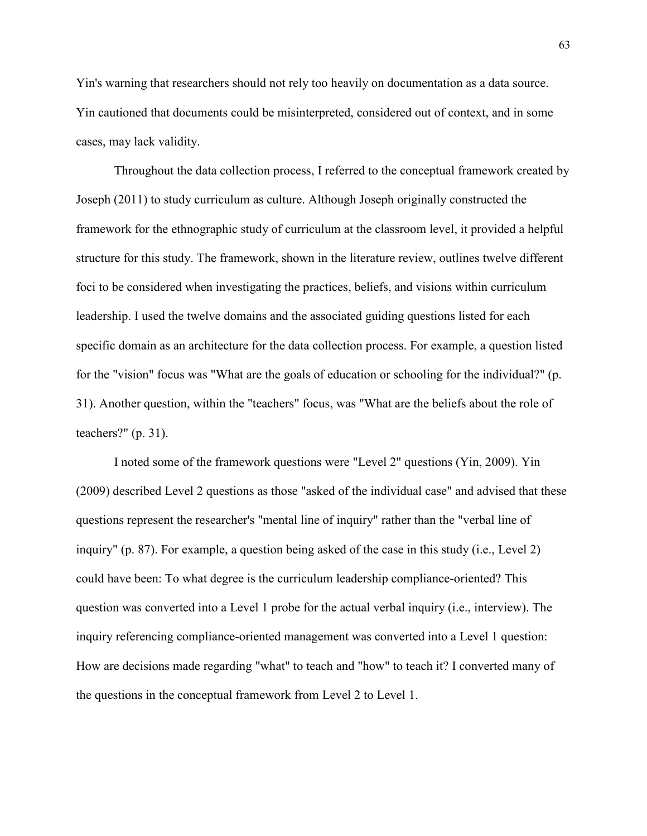Yin's warning that researchers should not rely too heavily on documentation as a data source. Yin cautioned that documents could be misinterpreted, considered out of context, and in some cases, may lack validity.

Throughout the data collection process, I referred to the conceptual framework created by Joseph (2011) to study curriculum as culture. Although Joseph originally constructed the framework for the ethnographic study of curriculum at the classroom level, it provided a helpful structure for this study. The framework, shown in the literature review, outlines twelve different foci to be considered when investigating the practices, beliefs, and visions within curriculum leadership. I used the twelve domains and the associated guiding questions listed for each specific domain as an architecture for the data collection process. For example, a question listed for the "vision" focus was "What are the goals of education or schooling for the individual?" (p. 31). Another question, within the "teachers" focus, was "What are the beliefs about the role of teachers?" (p. 31).

I noted some of the framework questions were "Level 2" questions (Yin, 2009). Yin (2009) described Level 2 questions as those "asked of the individual case" and advised that these questions represent the researcher's "mental line of inquiry" rather than the "verbal line of inquiry" (p. 87). For example, a question being asked of the case in this study (i.e., Level 2) could have been: To what degree is the curriculum leadership compliance-oriented? This question was converted into a Level 1 probe for the actual verbal inquiry (i.e., interview). The inquiry referencing compliance-oriented management was converted into a Level 1 question: How are decisions made regarding "what" to teach and "how" to teach it? I converted many of the questions in the conceptual framework from Level 2 to Level 1.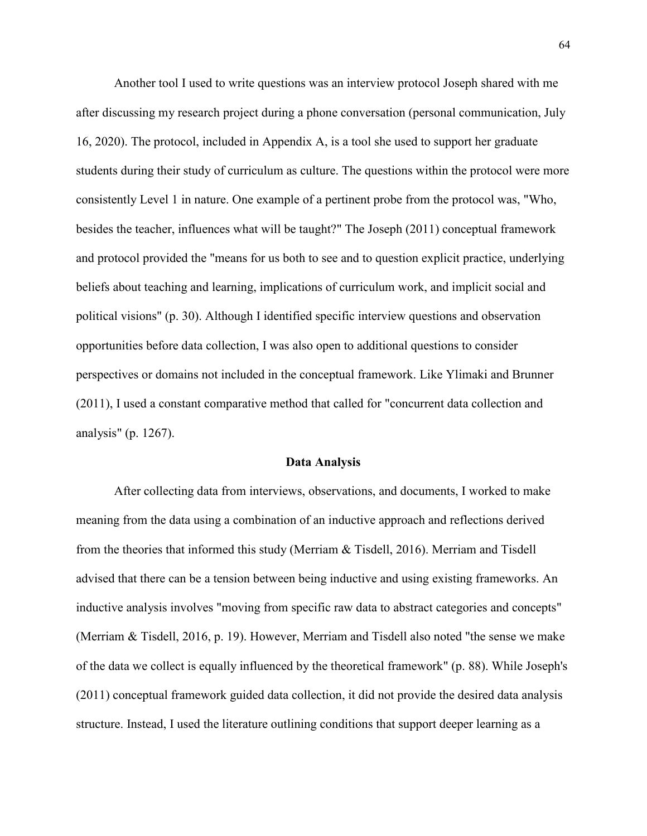Another tool I used to write questions was an interview protocol Joseph shared with me after discussing my research project during a phone conversation (personal communication, July 16, 2020). The protocol, included in Appendix A, is a tool she used to support her graduate students during their study of curriculum as culture. The questions within the protocol were more consistently Level 1 in nature. One example of a pertinent probe from the protocol was, "Who, besides the teacher, influences what will be taught?" The Joseph (2011) conceptual framework and protocol provided the "means for us both to see and to question explicit practice, underlying beliefs about teaching and learning, implications of curriculum work, and implicit social and political visions" (p. 30). Although I identified specific interview questions and observation opportunities before data collection, I was also open to additional questions to consider perspectives or domains not included in the conceptual framework. Like Ylimaki and Brunner (2011), I used a constant comparative method that called for "concurrent data collection and analysis" (p. 1267).

## **Data Analysis**

After collecting data from interviews, observations, and documents, I worked to make meaning from the data using a combination of an inductive approach and reflections derived from the theories that informed this study (Merriam & Tisdell, 2016). Merriam and Tisdell advised that there can be a tension between being inductive and using existing frameworks. An inductive analysis involves "moving from specific raw data to abstract categories and concepts" (Merriam & Tisdell, 2016, p. 19). However, Merriam and Tisdell also noted "the sense we make of the data we collect is equally influenced by the theoretical framework" (p. 88). While Joseph's (2011) conceptual framework guided data collection, it did not provide the desired data analysis structure. Instead, I used the literature outlining conditions that support deeper learning as a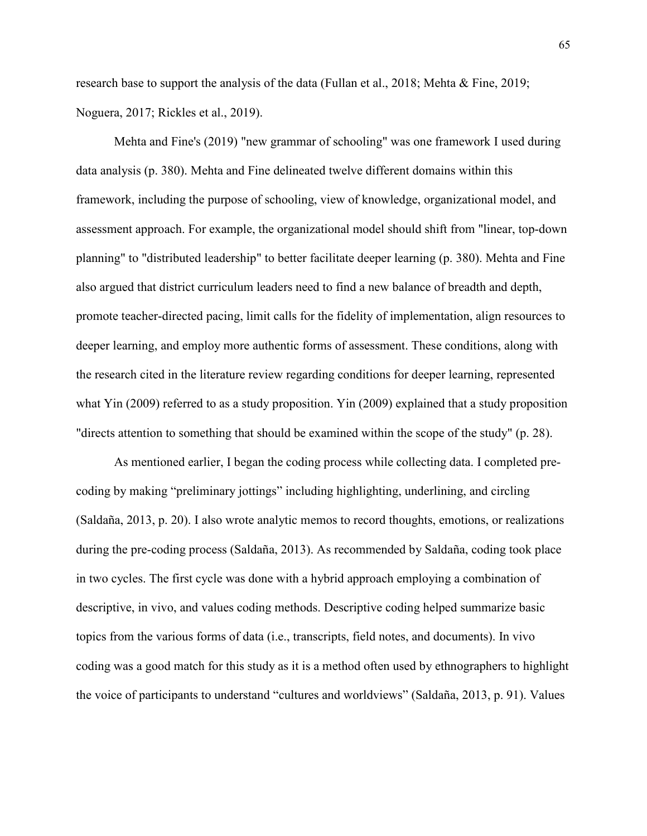research base to support the analysis of the data (Fullan et al., 2018; Mehta & Fine, 2019; Noguera, 2017; Rickles et al., 2019).

Mehta and Fine's (2019) "new grammar of schooling" was one framework I used during data analysis (p. 380). Mehta and Fine delineated twelve different domains within this framework, including the purpose of schooling, view of knowledge, organizational model, and assessment approach. For example, the organizational model should shift from "linear, top-down planning" to "distributed leadership" to better facilitate deeper learning (p. 380). Mehta and Fine also argued that district curriculum leaders need to find a new balance of breadth and depth, promote teacher-directed pacing, limit calls for the fidelity of implementation, align resources to deeper learning, and employ more authentic forms of assessment. These conditions, along with the research cited in the literature review regarding conditions for deeper learning, represented what Yin (2009) referred to as a study proposition. Yin (2009) explained that a study proposition "directs attention to something that should be examined within the scope of the study" (p. 28).

As mentioned earlier, I began the coding process while collecting data. I completed precoding by making "preliminary jottings" including highlighting, underlining, and circling (Saldaña, 2013, p. 20). I also wrote analytic memos to record thoughts, emotions, or realizations during the pre-coding process (Saldaña, 2013). As recommended by Saldaña, coding took place in two cycles. The first cycle was done with a hybrid approach employing a combination of descriptive, in vivo, and values coding methods. Descriptive coding helped summarize basic topics from the various forms of data (i.e., transcripts, field notes, and documents). In vivo coding was a good match for this study as it is a method often used by ethnographers to highlight the voice of participants to understand "cultures and worldviews" (Saldaña, 2013, p. 91). Values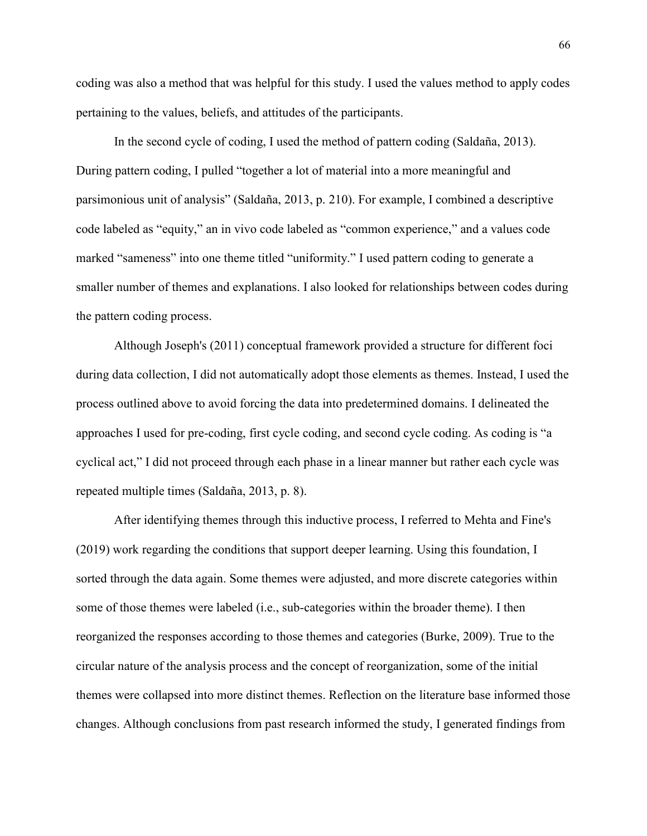coding was also a method that was helpful for this study. I used the values method to apply codes pertaining to the values, beliefs, and attitudes of the participants.

In the second cycle of coding, I used the method of pattern coding (Saldaña, 2013). During pattern coding, I pulled "together a lot of material into a more meaningful and parsimonious unit of analysis" (Saldaña, 2013, p. 210). For example, I combined a descriptive code labeled as "equity," an in vivo code labeled as "common experience," and a values code marked "sameness" into one theme titled "uniformity." I used pattern coding to generate a smaller number of themes and explanations. I also looked for relationships between codes during the pattern coding process.

Although Joseph's (2011) conceptual framework provided a structure for different foci during data collection, I did not automatically adopt those elements as themes. Instead, I used the process outlined above to avoid forcing the data into predetermined domains. I delineated the approaches I used for pre-coding, first cycle coding, and second cycle coding. As coding is "a cyclical act," I did not proceed through each phase in a linear manner but rather each cycle was repeated multiple times (Saldaña, 2013, p. 8).

After identifying themes through this inductive process, I referred to Mehta and Fine's (2019) work regarding the conditions that support deeper learning. Using this foundation, I sorted through the data again. Some themes were adjusted, and more discrete categories within some of those themes were labeled (i.e., sub-categories within the broader theme). I then reorganized the responses according to those themes and categories (Burke, 2009). True to the circular nature of the analysis process and the concept of reorganization, some of the initial themes were collapsed into more distinct themes. Reflection on the literature base informed those changes. Although conclusions from past research informed the study, I generated findings from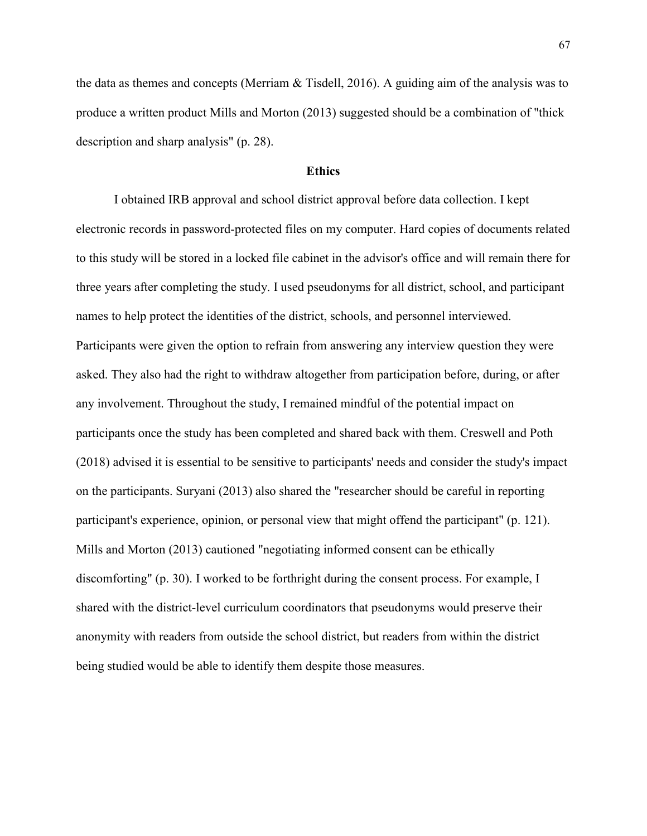the data as themes and concepts (Merriam  $\&$  Tisdell, 2016). A guiding aim of the analysis was to produce a written product Mills and Morton (2013) suggested should be a combination of "thick description and sharp analysis" (p. 28).

# **Ethics**

I obtained IRB approval and school district approval before data collection. I kept electronic records in password-protected files on my computer. Hard copies of documents related to this study will be stored in a locked file cabinet in the advisor's office and will remain there for three years after completing the study. I used pseudonyms for all district, school, and participant names to help protect the identities of the district, schools, and personnel interviewed. Participants were given the option to refrain from answering any interview question they were asked. They also had the right to withdraw altogether from participation before, during, or after any involvement. Throughout the study, I remained mindful of the potential impact on participants once the study has been completed and shared back with them. Creswell and Poth (2018) advised it is essential to be sensitive to participants' needs and consider the study's impact on the participants. Suryani (2013) also shared the "researcher should be careful in reporting participant's experience, opinion, or personal view that might offend the participant" (p. 121). Mills and Morton (2013) cautioned "negotiating informed consent can be ethically discomforting" (p. 30). I worked to be forthright during the consent process. For example, I shared with the district-level curriculum coordinators that pseudonyms would preserve their anonymity with readers from outside the school district, but readers from within the district being studied would be able to identify them despite those measures.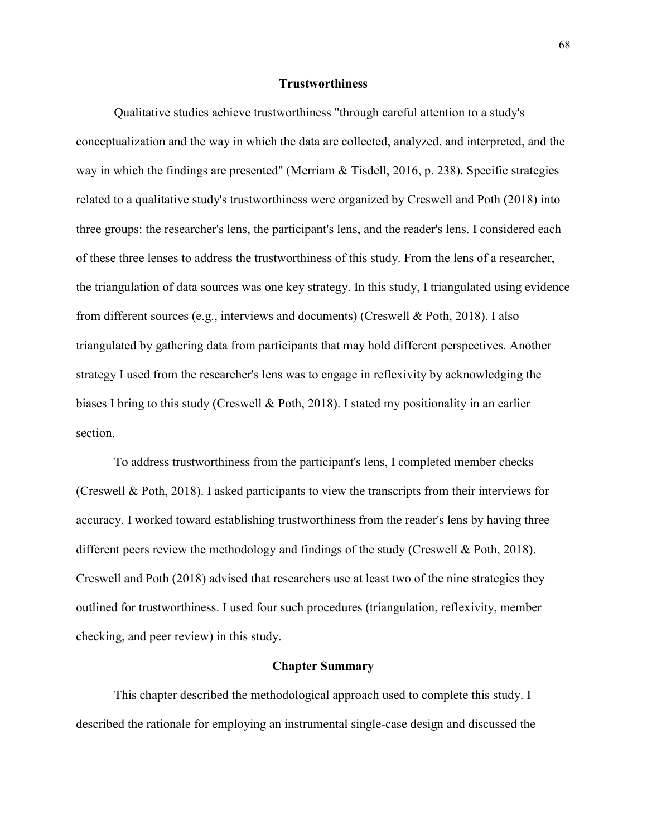### **Trustworthiness**

Qualitative studies achieve trustworthiness "through careful attention to a study's conceptualization and the way in which the data are collected, analyzed, and interpreted, and the way in which the findings are presented" (Merriam & Tisdell, 2016, p. 238). Specific strategies related to a qualitative study's trustworthiness were organized by Creswell and Poth (2018) into three groups: the researcher's lens, the participant's lens, and the reader's lens. I considered each of these three lenses to address the trustworthiness of this study. From the lens of a researcher, the triangulation of data sources was one key strategy. In this study, I triangulated using evidence from different sources (e.g., interviews and documents) (Creswell & Poth, 2018). I also triangulated by gathering data from participants that may hold different perspectives. Another strategy I used from the researcher's lens was to engage in reflexivity by acknowledging the biases I bring to this study (Creswell & Poth, 2018). I stated my positionality in an earlier section.

To address trustworthiness from the participant's lens, I completed member checks (Creswell & Poth, 2018). I asked participants to view the transcripts from their interviews for accuracy. I worked toward establishing trustworthiness from the reader's lens by having three different peers review the methodology and findings of the study (Creswell & Poth, 2018). Creswell and Poth (2018) advised that researchers use at least two of the nine strategies they outlined for trustworthiness. I used four such procedures (triangulation, reflexivity, member checking, and peer review) in this study.

#### **Chapter Summary**

 This chapter described the methodological approach used to complete this study. I described the rationale for employing an instrumental single-case design and discussed the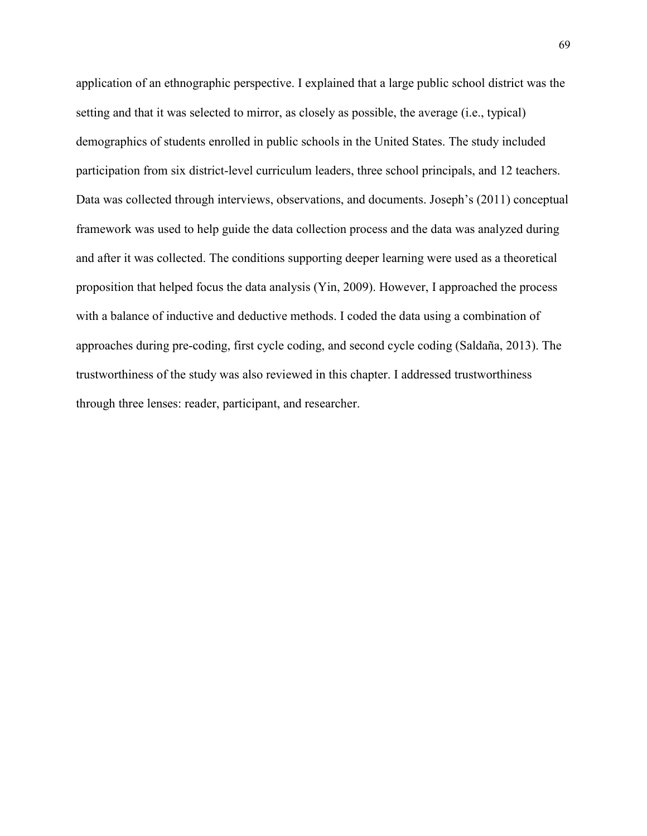application of an ethnographic perspective. I explained that a large public school district was the setting and that it was selected to mirror, as closely as possible, the average (i.e., typical) demographics of students enrolled in public schools in the United States. The study included participation from six district-level curriculum leaders, three school principals, and 12 teachers. Data was collected through interviews, observations, and documents. Joseph's (2011) conceptual framework was used to help guide the data collection process and the data was analyzed during and after it was collected. The conditions supporting deeper learning were used as a theoretical proposition that helped focus the data analysis (Yin, 2009). However, I approached the process with a balance of inductive and deductive methods. I coded the data using a combination of approaches during pre-coding, first cycle coding, and second cycle coding (Saldaña, 2013). The trustworthiness of the study was also reviewed in this chapter. I addressed trustworthiness through three lenses: reader, participant, and researcher.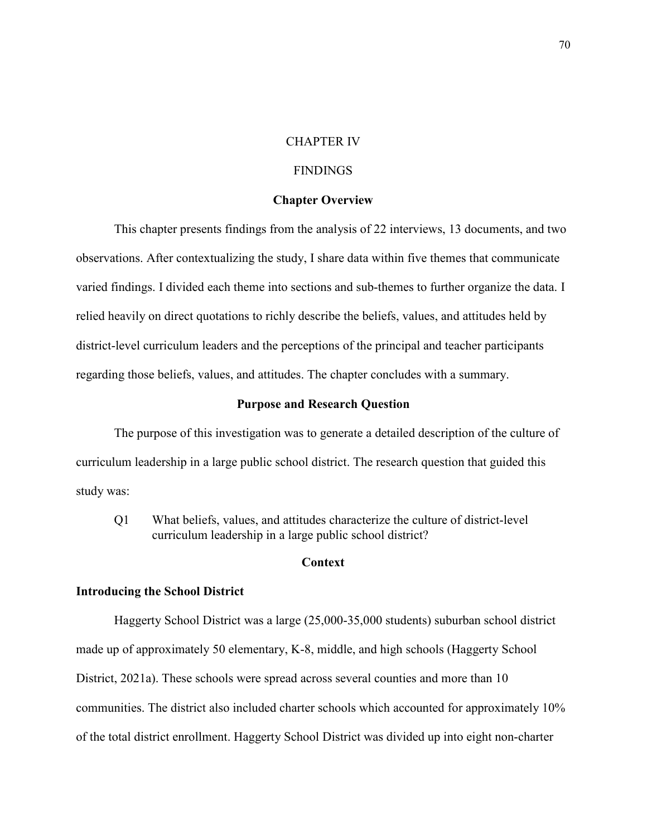# CHAPTER IV

# FINDINGS

## **Chapter Overview**

This chapter presents findings from the analysis of 22 interviews, 13 documents, and two observations. After contextualizing the study, I share data within five themes that communicate varied findings. I divided each theme into sections and sub-themes to further organize the data. I relied heavily on direct quotations to richly describe the beliefs, values, and attitudes held by district-level curriculum leaders and the perceptions of the principal and teacher participants regarding those beliefs, values, and attitudes. The chapter concludes with a summary.

## **Purpose and Research Question**

 The purpose of this investigation was to generate a detailed description of the culture of curriculum leadership in a large public school district. The research question that guided this study was:

Q1 What beliefs, values, and attitudes characterize the culture of district-level curriculum leadership in a large public school district?

# **Context**

### **Introducing the School District**

Haggerty School District was a large (25,000-35,000 students) suburban school district made up of approximately 50 elementary, K-8, middle, and high schools (Haggerty School District, 2021a). These schools were spread across several counties and more than 10 communities. The district also included charter schools which accounted for approximately 10% of the total district enrollment. Haggerty School District was divided up into eight non-charter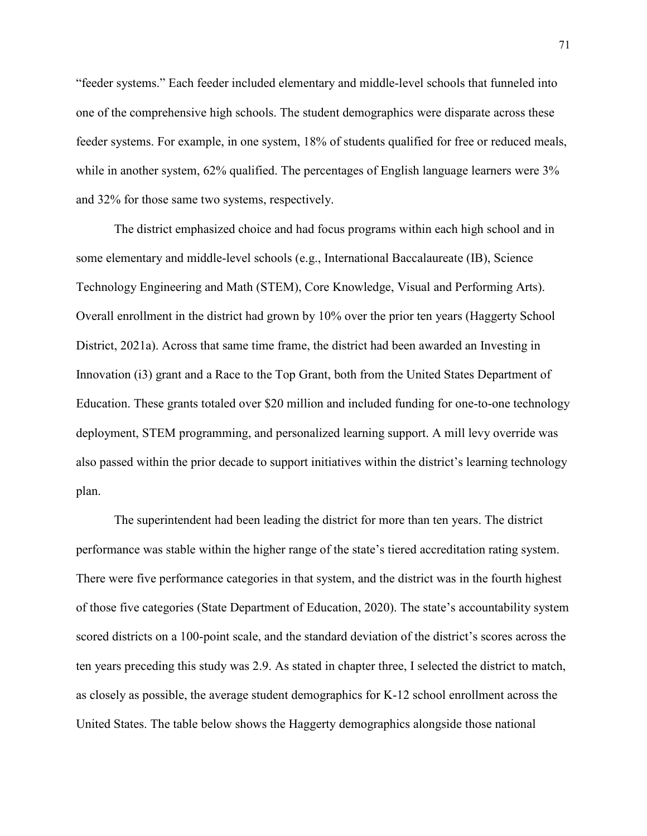"feeder systems." Each feeder included elementary and middle-level schools that funneled into one of the comprehensive high schools. The student demographics were disparate across these feeder systems. For example, in one system, 18% of students qualified for free or reduced meals, while in another system, 62% qualified. The percentages of English language learners were 3% and 32% for those same two systems, respectively.

The district emphasized choice and had focus programs within each high school and in some elementary and middle-level schools (e.g., International Baccalaureate (IB), Science Technology Engineering and Math (STEM), Core Knowledge, Visual and Performing Arts). Overall enrollment in the district had grown by 10% over the prior ten years (Haggerty School District, 2021a). Across that same time frame, the district had been awarded an Investing in Innovation (i3) grant and a Race to the Top Grant, both from the United States Department of Education. These grants totaled over \$20 million and included funding for one-to-one technology deployment, STEM programming, and personalized learning support. A mill levy override was also passed within the prior decade to support initiatives within the district's learning technology plan.

The superintendent had been leading the district for more than ten years. The district performance was stable within the higher range of the state's tiered accreditation rating system. There were five performance categories in that system, and the district was in the fourth highest of those five categories (State Department of Education, 2020). The state's accountability system scored districts on a 100-point scale, and the standard deviation of the district's scores across the ten years preceding this study was 2.9. As stated in chapter three, I selected the district to match, as closely as possible, the average student demographics for K-12 school enrollment across the United States. The table below shows the Haggerty demographics alongside those national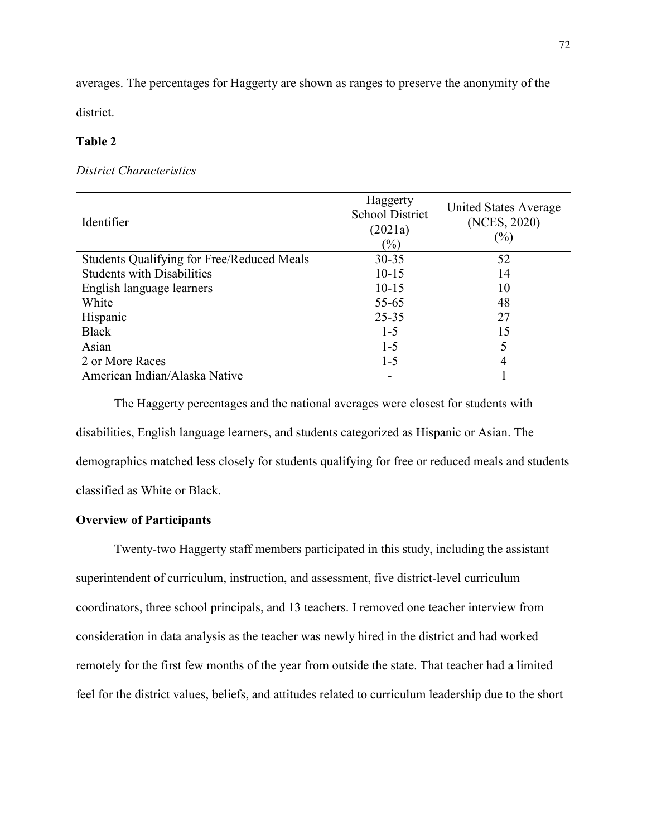averages. The percentages for Haggerty are shown as ranges to preserve the anonymity of the

district.

# **Table 2**

# *District Characteristics*

| Identifier                                        | Haggerty<br><b>School District</b><br>(2021a)<br>$(\%)$ | United States Average<br>(NCES, 2020)<br>$(\%)$ |
|---------------------------------------------------|---------------------------------------------------------|-------------------------------------------------|
| <b>Students Qualifying for Free/Reduced Meals</b> | $30 - 35$                                               | 52                                              |
| <b>Students with Disabilities</b>                 | $10 - 15$                                               | 14                                              |
| English language learners                         | $10 - 15$                                               | 10                                              |
| White                                             | $55 - 65$                                               | 48                                              |
| Hispanic                                          | $25 - 35$                                               | 27                                              |
| <b>Black</b>                                      | $1 - 5$                                                 | 15                                              |
| Asian                                             | $1-5$                                                   | 5                                               |
| 2 or More Races                                   | $1-5$                                                   | 4                                               |
| American Indian/Alaska Native                     |                                                         |                                                 |

 The Haggerty percentages and the national averages were closest for students with disabilities, English language learners, and students categorized as Hispanic or Asian. The demographics matched less closely for students qualifying for free or reduced meals and students classified as White or Black.

# **Overview of Participants**

Twenty-two Haggerty staff members participated in this study, including the assistant superintendent of curriculum, instruction, and assessment, five district-level curriculum coordinators, three school principals, and 13 teachers. I removed one teacher interview from consideration in data analysis as the teacher was newly hired in the district and had worked remotely for the first few months of the year from outside the state. That teacher had a limited feel for the district values, beliefs, and attitudes related to curriculum leadership due to the short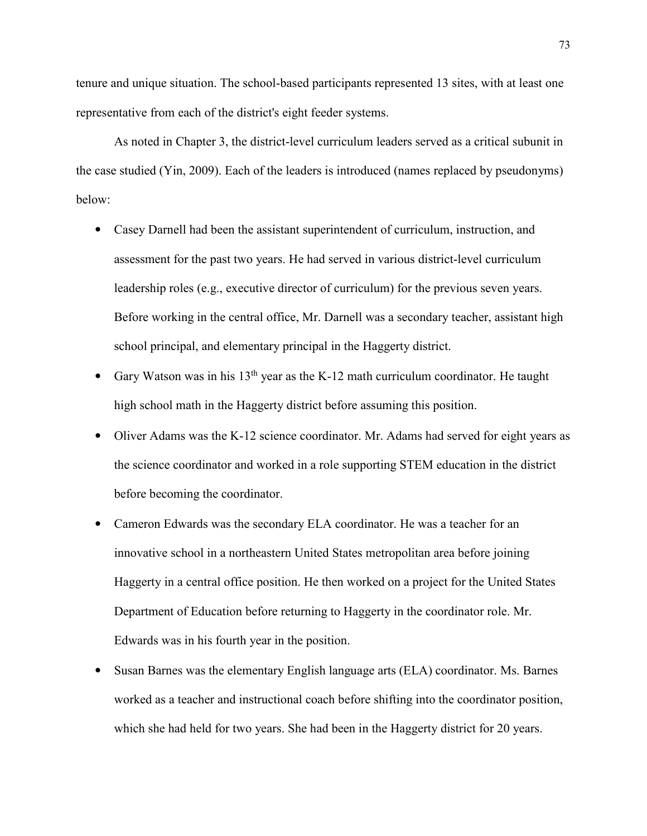tenure and unique situation. The school-based participants represented 13 sites, with at least one representative from each of the district's eight feeder systems.

As noted in Chapter 3, the district-level curriculum leaders served as a critical subunit in the case studied (Yin, 2009). Each of the leaders is introduced (names replaced by pseudonyms) below:

- Casey Darnell had been the assistant superintendent of curriculum, instruction, and assessment for the past two years. He had served in various district-level curriculum leadership roles (e.g., executive director of curriculum) for the previous seven years. Before working in the central office, Mr. Darnell was a secondary teacher, assistant high school principal, and elementary principal in the Haggerty district.
- Gary Watson was in his  $13<sup>th</sup>$  year as the K-12 math curriculum coordinator. He taught high school math in the Haggerty district before assuming this position.
- Oliver Adams was the K-12 science coordinator. Mr. Adams had served for eight years as the science coordinator and worked in a role supporting STEM education in the district before becoming the coordinator.
- Cameron Edwards was the secondary ELA coordinator. He was a teacher for an innovative school in a northeastern United States metropolitan area before joining Haggerty in a central office position. He then worked on a project for the United States Department of Education before returning to Haggerty in the coordinator role. Mr. Edwards was in his fourth year in the position.
- Susan Barnes was the elementary English language arts (ELA) coordinator. Ms. Barnes worked as a teacher and instructional coach before shifting into the coordinator position, which she had held for two years. She had been in the Haggerty district for 20 years.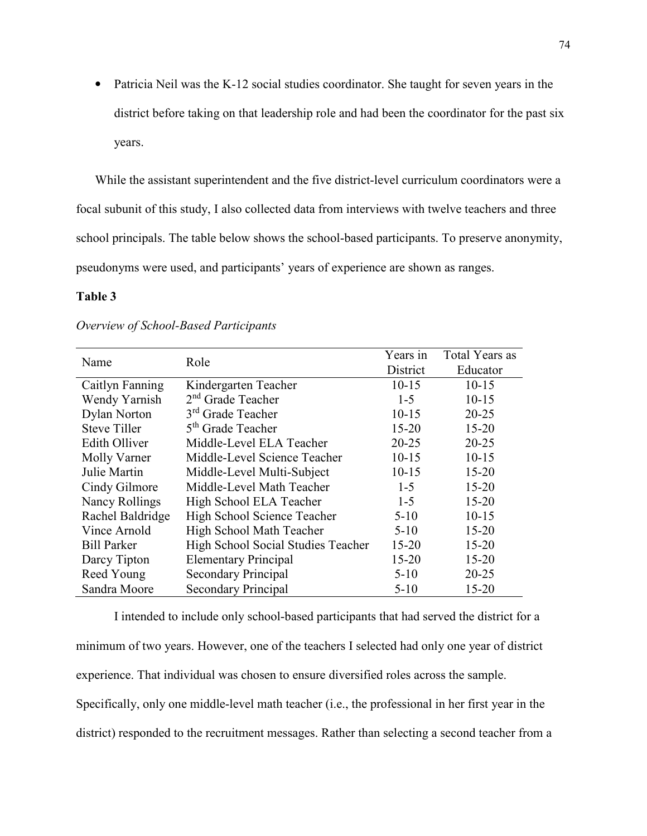• Patricia Neil was the K-12 social studies coordinator. She taught for seven years in the district before taking on that leadership role and had been the coordinator for the past six years.

While the assistant superintendent and the five district-level curriculum coordinators were a focal subunit of this study, I also collected data from interviews with twelve teachers and three school principals. The table below shows the school-based participants. To preserve anonymity, pseudonyms were used, and participants' years of experience are shown as ranges.

# **Table 3**

| Name                  | Role                               | Years in<br>District | Total Years as<br>Educator |
|-----------------------|------------------------------------|----------------------|----------------------------|
| Caitlyn Fanning       | Kindergarten Teacher               | $10 - 15$            | $10 - 15$                  |
| Wendy Yarnish         | $2nd$ Grade Teacher                | $1 - 5$              | $10-15$                    |
| <b>Dylan Norton</b>   | 3 <sup>rd</sup> Grade Teacher      | $10 - 15$            | $20 - 25$                  |
| <b>Steve Tiller</b>   | 5 <sup>th</sup> Grade Teacher      | $15 - 20$            | $15 - 20$                  |
| <b>Edith Olliver</b>  | Middle-Level ELA Teacher           | $20 - 25$            | $20 - 25$                  |
| Molly Varner          | Middle-Level Science Teacher       | $10 - 15$            | $10 - 15$                  |
| Julie Martin          | Middle-Level Multi-Subject         | $10 - 15$            | $15 - 20$                  |
| Cindy Gilmore         | Middle-Level Math Teacher          | $1 - 5$              | $15 - 20$                  |
| <b>Nancy Rollings</b> | High School ELA Teacher            | $1 - 5$              | $15 - 20$                  |
| Rachel Baldridge      | High School Science Teacher        | $5 - 10$             | $10-15$                    |
| Vince Arnold          | High School Math Teacher           | $5-10$               | $15 - 20$                  |
| <b>Bill Parker</b>    | High School Social Studies Teacher | $15 - 20$            | $15 - 20$                  |
| Darcy Tipton          | <b>Elementary Principal</b>        | $15 - 20$            | $15 - 20$                  |
| Reed Young            | Secondary Principal                | $5 - 10$             | $20 - 25$                  |
| Sandra Moore          | Secondary Principal                | $5 - 10$             | $15 - 20$                  |

#### *Overview of School-Based Participants*

 I intended to include only school-based participants that had served the district for a minimum of two years. However, one of the teachers I selected had only one year of district experience. That individual was chosen to ensure diversified roles across the sample. Specifically, only one middle-level math teacher (i.e., the professional in her first year in the district) responded to the recruitment messages. Rather than selecting a second teacher from a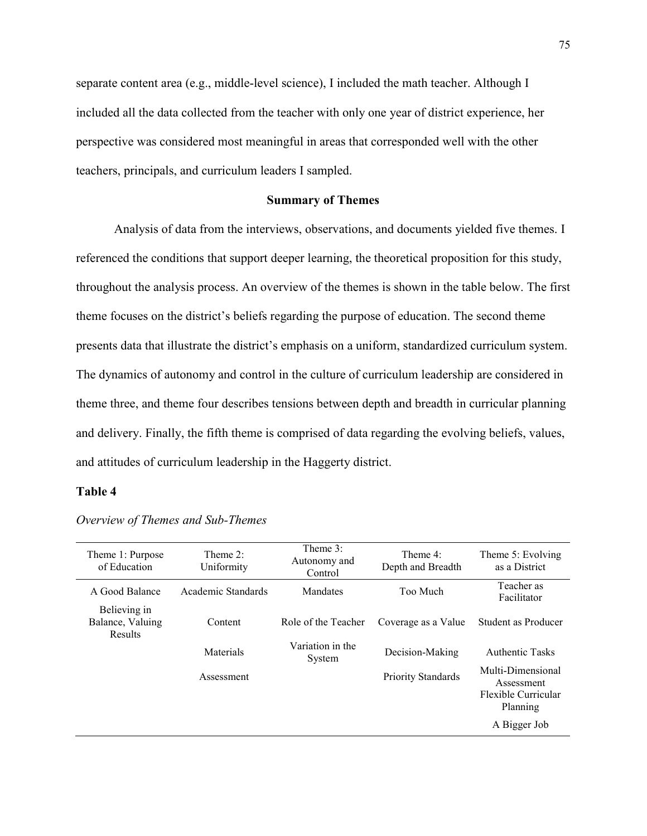separate content area (e.g., middle-level science), I included the math teacher. Although I included all the data collected from the teacher with only one year of district experience, her perspective was considered most meaningful in areas that corresponded well with the other teachers, principals, and curriculum leaders I sampled.

# **Summary of Themes**

Analysis of data from the interviews, observations, and documents yielded five themes. I referenced the conditions that support deeper learning, the theoretical proposition for this study, throughout the analysis process. An overview of the themes is shown in the table below. The first theme focuses on the district's beliefs regarding the purpose of education. The second theme presents data that illustrate the district's emphasis on a uniform, standardized curriculum system. The dynamics of autonomy and control in the culture of curriculum leadership are considered in theme three, and theme four describes tensions between depth and breadth in curricular planning and delivery. Finally, the fifth theme is comprised of data regarding the evolving beliefs, values, and attitudes of curriculum leadership in the Haggerty district.

# **Table 4**

| Theme 1: Purpose<br>of Education            | Theme $2$ :<br>Uniformity | Theme $3$ :<br>Autonomy and<br>Control | Theme $4$ :<br>Depth and Breadth | Theme 5: Evolving<br>as a District                                 |
|---------------------------------------------|---------------------------|----------------------------------------|----------------------------------|--------------------------------------------------------------------|
| A Good Balance                              | Academic Standards        | Mandates                               | Too Much                         | Teacher as<br>Facilitator                                          |
| Believing in<br>Balance, Valuing<br>Results | Content                   | Role of the Teacher                    | Coverage as a Value              | Student as Producer                                                |
|                                             | Materials                 | Variation in the<br>System             | Decision-Making                  | <b>Authentic Tasks</b>                                             |
|                                             | Assessment                |                                        | <b>Priority Standards</b>        | Multi-Dimensional<br>Assessment<br>Flexible Curricular<br>Planning |
|                                             |                           |                                        |                                  | A Bigger Job                                                       |

*Overview of Themes and Sub-Themes*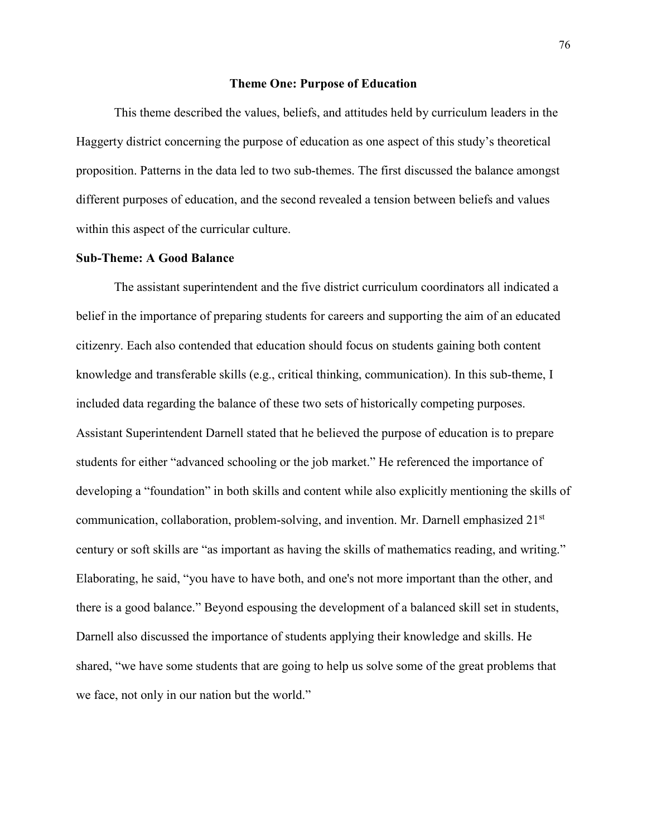#### **Theme One: Purpose of Education**

This theme described the values, beliefs, and attitudes held by curriculum leaders in the Haggerty district concerning the purpose of education as one aspect of this study's theoretical proposition. Patterns in the data led to two sub-themes. The first discussed the balance amongst different purposes of education, and the second revealed a tension between beliefs and values within this aspect of the curricular culture.

# **Sub-Theme: A Good Balance**

The assistant superintendent and the five district curriculum coordinators all indicated a belief in the importance of preparing students for careers and supporting the aim of an educated citizenry. Each also contended that education should focus on students gaining both content knowledge and transferable skills (e.g., critical thinking, communication). In this sub-theme, I included data regarding the balance of these two sets of historically competing purposes. Assistant Superintendent Darnell stated that he believed the purpose of education is to prepare students for either "advanced schooling or the job market." He referenced the importance of developing a "foundation" in both skills and content while also explicitly mentioning the skills of communication, collaboration, problem-solving, and invention. Mr. Darnell emphasized 21<sup>st</sup> century or soft skills are "as important as having the skills of mathematics reading, and writing." Elaborating, he said, "you have to have both, and one's not more important than the other, and there is a good balance." Beyond espousing the development of a balanced skill set in students, Darnell also discussed the importance of students applying their knowledge and skills. He shared, "we have some students that are going to help us solve some of the great problems that we face, not only in our nation but the world."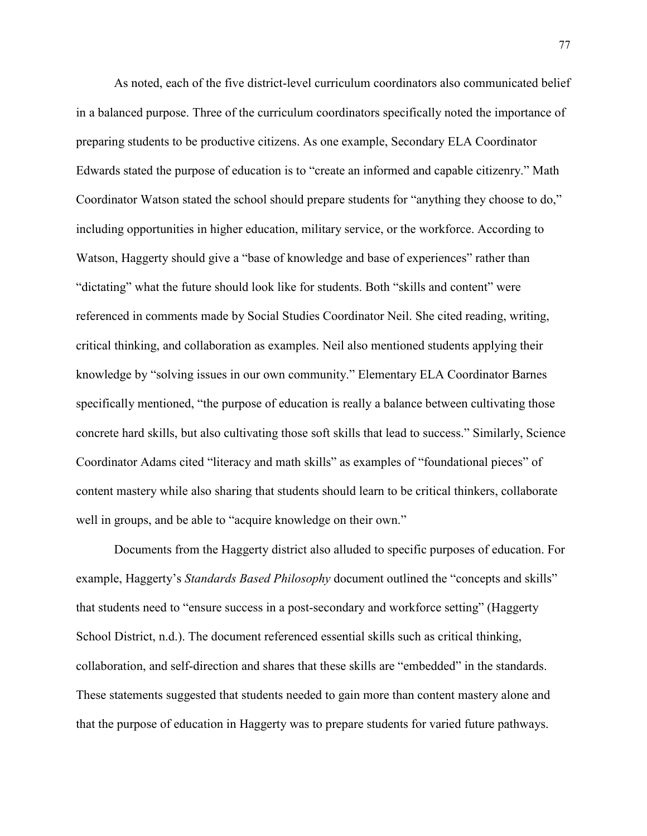As noted, each of the five district-level curriculum coordinators also communicated belief in a balanced purpose. Three of the curriculum coordinators specifically noted the importance of preparing students to be productive citizens. As one example, Secondary ELA Coordinator Edwards stated the purpose of education is to "create an informed and capable citizenry." Math Coordinator Watson stated the school should prepare students for "anything they choose to do," including opportunities in higher education, military service, or the workforce. According to Watson, Haggerty should give a "base of knowledge and base of experiences" rather than "dictating" what the future should look like for students. Both "skills and content" were referenced in comments made by Social Studies Coordinator Neil. She cited reading, writing, critical thinking, and collaboration as examples. Neil also mentioned students applying their knowledge by "solving issues in our own community." Elementary ELA Coordinator Barnes specifically mentioned, "the purpose of education is really a balance between cultivating those concrete hard skills, but also cultivating those soft skills that lead to success." Similarly, Science Coordinator Adams cited "literacy and math skills" as examples of "foundational pieces" of content mastery while also sharing that students should learn to be critical thinkers, collaborate well in groups, and be able to "acquire knowledge on their own."

Documents from the Haggerty district also alluded to specific purposes of education. For example, Haggerty's *Standards Based Philosophy* document outlined the "concepts and skills" that students need to "ensure success in a post-secondary and workforce setting" (Haggerty School District, n.d.). The document referenced essential skills such as critical thinking, collaboration, and self-direction and shares that these skills are "embedded" in the standards. These statements suggested that students needed to gain more than content mastery alone and that the purpose of education in Haggerty was to prepare students for varied future pathways.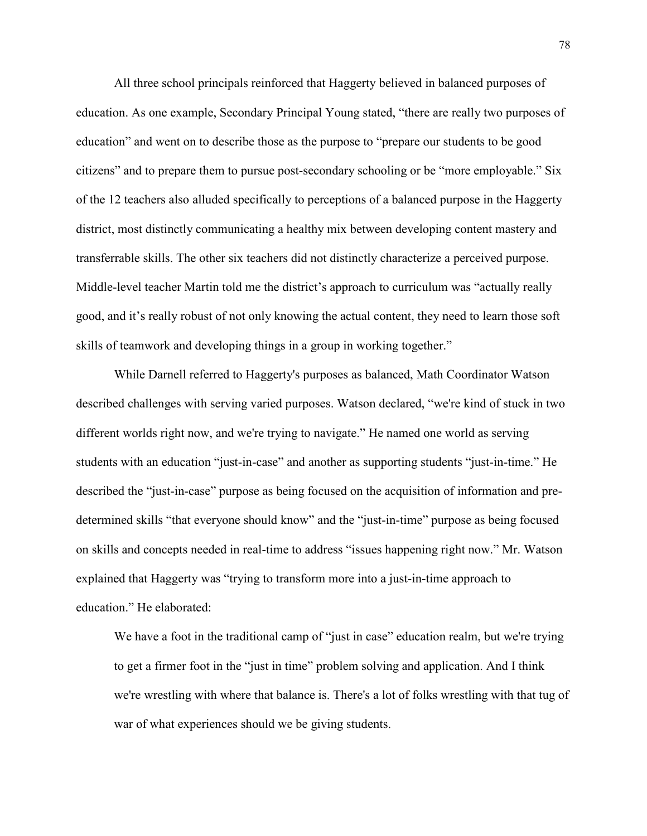All three school principals reinforced that Haggerty believed in balanced purposes of education. As one example, Secondary Principal Young stated, "there are really two purposes of education" and went on to describe those as the purpose to "prepare our students to be good citizens" and to prepare them to pursue post-secondary schooling or be "more employable." Six of the 12 teachers also alluded specifically to perceptions of a balanced purpose in the Haggerty district, most distinctly communicating a healthy mix between developing content mastery and transferrable skills. The other six teachers did not distinctly characterize a perceived purpose. Middle-level teacher Martin told me the district's approach to curriculum was "actually really good, and it's really robust of not only knowing the actual content, they need to learn those soft skills of teamwork and developing things in a group in working together."

While Darnell referred to Haggerty's purposes as balanced, Math Coordinator Watson described challenges with serving varied purposes. Watson declared, "we're kind of stuck in two different worlds right now, and we're trying to navigate." He named one world as serving students with an education "just-in-case" and another as supporting students "just-in-time." He described the "just-in-case" purpose as being focused on the acquisition of information and predetermined skills "that everyone should know" and the "just-in-time" purpose as being focused on skills and concepts needed in real-time to address "issues happening right now." Mr. Watson explained that Haggerty was "trying to transform more into a just-in-time approach to education." He elaborated:

We have a foot in the traditional camp of "just in case" education realm, but we're trying to get a firmer foot in the "just in time" problem solving and application. And I think we're wrestling with where that balance is. There's a lot of folks wrestling with that tug of war of what experiences should we be giving students.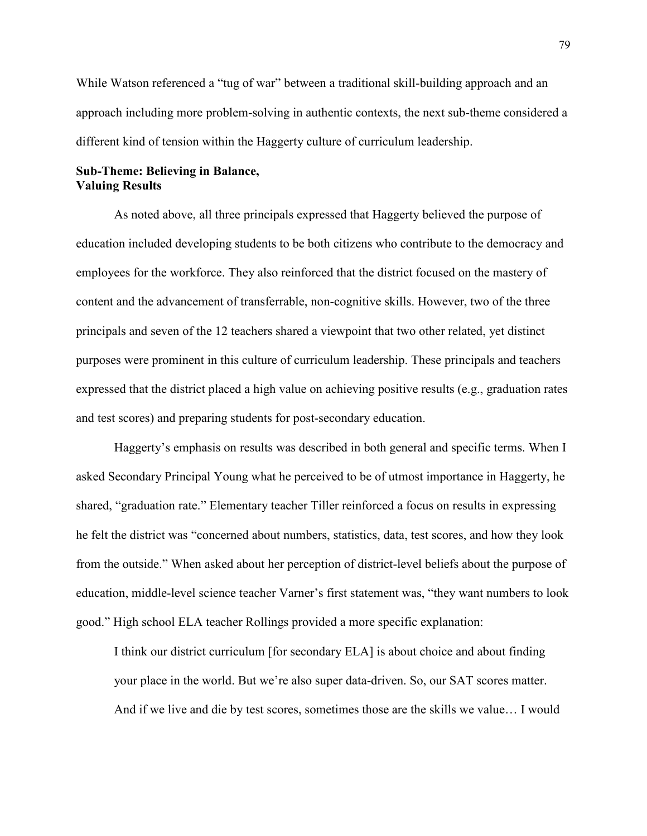While Watson referenced a "tug of war" between a traditional skill-building approach and an approach including more problem-solving in authentic contexts, the next sub-theme considered a different kind of tension within the Haggerty culture of curriculum leadership.

# **Sub-Theme: Believing in Balance, Valuing Results**

 As noted above, all three principals expressed that Haggerty believed the purpose of education included developing students to be both citizens who contribute to the democracy and employees for the workforce. They also reinforced that the district focused on the mastery of content and the advancement of transferrable, non-cognitive skills. However, two of the three principals and seven of the 12 teachers shared a viewpoint that two other related, yet distinct purposes were prominent in this culture of curriculum leadership. These principals and teachers expressed that the district placed a high value on achieving positive results (e.g., graduation rates and test scores) and preparing students for post-secondary education.

 Haggerty's emphasis on results was described in both general and specific terms. When I asked Secondary Principal Young what he perceived to be of utmost importance in Haggerty, he shared, "graduation rate." Elementary teacher Tiller reinforced a focus on results in expressing he felt the district was "concerned about numbers, statistics, data, test scores, and how they look from the outside." When asked about her perception of district-level beliefs about the purpose of education, middle-level science teacher Varner's first statement was, "they want numbers to look good." High school ELA teacher Rollings provided a more specific explanation:

I think our district curriculum [for secondary ELA] is about choice and about finding your place in the world. But we're also super data-driven. So, our SAT scores matter. And if we live and die by test scores, sometimes those are the skills we value… I would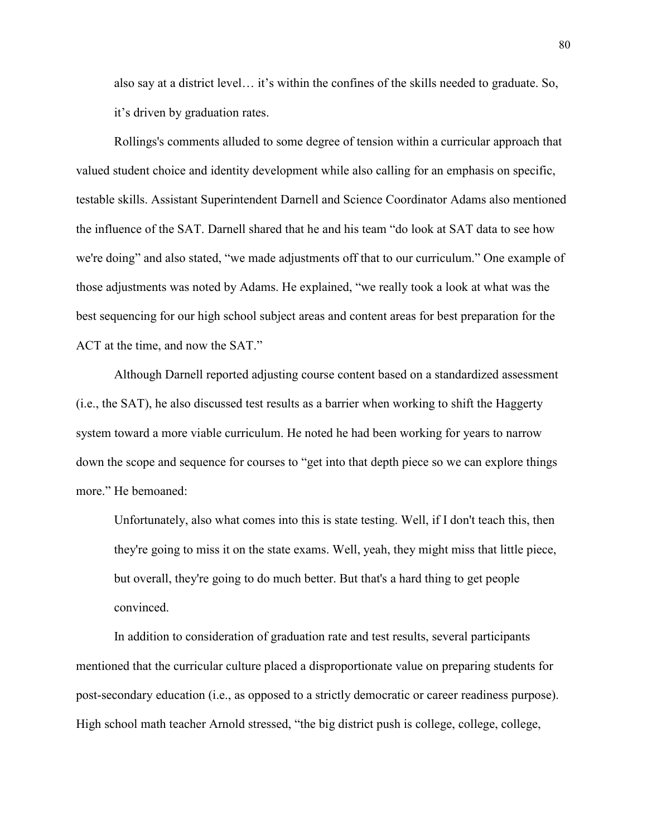also say at a district level… it's within the confines of the skills needed to graduate. So, it's driven by graduation rates.

 Rollings's comments alluded to some degree of tension within a curricular approach that valued student choice and identity development while also calling for an emphasis on specific, testable skills. Assistant Superintendent Darnell and Science Coordinator Adams also mentioned the influence of the SAT. Darnell shared that he and his team "do look at SAT data to see how we're doing" and also stated, "we made adjustments off that to our curriculum." One example of those adjustments was noted by Adams. He explained, "we really took a look at what was the best sequencing for our high school subject areas and content areas for best preparation for the ACT at the time, and now the SAT."

 Although Darnell reported adjusting course content based on a standardized assessment (i.e., the SAT), he also discussed test results as a barrier when working to shift the Haggerty system toward a more viable curriculum. He noted he had been working for years to narrow down the scope and sequence for courses to "get into that depth piece so we can explore things more." He bemoaned:

Unfortunately, also what comes into this is state testing. Well, if I don't teach this, then they're going to miss it on the state exams. Well, yeah, they might miss that little piece, but overall, they're going to do much better. But that's a hard thing to get people convinced.

 In addition to consideration of graduation rate and test results, several participants mentioned that the curricular culture placed a disproportionate value on preparing students for post-secondary education (i.e., as opposed to a strictly democratic or career readiness purpose). High school math teacher Arnold stressed, "the big district push is college, college, college,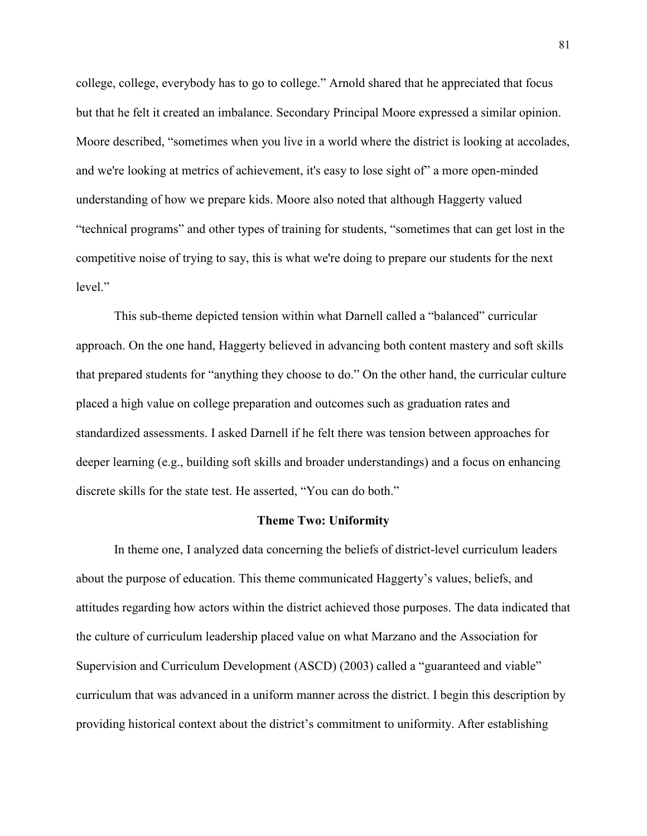college, college, everybody has to go to college." Arnold shared that he appreciated that focus but that he felt it created an imbalance. Secondary Principal Moore expressed a similar opinion. Moore described, "sometimes when you live in a world where the district is looking at accolades, and we're looking at metrics of achievement, it's easy to lose sight of" a more open-minded understanding of how we prepare kids. Moore also noted that although Haggerty valued "technical programs" and other types of training for students, "sometimes that can get lost in the competitive noise of trying to say, this is what we're doing to prepare our students for the next level"

 This sub-theme depicted tension within what Darnell called a "balanced" curricular approach. On the one hand, Haggerty believed in advancing both content mastery and soft skills that prepared students for "anything they choose to do." On the other hand, the curricular culture placed a high value on college preparation and outcomes such as graduation rates and standardized assessments. I asked Darnell if he felt there was tension between approaches for deeper learning (e.g., building soft skills and broader understandings) and a focus on enhancing discrete skills for the state test. He asserted, "You can do both."

#### **Theme Two: Uniformity**

In theme one, I analyzed data concerning the beliefs of district-level curriculum leaders about the purpose of education. This theme communicated Haggerty's values, beliefs, and attitudes regarding how actors within the district achieved those purposes. The data indicated that the culture of curriculum leadership placed value on what Marzano and the Association for Supervision and Curriculum Development (ASCD) (2003) called a "guaranteed and viable" curriculum that was advanced in a uniform manner across the district. I begin this description by providing historical context about the district's commitment to uniformity. After establishing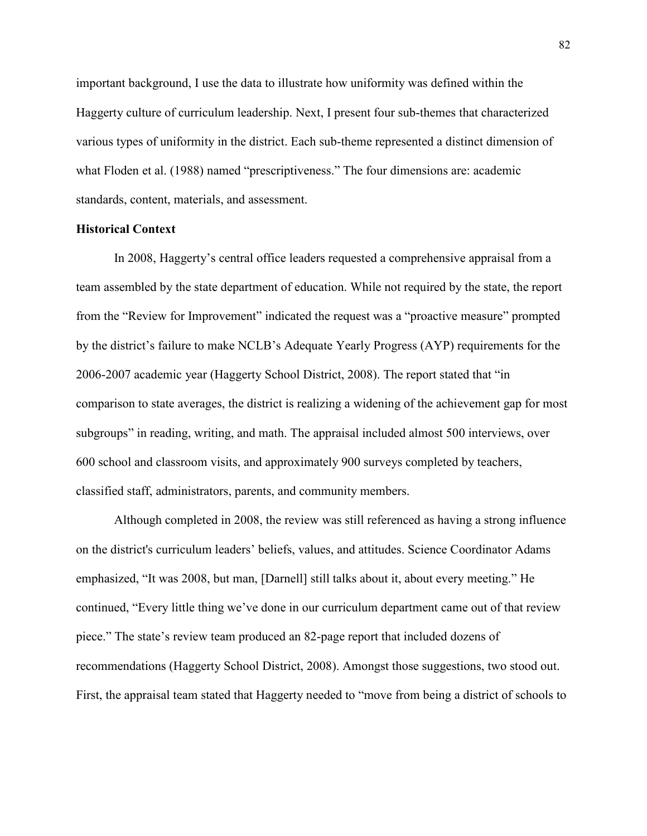important background, I use the data to illustrate how uniformity was defined within the Haggerty culture of curriculum leadership. Next, I present four sub-themes that characterized various types of uniformity in the district. Each sub-theme represented a distinct dimension of what Floden et al. (1988) named "prescriptiveness." The four dimensions are: academic standards, content, materials, and assessment.

### **Historical Context**

 In 2008, Haggerty's central office leaders requested a comprehensive appraisal from a team assembled by the state department of education. While not required by the state, the report from the "Review for Improvement" indicated the request was a "proactive measure" prompted by the district's failure to make NCLB's Adequate Yearly Progress (AYP) requirements for the 2006-2007 academic year (Haggerty School District, 2008). The report stated that "in comparison to state averages, the district is realizing a widening of the achievement gap for most subgroups" in reading, writing, and math. The appraisal included almost 500 interviews, over 600 school and classroom visits, and approximately 900 surveys completed by teachers, classified staff, administrators, parents, and community members.

Although completed in 2008, the review was still referenced as having a strong influence on the district's curriculum leaders' beliefs, values, and attitudes. Science Coordinator Adams emphasized, "It was 2008, but man, [Darnell] still talks about it, about every meeting." He continued, "Every little thing we've done in our curriculum department came out of that review piece." The state's review team produced an 82-page report that included dozens of recommendations (Haggerty School District, 2008). Amongst those suggestions, two stood out. First, the appraisal team stated that Haggerty needed to "move from being a district of schools to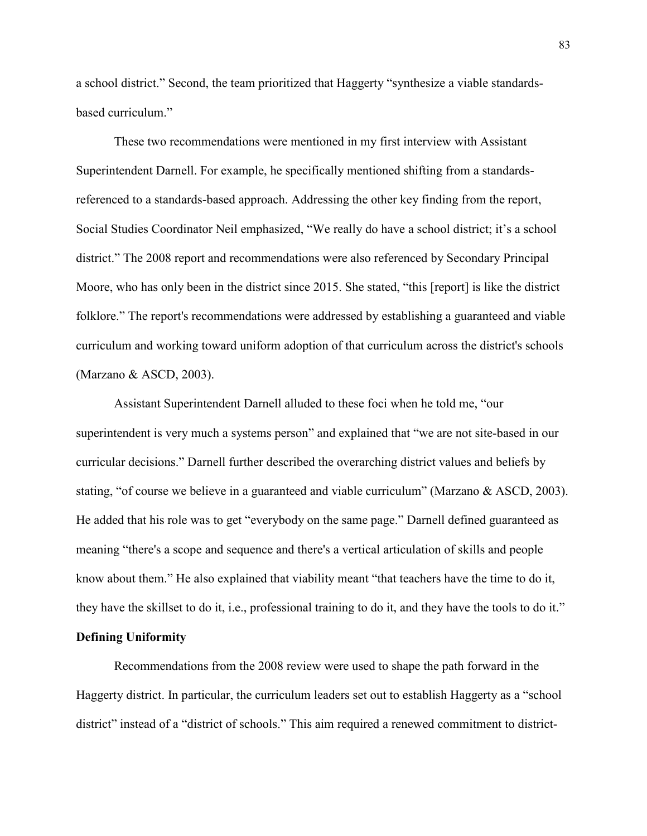a school district." Second, the team prioritized that Haggerty "synthesize a viable standardsbased curriculum."

These two recommendations were mentioned in my first interview with Assistant Superintendent Darnell. For example, he specifically mentioned shifting from a standardsreferenced to a standards-based approach. Addressing the other key finding from the report, Social Studies Coordinator Neil emphasized, "We really do have a school district; it's a school district." The 2008 report and recommendations were also referenced by Secondary Principal Moore, who has only been in the district since 2015. She stated, "this [report] is like the district folklore." The report's recommendations were addressed by establishing a guaranteed and viable curriculum and working toward uniform adoption of that curriculum across the district's schools (Marzano & ASCD, 2003).

Assistant Superintendent Darnell alluded to these foci when he told me, "our superintendent is very much a systems person" and explained that "we are not site-based in our curricular decisions." Darnell further described the overarching district values and beliefs by stating, "of course we believe in a guaranteed and viable curriculum" (Marzano & ASCD, 2003). He added that his role was to get "everybody on the same page." Darnell defined guaranteed as meaning "there's a scope and sequence and there's a vertical articulation of skills and people know about them." He also explained that viability meant "that teachers have the time to do it, they have the skillset to do it, i.e., professional training to do it, and they have the tools to do it."

# **Defining Uniformity**

Recommendations from the 2008 review were used to shape the path forward in the Haggerty district. In particular, the curriculum leaders set out to establish Haggerty as a "school district" instead of a "district of schools." This aim required a renewed commitment to district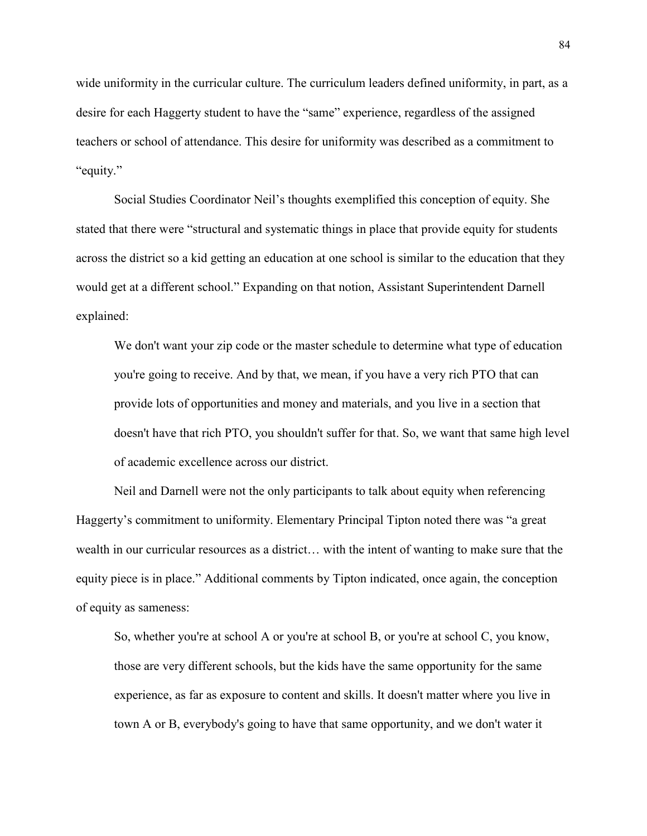wide uniformity in the curricular culture. The curriculum leaders defined uniformity, in part, as a desire for each Haggerty student to have the "same" experience, regardless of the assigned teachers or school of attendance. This desire for uniformity was described as a commitment to "equity."

Social Studies Coordinator Neil's thoughts exemplified this conception of equity. She stated that there were "structural and systematic things in place that provide equity for students across the district so a kid getting an education at one school is similar to the education that they would get at a different school." Expanding on that notion, Assistant Superintendent Darnell explained:

We don't want your zip code or the master schedule to determine what type of education you're going to receive. And by that, we mean, if you have a very rich PTO that can provide lots of opportunities and money and materials, and you live in a section that doesn't have that rich PTO, you shouldn't suffer for that. So, we want that same high level of academic excellence across our district.

Neil and Darnell were not the only participants to talk about equity when referencing Haggerty's commitment to uniformity. Elementary Principal Tipton noted there was "a great wealth in our curricular resources as a district… with the intent of wanting to make sure that the equity piece is in place." Additional comments by Tipton indicated, once again, the conception of equity as sameness:

So, whether you're at school A or you're at school B, or you're at school C, you know, those are very different schools, but the kids have the same opportunity for the same experience, as far as exposure to content and skills. It doesn't matter where you live in town A or B, everybody's going to have that same opportunity, and we don't water it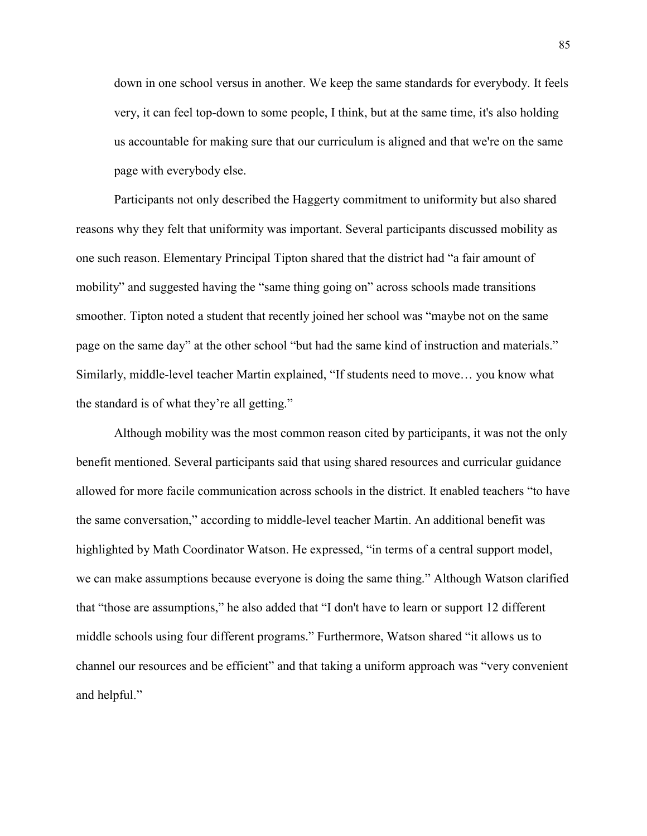down in one school versus in another. We keep the same standards for everybody. It feels very, it can feel top-down to some people, I think, but at the same time, it's also holding us accountable for making sure that our curriculum is aligned and that we're on the same page with everybody else.

Participants not only described the Haggerty commitment to uniformity but also shared reasons why they felt that uniformity was important. Several participants discussed mobility as one such reason. Elementary Principal Tipton shared that the district had "a fair amount of mobility" and suggested having the "same thing going on" across schools made transitions smoother. Tipton noted a student that recently joined her school was "maybe not on the same page on the same day" at the other school "but had the same kind of instruction and materials." Similarly, middle-level teacher Martin explained, "If students need to move… you know what the standard is of what they're all getting."

Although mobility was the most common reason cited by participants, it was not the only benefit mentioned. Several participants said that using shared resources and curricular guidance allowed for more facile communication across schools in the district. It enabled teachers "to have the same conversation," according to middle-level teacher Martin. An additional benefit was highlighted by Math Coordinator Watson. He expressed, "in terms of a central support model, we can make assumptions because everyone is doing the same thing." Although Watson clarified that "those are assumptions," he also added that "I don't have to learn or support 12 different middle schools using four different programs." Furthermore, Watson shared "it allows us to channel our resources and be efficient" and that taking a uniform approach was "very convenient and helpful."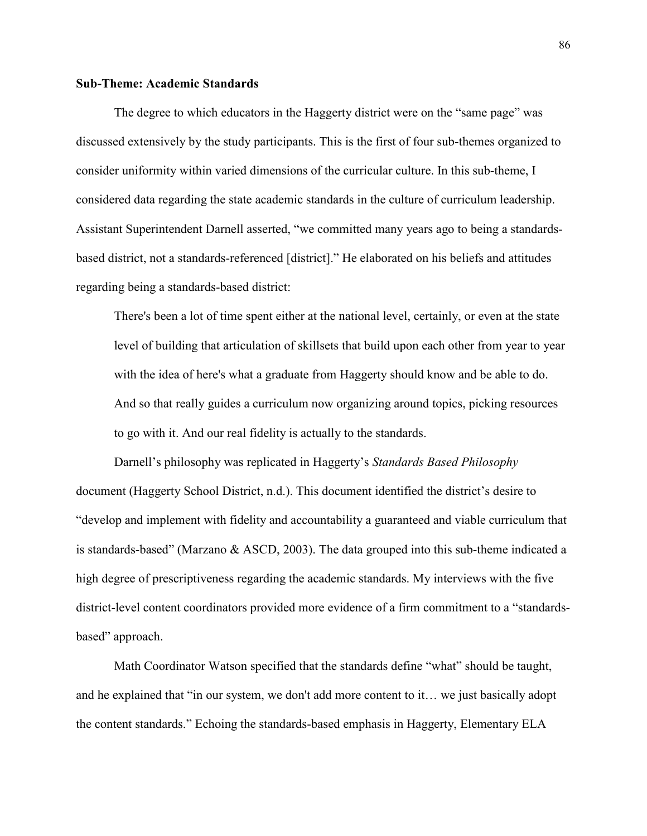# **Sub-Theme: Academic Standards**

 The degree to which educators in the Haggerty district were on the "same page" was discussed extensively by the study participants. This is the first of four sub-themes organized to consider uniformity within varied dimensions of the curricular culture. In this sub-theme, I considered data regarding the state academic standards in the culture of curriculum leadership. Assistant Superintendent Darnell asserted, "we committed many years ago to being a standardsbased district, not a standards-referenced [district]." He elaborated on his beliefs and attitudes regarding being a standards-based district:

There's been a lot of time spent either at the national level, certainly, or even at the state level of building that articulation of skillsets that build upon each other from year to year with the idea of here's what a graduate from Haggerty should know and be able to do. And so that really guides a curriculum now organizing around topics, picking resources to go with it. And our real fidelity is actually to the standards.

 Darnell's philosophy was replicated in Haggerty's *Standards Based Philosophy*  document (Haggerty School District, n.d.). This document identified the district's desire to "develop and implement with fidelity and accountability a guaranteed and viable curriculum that is standards-based" (Marzano & ASCD, 2003). The data grouped into this sub-theme indicated a high degree of prescriptiveness regarding the academic standards. My interviews with the five district-level content coordinators provided more evidence of a firm commitment to a "standardsbased" approach.

 Math Coordinator Watson specified that the standards define "what" should be taught, and he explained that "in our system, we don't add more content to it… we just basically adopt the content standards." Echoing the standards-based emphasis in Haggerty, Elementary ELA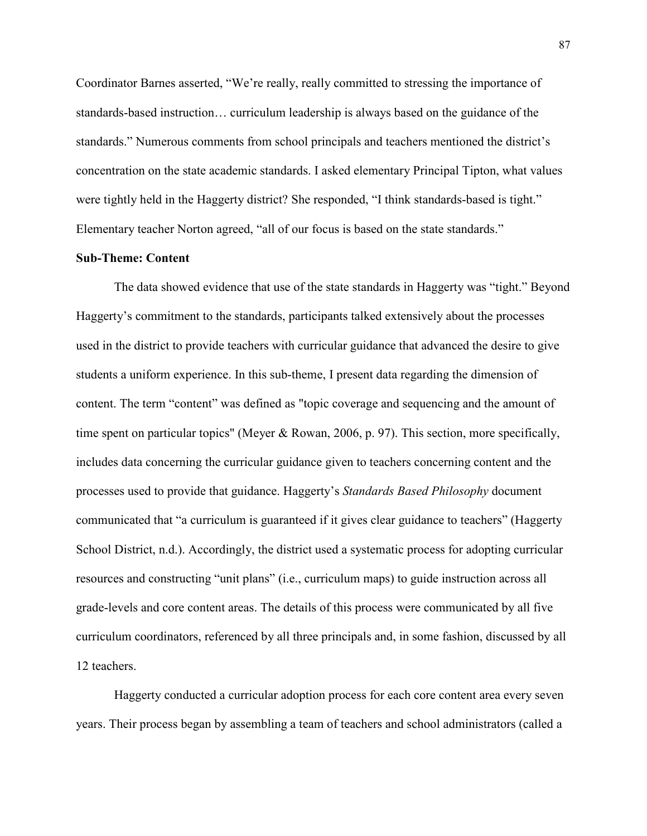Coordinator Barnes asserted, "We're really, really committed to stressing the importance of standards-based instruction… curriculum leadership is always based on the guidance of the standards." Numerous comments from school principals and teachers mentioned the district's concentration on the state academic standards. I asked elementary Principal Tipton, what values were tightly held in the Haggerty district? She responded, "I think standards-based is tight." Elementary teacher Norton agreed, "all of our focus is based on the state standards."

# **Sub-Theme: Content**

 The data showed evidence that use of the state standards in Haggerty was "tight." Beyond Haggerty's commitment to the standards, participants talked extensively about the processes used in the district to provide teachers with curricular guidance that advanced the desire to give students a uniform experience. In this sub-theme, I present data regarding the dimension of content. The term "content" was defined as "topic coverage and sequencing and the amount of time spent on particular topics" (Meyer & Rowan, 2006, p. 97). This section, more specifically, includes data concerning the curricular guidance given to teachers concerning content and the processes used to provide that guidance. Haggerty's *Standards Based Philosophy* document communicated that "a curriculum is guaranteed if it gives clear guidance to teachers" (Haggerty School District, n.d.). Accordingly, the district used a systematic process for adopting curricular resources and constructing "unit plans" (i.e., curriculum maps) to guide instruction across all grade-levels and core content areas. The details of this process were communicated by all five curriculum coordinators, referenced by all three principals and, in some fashion, discussed by all 12 teachers.

 Haggerty conducted a curricular adoption process for each core content area every seven years. Their process began by assembling a team of teachers and school administrators (called a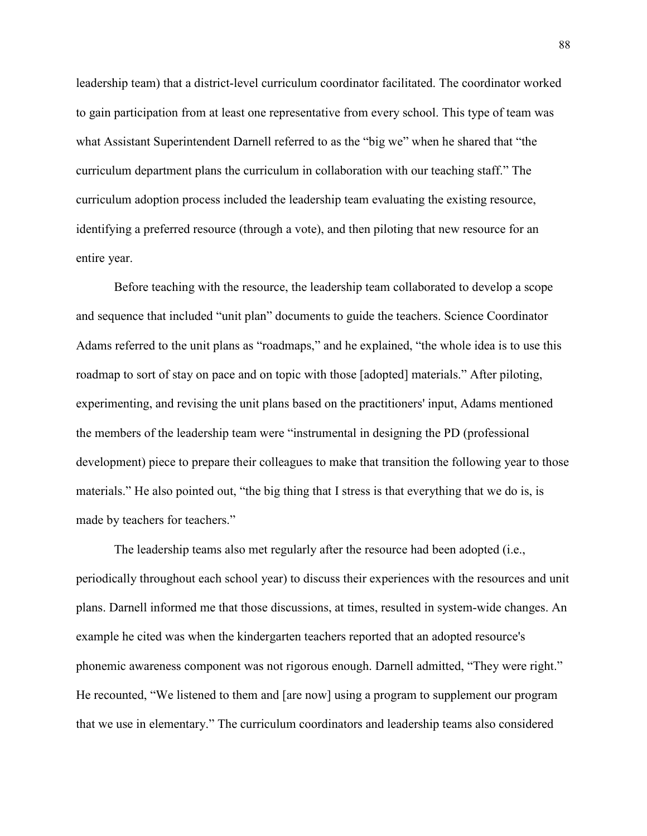leadership team) that a district-level curriculum coordinator facilitated. The coordinator worked to gain participation from at least one representative from every school. This type of team was what Assistant Superintendent Darnell referred to as the "big we" when he shared that "the curriculum department plans the curriculum in collaboration with our teaching staff." The curriculum adoption process included the leadership team evaluating the existing resource, identifying a preferred resource (through a vote), and then piloting that new resource for an entire year.

 Before teaching with the resource, the leadership team collaborated to develop a scope and sequence that included "unit plan" documents to guide the teachers. Science Coordinator Adams referred to the unit plans as "roadmaps," and he explained, "the whole idea is to use this roadmap to sort of stay on pace and on topic with those [adopted] materials." After piloting, experimenting, and revising the unit plans based on the practitioners' input, Adams mentioned the members of the leadership team were "instrumental in designing the PD (professional development) piece to prepare their colleagues to make that transition the following year to those materials." He also pointed out, "the big thing that I stress is that everything that we do is, is made by teachers for teachers."

 The leadership teams also met regularly after the resource had been adopted (i.e., periodically throughout each school year) to discuss their experiences with the resources and unit plans. Darnell informed me that those discussions, at times, resulted in system-wide changes. An example he cited was when the kindergarten teachers reported that an adopted resource's phonemic awareness component was not rigorous enough. Darnell admitted, "They were right." He recounted, "We listened to them and [are now] using a program to supplement our program that we use in elementary." The curriculum coordinators and leadership teams also considered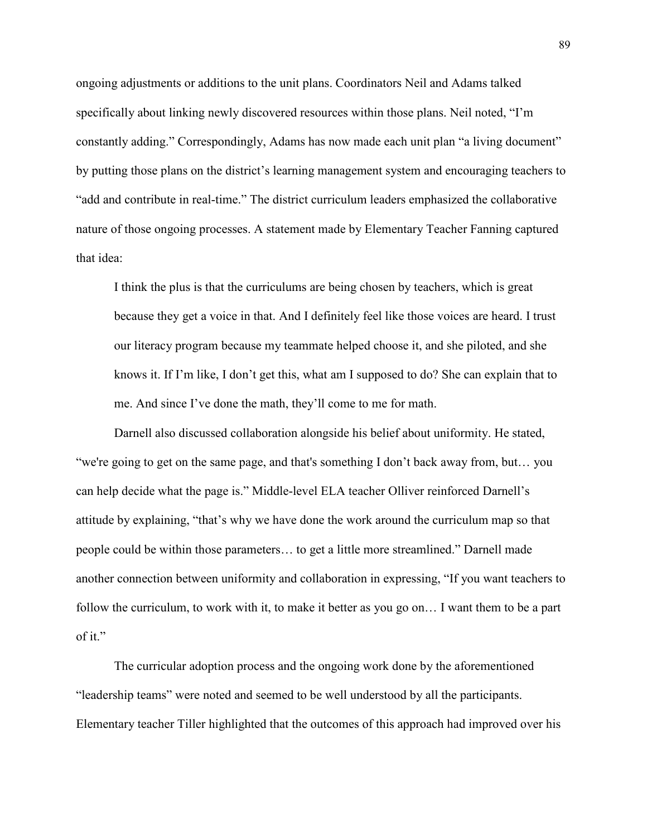ongoing adjustments or additions to the unit plans. Coordinators Neil and Adams talked specifically about linking newly discovered resources within those plans. Neil noted, "I'm constantly adding." Correspondingly, Adams has now made each unit plan "a living document" by putting those plans on the district's learning management system and encouraging teachers to "add and contribute in real-time." The district curriculum leaders emphasized the collaborative nature of those ongoing processes. A statement made by Elementary Teacher Fanning captured that idea:

I think the plus is that the curriculums are being chosen by teachers, which is great because they get a voice in that. And I definitely feel like those voices are heard. I trust our literacy program because my teammate helped choose it, and she piloted, and she knows it. If I'm like, I don't get this, what am I supposed to do? She can explain that to me. And since I've done the math, they'll come to me for math.

 Darnell also discussed collaboration alongside his belief about uniformity. He stated, "we're going to get on the same page, and that's something I don't back away from, but… you can help decide what the page is." Middle-level ELA teacher Olliver reinforced Darnell's attitude by explaining, "that's why we have done the work around the curriculum map so that people could be within those parameters… to get a little more streamlined." Darnell made another connection between uniformity and collaboration in expressing, "If you want teachers to follow the curriculum, to work with it, to make it better as you go on... I want them to be a part of it."

 The curricular adoption process and the ongoing work done by the aforementioned "leadership teams" were noted and seemed to be well understood by all the participants. Elementary teacher Tiller highlighted that the outcomes of this approach had improved over his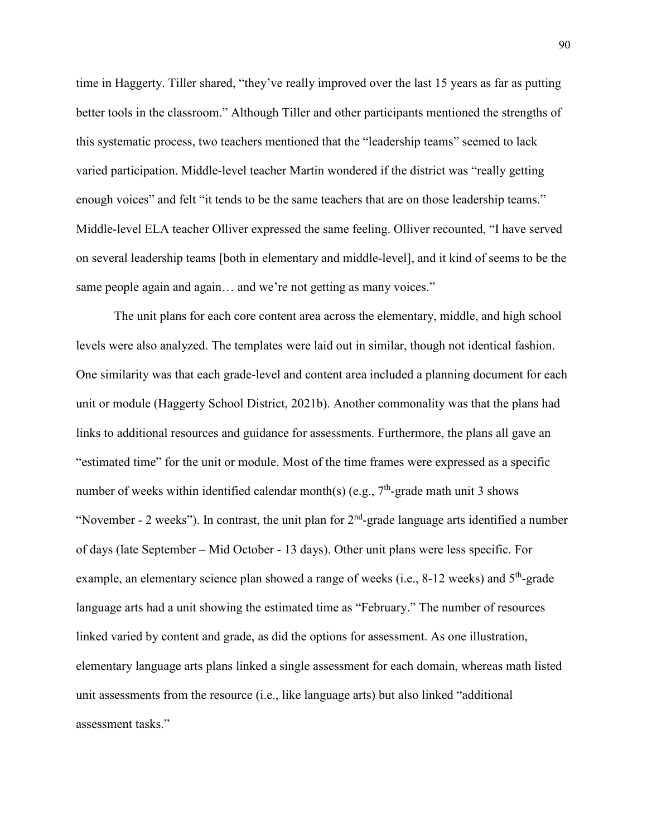time in Haggerty. Tiller shared, "they've really improved over the last 15 years as far as putting better tools in the classroom." Although Tiller and other participants mentioned the strengths of this systematic process, two teachers mentioned that the "leadership teams" seemed to lack varied participation. Middle-level teacher Martin wondered if the district was "really getting enough voices" and felt "it tends to be the same teachers that are on those leadership teams." Middle-level ELA teacher Olliver expressed the same feeling. Olliver recounted, "I have served on several leadership teams [both in elementary and middle-level], and it kind of seems to be the same people again and again... and we're not getting as many voices."

 The unit plans for each core content area across the elementary, middle, and high school levels were also analyzed. The templates were laid out in similar, though not identical fashion. One similarity was that each grade-level and content area included a planning document for each unit or module (Haggerty School District, 2021b). Another commonality was that the plans had links to additional resources and guidance for assessments. Furthermore, the plans all gave an "estimated time" for the unit or module. Most of the time frames were expressed as a specific number of weeks within identified calendar month(s) (e.g.,  $7<sup>th</sup>$ -grade math unit 3 shows "November - 2 weeks"). In contrast, the unit plan for  $2<sup>nd</sup>$ -grade language arts identified a number of days (late September – Mid October - 13 days). Other unit plans were less specific. For example, an elementary science plan showed a range of weeks (i.e.,  $8-12$  weeks) and  $5<sup>th</sup>$ -grade language arts had a unit showing the estimated time as "February." The number of resources linked varied by content and grade, as did the options for assessment. As one illustration, elementary language arts plans linked a single assessment for each domain, whereas math listed unit assessments from the resource (i.e., like language arts) but also linked "additional assessment tasks."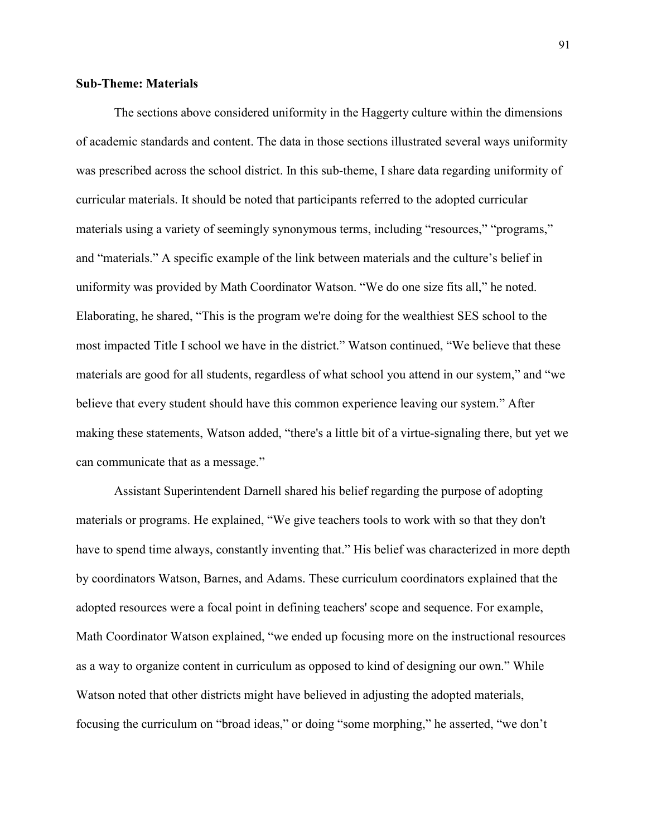# **Sub-Theme: Materials**

 The sections above considered uniformity in the Haggerty culture within the dimensions of academic standards and content. The data in those sections illustrated several ways uniformity was prescribed across the school district. In this sub-theme, I share data regarding uniformity of curricular materials. It should be noted that participants referred to the adopted curricular materials using a variety of seemingly synonymous terms, including "resources," "programs," and "materials." A specific example of the link between materials and the culture's belief in uniformity was provided by Math Coordinator Watson. "We do one size fits all," he noted. Elaborating, he shared, "This is the program we're doing for the wealthiest SES school to the most impacted Title I school we have in the district." Watson continued, "We believe that these materials are good for all students, regardless of what school you attend in our system," and "we believe that every student should have this common experience leaving our system." After making these statements, Watson added, "there's a little bit of a virtue-signaling there, but yet we can communicate that as a message."

 Assistant Superintendent Darnell shared his belief regarding the purpose of adopting materials or programs. He explained, "We give teachers tools to work with so that they don't have to spend time always, constantly inventing that." His belief was characterized in more depth by coordinators Watson, Barnes, and Adams. These curriculum coordinators explained that the adopted resources were a focal point in defining teachers' scope and sequence. For example, Math Coordinator Watson explained, "we ended up focusing more on the instructional resources as a way to organize content in curriculum as opposed to kind of designing our own." While Watson noted that other districts might have believed in adjusting the adopted materials, focusing the curriculum on "broad ideas," or doing "some morphing," he asserted, "we don't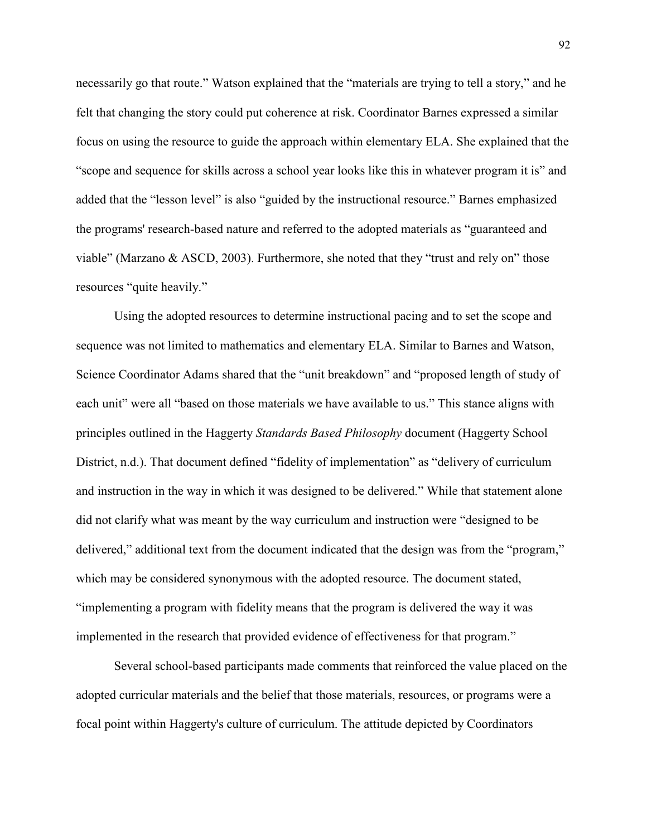necessarily go that route." Watson explained that the "materials are trying to tell a story," and he felt that changing the story could put coherence at risk. Coordinator Barnes expressed a similar focus on using the resource to guide the approach within elementary ELA. She explained that the "scope and sequence for skills across a school year looks like this in whatever program it is" and added that the "lesson level" is also "guided by the instructional resource." Barnes emphasized the programs' research-based nature and referred to the adopted materials as "guaranteed and viable" (Marzano & ASCD, 2003). Furthermore, she noted that they "trust and rely on" those resources "quite heavily."

 Using the adopted resources to determine instructional pacing and to set the scope and sequence was not limited to mathematics and elementary ELA. Similar to Barnes and Watson, Science Coordinator Adams shared that the "unit breakdown" and "proposed length of study of each unit" were all "based on those materials we have available to us." This stance aligns with principles outlined in the Haggerty *Standards Based Philosophy* document (Haggerty School District, n.d.). That document defined "fidelity of implementation" as "delivery of curriculum and instruction in the way in which it was designed to be delivered." While that statement alone did not clarify what was meant by the way curriculum and instruction were "designed to be delivered," additional text from the document indicated that the design was from the "program," which may be considered synonymous with the adopted resource. The document stated, "implementing a program with fidelity means that the program is delivered the way it was implemented in the research that provided evidence of effectiveness for that program."

 Several school-based participants made comments that reinforced the value placed on the adopted curricular materials and the belief that those materials, resources, or programs were a focal point within Haggerty's culture of curriculum. The attitude depicted by Coordinators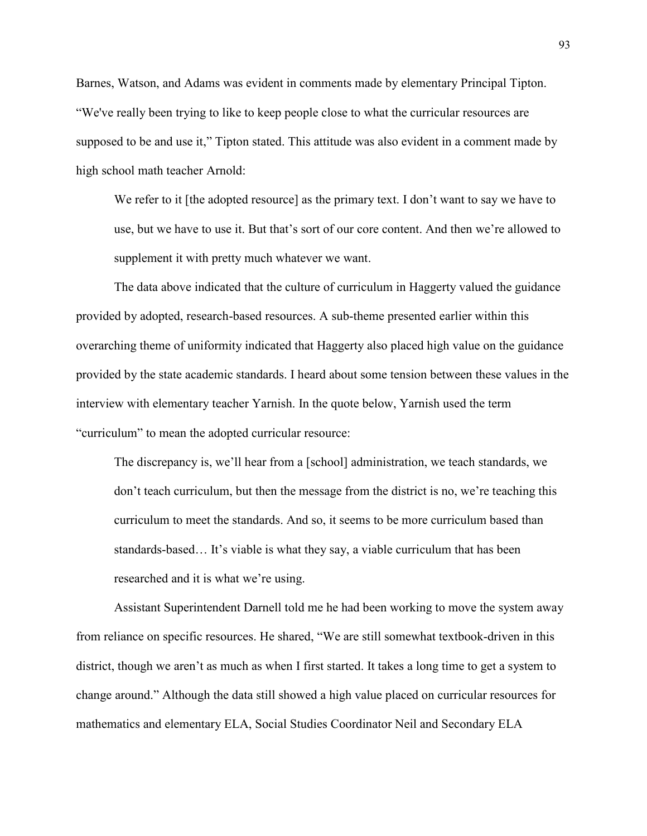Barnes, Watson, and Adams was evident in comments made by elementary Principal Tipton. "We've really been trying to like to keep people close to what the curricular resources are supposed to be and use it," Tipton stated. This attitude was also evident in a comment made by high school math teacher Arnold:

We refer to it [the adopted resource] as the primary text. I don't want to say we have to use, but we have to use it. But that's sort of our core content. And then we're allowed to supplement it with pretty much whatever we want.

 The data above indicated that the culture of curriculum in Haggerty valued the guidance provided by adopted, research-based resources. A sub-theme presented earlier within this overarching theme of uniformity indicated that Haggerty also placed high value on the guidance provided by the state academic standards. I heard about some tension between these values in the interview with elementary teacher Yarnish. In the quote below, Yarnish used the term "curriculum" to mean the adopted curricular resource:

The discrepancy is, we'll hear from a [school] administration, we teach standards, we don't teach curriculum, but then the message from the district is no, we're teaching this curriculum to meet the standards. And so, it seems to be more curriculum based than standards-based… It's viable is what they say, a viable curriculum that has been researched and it is what we're using.

 Assistant Superintendent Darnell told me he had been working to move the system away from reliance on specific resources. He shared, "We are still somewhat textbook-driven in this district, though we aren't as much as when I first started. It takes a long time to get a system to change around." Although the data still showed a high value placed on curricular resources for mathematics and elementary ELA, Social Studies Coordinator Neil and Secondary ELA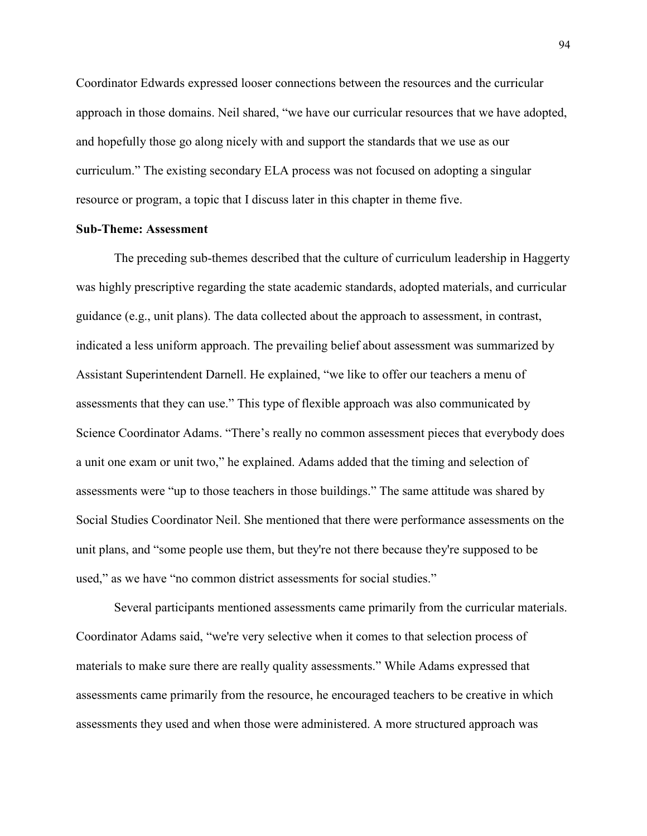Coordinator Edwards expressed looser connections between the resources and the curricular approach in those domains. Neil shared, "we have our curricular resources that we have adopted, and hopefully those go along nicely with and support the standards that we use as our curriculum." The existing secondary ELA process was not focused on adopting a singular resource or program, a topic that I discuss later in this chapter in theme five.

### **Sub-Theme: Assessment**

 The preceding sub-themes described that the culture of curriculum leadership in Haggerty was highly prescriptive regarding the state academic standards, adopted materials, and curricular guidance (e.g., unit plans). The data collected about the approach to assessment, in contrast, indicated a less uniform approach. The prevailing belief about assessment was summarized by Assistant Superintendent Darnell. He explained, "we like to offer our teachers a menu of assessments that they can use." This type of flexible approach was also communicated by Science Coordinator Adams. "There's really no common assessment pieces that everybody does a unit one exam or unit two," he explained. Adams added that the timing and selection of assessments were "up to those teachers in those buildings." The same attitude was shared by Social Studies Coordinator Neil. She mentioned that there were performance assessments on the unit plans, and "some people use them, but they're not there because they're supposed to be used," as we have "no common district assessments for social studies."

 Several participants mentioned assessments came primarily from the curricular materials. Coordinator Adams said, "we're very selective when it comes to that selection process of materials to make sure there are really quality assessments." While Adams expressed that assessments came primarily from the resource, he encouraged teachers to be creative in which assessments they used and when those were administered. A more structured approach was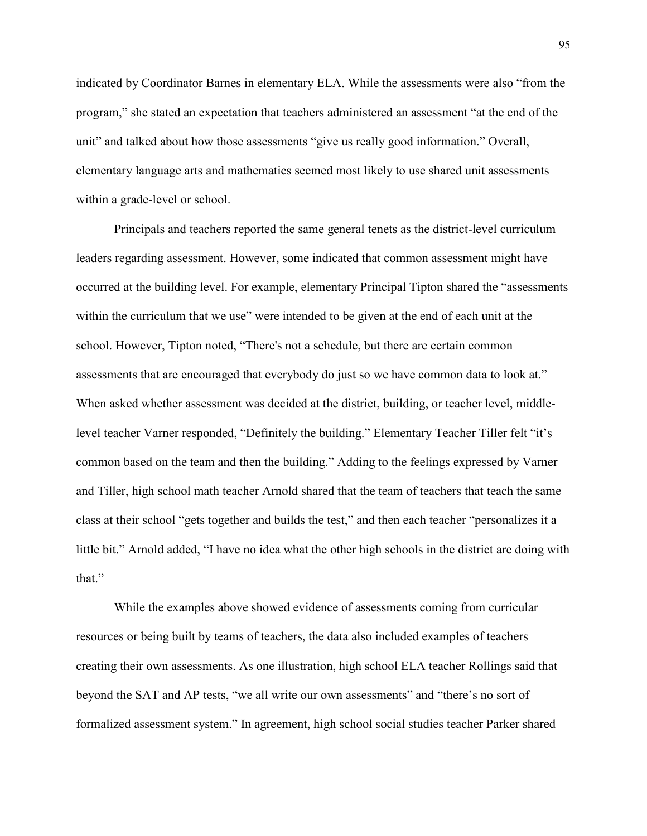indicated by Coordinator Barnes in elementary ELA. While the assessments were also "from the program," she stated an expectation that teachers administered an assessment "at the end of the unit" and talked about how those assessments "give us really good information." Overall, elementary language arts and mathematics seemed most likely to use shared unit assessments within a grade-level or school.

 Principals and teachers reported the same general tenets as the district-level curriculum leaders regarding assessment. However, some indicated that common assessment might have occurred at the building level. For example, elementary Principal Tipton shared the "assessments within the curriculum that we use" were intended to be given at the end of each unit at the school. However, Tipton noted, "There's not a schedule, but there are certain common assessments that are encouraged that everybody do just so we have common data to look at." When asked whether assessment was decided at the district, building, or teacher level, middlelevel teacher Varner responded, "Definitely the building." Elementary Teacher Tiller felt "it's common based on the team and then the building." Adding to the feelings expressed by Varner and Tiller, high school math teacher Arnold shared that the team of teachers that teach the same class at their school "gets together and builds the test," and then each teacher "personalizes it a little bit." Arnold added, "I have no idea what the other high schools in the district are doing with that."

 While the examples above showed evidence of assessments coming from curricular resources or being built by teams of teachers, the data also included examples of teachers creating their own assessments. As one illustration, high school ELA teacher Rollings said that beyond the SAT and AP tests, "we all write our own assessments" and "there's no sort of formalized assessment system." In agreement, high school social studies teacher Parker shared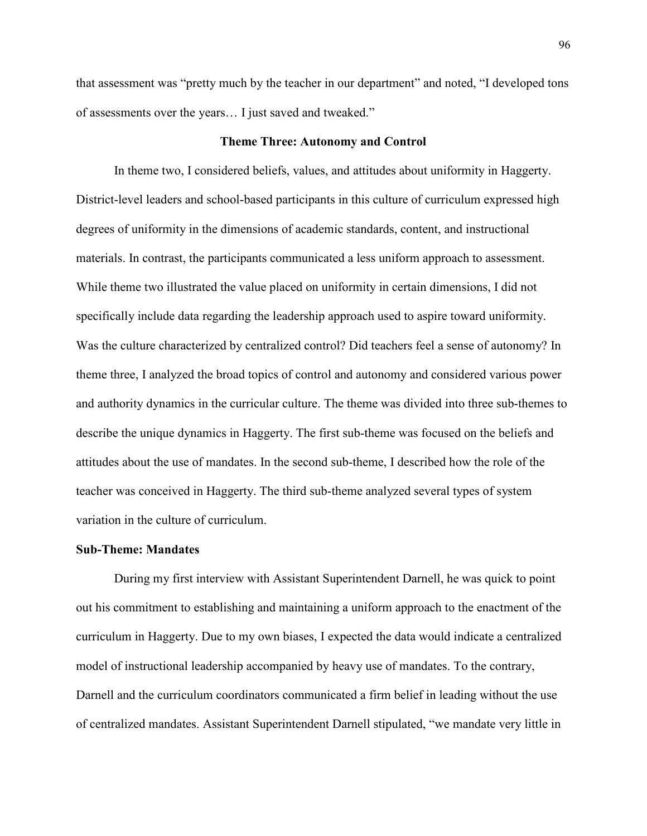that assessment was "pretty much by the teacher in our department" and noted, "I developed tons of assessments over the years… I just saved and tweaked."

#### **Theme Three: Autonomy and Control**

In theme two, I considered beliefs, values, and attitudes about uniformity in Haggerty. District-level leaders and school-based participants in this culture of curriculum expressed high degrees of uniformity in the dimensions of academic standards, content, and instructional materials. In contrast, the participants communicated a less uniform approach to assessment. While theme two illustrated the value placed on uniformity in certain dimensions, I did not specifically include data regarding the leadership approach used to aspire toward uniformity. Was the culture characterized by centralized control? Did teachers feel a sense of autonomy? In theme three, I analyzed the broad topics of control and autonomy and considered various power and authority dynamics in the curricular culture. The theme was divided into three sub-themes to describe the unique dynamics in Haggerty. The first sub-theme was focused on the beliefs and attitudes about the use of mandates. In the second sub-theme, I described how the role of the teacher was conceived in Haggerty. The third sub-theme analyzed several types of system variation in the culture of curriculum.

# **Sub-Theme: Mandates**

During my first interview with Assistant Superintendent Darnell, he was quick to point out his commitment to establishing and maintaining a uniform approach to the enactment of the curriculum in Haggerty. Due to my own biases, I expected the data would indicate a centralized model of instructional leadership accompanied by heavy use of mandates. To the contrary, Darnell and the curriculum coordinators communicated a firm belief in leading without the use of centralized mandates. Assistant Superintendent Darnell stipulated, "we mandate very little in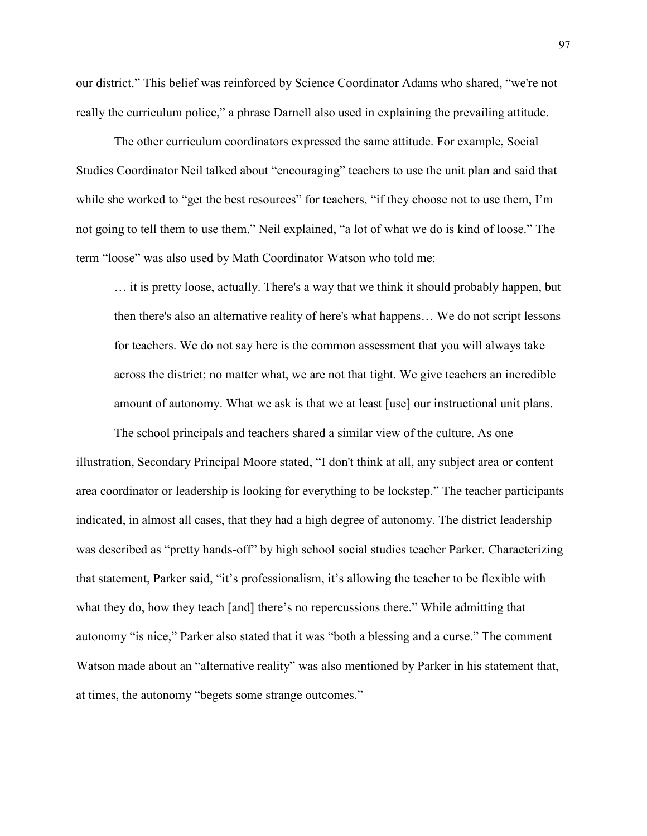our district." This belief was reinforced by Science Coordinator Adams who shared, "we're not really the curriculum police," a phrase Darnell also used in explaining the prevailing attitude.

The other curriculum coordinators expressed the same attitude. For example, Social Studies Coordinator Neil talked about "encouraging" teachers to use the unit plan and said that while she worked to "get the best resources" for teachers, "if they choose not to use them, I'm not going to tell them to use them." Neil explained, "a lot of what we do is kind of loose." The term "loose" was also used by Math Coordinator Watson who told me:

… it is pretty loose, actually. There's a way that we think it should probably happen, but then there's also an alternative reality of here's what happens… We do not script lessons for teachers. We do not say here is the common assessment that you will always take across the district; no matter what, we are not that tight. We give teachers an incredible amount of autonomy. What we ask is that we at least [use] our instructional unit plans.

The school principals and teachers shared a similar view of the culture. As one illustration, Secondary Principal Moore stated, "I don't think at all, any subject area or content area coordinator or leadership is looking for everything to be lockstep." The teacher participants indicated, in almost all cases, that they had a high degree of autonomy. The district leadership was described as "pretty hands-off" by high school social studies teacher Parker. Characterizing that statement, Parker said, "it's professionalism, it's allowing the teacher to be flexible with what they do, how they teach [and] there's no repercussions there." While admitting that autonomy "is nice," Parker also stated that it was "both a blessing and a curse." The comment Watson made about an "alternative reality" was also mentioned by Parker in his statement that, at times, the autonomy "begets some strange outcomes."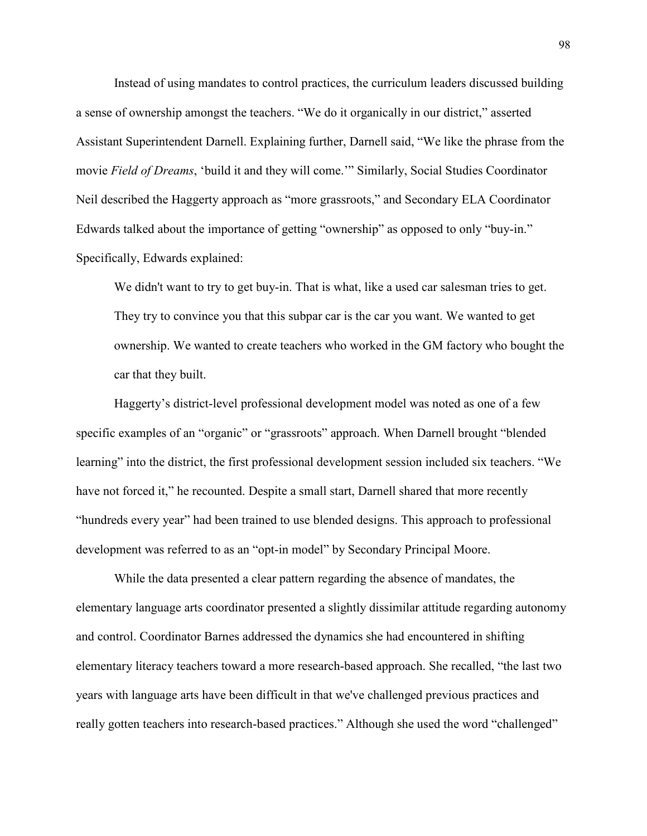Instead of using mandates to control practices, the curriculum leaders discussed building a sense of ownership amongst the teachers. "We do it organically in our district," asserted Assistant Superintendent Darnell. Explaining further, Darnell said, "We like the phrase from the movie *Field of Dreams*, 'build it and they will come.'" Similarly, Social Studies Coordinator Neil described the Haggerty approach as "more grassroots," and Secondary ELA Coordinator Edwards talked about the importance of getting "ownership" as opposed to only "buy-in." Specifically, Edwards explained:

We didn't want to try to get buy-in. That is what, like a used car salesman tries to get. They try to convince you that this subpar car is the car you want. We wanted to get ownership. We wanted to create teachers who worked in the GM factory who bought the car that they built.

 Haggerty's district-level professional development model was noted as one of a few specific examples of an "organic" or "grassroots" approach. When Darnell brought "blended learning" into the district, the first professional development session included six teachers. "We have not forced it," he recounted. Despite a small start, Darnell shared that more recently "hundreds every year" had been trained to use blended designs. This approach to professional development was referred to as an "opt-in model" by Secondary Principal Moore.

 While the data presented a clear pattern regarding the absence of mandates, the elementary language arts coordinator presented a slightly dissimilar attitude regarding autonomy and control. Coordinator Barnes addressed the dynamics she had encountered in shifting elementary literacy teachers toward a more research-based approach. She recalled, "the last two years with language arts have been difficult in that we've challenged previous practices and really gotten teachers into research-based practices." Although she used the word "challenged"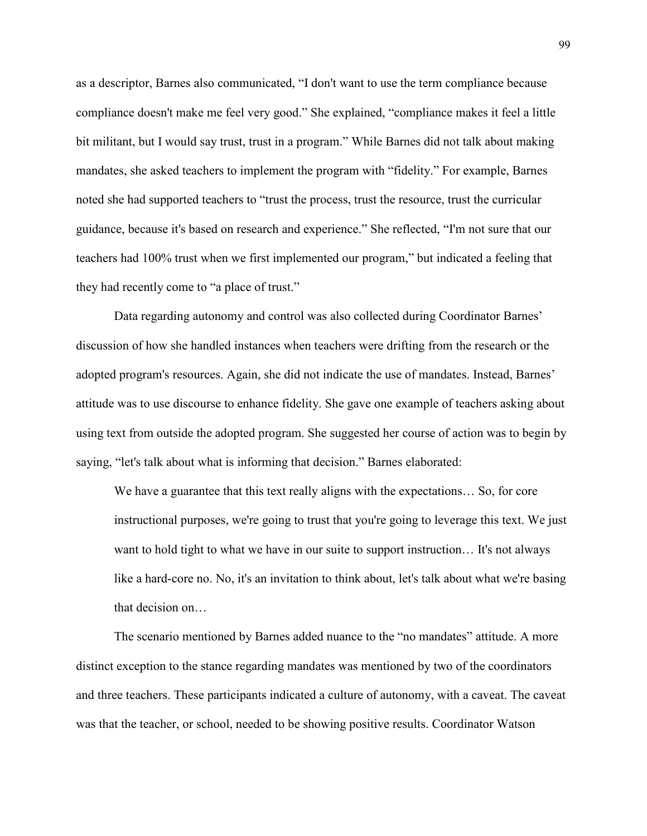as a descriptor, Barnes also communicated, "I don't want to use the term compliance because compliance doesn't make me feel very good." She explained, "compliance makes it feel a little bit militant, but I would say trust, trust in a program." While Barnes did not talk about making mandates, she asked teachers to implement the program with "fidelity." For example, Barnes noted she had supported teachers to "trust the process, trust the resource, trust the curricular guidance, because it's based on research and experience." She reflected, "I'm not sure that our teachers had 100% trust when we first implemented our program," but indicated a feeling that they had recently come to "a place of trust."

 Data regarding autonomy and control was also collected during Coordinator Barnes' discussion of how she handled instances when teachers were drifting from the research or the adopted program's resources. Again, she did not indicate the use of mandates. Instead, Barnes' attitude was to use discourse to enhance fidelity. She gave one example of teachers asking about using text from outside the adopted program. She suggested her course of action was to begin by saying, "let's talk about what is informing that decision." Barnes elaborated:

We have a guarantee that this text really aligns with the expectations… So, for core instructional purposes, we're going to trust that you're going to leverage this text. We just want to hold tight to what we have in our suite to support instruction... It's not always like a hard-core no. No, it's an invitation to think about, let's talk about what we're basing that decision on…

 The scenario mentioned by Barnes added nuance to the "no mandates" attitude. A more distinct exception to the stance regarding mandates was mentioned by two of the coordinators and three teachers. These participants indicated a culture of autonomy, with a caveat. The caveat was that the teacher, or school, needed to be showing positive results. Coordinator Watson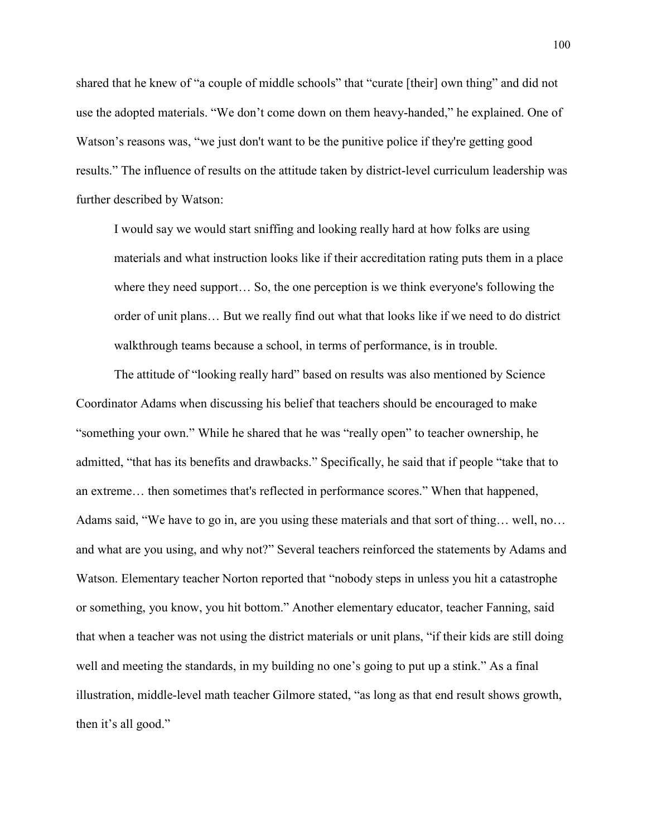shared that he knew of "a couple of middle schools" that "curate [their] own thing" and did not use the adopted materials. "We don't come down on them heavy-handed," he explained. One of Watson's reasons was, "we just don't want to be the punitive police if they're getting good results." The influence of results on the attitude taken by district-level curriculum leadership was further described by Watson:

I would say we would start sniffing and looking really hard at how folks are using materials and what instruction looks like if their accreditation rating puts them in a place where they need support... So, the one perception is we think everyone's following the order of unit plans… But we really find out what that looks like if we need to do district walkthrough teams because a school, in terms of performance, is in trouble.

 The attitude of "looking really hard" based on results was also mentioned by Science Coordinator Adams when discussing his belief that teachers should be encouraged to make "something your own." While he shared that he was "really open" to teacher ownership, he admitted, "that has its benefits and drawbacks." Specifically, he said that if people "take that to an extreme… then sometimes that's reflected in performance scores." When that happened, Adams said, "We have to go in, are you using these materials and that sort of thing… well, no… and what are you using, and why not?" Several teachers reinforced the statements by Adams and Watson. Elementary teacher Norton reported that "nobody steps in unless you hit a catastrophe or something, you know, you hit bottom." Another elementary educator, teacher Fanning, said that when a teacher was not using the district materials or unit plans, "if their kids are still doing well and meeting the standards, in my building no one's going to put up a stink." As a final illustration, middle-level math teacher Gilmore stated, "as long as that end result shows growth, then it's all good."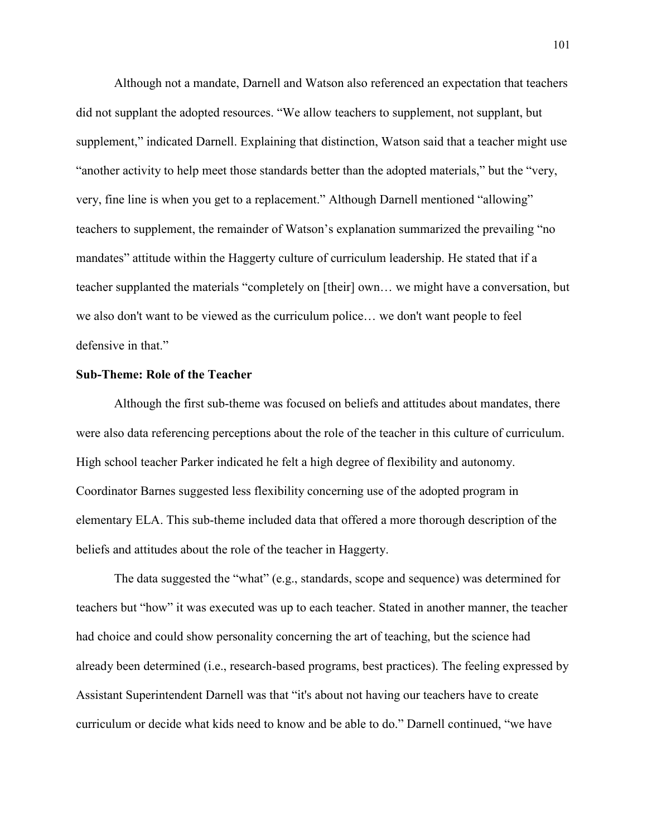Although not a mandate, Darnell and Watson also referenced an expectation that teachers did not supplant the adopted resources. "We allow teachers to supplement, not supplant, but supplement," indicated Darnell. Explaining that distinction, Watson said that a teacher might use "another activity to help meet those standards better than the adopted materials," but the "very, very, fine line is when you get to a replacement." Although Darnell mentioned "allowing" teachers to supplement, the remainder of Watson's explanation summarized the prevailing "no mandates" attitude within the Haggerty culture of curriculum leadership. He stated that if a teacher supplanted the materials "completely on [their] own… we might have a conversation, but we also don't want to be viewed as the curriculum police… we don't want people to feel defensive in that."

## **Sub-Theme: Role of the Teacher**

 Although the first sub-theme was focused on beliefs and attitudes about mandates, there were also data referencing perceptions about the role of the teacher in this culture of curriculum. High school teacher Parker indicated he felt a high degree of flexibility and autonomy. Coordinator Barnes suggested less flexibility concerning use of the adopted program in elementary ELA. This sub-theme included data that offered a more thorough description of the beliefs and attitudes about the role of the teacher in Haggerty.

 The data suggested the "what" (e.g., standards, scope and sequence) was determined for teachers but "how" it was executed was up to each teacher. Stated in another manner, the teacher had choice and could show personality concerning the art of teaching, but the science had already been determined (i.e., research-based programs, best practices). The feeling expressed by Assistant Superintendent Darnell was that "it's about not having our teachers have to create curriculum or decide what kids need to know and be able to do." Darnell continued, "we have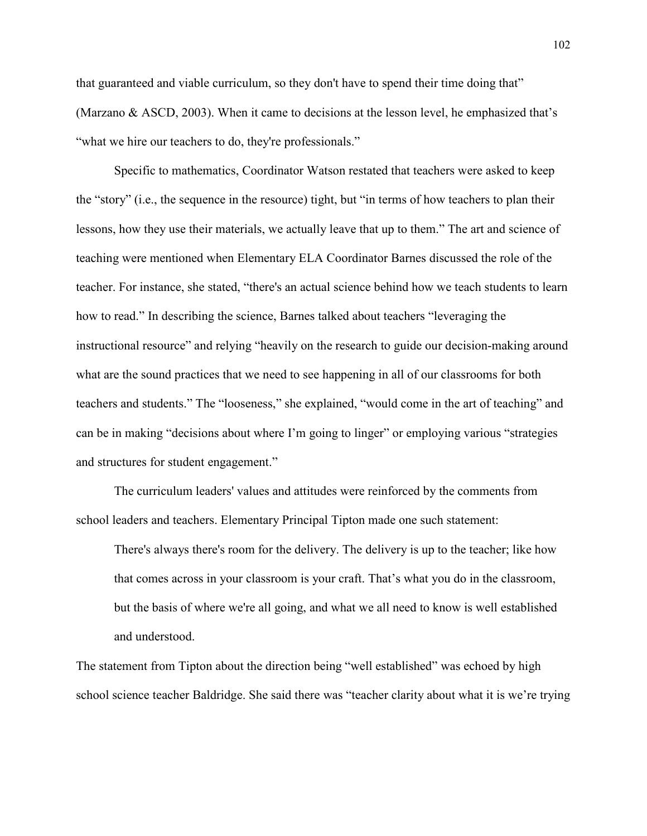that guaranteed and viable curriculum, so they don't have to spend their time doing that" (Marzano & ASCD, 2003). When it came to decisions at the lesson level, he emphasized that's "what we hire our teachers to do, they're professionals."

 Specific to mathematics, Coordinator Watson restated that teachers were asked to keep the "story" (i.e., the sequence in the resource) tight, but "in terms of how teachers to plan their lessons, how they use their materials, we actually leave that up to them." The art and science of teaching were mentioned when Elementary ELA Coordinator Barnes discussed the role of the teacher. For instance, she stated, "there's an actual science behind how we teach students to learn how to read." In describing the science, Barnes talked about teachers "leveraging the instructional resource" and relying "heavily on the research to guide our decision-making around what are the sound practices that we need to see happening in all of our classrooms for both teachers and students." The "looseness," she explained, "would come in the art of teaching" and can be in making "decisions about where I'm going to linger" or employing various "strategies and structures for student engagement."

 The curriculum leaders' values and attitudes were reinforced by the comments from school leaders and teachers. Elementary Principal Tipton made one such statement:

There's always there's room for the delivery. The delivery is up to the teacher; like how that comes across in your classroom is your craft. That's what you do in the classroom, but the basis of where we're all going, and what we all need to know is well established and understood.

The statement from Tipton about the direction being "well established" was echoed by high school science teacher Baldridge. She said there was "teacher clarity about what it is we're trying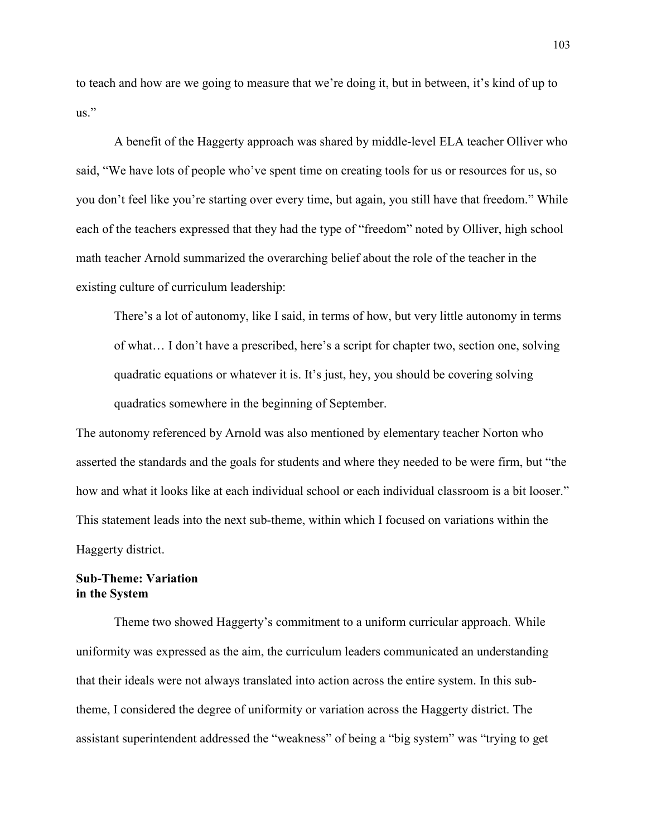to teach and how are we going to measure that we're doing it, but in between, it's kind of up to  $\overline{u}$ .

 A benefit of the Haggerty approach was shared by middle-level ELA teacher Olliver who said, "We have lots of people who've spent time on creating tools for us or resources for us, so you don't feel like you're starting over every time, but again, you still have that freedom." While each of the teachers expressed that they had the type of "freedom" noted by Olliver, high school math teacher Arnold summarized the overarching belief about the role of the teacher in the existing culture of curriculum leadership:

There's a lot of autonomy, like I said, in terms of how, but very little autonomy in terms of what… I don't have a prescribed, here's a script for chapter two, section one, solving quadratic equations or whatever it is. It's just, hey, you should be covering solving quadratics somewhere in the beginning of September.

The autonomy referenced by Arnold was also mentioned by elementary teacher Norton who asserted the standards and the goals for students and where they needed to be were firm, but "the how and what it looks like at each individual school or each individual classroom is a bit looser." This statement leads into the next sub-theme, within which I focused on variations within the Haggerty district.

# **Sub-Theme: Variation in the System**

Theme two showed Haggerty's commitment to a uniform curricular approach. While uniformity was expressed as the aim, the curriculum leaders communicated an understanding that their ideals were not always translated into action across the entire system. In this subtheme, I considered the degree of uniformity or variation across the Haggerty district. The assistant superintendent addressed the "weakness" of being a "big system" was "trying to get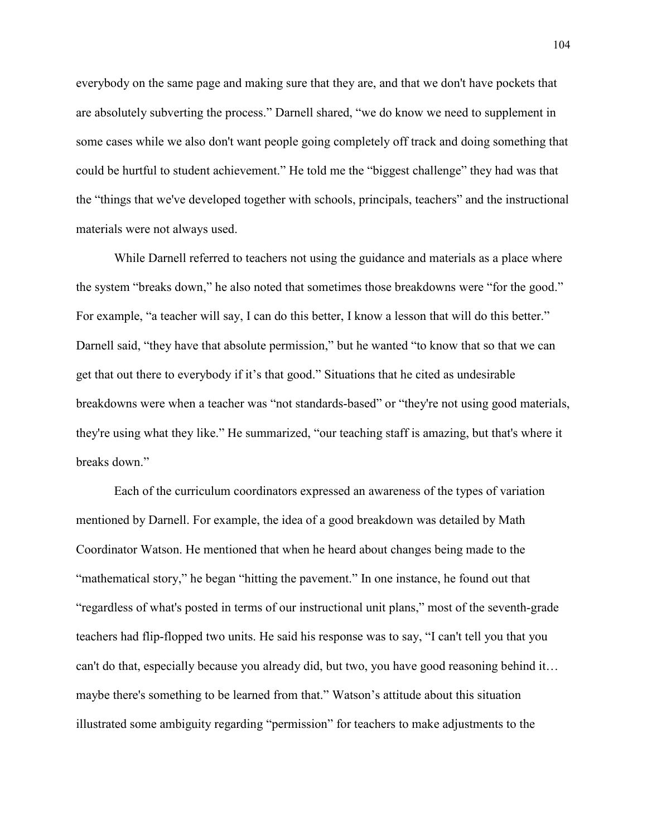everybody on the same page and making sure that they are, and that we don't have pockets that are absolutely subverting the process." Darnell shared, "we do know we need to supplement in some cases while we also don't want people going completely off track and doing something that could be hurtful to student achievement." He told me the "biggest challenge" they had was that the "things that we've developed together with schools, principals, teachers" and the instructional materials were not always used.

While Darnell referred to teachers not using the guidance and materials as a place where the system "breaks down," he also noted that sometimes those breakdowns were "for the good." For example, "a teacher will say, I can do this better, I know a lesson that will do this better." Darnell said, "they have that absolute permission," but he wanted "to know that so that we can get that out there to everybody if it's that good." Situations that he cited as undesirable breakdowns were when a teacher was "not standards-based" or "they're not using good materials, they're using what they like." He summarized, "our teaching staff is amazing, but that's where it breaks down."

 Each of the curriculum coordinators expressed an awareness of the types of variation mentioned by Darnell. For example, the idea of a good breakdown was detailed by Math Coordinator Watson. He mentioned that when he heard about changes being made to the "mathematical story," he began "hitting the pavement." In one instance, he found out that "regardless of what's posted in terms of our instructional unit plans," most of the seventh-grade teachers had flip-flopped two units. He said his response was to say, "I can't tell you that you can't do that, especially because you already did, but two, you have good reasoning behind it… maybe there's something to be learned from that." Watson's attitude about this situation illustrated some ambiguity regarding "permission" for teachers to make adjustments to the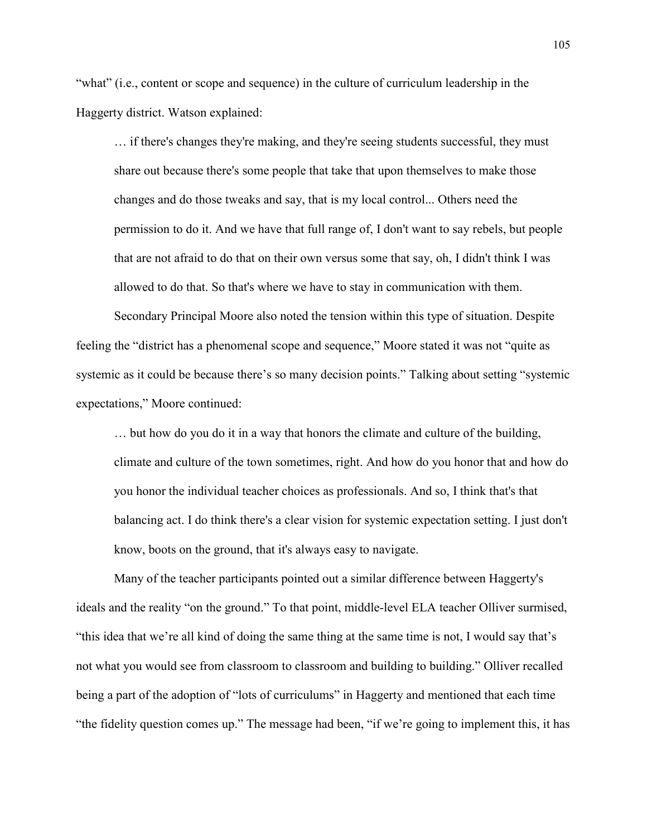"what" (i.e., content or scope and sequence) in the culture of curriculum leadership in the Haggerty district. Watson explained:

… if there's changes they're making, and they're seeing students successful, they must share out because there's some people that take that upon themselves to make those changes and do those tweaks and say, that is my local control... Others need the permission to do it. And we have that full range of, I don't want to say rebels, but people that are not afraid to do that on their own versus some that say, oh, I didn't think I was allowed to do that. So that's where we have to stay in communication with them.

 Secondary Principal Moore also noted the tension within this type of situation. Despite feeling the "district has a phenomenal scope and sequence," Moore stated it was not "quite as systemic as it could be because there's so many decision points." Talking about setting "systemic expectations," Moore continued:

… but how do you do it in a way that honors the climate and culture of the building, climate and culture of the town sometimes, right. And how do you honor that and how do you honor the individual teacher choices as professionals. And so, I think that's that balancing act. I do think there's a clear vision for systemic expectation setting. I just don't know, boots on the ground, that it's always easy to navigate.

 Many of the teacher participants pointed out a similar difference between Haggerty's ideals and the reality "on the ground." To that point, middle-level ELA teacher Olliver surmised, "this idea that we're all kind of doing the same thing at the same time is not, I would say that's not what you would see from classroom to classroom and building to building." Olliver recalled being a part of the adoption of "lots of curriculums" in Haggerty and mentioned that each time "the fidelity question comes up." The message had been, "if we're going to implement this, it has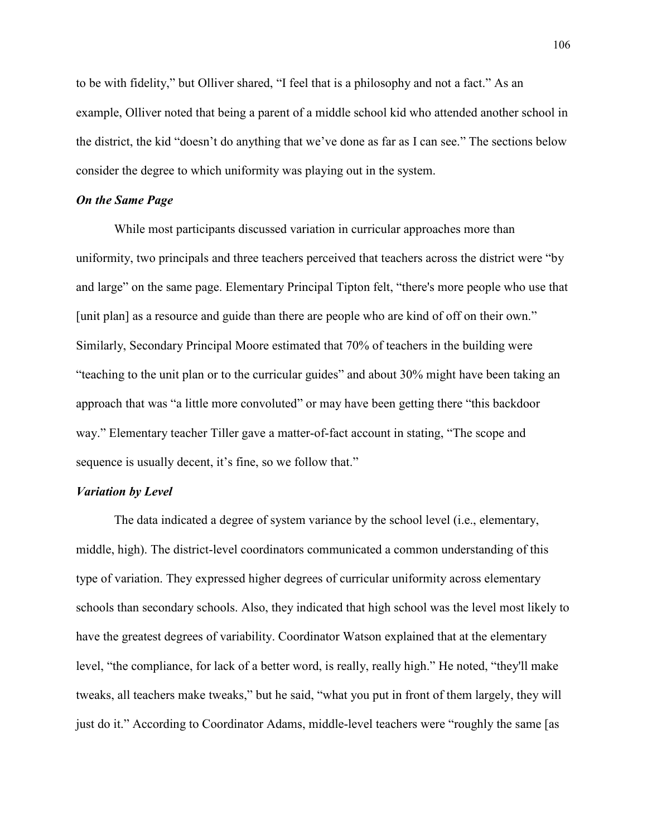to be with fidelity," but Olliver shared, "I feel that is a philosophy and not a fact." As an example, Olliver noted that being a parent of a middle school kid who attended another school in the district, the kid "doesn't do anything that we've done as far as I can see." The sections below consider the degree to which uniformity was playing out in the system.

# *On the Same Page*

 While most participants discussed variation in curricular approaches more than uniformity, two principals and three teachers perceived that teachers across the district were "by and large" on the same page. Elementary Principal Tipton felt, "there's more people who use that [unit plan] as a resource and guide than there are people who are kind of off on their own." Similarly, Secondary Principal Moore estimated that 70% of teachers in the building were "teaching to the unit plan or to the curricular guides" and about 30% might have been taking an approach that was "a little more convoluted" or may have been getting there "this backdoor way." Elementary teacher Tiller gave a matter-of-fact account in stating, "The scope and sequence is usually decent, it's fine, so we follow that."

## *Variation by Level*

The data indicated a degree of system variance by the school level (i.e., elementary, middle, high). The district-level coordinators communicated a common understanding of this type of variation. They expressed higher degrees of curricular uniformity across elementary schools than secondary schools. Also, they indicated that high school was the level most likely to have the greatest degrees of variability. Coordinator Watson explained that at the elementary level, "the compliance, for lack of a better word, is really, really high." He noted, "they'll make tweaks, all teachers make tweaks," but he said, "what you put in front of them largely, they will just do it." According to Coordinator Adams, middle-level teachers were "roughly the same [as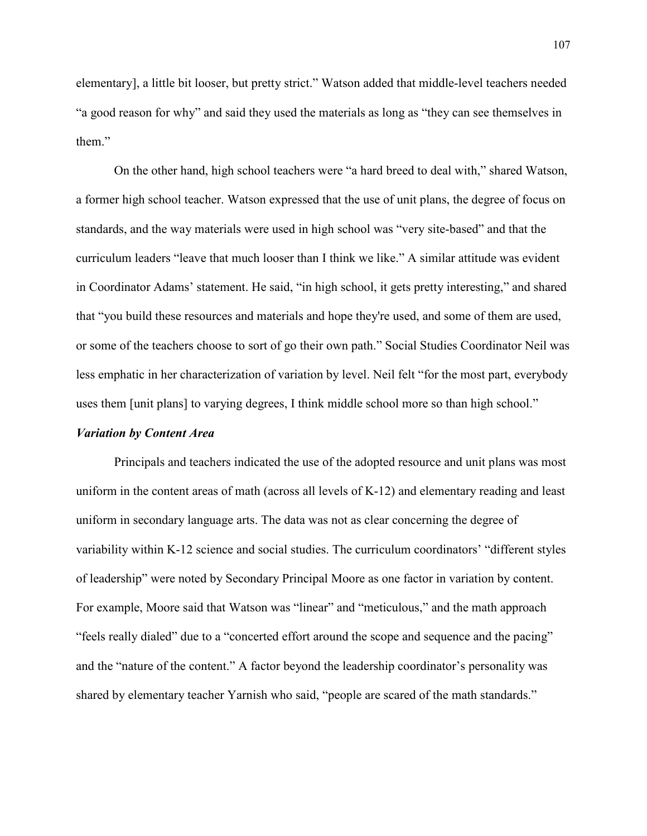elementary], a little bit looser, but pretty strict." Watson added that middle-level teachers needed "a good reason for why" and said they used the materials as long as "they can see themselves in them"

 On the other hand, high school teachers were "a hard breed to deal with," shared Watson, a former high school teacher. Watson expressed that the use of unit plans, the degree of focus on standards, and the way materials were used in high school was "very site-based" and that the curriculum leaders "leave that much looser than I think we like." A similar attitude was evident in Coordinator Adams' statement. He said, "in high school, it gets pretty interesting," and shared that "you build these resources and materials and hope they're used, and some of them are used, or some of the teachers choose to sort of go their own path." Social Studies Coordinator Neil was less emphatic in her characterization of variation by level. Neil felt "for the most part, everybody uses them [unit plans] to varying degrees, I think middle school more so than high school."

#### *Variation by Content Area*

Principals and teachers indicated the use of the adopted resource and unit plans was most uniform in the content areas of math (across all levels of K-12) and elementary reading and least uniform in secondary language arts. The data was not as clear concerning the degree of variability within K-12 science and social studies. The curriculum coordinators' "different styles of leadership" were noted by Secondary Principal Moore as one factor in variation by content. For example, Moore said that Watson was "linear" and "meticulous," and the math approach "feels really dialed" due to a "concerted effort around the scope and sequence and the pacing" and the "nature of the content." A factor beyond the leadership coordinator's personality was shared by elementary teacher Yarnish who said, "people are scared of the math standards."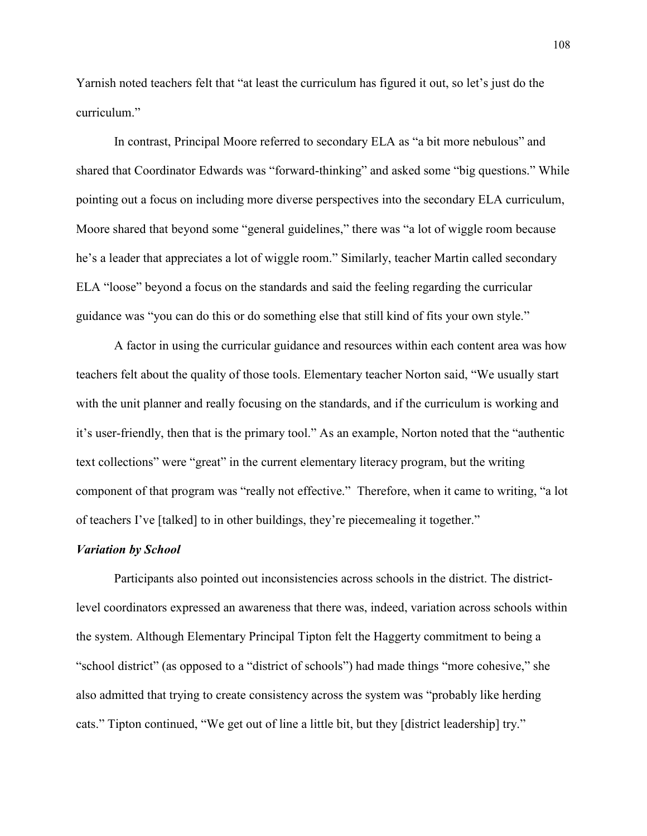Yarnish noted teachers felt that "at least the curriculum has figured it out, so let's just do the curriculum."

 In contrast, Principal Moore referred to secondary ELA as "a bit more nebulous" and shared that Coordinator Edwards was "forward-thinking" and asked some "big questions." While pointing out a focus on including more diverse perspectives into the secondary ELA curriculum, Moore shared that beyond some "general guidelines," there was "a lot of wiggle room because he's a leader that appreciates a lot of wiggle room." Similarly, teacher Martin called secondary ELA "loose" beyond a focus on the standards and said the feeling regarding the curricular guidance was "you can do this or do something else that still kind of fits your own style."

A factor in using the curricular guidance and resources within each content area was how teachers felt about the quality of those tools. Elementary teacher Norton said, "We usually start with the unit planner and really focusing on the standards, and if the curriculum is working and it's user-friendly, then that is the primary tool." As an example, Norton noted that the "authentic text collections" were "great" in the current elementary literacy program, but the writing component of that program was "really not effective." Therefore, when it came to writing, "a lot of teachers I've [talked] to in other buildings, they're piecemealing it together."

#### *Variation by School*

Participants also pointed out inconsistencies across schools in the district. The districtlevel coordinators expressed an awareness that there was, indeed, variation across schools within the system. Although Elementary Principal Tipton felt the Haggerty commitment to being a "school district" (as opposed to a "district of schools") had made things "more cohesive," she also admitted that trying to create consistency across the system was "probably like herding cats." Tipton continued, "We get out of line a little bit, but they [district leadership] try."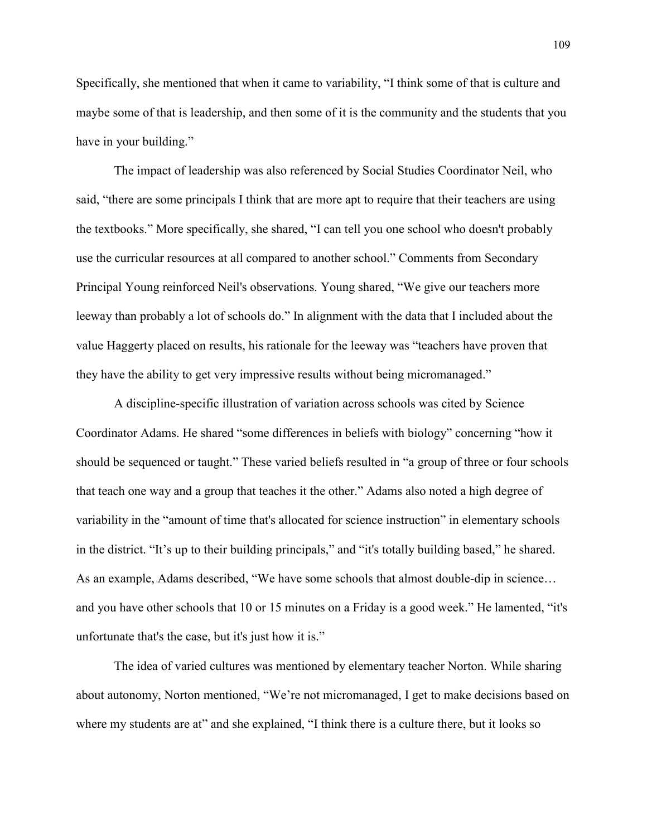Specifically, she mentioned that when it came to variability, "I think some of that is culture and maybe some of that is leadership, and then some of it is the community and the students that you have in your building."

The impact of leadership was also referenced by Social Studies Coordinator Neil, who said, "there are some principals I think that are more apt to require that their teachers are using the textbooks." More specifically, she shared, "I can tell you one school who doesn't probably use the curricular resources at all compared to another school." Comments from Secondary Principal Young reinforced Neil's observations. Young shared, "We give our teachers more leeway than probably a lot of schools do." In alignment with the data that I included about the value Haggerty placed on results, his rationale for the leeway was "teachers have proven that they have the ability to get very impressive results without being micromanaged."

A discipline-specific illustration of variation across schools was cited by Science Coordinator Adams. He shared "some differences in beliefs with biology" concerning "how it should be sequenced or taught." These varied beliefs resulted in "a group of three or four schools that teach one way and a group that teaches it the other." Adams also noted a high degree of variability in the "amount of time that's allocated for science instruction" in elementary schools in the district. "It's up to their building principals," and "it's totally building based," he shared. As an example, Adams described, "We have some schools that almost double-dip in science… and you have other schools that 10 or 15 minutes on a Friday is a good week." He lamented, "it's unfortunate that's the case, but it's just how it is."

The idea of varied cultures was mentioned by elementary teacher Norton. While sharing about autonomy, Norton mentioned, "We're not micromanaged, I get to make decisions based on where my students are at" and she explained, "I think there is a culture there, but it looks so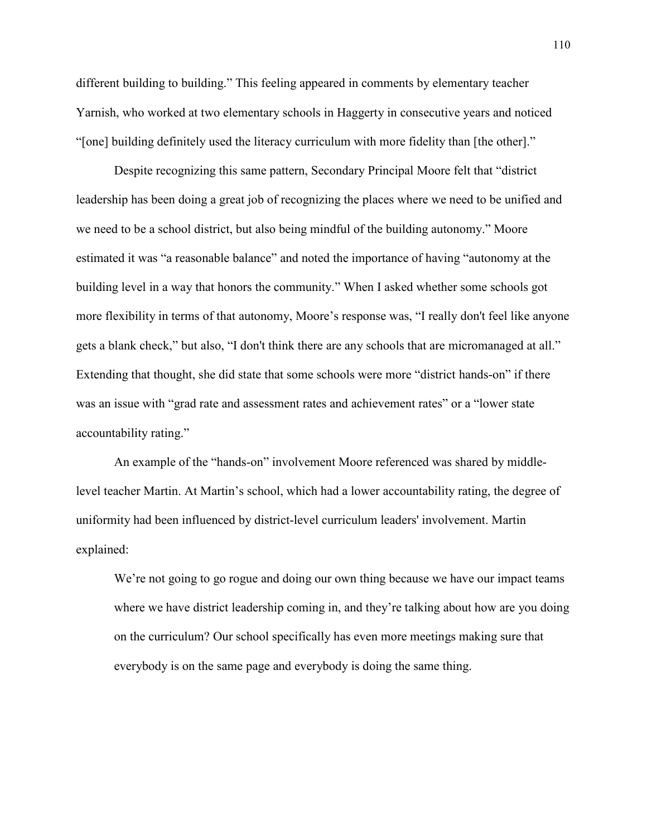different building to building." This feeling appeared in comments by elementary teacher Yarnish, who worked at two elementary schools in Haggerty in consecutive years and noticed "[one] building definitely used the literacy curriculum with more fidelity than [the other]."

Despite recognizing this same pattern, Secondary Principal Moore felt that "district leadership has been doing a great job of recognizing the places where we need to be unified and we need to be a school district, but also being mindful of the building autonomy." Moore estimated it was "a reasonable balance" and noted the importance of having "autonomy at the building level in a way that honors the community." When I asked whether some schools got more flexibility in terms of that autonomy, Moore's response was, "I really don't feel like anyone gets a blank check," but also, "I don't think there are any schools that are micromanaged at all." Extending that thought, she did state that some schools were more "district hands-on" if there was an issue with "grad rate and assessment rates and achievement rates" or a "lower state accountability rating."

 An example of the "hands-on" involvement Moore referenced was shared by middlelevel teacher Martin. At Martin's school, which had a lower accountability rating, the degree of uniformity had been influenced by district-level curriculum leaders' involvement. Martin explained:

We're not going to go rogue and doing our own thing because we have our impact teams where we have district leadership coming in, and they're talking about how are you doing on the curriculum? Our school specifically has even more meetings making sure that everybody is on the same page and everybody is doing the same thing.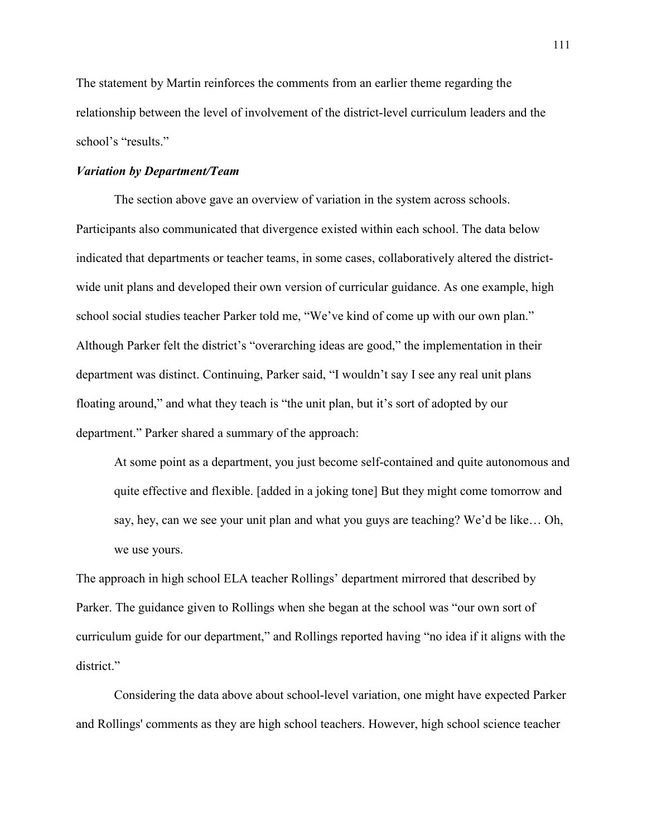The statement by Martin reinforces the comments from an earlier theme regarding the relationship between the level of involvement of the district-level curriculum leaders and the school's "results."

## *Variation by Department/Team*

 The section above gave an overview of variation in the system across schools. Participants also communicated that divergence existed within each school. The data below indicated that departments or teacher teams, in some cases, collaboratively altered the districtwide unit plans and developed their own version of curricular guidance. As one example, high school social studies teacher Parker told me, "We've kind of come up with our own plan." Although Parker felt the district's "overarching ideas are good," the implementation in their department was distinct. Continuing, Parker said, "I wouldn't say I see any real unit plans floating around," and what they teach is "the unit plan, but it's sort of adopted by our department." Parker shared a summary of the approach:

At some point as a department, you just become self-contained and quite autonomous and quite effective and flexible. [added in a joking tone] But they might come tomorrow and say, hey, can we see your unit plan and what you guys are teaching? We'd be like… Oh, we use yours.

The approach in high school ELA teacher Rollings' department mirrored that described by Parker. The guidance given to Rollings when she began at the school was "our own sort of curriculum guide for our department," and Rollings reported having "no idea if it aligns with the district."

 Considering the data above about school-level variation, one might have expected Parker and Rollings' comments as they are high school teachers. However, high school science teacher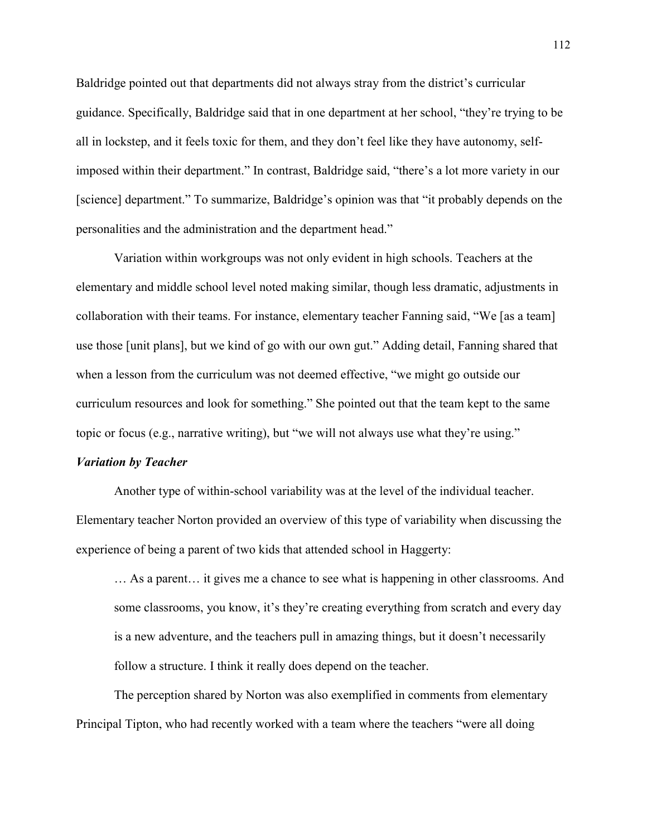Baldridge pointed out that departments did not always stray from the district's curricular guidance. Specifically, Baldridge said that in one department at her school, "they're trying to be all in lockstep, and it feels toxic for them, and they don't feel like they have autonomy, selfimposed within their department." In contrast, Baldridge said, "there's a lot more variety in our [science] department." To summarize, Baldridge's opinion was that "it probably depends on the personalities and the administration and the department head."

Variation within workgroups was not only evident in high schools. Teachers at the elementary and middle school level noted making similar, though less dramatic, adjustments in collaboration with their teams. For instance, elementary teacher Fanning said, "We [as a team] use those [unit plans], but we kind of go with our own gut." Adding detail, Fanning shared that when a lesson from the curriculum was not deemed effective, "we might go outside our curriculum resources and look for something." She pointed out that the team kept to the same topic or focus (e.g., narrative writing), but "we will not always use what they're using."

#### *Variation by Teacher*

Another type of within-school variability was at the level of the individual teacher. Elementary teacher Norton provided an overview of this type of variability when discussing the experience of being a parent of two kids that attended school in Haggerty:

… As a parent… it gives me a chance to see what is happening in other classrooms. And some classrooms, you know, it's they're creating everything from scratch and every day is a new adventure, and the teachers pull in amazing things, but it doesn't necessarily follow a structure. I think it really does depend on the teacher.

 The perception shared by Norton was also exemplified in comments from elementary Principal Tipton, who had recently worked with a team where the teachers "were all doing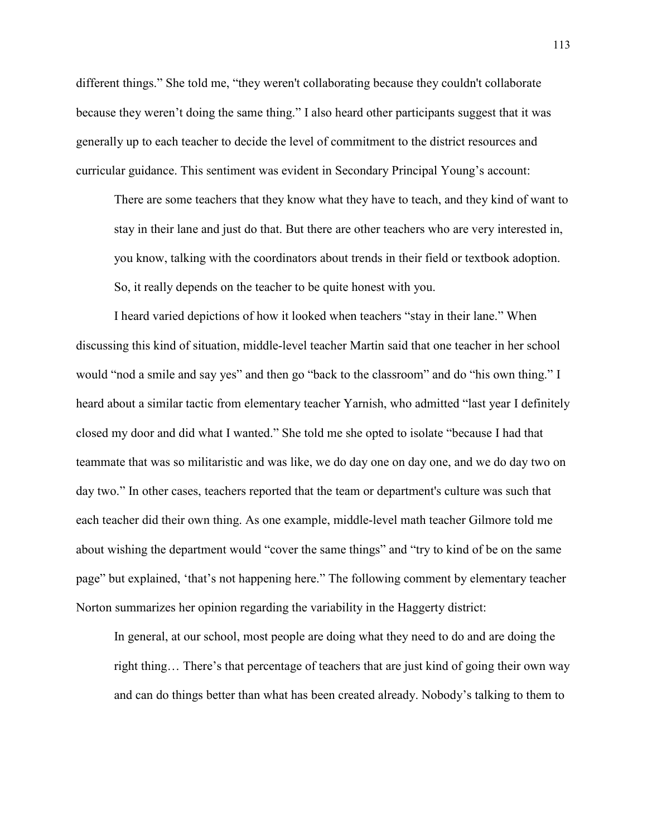different things." She told me, "they weren't collaborating because they couldn't collaborate because they weren't doing the same thing." I also heard other participants suggest that it was generally up to each teacher to decide the level of commitment to the district resources and curricular guidance. This sentiment was evident in Secondary Principal Young's account:

There are some teachers that they know what they have to teach, and they kind of want to stay in their lane and just do that. But there are other teachers who are very interested in, you know, talking with the coordinators about trends in their field or textbook adoption. So, it really depends on the teacher to be quite honest with you.

 I heard varied depictions of how it looked when teachers "stay in their lane." When discussing this kind of situation, middle-level teacher Martin said that one teacher in her school would "nod a smile and say yes" and then go "back to the classroom" and do "his own thing." I heard about a similar tactic from elementary teacher Yarnish, who admitted "last year I definitely closed my door and did what I wanted." She told me she opted to isolate "because I had that teammate that was so militaristic and was like, we do day one on day one, and we do day two on day two." In other cases, teachers reported that the team or department's culture was such that each teacher did their own thing. As one example, middle-level math teacher Gilmore told me about wishing the department would "cover the same things" and "try to kind of be on the same page" but explained, 'that's not happening here." The following comment by elementary teacher Norton summarizes her opinion regarding the variability in the Haggerty district:

In general, at our school, most people are doing what they need to do and are doing the right thing… There's that percentage of teachers that are just kind of going their own way and can do things better than what has been created already. Nobody's talking to them to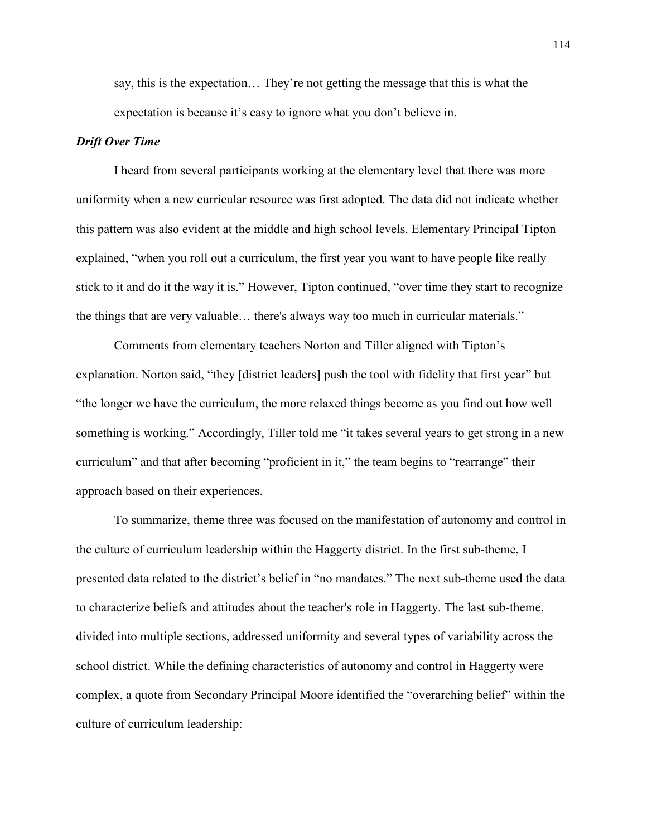say, this is the expectation… They're not getting the message that this is what the expectation is because it's easy to ignore what you don't believe in.

### *Drift Over Time*

I heard from several participants working at the elementary level that there was more uniformity when a new curricular resource was first adopted. The data did not indicate whether this pattern was also evident at the middle and high school levels. Elementary Principal Tipton explained, "when you roll out a curriculum, the first year you want to have people like really stick to it and do it the way it is." However, Tipton continued, "over time they start to recognize the things that are very valuable… there's always way too much in curricular materials."

 Comments from elementary teachers Norton and Tiller aligned with Tipton's explanation. Norton said, "they [district leaders] push the tool with fidelity that first year" but "the longer we have the curriculum, the more relaxed things become as you find out how well something is working." Accordingly, Tiller told me "it takes several years to get strong in a new curriculum" and that after becoming "proficient in it," the team begins to "rearrange" their approach based on their experiences.

 To summarize, theme three was focused on the manifestation of autonomy and control in the culture of curriculum leadership within the Haggerty district. In the first sub-theme, I presented data related to the district's belief in "no mandates." The next sub-theme used the data to characterize beliefs and attitudes about the teacher's role in Haggerty. The last sub-theme, divided into multiple sections, addressed uniformity and several types of variability across the school district. While the defining characteristics of autonomy and control in Haggerty were complex, a quote from Secondary Principal Moore identified the "overarching belief" within the culture of curriculum leadership: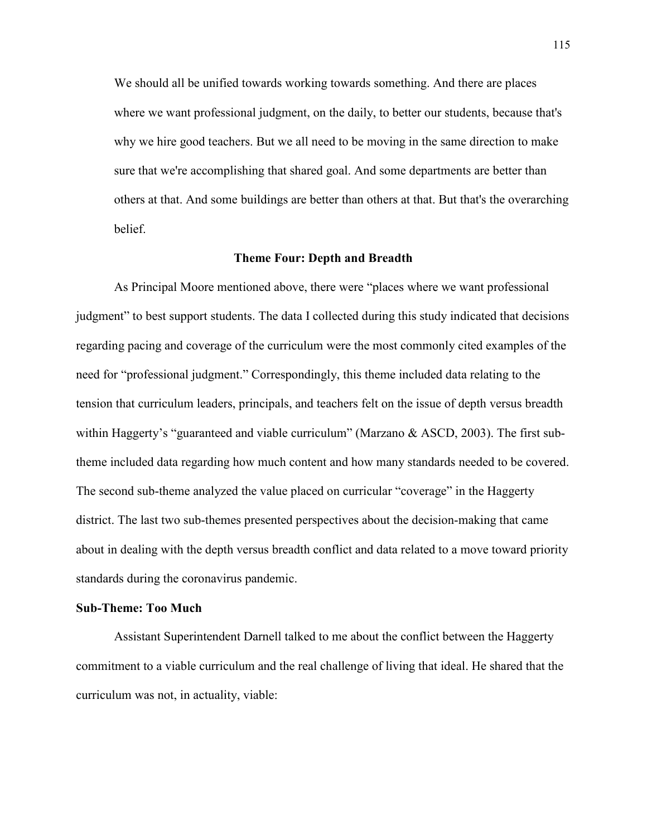We should all be unified towards working towards something. And there are places where we want professional judgment, on the daily, to better our students, because that's why we hire good teachers. But we all need to be moving in the same direction to make sure that we're accomplishing that shared goal. And some departments are better than others at that. And some buildings are better than others at that. But that's the overarching belief.

#### **Theme Four: Depth and Breadth**

As Principal Moore mentioned above, there were "places where we want professional judgment" to best support students. The data I collected during this study indicated that decisions regarding pacing and coverage of the curriculum were the most commonly cited examples of the need for "professional judgment." Correspondingly, this theme included data relating to the tension that curriculum leaders, principals, and teachers felt on the issue of depth versus breadth within Haggerty's "guaranteed and viable curriculum" (Marzano & ASCD, 2003). The first subtheme included data regarding how much content and how many standards needed to be covered. The second sub-theme analyzed the value placed on curricular "coverage" in the Haggerty district. The last two sub-themes presented perspectives about the decision-making that came about in dealing with the depth versus breadth conflict and data related to a move toward priority standards during the coronavirus pandemic.

#### **Sub-Theme: Too Much**

 Assistant Superintendent Darnell talked to me about the conflict between the Haggerty commitment to a viable curriculum and the real challenge of living that ideal. He shared that the curriculum was not, in actuality, viable: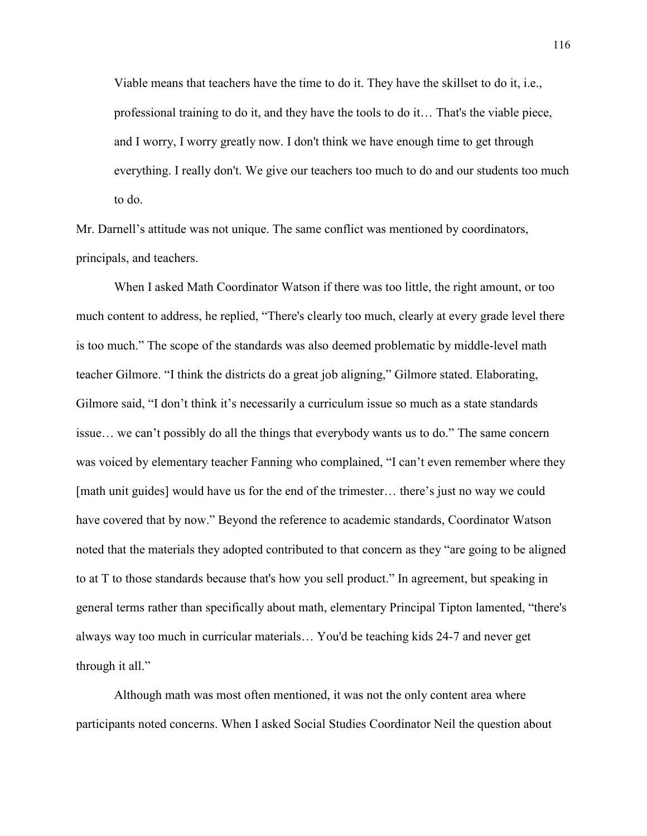Viable means that teachers have the time to do it. They have the skillset to do it, i.e., professional training to do it, and they have the tools to do it… That's the viable piece, and I worry, I worry greatly now. I don't think we have enough time to get through everything. I really don't. We give our teachers too much to do and our students too much to do.

Mr. Darnell's attitude was not unique. The same conflict was mentioned by coordinators, principals, and teachers.

 When I asked Math Coordinator Watson if there was too little, the right amount, or too much content to address, he replied, "There's clearly too much, clearly at every grade level there is too much." The scope of the standards was also deemed problematic by middle-level math teacher Gilmore. "I think the districts do a great job aligning," Gilmore stated. Elaborating, Gilmore said, "I don't think it's necessarily a curriculum issue so much as a state standards issue… we can't possibly do all the things that everybody wants us to do." The same concern was voiced by elementary teacher Fanning who complained, "I can't even remember where they [math unit guides] would have us for the end of the trimester… there's just no way we could have covered that by now." Beyond the reference to academic standards, Coordinator Watson noted that the materials they adopted contributed to that concern as they "are going to be aligned to at T to those standards because that's how you sell product." In agreement, but speaking in general terms rather than specifically about math, elementary Principal Tipton lamented, "there's always way too much in curricular materials… You'd be teaching kids 24-7 and never get through it all."

 Although math was most often mentioned, it was not the only content area where participants noted concerns. When I asked Social Studies Coordinator Neil the question about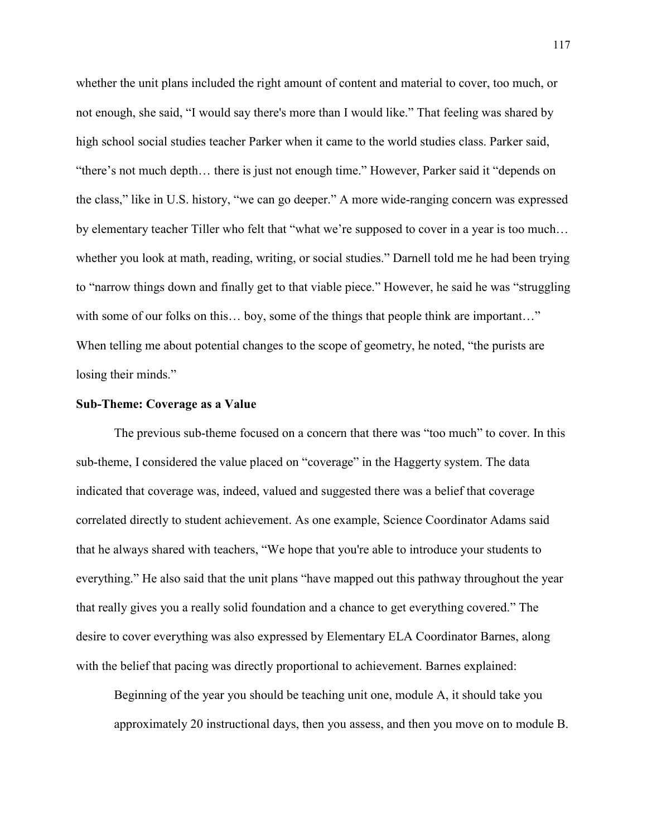whether the unit plans included the right amount of content and material to cover, too much, or not enough, she said, "I would say there's more than I would like." That feeling was shared by high school social studies teacher Parker when it came to the world studies class. Parker said, "there's not much depth… there is just not enough time." However, Parker said it "depends on the class," like in U.S. history, "we can go deeper." A more wide-ranging concern was expressed by elementary teacher Tiller who felt that "what we're supposed to cover in a year is too much… whether you look at math, reading, writing, or social studies." Darnell told me he had been trying to "narrow things down and finally get to that viable piece." However, he said he was "struggling with some of our folks on this… boy, some of the things that people think are important…" When telling me about potential changes to the scope of geometry, he noted, "the purists are losing their minds."

## **Sub-Theme: Coverage as a Value**

 The previous sub-theme focused on a concern that there was "too much" to cover. In this sub-theme, I considered the value placed on "coverage" in the Haggerty system. The data indicated that coverage was, indeed, valued and suggested there was a belief that coverage correlated directly to student achievement. As one example, Science Coordinator Adams said that he always shared with teachers, "We hope that you're able to introduce your students to everything." He also said that the unit plans "have mapped out this pathway throughout the year that really gives you a really solid foundation and a chance to get everything covered." The desire to cover everything was also expressed by Elementary ELA Coordinator Barnes, along with the belief that pacing was directly proportional to achievement. Barnes explained:

Beginning of the year you should be teaching unit one, module A, it should take you approximately 20 instructional days, then you assess, and then you move on to module B.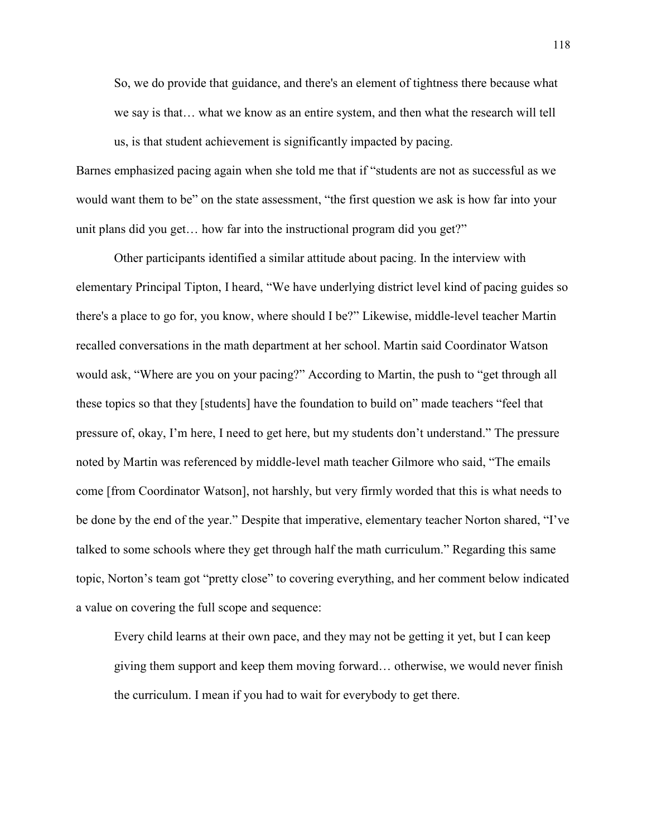So, we do provide that guidance, and there's an element of tightness there because what we say is that… what we know as an entire system, and then what the research will tell us, is that student achievement is significantly impacted by pacing.

Barnes emphasized pacing again when she told me that if "students are not as successful as we would want them to be" on the state assessment, "the first question we ask is how far into your unit plans did you get… how far into the instructional program did you get?"

 Other participants identified a similar attitude about pacing. In the interview with elementary Principal Tipton, I heard, "We have underlying district level kind of pacing guides so there's a place to go for, you know, where should I be?" Likewise, middle-level teacher Martin recalled conversations in the math department at her school. Martin said Coordinator Watson would ask, "Where are you on your pacing?" According to Martin, the push to "get through all these topics so that they [students] have the foundation to build on" made teachers "feel that pressure of, okay, I'm here, I need to get here, but my students don't understand." The pressure noted by Martin was referenced by middle-level math teacher Gilmore who said, "The emails come [from Coordinator Watson], not harshly, but very firmly worded that this is what needs to be done by the end of the year." Despite that imperative, elementary teacher Norton shared, "I've talked to some schools where they get through half the math curriculum." Regarding this same topic, Norton's team got "pretty close" to covering everything, and her comment below indicated a value on covering the full scope and sequence:

Every child learns at their own pace, and they may not be getting it yet, but I can keep giving them support and keep them moving forward… otherwise, we would never finish the curriculum. I mean if you had to wait for everybody to get there.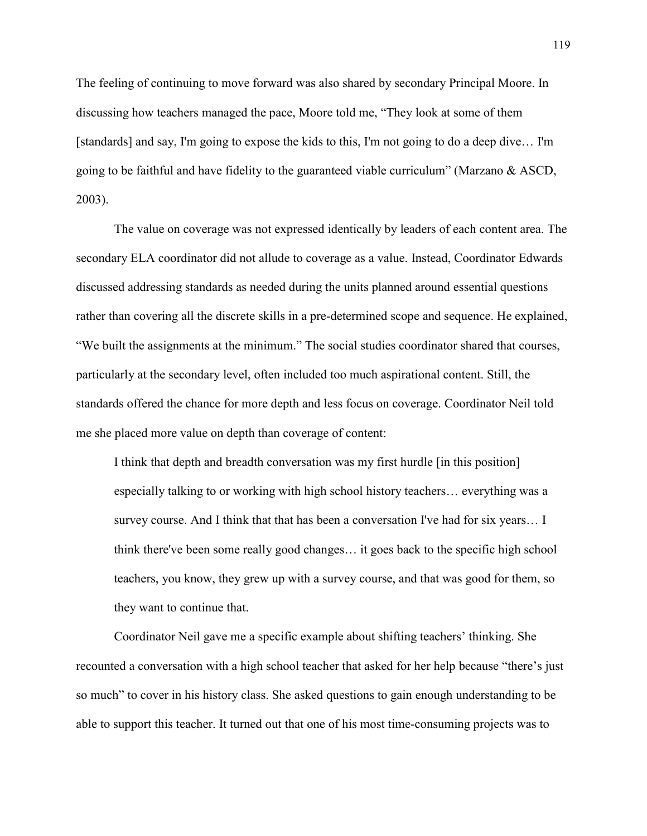The feeling of continuing to move forward was also shared by secondary Principal Moore. In discussing how teachers managed the pace, Moore told me, "They look at some of them [standards] and say, I'm going to expose the kids to this, I'm not going to do a deep dive… I'm going to be faithful and have fidelity to the guaranteed viable curriculum" (Marzano  $\&$  ASCD, 2003).

 The value on coverage was not expressed identically by leaders of each content area. The secondary ELA coordinator did not allude to coverage as a value. Instead, Coordinator Edwards discussed addressing standards as needed during the units planned around essential questions rather than covering all the discrete skills in a pre-determined scope and sequence. He explained, "We built the assignments at the minimum." The social studies coordinator shared that courses, particularly at the secondary level, often included too much aspirational content. Still, the standards offered the chance for more depth and less focus on coverage. Coordinator Neil told me she placed more value on depth than coverage of content:

I think that depth and breadth conversation was my first hurdle [in this position] especially talking to or working with high school history teachers… everything was a survey course. And I think that that has been a conversation I've had for six years… I think there've been some really good changes… it goes back to the specific high school teachers, you know, they grew up with a survey course, and that was good for them, so they want to continue that.

 Coordinator Neil gave me a specific example about shifting teachers' thinking. She recounted a conversation with a high school teacher that asked for her help because "there's just so much" to cover in his history class. She asked questions to gain enough understanding to be able to support this teacher. It turned out that one of his most time-consuming projects was to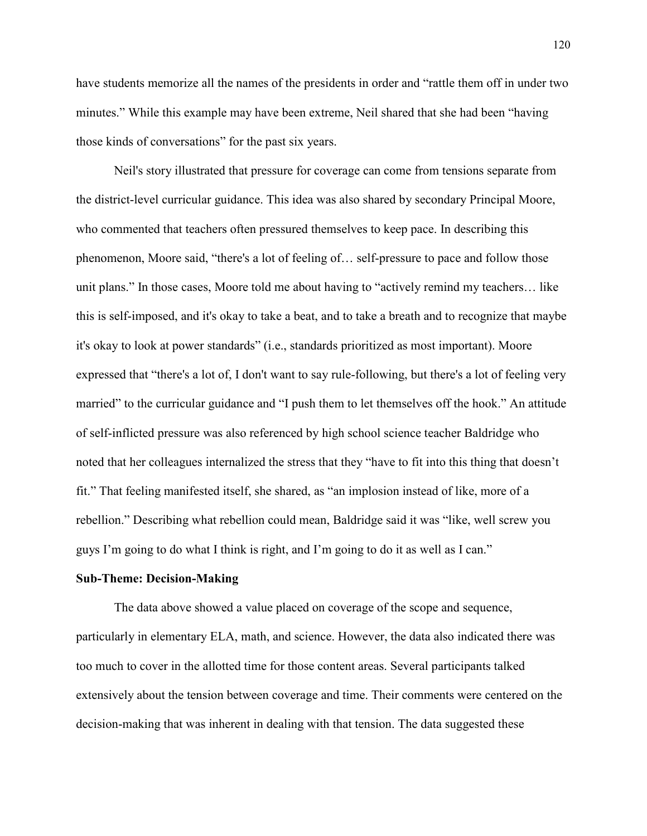have students memorize all the names of the presidents in order and "rattle them off in under two minutes." While this example may have been extreme, Neil shared that she had been "having those kinds of conversations" for the past six years.

Neil's story illustrated that pressure for coverage can come from tensions separate from the district-level curricular guidance. This idea was also shared by secondary Principal Moore, who commented that teachers often pressured themselves to keep pace. In describing this phenomenon, Moore said, "there's a lot of feeling of… self-pressure to pace and follow those unit plans." In those cases, Moore told me about having to "actively remind my teachers… like this is self-imposed, and it's okay to take a beat, and to take a breath and to recognize that maybe it's okay to look at power standards" (i.e., standards prioritized as most important). Moore expressed that "there's a lot of, I don't want to say rule-following, but there's a lot of feeling very married" to the curricular guidance and "I push them to let themselves off the hook." An attitude of self-inflicted pressure was also referenced by high school science teacher Baldridge who noted that her colleagues internalized the stress that they "have to fit into this thing that doesn't fit." That feeling manifested itself, she shared, as "an implosion instead of like, more of a rebellion." Describing what rebellion could mean, Baldridge said it was "like, well screw you guys I'm going to do what I think is right, and I'm going to do it as well as I can."

#### **Sub-Theme: Decision-Making**

 The data above showed a value placed on coverage of the scope and sequence, particularly in elementary ELA, math, and science. However, the data also indicated there was too much to cover in the allotted time for those content areas. Several participants talked extensively about the tension between coverage and time. Their comments were centered on the decision-making that was inherent in dealing with that tension. The data suggested these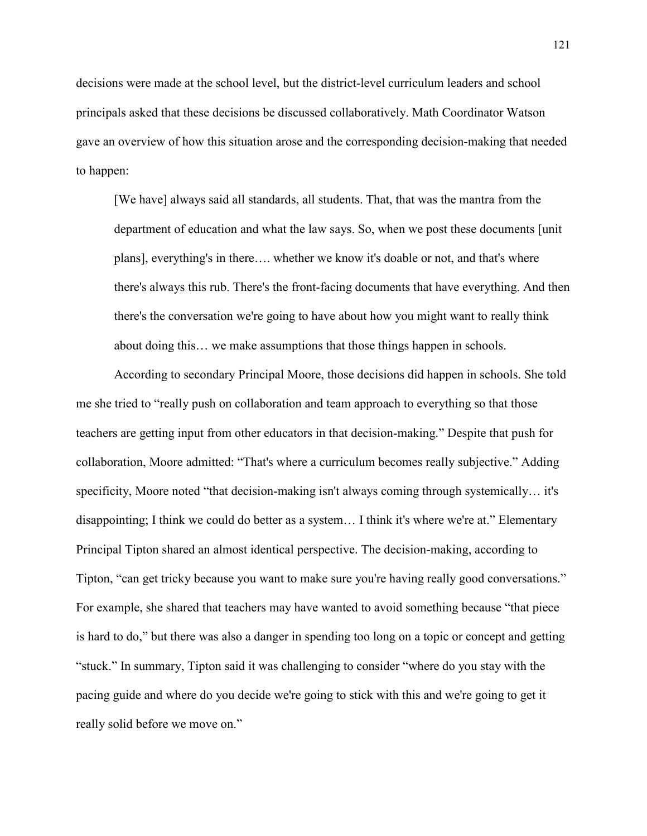decisions were made at the school level, but the district-level curriculum leaders and school principals asked that these decisions be discussed collaboratively. Math Coordinator Watson gave an overview of how this situation arose and the corresponding decision-making that needed to happen:

[We have] always said all standards, all students. That, that was the mantra from the department of education and what the law says. So, when we post these documents [unit plans], everything's in there…. whether we know it's doable or not, and that's where there's always this rub. There's the front-facing documents that have everything. And then there's the conversation we're going to have about how you might want to really think about doing this… we make assumptions that those things happen in schools.

 According to secondary Principal Moore, those decisions did happen in schools. She told me she tried to "really push on collaboration and team approach to everything so that those teachers are getting input from other educators in that decision-making." Despite that push for collaboration, Moore admitted: "That's where a curriculum becomes really subjective." Adding specificity, Moore noted "that decision-making isn't always coming through systemically… it's disappointing; I think we could do better as a system… I think it's where we're at." Elementary Principal Tipton shared an almost identical perspective. The decision-making, according to Tipton, "can get tricky because you want to make sure you're having really good conversations." For example, she shared that teachers may have wanted to avoid something because "that piece is hard to do," but there was also a danger in spending too long on a topic or concept and getting "stuck." In summary, Tipton said it was challenging to consider "where do you stay with the pacing guide and where do you decide we're going to stick with this and we're going to get it really solid before we move on."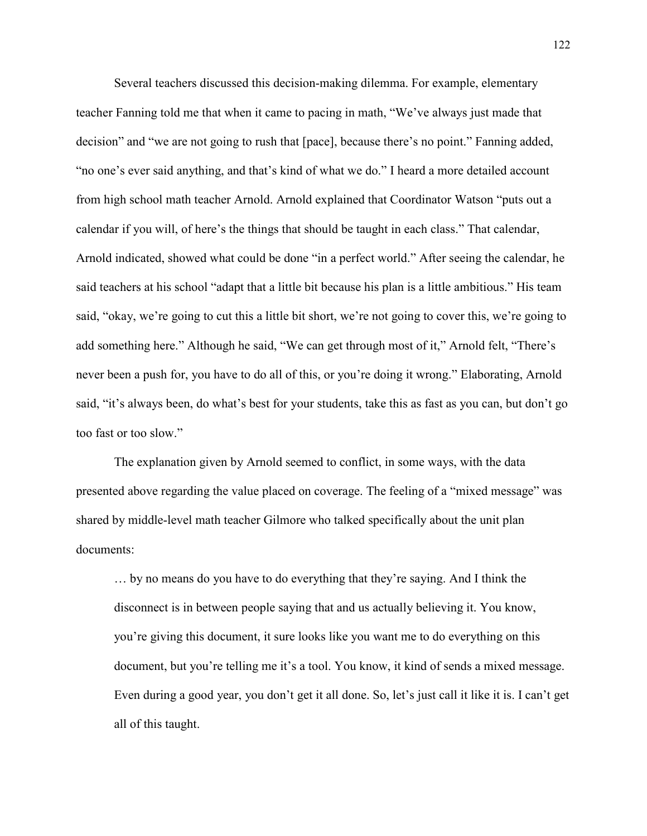Several teachers discussed this decision-making dilemma. For example, elementary teacher Fanning told me that when it came to pacing in math, "We've always just made that decision" and "we are not going to rush that [pace], because there's no point." Fanning added, "no one's ever said anything, and that's kind of what we do." I heard a more detailed account from high school math teacher Arnold. Arnold explained that Coordinator Watson "puts out a calendar if you will, of here's the things that should be taught in each class." That calendar, Arnold indicated, showed what could be done "in a perfect world." After seeing the calendar, he said teachers at his school "adapt that a little bit because his plan is a little ambitious." His team said, "okay, we're going to cut this a little bit short, we're not going to cover this, we're going to add something here." Although he said, "We can get through most of it," Arnold felt, "There's never been a push for, you have to do all of this, or you're doing it wrong." Elaborating, Arnold said, "it's always been, do what's best for your students, take this as fast as you can, but don't go too fast or too slow."

 The explanation given by Arnold seemed to conflict, in some ways, with the data presented above regarding the value placed on coverage. The feeling of a "mixed message" was shared by middle-level math teacher Gilmore who talked specifically about the unit plan documents:

… by no means do you have to do everything that they're saying. And I think the disconnect is in between people saying that and us actually believing it. You know, you're giving this document, it sure looks like you want me to do everything on this document, but you're telling me it's a tool. You know, it kind of sends a mixed message. Even during a good year, you don't get it all done. So, let's just call it like it is. I can't get all of this taught.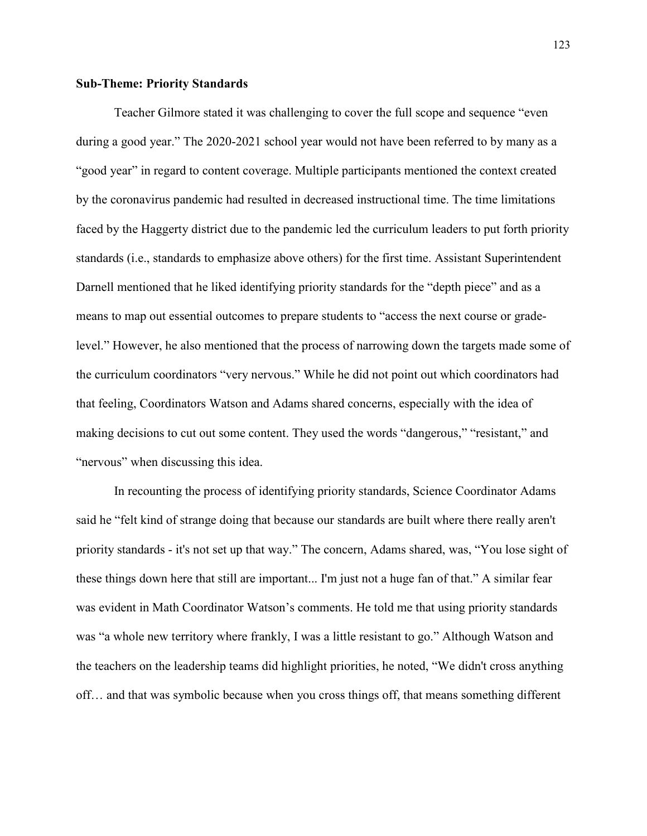## **Sub-Theme: Priority Standards**

 Teacher Gilmore stated it was challenging to cover the full scope and sequence "even during a good year." The 2020-2021 school year would not have been referred to by many as a "good year" in regard to content coverage. Multiple participants mentioned the context created by the coronavirus pandemic had resulted in decreased instructional time. The time limitations faced by the Haggerty district due to the pandemic led the curriculum leaders to put forth priority standards (i.e., standards to emphasize above others) for the first time. Assistant Superintendent Darnell mentioned that he liked identifying priority standards for the "depth piece" and as a means to map out essential outcomes to prepare students to "access the next course or gradelevel." However, he also mentioned that the process of narrowing down the targets made some of the curriculum coordinators "very nervous." While he did not point out which coordinators had that feeling, Coordinators Watson and Adams shared concerns, especially with the idea of making decisions to cut out some content. They used the words "dangerous," "resistant," and "nervous" when discussing this idea.

 In recounting the process of identifying priority standards, Science Coordinator Adams said he "felt kind of strange doing that because our standards are built where there really aren't priority standards - it's not set up that way." The concern, Adams shared, was, "You lose sight of these things down here that still are important... I'm just not a huge fan of that." A similar fear was evident in Math Coordinator Watson's comments. He told me that using priority standards was "a whole new territory where frankly, I was a little resistant to go." Although Watson and the teachers on the leadership teams did highlight priorities, he noted, "We didn't cross anything off… and that was symbolic because when you cross things off, that means something different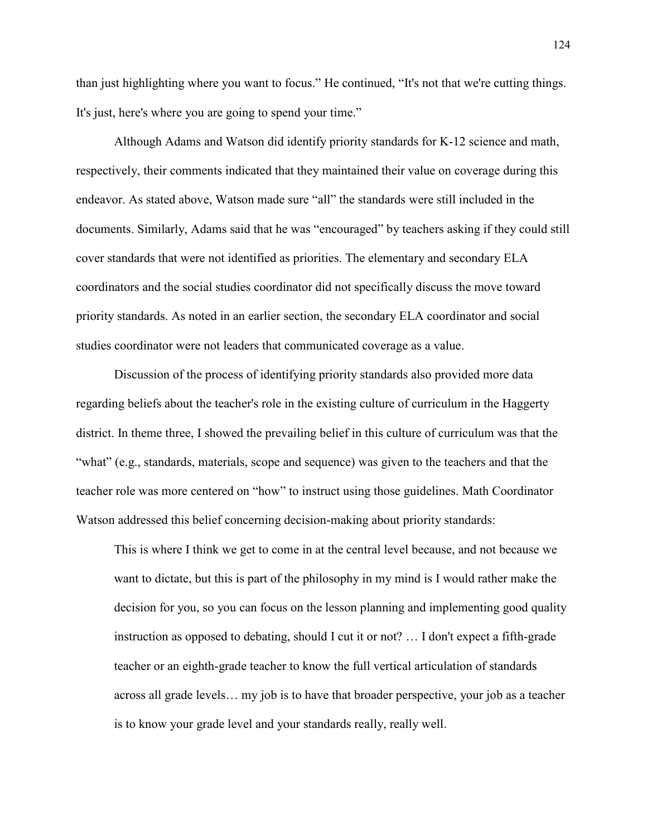than just highlighting where you want to focus." He continued, "It's not that we're cutting things. It's just, here's where you are going to spend your time."

 Although Adams and Watson did identify priority standards for K-12 science and math, respectively, their comments indicated that they maintained their value on coverage during this endeavor. As stated above, Watson made sure "all" the standards were still included in the documents. Similarly, Adams said that he was "encouraged" by teachers asking if they could still cover standards that were not identified as priorities. The elementary and secondary ELA coordinators and the social studies coordinator did not specifically discuss the move toward priority standards. As noted in an earlier section, the secondary ELA coordinator and social studies coordinator were not leaders that communicated coverage as a value.

 Discussion of the process of identifying priority standards also provided more data regarding beliefs about the teacher's role in the existing culture of curriculum in the Haggerty district. In theme three, I showed the prevailing belief in this culture of curriculum was that the "what" (e.g., standards, materials, scope and sequence) was given to the teachers and that the teacher role was more centered on "how" to instruct using those guidelines. Math Coordinator Watson addressed this belief concerning decision-making about priority standards:

This is where I think we get to come in at the central level because, and not because we want to dictate, but this is part of the philosophy in my mind is I would rather make the decision for you, so you can focus on the lesson planning and implementing good quality instruction as opposed to debating, should I cut it or not? … I don't expect a fifth-grade teacher or an eighth-grade teacher to know the full vertical articulation of standards across all grade levels… my job is to have that broader perspective, your job as a teacher is to know your grade level and your standards really, really well.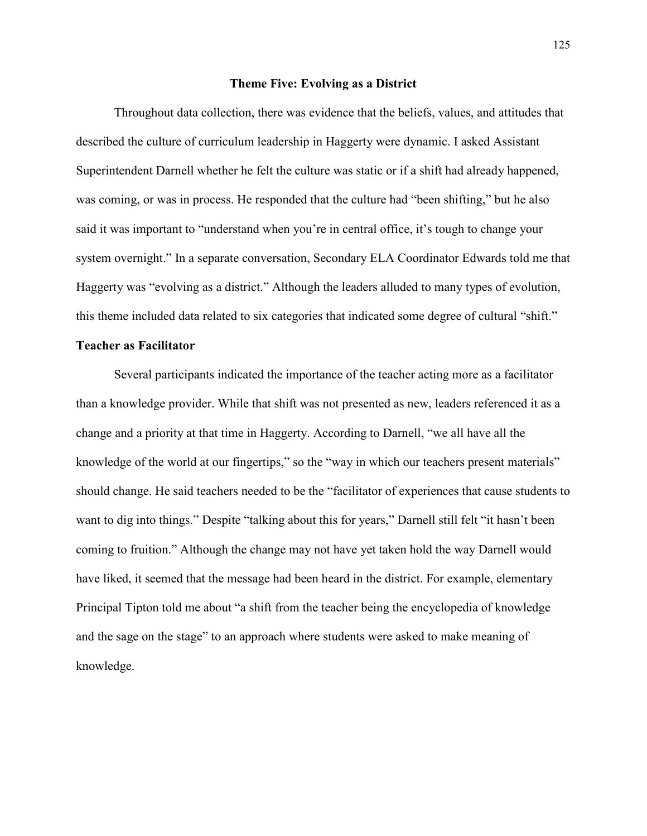#### **Theme Five: Evolving as a District**

 Throughout data collection, there was evidence that the beliefs, values, and attitudes that described the culture of curriculum leadership in Haggerty were dynamic. I asked Assistant Superintendent Darnell whether he felt the culture was static or if a shift had already happened, was coming, or was in process. He responded that the culture had "been shifting," but he also said it was important to "understand when you're in central office, it's tough to change your system overnight." In a separate conversation, Secondary ELA Coordinator Edwards told me that Haggerty was "evolving as a district." Although the leaders alluded to many types of evolution, this theme included data related to six categories that indicated some degree of cultural "shift."

# **Teacher as Facilitator**

Several participants indicated the importance of the teacher acting more as a facilitator than a knowledge provider. While that shift was not presented as new, leaders referenced it as a change and a priority at that time in Haggerty. According to Darnell, "we all have all the knowledge of the world at our fingertips," so the "way in which our teachers present materials" should change. He said teachers needed to be the "facilitator of experiences that cause students to want to dig into things." Despite "talking about this for years," Darnell still felt "it hasn't been coming to fruition." Although the change may not have yet taken hold the way Darnell would have liked, it seemed that the message had been heard in the district. For example, elementary Principal Tipton told me about "a shift from the teacher being the encyclopedia of knowledge and the sage on the stage" to an approach where students were asked to make meaning of knowledge.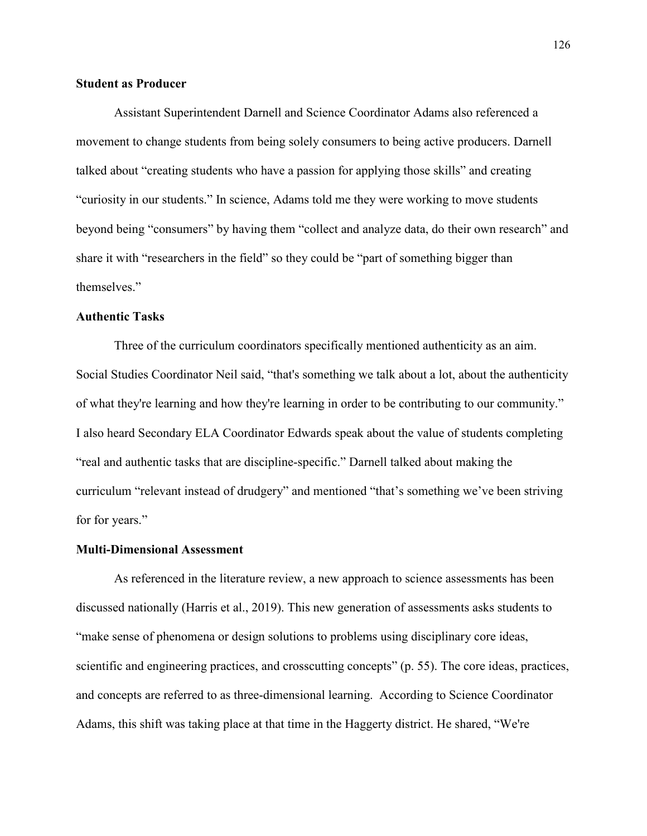## **Student as Producer**

Assistant Superintendent Darnell and Science Coordinator Adams also referenced a movement to change students from being solely consumers to being active producers. Darnell talked about "creating students who have a passion for applying those skills" and creating "curiosity in our students." In science, Adams told me they were working to move students beyond being "consumers" by having them "collect and analyze data, do their own research" and share it with "researchers in the field" so they could be "part of something bigger than themselves."

# **Authentic Tasks**

Three of the curriculum coordinators specifically mentioned authenticity as an aim. Social Studies Coordinator Neil said, "that's something we talk about a lot, about the authenticity of what they're learning and how they're learning in order to be contributing to our community." I also heard Secondary ELA Coordinator Edwards speak about the value of students completing "real and authentic tasks that are discipline-specific." Darnell talked about making the curriculum "relevant instead of drudgery" and mentioned "that's something we've been striving for for years."

## **Multi-Dimensional Assessment**

As referenced in the literature review, a new approach to science assessments has been discussed nationally (Harris et al., 2019). This new generation of assessments asks students to "make sense of phenomena or design solutions to problems using disciplinary core ideas, scientific and engineering practices, and crosscutting concepts" (p. 55). The core ideas, practices, and concepts are referred to as three-dimensional learning. According to Science Coordinator Adams, this shift was taking place at that time in the Haggerty district. He shared, "We're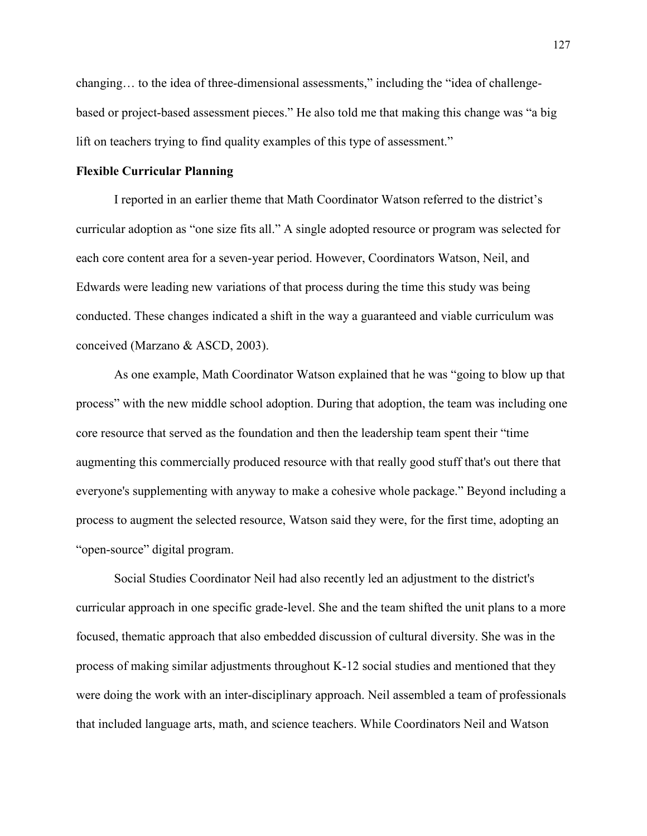changing… to the idea of three-dimensional assessments," including the "idea of challengebased or project-based assessment pieces." He also told me that making this change was "a big lift on teachers trying to find quality examples of this type of assessment."

### **Flexible Curricular Planning**

 I reported in an earlier theme that Math Coordinator Watson referred to the district's curricular adoption as "one size fits all." A single adopted resource or program was selected for each core content area for a seven-year period. However, Coordinators Watson, Neil, and Edwards were leading new variations of that process during the time this study was being conducted. These changes indicated a shift in the way a guaranteed and viable curriculum was conceived (Marzano & ASCD, 2003).

 As one example, Math Coordinator Watson explained that he was "going to blow up that process" with the new middle school adoption. During that adoption, the team was including one core resource that served as the foundation and then the leadership team spent their "time augmenting this commercially produced resource with that really good stuff that's out there that everyone's supplementing with anyway to make a cohesive whole package." Beyond including a process to augment the selected resource, Watson said they were, for the first time, adopting an "open-source" digital program.

 Social Studies Coordinator Neil had also recently led an adjustment to the district's curricular approach in one specific grade-level. She and the team shifted the unit plans to a more focused, thematic approach that also embedded discussion of cultural diversity. She was in the process of making similar adjustments throughout K-12 social studies and mentioned that they were doing the work with an inter-disciplinary approach. Neil assembled a team of professionals that included language arts, math, and science teachers. While Coordinators Neil and Watson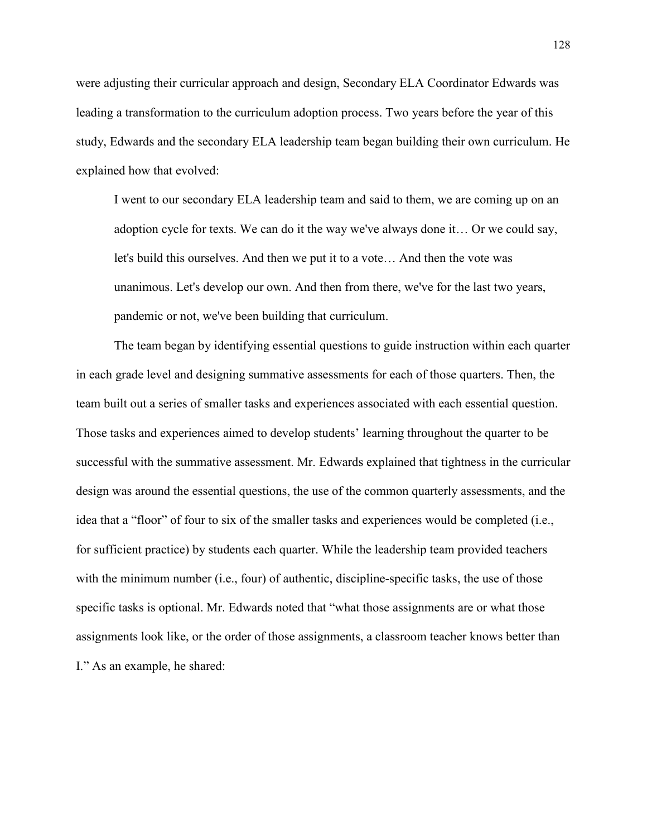were adjusting their curricular approach and design, Secondary ELA Coordinator Edwards was leading a transformation to the curriculum adoption process. Two years before the year of this study, Edwards and the secondary ELA leadership team began building their own curriculum. He explained how that evolved:

I went to our secondary ELA leadership team and said to them, we are coming up on an adoption cycle for texts. We can do it the way we've always done it… Or we could say, let's build this ourselves. And then we put it to a vote… And then the vote was unanimous. Let's develop our own. And then from there, we've for the last two years, pandemic or not, we've been building that curriculum.

 The team began by identifying essential questions to guide instruction within each quarter in each grade level and designing summative assessments for each of those quarters. Then, the team built out a series of smaller tasks and experiences associated with each essential question. Those tasks and experiences aimed to develop students' learning throughout the quarter to be successful with the summative assessment. Mr. Edwards explained that tightness in the curricular design was around the essential questions, the use of the common quarterly assessments, and the idea that a "floor" of four to six of the smaller tasks and experiences would be completed (i.e., for sufficient practice) by students each quarter. While the leadership team provided teachers with the minimum number (i.e., four) of authentic, discipline-specific tasks, the use of those specific tasks is optional. Mr. Edwards noted that "what those assignments are or what those assignments look like, or the order of those assignments, a classroom teacher knows better than I." As an example, he shared: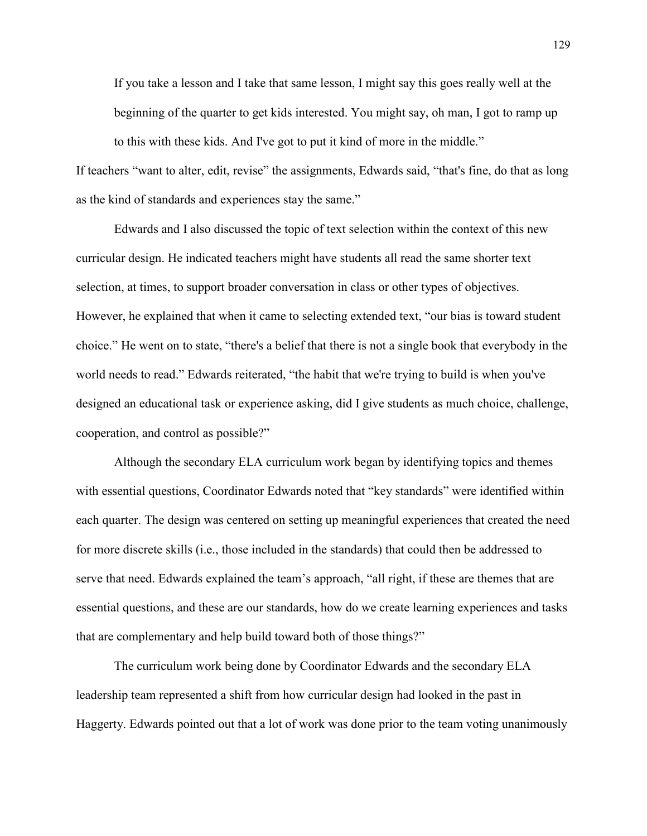If you take a lesson and I take that same lesson, I might say this goes really well at the beginning of the quarter to get kids interested. You might say, oh man, I got to ramp up to this with these kids. And I've got to put it kind of more in the middle."

If teachers "want to alter, edit, revise" the assignments, Edwards said, "that's fine, do that as long as the kind of standards and experiences stay the same."

 Edwards and I also discussed the topic of text selection within the context of this new curricular design. He indicated teachers might have students all read the same shorter text selection, at times, to support broader conversation in class or other types of objectives. However, he explained that when it came to selecting extended text, "our bias is toward student choice." He went on to state, "there's a belief that there is not a single book that everybody in the world needs to read." Edwards reiterated, "the habit that we're trying to build is when you've designed an educational task or experience asking, did I give students as much choice, challenge, cooperation, and control as possible?"

 Although the secondary ELA curriculum work began by identifying topics and themes with essential questions, Coordinator Edwards noted that "key standards" were identified within each quarter. The design was centered on setting up meaningful experiences that created the need for more discrete skills (i.e., those included in the standards) that could then be addressed to serve that need. Edwards explained the team's approach, "all right, if these are themes that are essential questions, and these are our standards, how do we create learning experiences and tasks that are complementary and help build toward both of those things?"

 The curriculum work being done by Coordinator Edwards and the secondary ELA leadership team represented a shift from how curricular design had looked in the past in Haggerty. Edwards pointed out that a lot of work was done prior to the team voting unanimously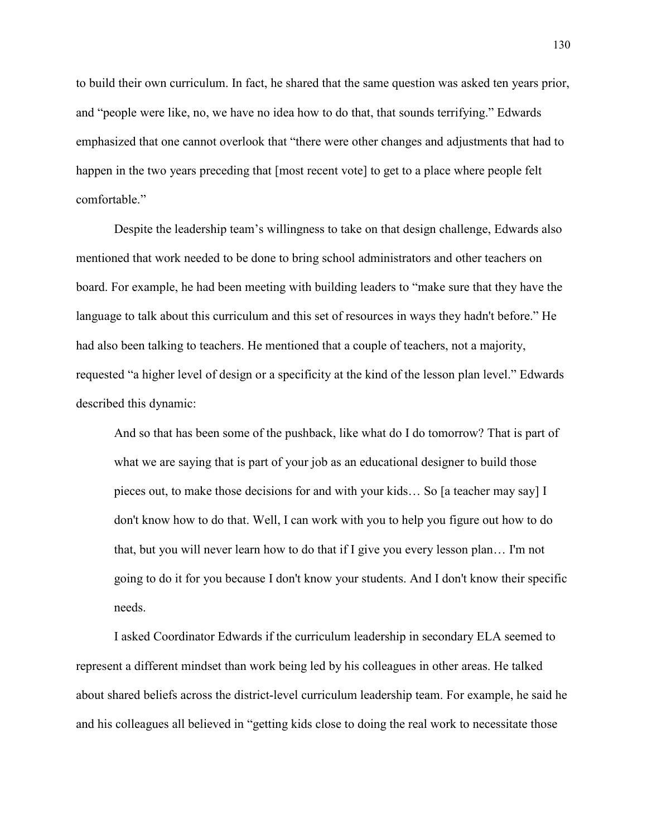to build their own curriculum. In fact, he shared that the same question was asked ten years prior, and "people were like, no, we have no idea how to do that, that sounds terrifying." Edwards emphasized that one cannot overlook that "there were other changes and adjustments that had to happen in the two years preceding that [most recent vote] to get to a place where people felt comfortable."

 Despite the leadership team's willingness to take on that design challenge, Edwards also mentioned that work needed to be done to bring school administrators and other teachers on board. For example, he had been meeting with building leaders to "make sure that they have the language to talk about this curriculum and this set of resources in ways they hadn't before." He had also been talking to teachers. He mentioned that a couple of teachers, not a majority, requested "a higher level of design or a specificity at the kind of the lesson plan level." Edwards described this dynamic:

 And so that has been some of the pushback, like what do I do tomorrow? That is part of what we are saying that is part of your job as an educational designer to build those pieces out, to make those decisions for and with your kids… So [a teacher may say] I don't know how to do that. Well, I can work with you to help you figure out how to do that, but you will never learn how to do that if I give you every lesson plan… I'm not going to do it for you because I don't know your students. And I don't know their specific needs.

 I asked Coordinator Edwards if the curriculum leadership in secondary ELA seemed to represent a different mindset than work being led by his colleagues in other areas. He talked about shared beliefs across the district-level curriculum leadership team. For example, he said he and his colleagues all believed in "getting kids close to doing the real work to necessitate those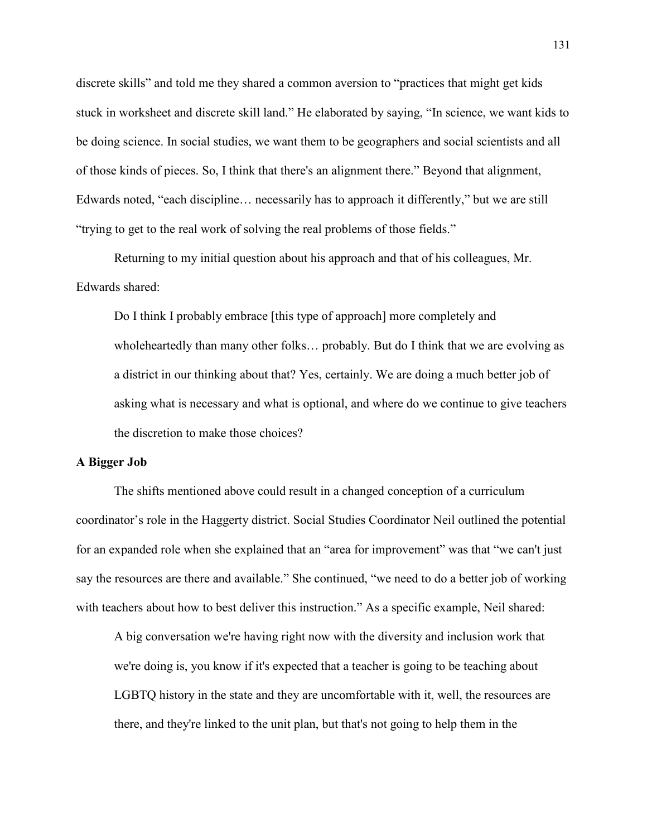discrete skills" and told me they shared a common aversion to "practices that might get kids stuck in worksheet and discrete skill land." He elaborated by saying, "In science, we want kids to be doing science. In social studies, we want them to be geographers and social scientists and all of those kinds of pieces. So, I think that there's an alignment there." Beyond that alignment, Edwards noted, "each discipline… necessarily has to approach it differently," but we are still "trying to get to the real work of solving the real problems of those fields."

 Returning to my initial question about his approach and that of his colleagues, Mr. Edwards shared:

 Do I think I probably embrace [this type of approach] more completely and wholeheartedly than many other folks… probably. But do I think that we are evolving as a district in our thinking about that? Yes, certainly. We are doing a much better job of asking what is necessary and what is optional, and where do we continue to give teachers the discretion to make those choices?

## **A Bigger Job**

The shifts mentioned above could result in a changed conception of a curriculum coordinator's role in the Haggerty district. Social Studies Coordinator Neil outlined the potential for an expanded role when she explained that an "area for improvement" was that "we can't just say the resources are there and available." She continued, "we need to do a better job of working with teachers about how to best deliver this instruction." As a specific example, Neil shared:

A big conversation we're having right now with the diversity and inclusion work that we're doing is, you know if it's expected that a teacher is going to be teaching about LGBTQ history in the state and they are uncomfortable with it, well, the resources are there, and they're linked to the unit plan, but that's not going to help them in the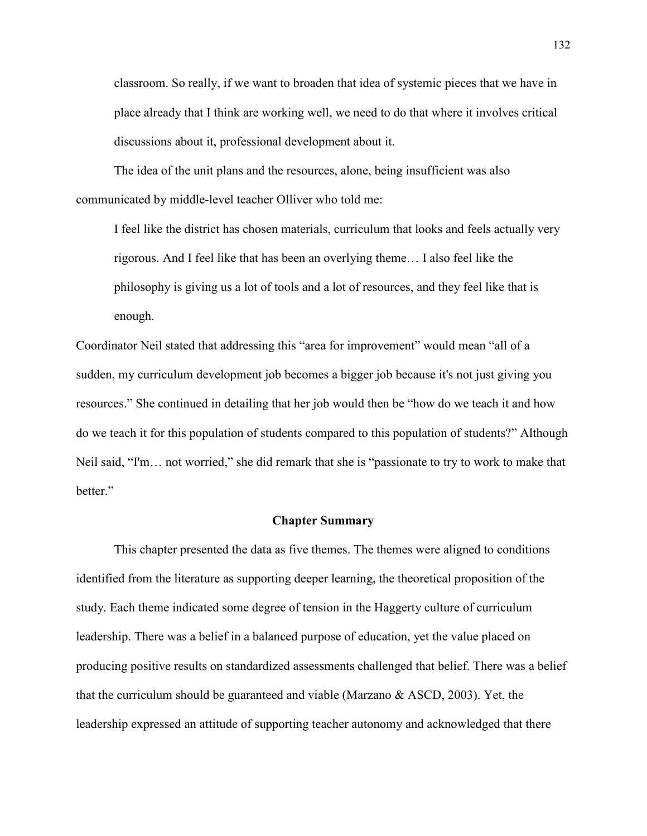classroom. So really, if we want to broaden that idea of systemic pieces that we have in place already that I think are working well, we need to do that where it involves critical discussions about it, professional development about it.

The idea of the unit plans and the resources, alone, being insufficient was also communicated by middle-level teacher Olliver who told me:

I feel like the district has chosen materials, curriculum that looks and feels actually very rigorous. And I feel like that has been an overlying theme… I also feel like the philosophy is giving us a lot of tools and a lot of resources, and they feel like that is enough.

Coordinator Neil stated that addressing this "area for improvement" would mean "all of a sudden, my curriculum development job becomes a bigger job because it's not just giving you resources." She continued in detailing that her job would then be "how do we teach it and how do we teach it for this population of students compared to this population of students?" Although Neil said, "I'm… not worried," she did remark that she is "passionate to try to work to make that better."

## **Chapter Summary**

This chapter presented the data as five themes. The themes were aligned to conditions identified from the literature as supporting deeper learning, the theoretical proposition of the study. Each theme indicated some degree of tension in the Haggerty culture of curriculum leadership. There was a belief in a balanced purpose of education, yet the value placed on producing positive results on standardized assessments challenged that belief. There was a belief that the curriculum should be guaranteed and viable (Marzano & ASCD, 2003). Yet, the leadership expressed an attitude of supporting teacher autonomy and acknowledged that there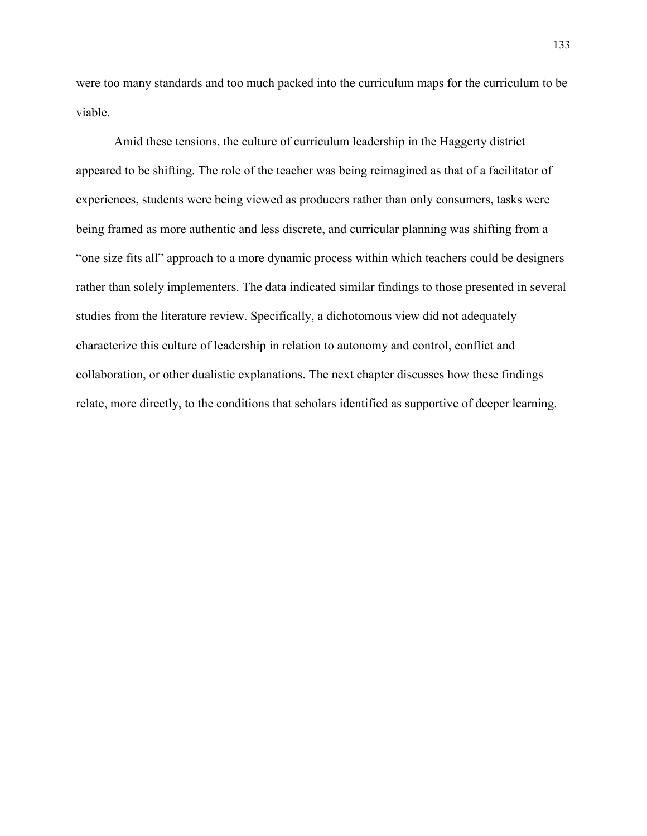were too many standards and too much packed into the curriculum maps for the curriculum to be viable.

Amid these tensions, the culture of curriculum leadership in the Haggerty district appeared to be shifting. The role of the teacher was being reimagined as that of a facilitator of experiences, students were being viewed as producers rather than only consumers, tasks were being framed as more authentic and less discrete, and curricular planning was shifting from a "one size fits all" approach to a more dynamic process within which teachers could be designers rather than solely implementers. The data indicated similar findings to those presented in several studies from the literature review. Specifically, a dichotomous view did not adequately characterize this culture of leadership in relation to autonomy and control, conflict and collaboration, or other dualistic explanations. The next chapter discusses how these findings relate, more directly, to the conditions that scholars identified as supportive of deeper learning.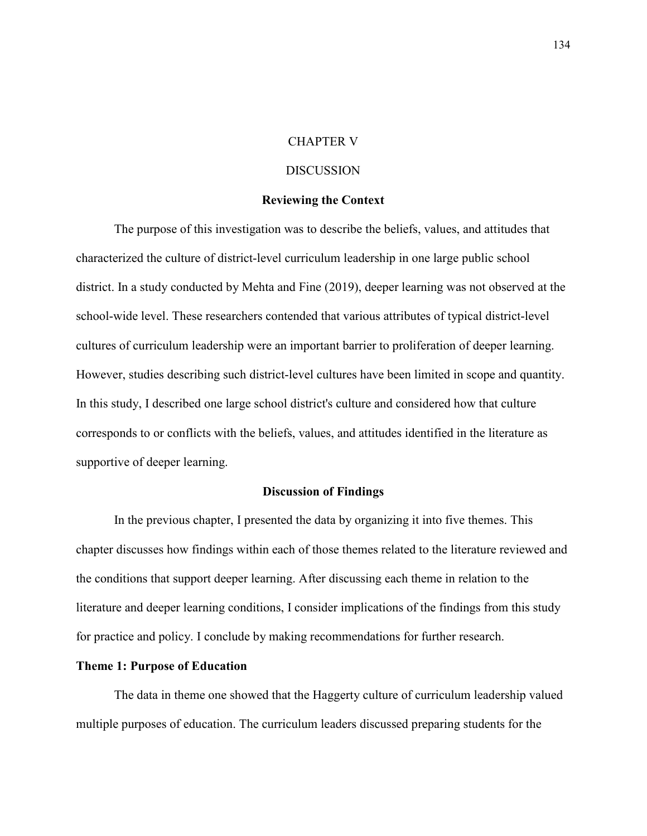## CHAPTER V

## DISCUSSION

#### **Reviewing the Context**

The purpose of this investigation was to describe the beliefs, values, and attitudes that characterized the culture of district-level curriculum leadership in one large public school district. In a study conducted by Mehta and Fine (2019), deeper learning was not observed at the school-wide level. These researchers contended that various attributes of typical district-level cultures of curriculum leadership were an important barrier to proliferation of deeper learning. However, studies describing such district-level cultures have been limited in scope and quantity. In this study, I described one large school district's culture and considered how that culture corresponds to or conflicts with the beliefs, values, and attitudes identified in the literature as supportive of deeper learning.

## **Discussion of Findings**

In the previous chapter, I presented the data by organizing it into five themes. This chapter discusses how findings within each of those themes related to the literature reviewed and the conditions that support deeper learning. After discussing each theme in relation to the literature and deeper learning conditions, I consider implications of the findings from this study for practice and policy. I conclude by making recommendations for further research.

## **Theme 1: Purpose of Education**

The data in theme one showed that the Haggerty culture of curriculum leadership valued multiple purposes of education. The curriculum leaders discussed preparing students for the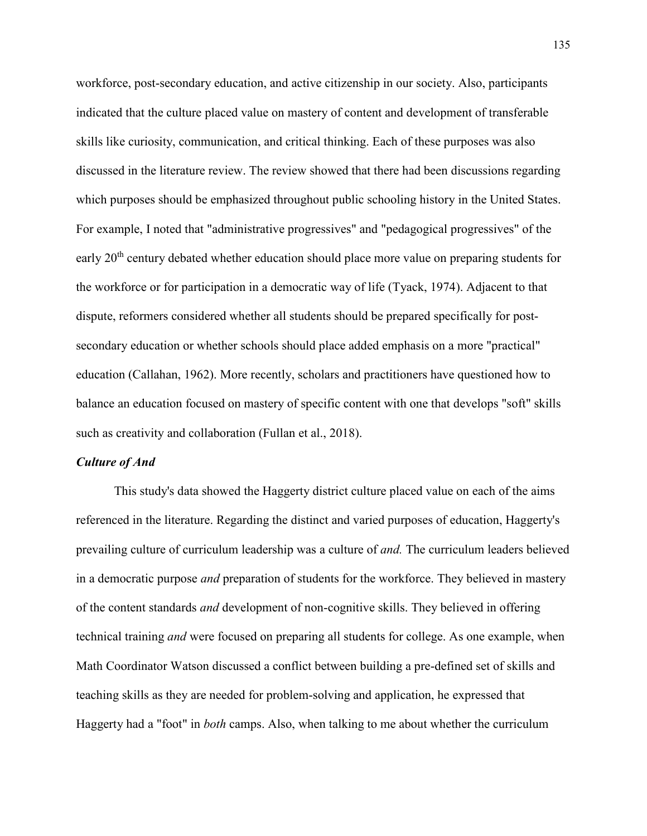workforce, post-secondary education, and active citizenship in our society. Also, participants indicated that the culture placed value on mastery of content and development of transferable skills like curiosity, communication, and critical thinking. Each of these purposes was also discussed in the literature review. The review showed that there had been discussions regarding which purposes should be emphasized throughout public schooling history in the United States. For example, I noted that "administrative progressives" and "pedagogical progressives" of the early 20<sup>th</sup> century debated whether education should place more value on preparing students for the workforce or for participation in a democratic way of life (Tyack, 1974). Adjacent to that dispute, reformers considered whether all students should be prepared specifically for postsecondary education or whether schools should place added emphasis on a more "practical" education (Callahan, 1962). More recently, scholars and practitioners have questioned how to balance an education focused on mastery of specific content with one that develops "soft" skills such as creativity and collaboration (Fullan et al., 2018).

## *Culture of And*

This study's data showed the Haggerty district culture placed value on each of the aims referenced in the literature. Regarding the distinct and varied purposes of education, Haggerty's prevailing culture of curriculum leadership was a culture of *and.* The curriculum leaders believed in a democratic purpose *and* preparation of students for the workforce. They believed in mastery of the content standards *and* development of non-cognitive skills. They believed in offering technical training *and* were focused on preparing all students for college. As one example, when Math Coordinator Watson discussed a conflict between building a pre-defined set of skills and teaching skills as they are needed for problem-solving and application, he expressed that Haggerty had a "foot" in *both* camps. Also, when talking to me about whether the curriculum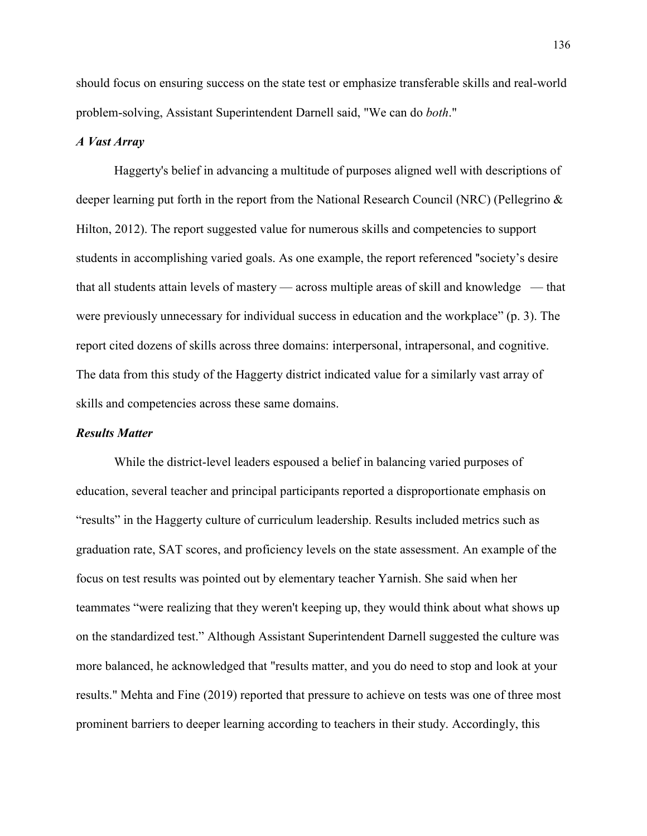should focus on ensuring success on the state test or emphasize transferable skills and real-world problem-solving, Assistant Superintendent Darnell said, "We can do *both*."

## *A Vast Array*

Haggerty's belief in advancing a multitude of purposes aligned well with descriptions of deeper learning put forth in the report from the National Research Council (NRC) (Pellegrino & Hilton, 2012). The report suggested value for numerous skills and competencies to support students in accomplishing varied goals. As one example, the report referenced "society's desire that all students attain levels of mastery — across multiple areas of skill and knowledge — that were previously unnecessary for individual success in education and the workplace" (p. 3). The report cited dozens of skills across three domains: interpersonal, intrapersonal, and cognitive. The data from this study of the Haggerty district indicated value for a similarly vast array of skills and competencies across these same domains.

#### *Results Matter*

While the district-level leaders espoused a belief in balancing varied purposes of education, several teacher and principal participants reported a disproportionate emphasis on "results" in the Haggerty culture of curriculum leadership. Results included metrics such as graduation rate, SAT scores, and proficiency levels on the state assessment. An example of the focus on test results was pointed out by elementary teacher Yarnish. She said when her teammates "were realizing that they weren't keeping up, they would think about what shows up on the standardized test." Although Assistant Superintendent Darnell suggested the culture was more balanced, he acknowledged that "results matter, and you do need to stop and look at your results." Mehta and Fine (2019) reported that pressure to achieve on tests was one of three most prominent barriers to deeper learning according to teachers in their study. Accordingly, this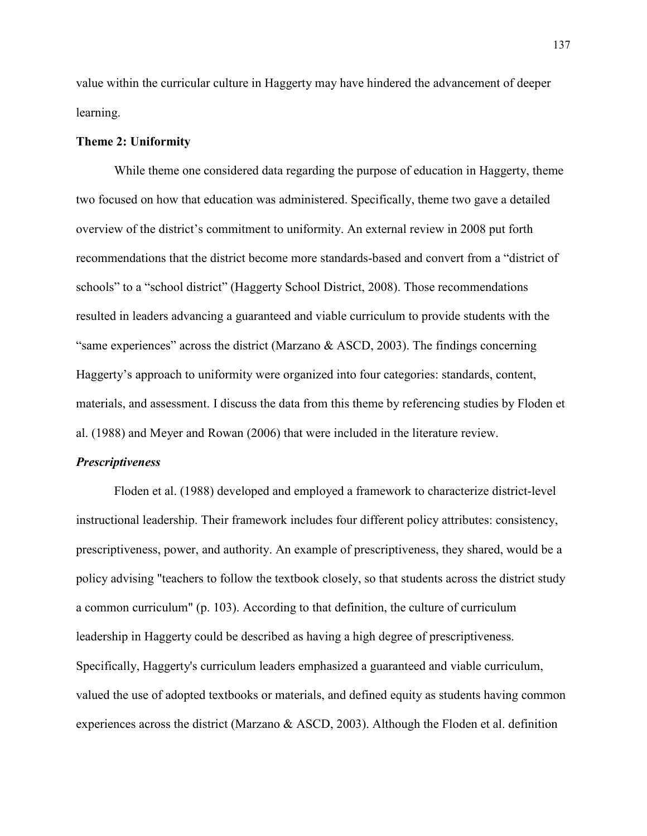value within the curricular culture in Haggerty may have hindered the advancement of deeper learning.

#### **Theme 2: Uniformity**

While theme one considered data regarding the purpose of education in Haggerty, theme two focused on how that education was administered. Specifically, theme two gave a detailed overview of the district's commitment to uniformity. An external review in 2008 put forth recommendations that the district become more standards-based and convert from a "district of schools" to a "school district" (Haggerty School District, 2008). Those recommendations resulted in leaders advancing a guaranteed and viable curriculum to provide students with the "same experiences" across the district (Marzano & ASCD, 2003). The findings concerning Haggerty's approach to uniformity were organized into four categories: standards, content, materials, and assessment. I discuss the data from this theme by referencing studies by Floden et al. (1988) and Meyer and Rowan (2006) that were included in the literature review.

#### *Prescriptiveness*

Floden et al. (1988) developed and employed a framework to characterize district-level instructional leadership. Their framework includes four different policy attributes: consistency, prescriptiveness, power, and authority. An example of prescriptiveness, they shared, would be a policy advising "teachers to follow the textbook closely, so that students across the district study a common curriculum" (p. 103). According to that definition, the culture of curriculum leadership in Haggerty could be described as having a high degree of prescriptiveness. Specifically, Haggerty's curriculum leaders emphasized a guaranteed and viable curriculum, valued the use of adopted textbooks or materials, and defined equity as students having common experiences across the district (Marzano & ASCD, 2003). Although the Floden et al. definition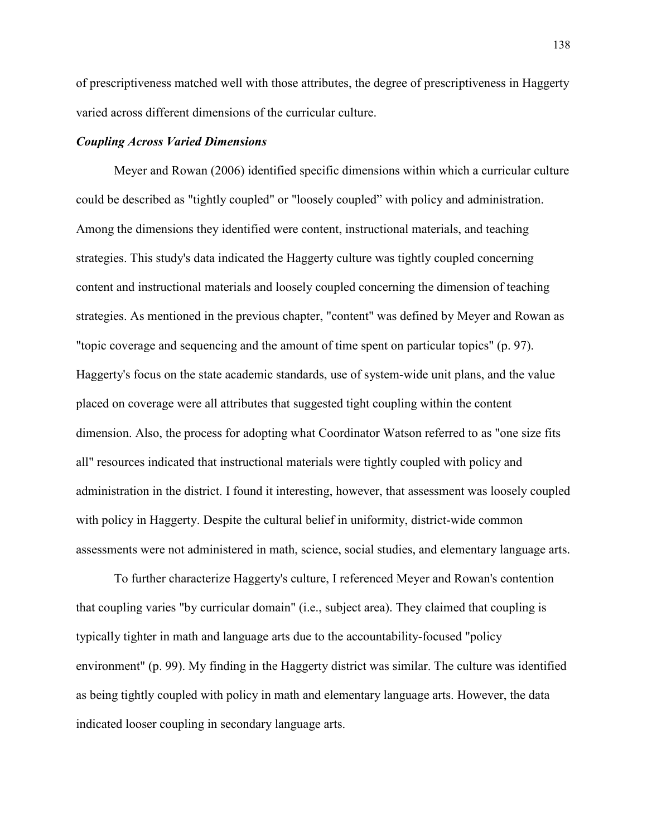of prescriptiveness matched well with those attributes, the degree of prescriptiveness in Haggerty varied across different dimensions of the curricular culture.

#### *Coupling Across Varied Dimensions*

Meyer and Rowan (2006) identified specific dimensions within which a curricular culture could be described as "tightly coupled" or "loosely coupled" with policy and administration. Among the dimensions they identified were content, instructional materials, and teaching strategies. This study's data indicated the Haggerty culture was tightly coupled concerning content and instructional materials and loosely coupled concerning the dimension of teaching strategies. As mentioned in the previous chapter, "content" was defined by Meyer and Rowan as "topic coverage and sequencing and the amount of time spent on particular topics" (p. 97). Haggerty's focus on the state academic standards, use of system-wide unit plans, and the value placed on coverage were all attributes that suggested tight coupling within the content dimension. Also, the process for adopting what Coordinator Watson referred to as "one size fits all" resources indicated that instructional materials were tightly coupled with policy and administration in the district. I found it interesting, however, that assessment was loosely coupled with policy in Haggerty. Despite the cultural belief in uniformity, district-wide common assessments were not administered in math, science, social studies, and elementary language arts.

To further characterize Haggerty's culture, I referenced Meyer and Rowan's contention that coupling varies "by curricular domain" (i.e., subject area). They claimed that coupling is typically tighter in math and language arts due to the accountability-focused "policy environment" (p. 99). My finding in the Haggerty district was similar. The culture was identified as being tightly coupled with policy in math and elementary language arts. However, the data indicated looser coupling in secondary language arts.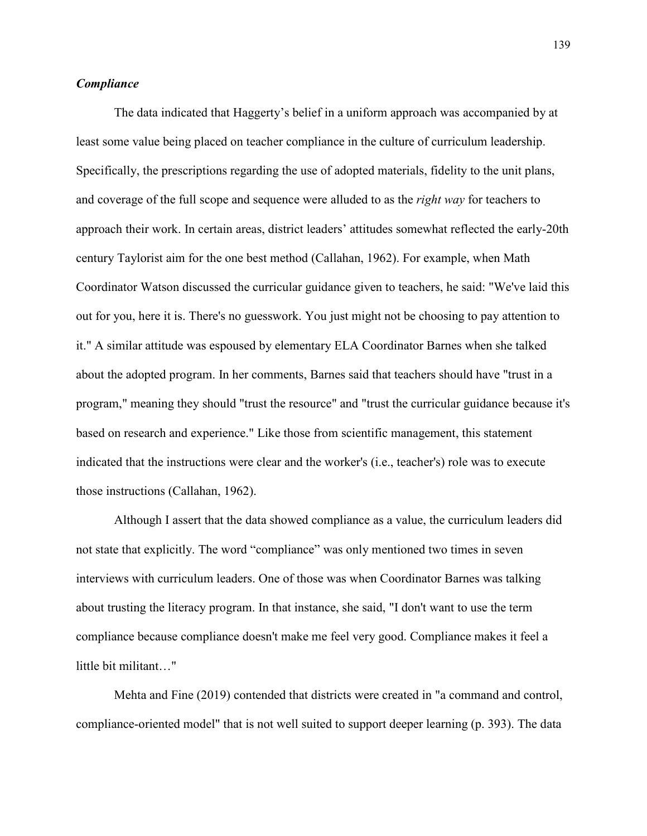# *Compliance*

The data indicated that Haggerty's belief in a uniform approach was accompanied by at least some value being placed on teacher compliance in the culture of curriculum leadership. Specifically, the prescriptions regarding the use of adopted materials, fidelity to the unit plans, and coverage of the full scope and sequence were alluded to as the *right way* for teachers to approach their work. In certain areas, district leaders' attitudes somewhat reflected the early-20th century Taylorist aim for the one best method (Callahan, 1962). For example, when Math Coordinator Watson discussed the curricular guidance given to teachers, he said: "We've laid this out for you, here it is. There's no guesswork. You just might not be choosing to pay attention to it." A similar attitude was espoused by elementary ELA Coordinator Barnes when she talked about the adopted program. In her comments, Barnes said that teachers should have "trust in a program," meaning they should "trust the resource" and "trust the curricular guidance because it's based on research and experience." Like those from scientific management, this statement indicated that the instructions were clear and the worker's (i.e., teacher's) role was to execute those instructions (Callahan, 1962).

Although I assert that the data showed compliance as a value, the curriculum leaders did not state that explicitly. The word "compliance" was only mentioned two times in seven interviews with curriculum leaders. One of those was when Coordinator Barnes was talking about trusting the literacy program. In that instance, she said, "I don't want to use the term compliance because compliance doesn't make me feel very good. Compliance makes it feel a little bit militant…"

Mehta and Fine (2019) contended that districts were created in "a command and control, compliance-oriented model" that is not well suited to support deeper learning (p. 393). The data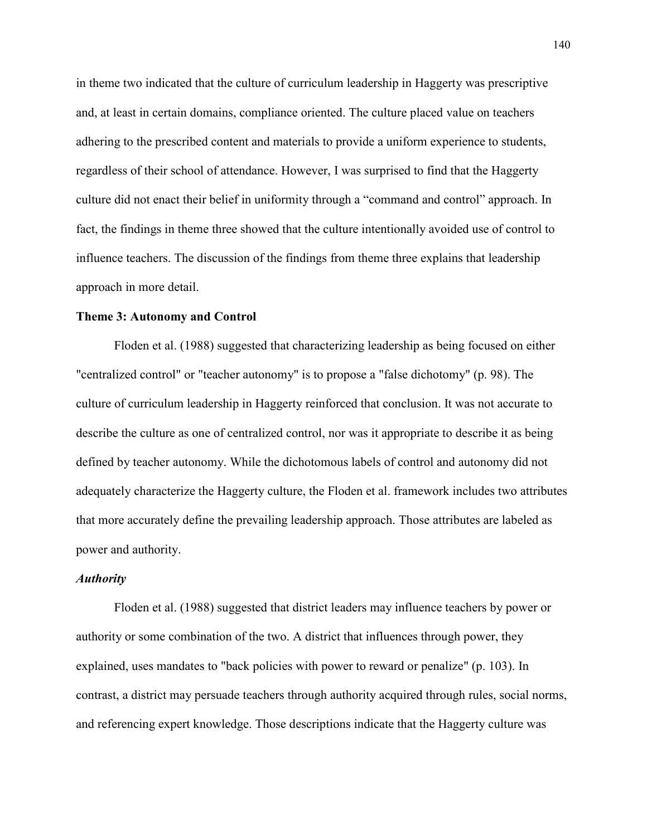in theme two indicated that the culture of curriculum leadership in Haggerty was prescriptive and, at least in certain domains, compliance oriented. The culture placed value on teachers adhering to the prescribed content and materials to provide a uniform experience to students, regardless of their school of attendance. However, I was surprised to find that the Haggerty culture did not enact their belief in uniformity through a "command and control" approach. In fact, the findings in theme three showed that the culture intentionally avoided use of control to influence teachers. The discussion of the findings from theme three explains that leadership approach in more detail.

#### **Theme 3: Autonomy and Control**

Floden et al. (1988) suggested that characterizing leadership as being focused on either "centralized control" or "teacher autonomy" is to propose a "false dichotomy" (p. 98). The culture of curriculum leadership in Haggerty reinforced that conclusion. It was not accurate to describe the culture as one of centralized control, nor was it appropriate to describe it as being defined by teacher autonomy. While the dichotomous labels of control and autonomy did not adequately characterize the Haggerty culture, the Floden et al. framework includes two attributes that more accurately define the prevailing leadership approach. Those attributes are labeled as power and authority.

## *Authority*

Floden et al. (1988) suggested that district leaders may influence teachers by power or authority or some combination of the two. A district that influences through power, they explained, uses mandates to "back policies with power to reward or penalize" (p. 103). In contrast, a district may persuade teachers through authority acquired through rules, social norms, and referencing expert knowledge. Those descriptions indicate that the Haggerty culture was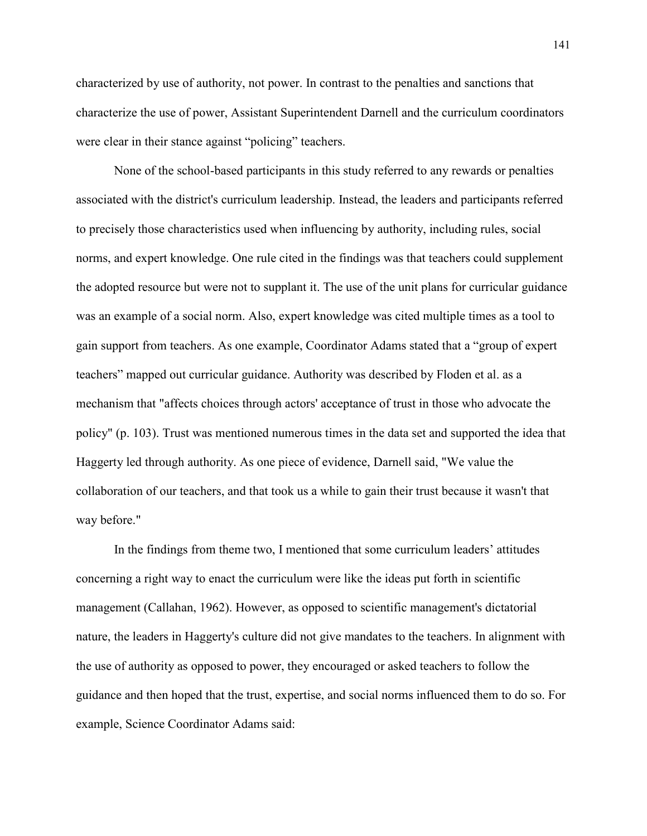characterized by use of authority, not power. In contrast to the penalties and sanctions that characterize the use of power, Assistant Superintendent Darnell and the curriculum coordinators were clear in their stance against "policing" teachers.

None of the school-based participants in this study referred to any rewards or penalties associated with the district's curriculum leadership. Instead, the leaders and participants referred to precisely those characteristics used when influencing by authority, including rules, social norms, and expert knowledge. One rule cited in the findings was that teachers could supplement the adopted resource but were not to supplant it. The use of the unit plans for curricular guidance was an example of a social norm. Also, expert knowledge was cited multiple times as a tool to gain support from teachers. As one example, Coordinator Adams stated that a "group of expert teachers" mapped out curricular guidance. Authority was described by Floden et al. as a mechanism that "affects choices through actors' acceptance of trust in those who advocate the policy" (p. 103). Trust was mentioned numerous times in the data set and supported the idea that Haggerty led through authority. As one piece of evidence, Darnell said, "We value the collaboration of our teachers, and that took us a while to gain their trust because it wasn't that way before."

In the findings from theme two, I mentioned that some curriculum leaders' attitudes concerning a right way to enact the curriculum were like the ideas put forth in scientific management (Callahan, 1962). However, as opposed to scientific management's dictatorial nature, the leaders in Haggerty's culture did not give mandates to the teachers. In alignment with the use of authority as opposed to power, they encouraged or asked teachers to follow the guidance and then hoped that the trust, expertise, and social norms influenced them to do so. For example, Science Coordinator Adams said: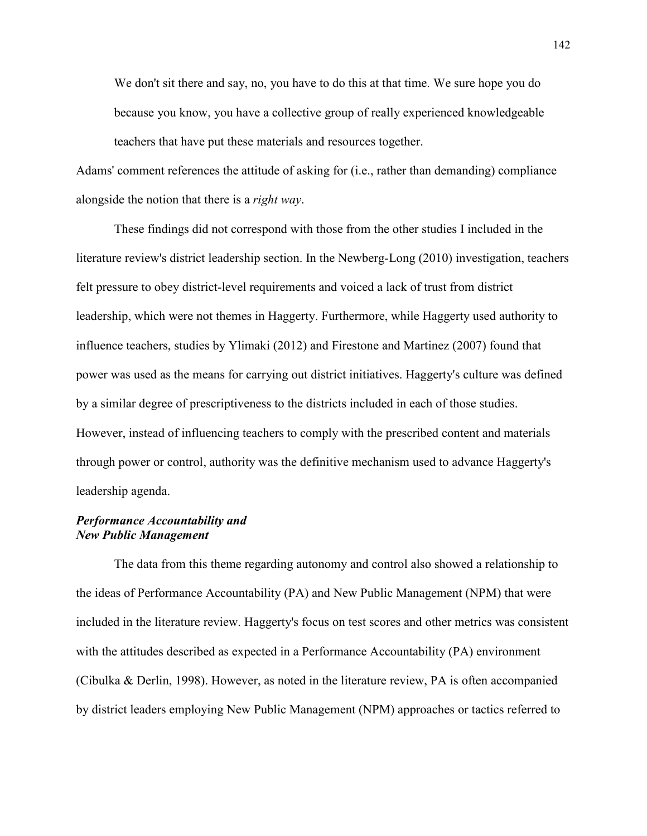We don't sit there and say, no, you have to do this at that time. We sure hope you do because you know, you have a collective group of really experienced knowledgeable teachers that have put these materials and resources together.

Adams' comment references the attitude of asking for (i.e., rather than demanding) compliance alongside the notion that there is a *right way*.

These findings did not correspond with those from the other studies I included in the literature review's district leadership section. In the Newberg-Long (2010) investigation, teachers felt pressure to obey district-level requirements and voiced a lack of trust from district leadership, which were not themes in Haggerty. Furthermore, while Haggerty used authority to influence teachers, studies by Ylimaki (2012) and Firestone and Martinez (2007) found that power was used as the means for carrying out district initiatives. Haggerty's culture was defined by a similar degree of prescriptiveness to the districts included in each of those studies. However, instead of influencing teachers to comply with the prescribed content and materials through power or control, authority was the definitive mechanism used to advance Haggerty's leadership agenda.

# *Performance Accountability and New Public Management*

The data from this theme regarding autonomy and control also showed a relationship to the ideas of Performance Accountability (PA) and New Public Management (NPM) that were included in the literature review. Haggerty's focus on test scores and other metrics was consistent with the attitudes described as expected in a Performance Accountability (PA) environment (Cibulka & Derlin, 1998). However, as noted in the literature review, PA is often accompanied by district leaders employing New Public Management (NPM) approaches or tactics referred to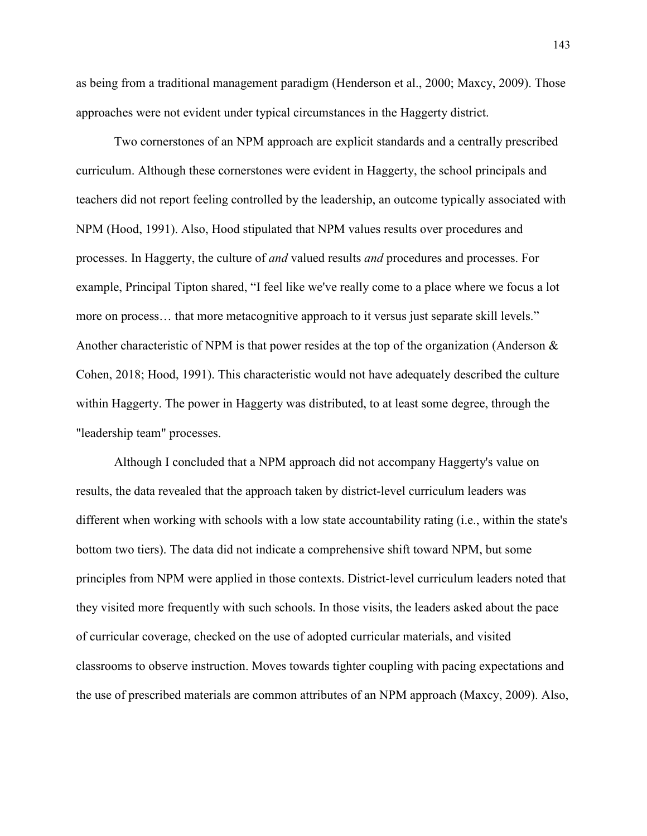as being from a traditional management paradigm (Henderson et al., 2000; Maxcy, 2009). Those approaches were not evident under typical circumstances in the Haggerty district.

Two cornerstones of an NPM approach are explicit standards and a centrally prescribed curriculum. Although these cornerstones were evident in Haggerty, the school principals and teachers did not report feeling controlled by the leadership, an outcome typically associated with NPM (Hood, 1991). Also, Hood stipulated that NPM values results over procedures and processes. In Haggerty, the culture of *and* valued results *and* procedures and processes. For example, Principal Tipton shared, "I feel like we've really come to a place where we focus a lot more on process… that more metacognitive approach to it versus just separate skill levels." Another characteristic of NPM is that power resides at the top of the organization (Anderson & Cohen, 2018; Hood, 1991). This characteristic would not have adequately described the culture within Haggerty. The power in Haggerty was distributed, to at least some degree, through the "leadership team" processes.

Although I concluded that a NPM approach did not accompany Haggerty's value on results, the data revealed that the approach taken by district-level curriculum leaders was different when working with schools with a low state accountability rating (i.e., within the state's bottom two tiers). The data did not indicate a comprehensive shift toward NPM, but some principles from NPM were applied in those contexts. District-level curriculum leaders noted that they visited more frequently with such schools. In those visits, the leaders asked about the pace of curricular coverage, checked on the use of adopted curricular materials, and visited classrooms to observe instruction. Moves towards tighter coupling with pacing expectations and the use of prescribed materials are common attributes of an NPM approach (Maxcy, 2009). Also,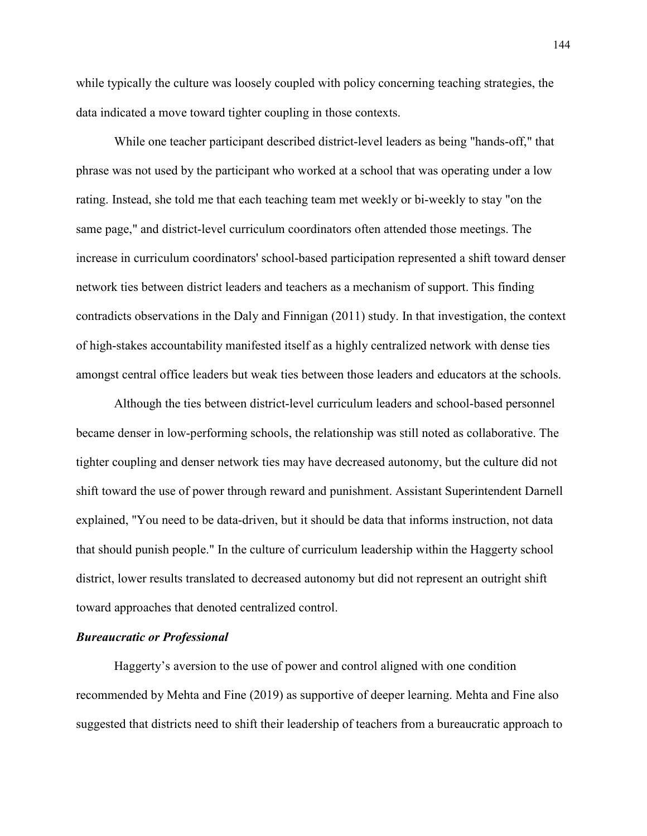while typically the culture was loosely coupled with policy concerning teaching strategies, the data indicated a move toward tighter coupling in those contexts.

While one teacher participant described district-level leaders as being "hands-off," that phrase was not used by the participant who worked at a school that was operating under a low rating. Instead, she told me that each teaching team met weekly or bi-weekly to stay "on the same page," and district-level curriculum coordinators often attended those meetings. The increase in curriculum coordinators' school-based participation represented a shift toward denser network ties between district leaders and teachers as a mechanism of support. This finding contradicts observations in the Daly and Finnigan (2011) study. In that investigation, the context of high-stakes accountability manifested itself as a highly centralized network with dense ties amongst central office leaders but weak ties between those leaders and educators at the schools.

Although the ties between district-level curriculum leaders and school-based personnel became denser in low-performing schools, the relationship was still noted as collaborative. The tighter coupling and denser network ties may have decreased autonomy, but the culture did not shift toward the use of power through reward and punishment. Assistant Superintendent Darnell explained, "You need to be data-driven, but it should be data that informs instruction, not data that should punish people." In the culture of curriculum leadership within the Haggerty school district, lower results translated to decreased autonomy but did not represent an outright shift toward approaches that denoted centralized control.

# *Bureaucratic or Professional*

Haggerty's aversion to the use of power and control aligned with one condition recommended by Mehta and Fine (2019) as supportive of deeper learning. Mehta and Fine also suggested that districts need to shift their leadership of teachers from a bureaucratic approach to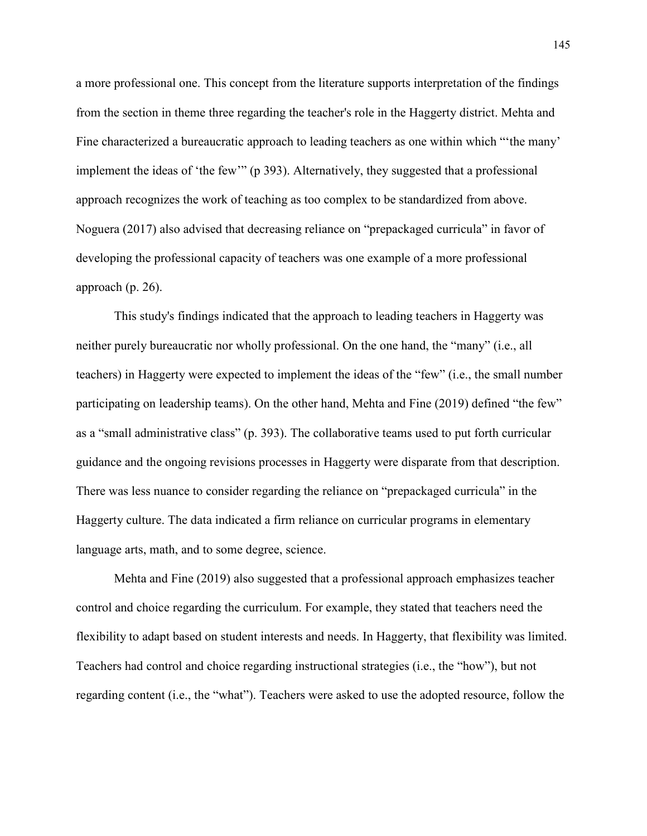a more professional one. This concept from the literature supports interpretation of the findings from the section in theme three regarding the teacher's role in the Haggerty district. Mehta and Fine characterized a bureaucratic approach to leading teachers as one within which "'the many' implement the ideas of 'the few'" (p 393). Alternatively, they suggested that a professional approach recognizes the work of teaching as too complex to be standardized from above. Noguera (2017) also advised that decreasing reliance on "prepackaged curricula" in favor of developing the professional capacity of teachers was one example of a more professional approach (p. 26).

This study's findings indicated that the approach to leading teachers in Haggerty was neither purely bureaucratic nor wholly professional. On the one hand, the "many" (i.e., all teachers) in Haggerty were expected to implement the ideas of the "few" (i.e., the small number participating on leadership teams). On the other hand, Mehta and Fine (2019) defined "the few" as a "small administrative class" (p. 393). The collaborative teams used to put forth curricular guidance and the ongoing revisions processes in Haggerty were disparate from that description. There was less nuance to consider regarding the reliance on "prepackaged curricula" in the Haggerty culture. The data indicated a firm reliance on curricular programs in elementary language arts, math, and to some degree, science.

Mehta and Fine (2019) also suggested that a professional approach emphasizes teacher control and choice regarding the curriculum. For example, they stated that teachers need the flexibility to adapt based on student interests and needs. In Haggerty, that flexibility was limited. Teachers had control and choice regarding instructional strategies (i.e., the "how"), but not regarding content (i.e., the "what"). Teachers were asked to use the adopted resource, follow the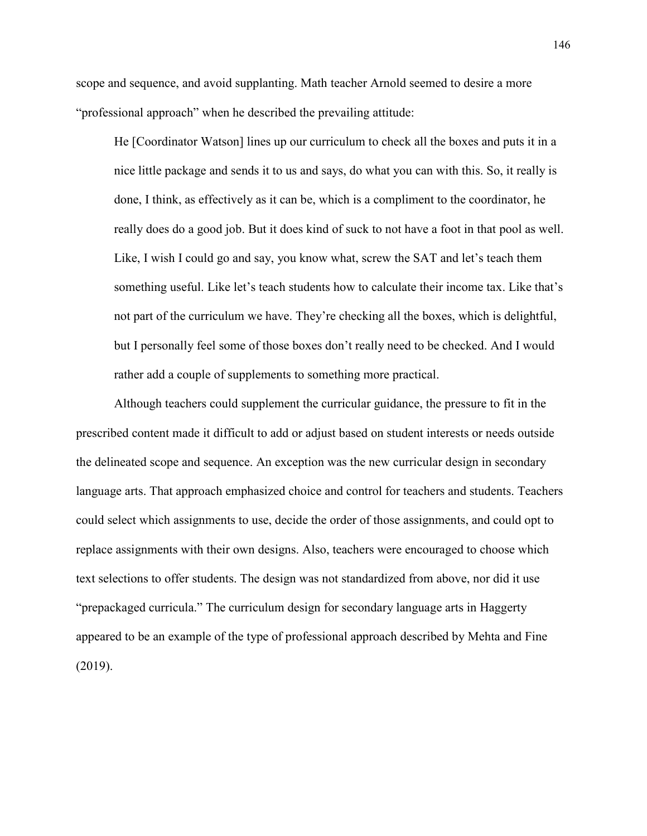scope and sequence, and avoid supplanting. Math teacher Arnold seemed to desire a more "professional approach" when he described the prevailing attitude:

He [Coordinator Watson] lines up our curriculum to check all the boxes and puts it in a nice little package and sends it to us and says, do what you can with this. So, it really is done, I think, as effectively as it can be, which is a compliment to the coordinator, he really does do a good job. But it does kind of suck to not have a foot in that pool as well. Like, I wish I could go and say, you know what, screw the SAT and let's teach them something useful. Like let's teach students how to calculate their income tax. Like that's not part of the curriculum we have. They're checking all the boxes, which is delightful, but I personally feel some of those boxes don't really need to be checked. And I would rather add a couple of supplements to something more practical.

Although teachers could supplement the curricular guidance, the pressure to fit in the prescribed content made it difficult to add or adjust based on student interests or needs outside the delineated scope and sequence. An exception was the new curricular design in secondary language arts. That approach emphasized choice and control for teachers and students. Teachers could select which assignments to use, decide the order of those assignments, and could opt to replace assignments with their own designs. Also, teachers were encouraged to choose which text selections to offer students. The design was not standardized from above, nor did it use "prepackaged curricula." The curriculum design for secondary language arts in Haggerty appeared to be an example of the type of professional approach described by Mehta and Fine (2019).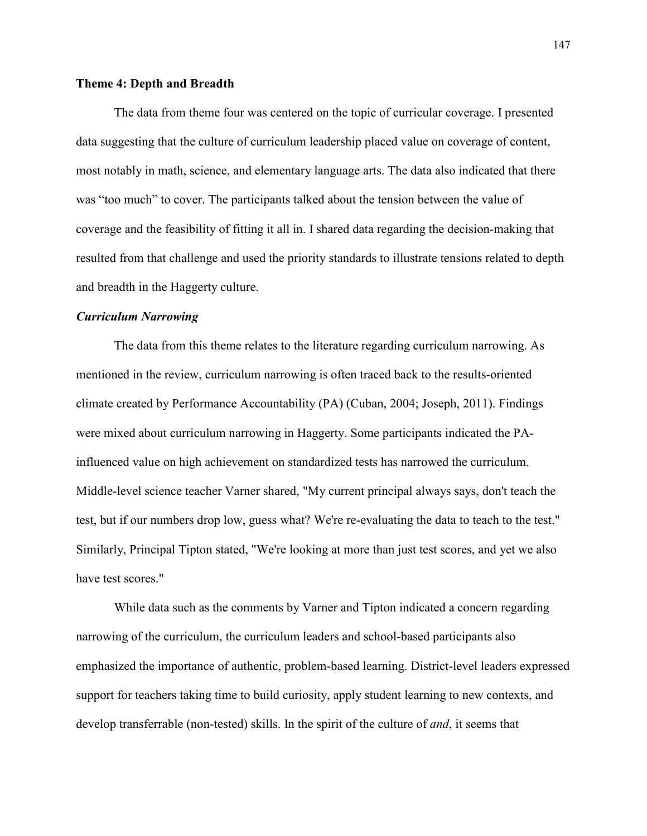### **Theme 4: Depth and Breadth**

The data from theme four was centered on the topic of curricular coverage. I presented data suggesting that the culture of curriculum leadership placed value on coverage of content, most notably in math, science, and elementary language arts. The data also indicated that there was "too much" to cover. The participants talked about the tension between the value of coverage and the feasibility of fitting it all in. I shared data regarding the decision-making that resulted from that challenge and used the priority standards to illustrate tensions related to depth and breadth in the Haggerty culture.

### *Curriculum Narrowing*

The data from this theme relates to the literature regarding curriculum narrowing. As mentioned in the review, curriculum narrowing is often traced back to the results-oriented climate created by Performance Accountability (PA) (Cuban, 2004; Joseph, 2011). Findings were mixed about curriculum narrowing in Haggerty. Some participants indicated the PAinfluenced value on high achievement on standardized tests has narrowed the curriculum. Middle-level science teacher Varner shared, "My current principal always says, don't teach the test, but if our numbers drop low, guess what? We're re-evaluating the data to teach to the test." Similarly, Principal Tipton stated, "We're looking at more than just test scores, and yet we also have test scores."

While data such as the comments by Varner and Tipton indicated a concern regarding narrowing of the curriculum, the curriculum leaders and school-based participants also emphasized the importance of authentic, problem-based learning. District-level leaders expressed support for teachers taking time to build curiosity, apply student learning to new contexts, and develop transferrable (non-tested) skills. In the spirit of the culture of *and*, it seems that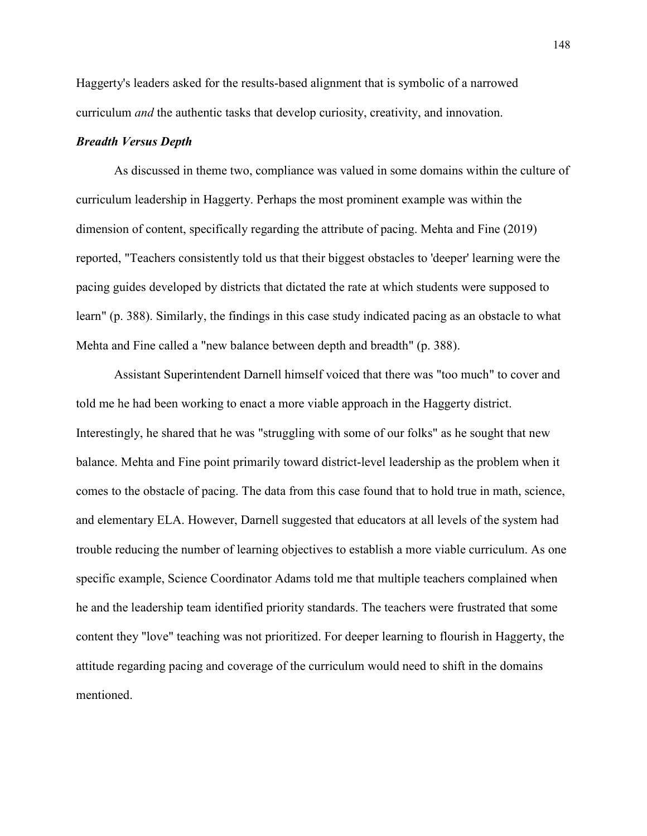Haggerty's leaders asked for the results-based alignment that is symbolic of a narrowed curriculum *and* the authentic tasks that develop curiosity, creativity, and innovation.

# *Breadth Versus Depth*

As discussed in theme two, compliance was valued in some domains within the culture of curriculum leadership in Haggerty. Perhaps the most prominent example was within the dimension of content, specifically regarding the attribute of pacing. Mehta and Fine (2019) reported, "Teachers consistently told us that their biggest obstacles to 'deeper' learning were the pacing guides developed by districts that dictated the rate at which students were supposed to learn" (p. 388). Similarly, the findings in this case study indicated pacing as an obstacle to what Mehta and Fine called a "new balance between depth and breadth" (p. 388).

Assistant Superintendent Darnell himself voiced that there was "too much" to cover and told me he had been working to enact a more viable approach in the Haggerty district. Interestingly, he shared that he was "struggling with some of our folks" as he sought that new balance. Mehta and Fine point primarily toward district-level leadership as the problem when it comes to the obstacle of pacing. The data from this case found that to hold true in math, science, and elementary ELA. However, Darnell suggested that educators at all levels of the system had trouble reducing the number of learning objectives to establish a more viable curriculum. As one specific example, Science Coordinator Adams told me that multiple teachers complained when he and the leadership team identified priority standards. The teachers were frustrated that some content they "love" teaching was not prioritized. For deeper learning to flourish in Haggerty, the attitude regarding pacing and coverage of the curriculum would need to shift in the domains mentioned.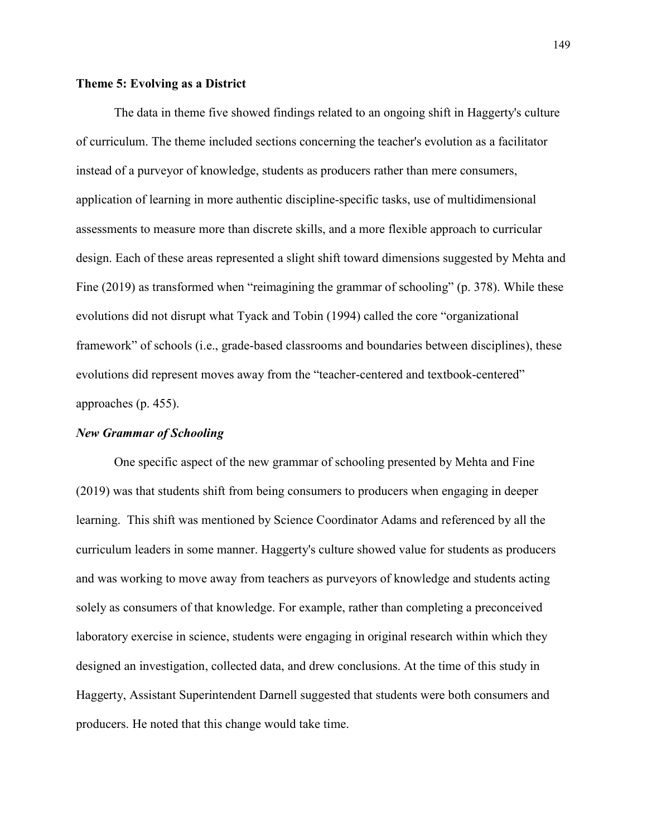### **Theme 5: Evolving as a District**

 The data in theme five showed findings related to an ongoing shift in Haggerty's culture of curriculum. The theme included sections concerning the teacher's evolution as a facilitator instead of a purveyor of knowledge, students as producers rather than mere consumers, application of learning in more authentic discipline-specific tasks, use of multidimensional assessments to measure more than discrete skills, and a more flexible approach to curricular design. Each of these areas represented a slight shift toward dimensions suggested by Mehta and Fine (2019) as transformed when "reimagining the grammar of schooling" (p. 378). While these evolutions did not disrupt what Tyack and Tobin (1994) called the core "organizational framework" of schools (i.e., grade-based classrooms and boundaries between disciplines), these evolutions did represent moves away from the "teacher-centered and textbook-centered" approaches (p. 455).

### *New Grammar of Schooling*

One specific aspect of the new grammar of schooling presented by Mehta and Fine (2019) was that students shift from being consumers to producers when engaging in deeper learning. This shift was mentioned by Science Coordinator Adams and referenced by all the curriculum leaders in some manner. Haggerty's culture showed value for students as producers and was working to move away from teachers as purveyors of knowledge and students acting solely as consumers of that knowledge. For example, rather than completing a preconceived laboratory exercise in science, students were engaging in original research within which they designed an investigation, collected data, and drew conclusions. At the time of this study in Haggerty, Assistant Superintendent Darnell suggested that students were both consumers and producers. He noted that this change would take time.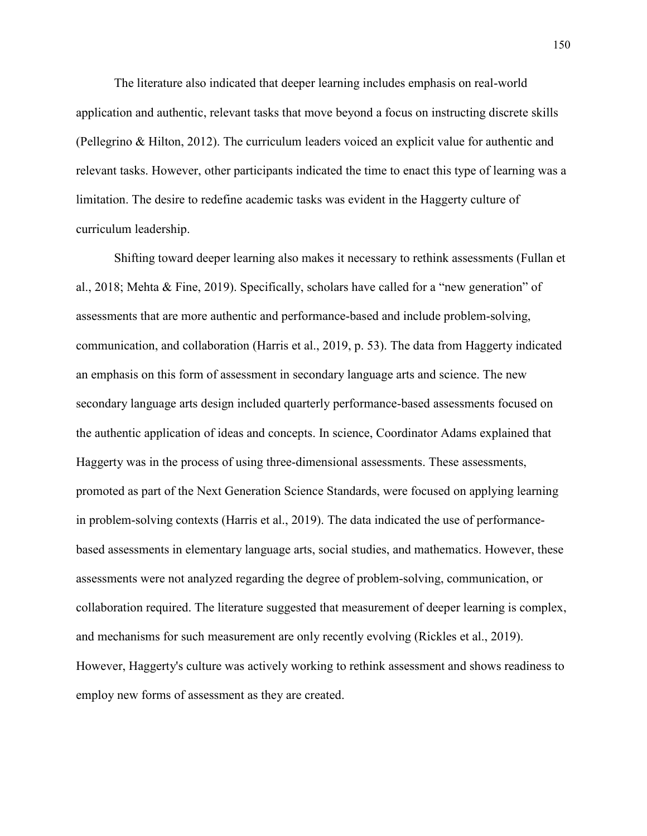The literature also indicated that deeper learning includes emphasis on real-world application and authentic, relevant tasks that move beyond a focus on instructing discrete skills (Pellegrino & Hilton, 2012). The curriculum leaders voiced an explicit value for authentic and relevant tasks. However, other participants indicated the time to enact this type of learning was a limitation. The desire to redefine academic tasks was evident in the Haggerty culture of curriculum leadership.

Shifting toward deeper learning also makes it necessary to rethink assessments (Fullan et al., 2018; Mehta & Fine, 2019). Specifically, scholars have called for a "new generation" of assessments that are more authentic and performance-based and include problem-solving, communication, and collaboration (Harris et al., 2019, p. 53). The data from Haggerty indicated an emphasis on this form of assessment in secondary language arts and science. The new secondary language arts design included quarterly performance-based assessments focused on the authentic application of ideas and concepts. In science, Coordinator Adams explained that Haggerty was in the process of using three-dimensional assessments. These assessments, promoted as part of the Next Generation Science Standards, were focused on applying learning in problem-solving contexts (Harris et al., 2019). The data indicated the use of performancebased assessments in elementary language arts, social studies, and mathematics. However, these assessments were not analyzed regarding the degree of problem-solving, communication, or collaboration required. The literature suggested that measurement of deeper learning is complex, and mechanisms for such measurement are only recently evolving (Rickles et al., 2019). However, Haggerty's culture was actively working to rethink assessment and shows readiness to employ new forms of assessment as they are created.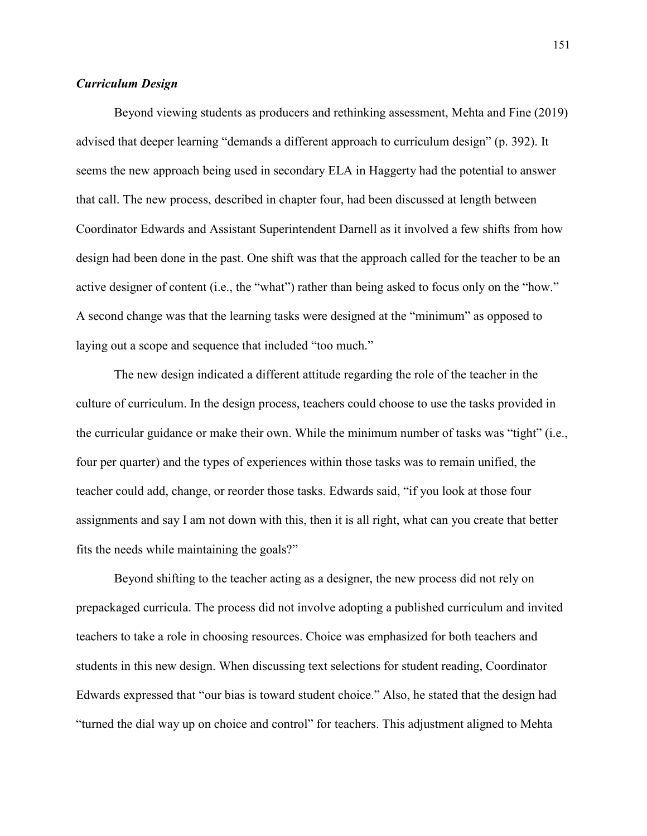# *Curriculum Design*

Beyond viewing students as producers and rethinking assessment, Mehta and Fine (2019) advised that deeper learning "demands a different approach to curriculum design" (p. 392). It seems the new approach being used in secondary ELA in Haggerty had the potential to answer that call. The new process, described in chapter four, had been discussed at length between Coordinator Edwards and Assistant Superintendent Darnell as it involved a few shifts from how design had been done in the past. One shift was that the approach called for the teacher to be an active designer of content (i.e., the "what") rather than being asked to focus only on the "how." A second change was that the learning tasks were designed at the "minimum" as opposed to laying out a scope and sequence that included "too much."

The new design indicated a different attitude regarding the role of the teacher in the culture of curriculum. In the design process, teachers could choose to use the tasks provided in the curricular guidance or make their own. While the minimum number of tasks was "tight" (i.e., four per quarter) and the types of experiences within those tasks was to remain unified, the teacher could add, change, or reorder those tasks. Edwards said, "if you look at those four assignments and say I am not down with this, then it is all right, what can you create that better fits the needs while maintaining the goals?"

Beyond shifting to the teacher acting as a designer, the new process did not rely on prepackaged curricula. The process did not involve adopting a published curriculum and invited teachers to take a role in choosing resources. Choice was emphasized for both teachers and students in this new design. When discussing text selections for student reading, Coordinator Edwards expressed that "our bias is toward student choice." Also, he stated that the design had "turned the dial way up on choice and control" for teachers. This adjustment aligned to Mehta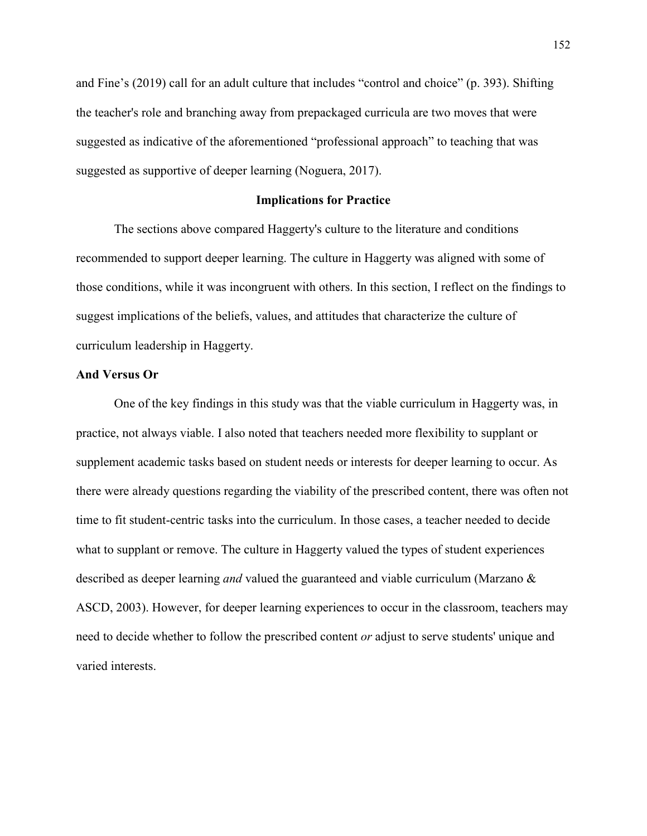and Fine's (2019) call for an adult culture that includes "control and choice" (p. 393). Shifting the teacher's role and branching away from prepackaged curricula are two moves that were suggested as indicative of the aforementioned "professional approach" to teaching that was suggested as supportive of deeper learning (Noguera, 2017).

# **Implications for Practice**

 The sections above compared Haggerty's culture to the literature and conditions recommended to support deeper learning. The culture in Haggerty was aligned with some of those conditions, while it was incongruent with others. In this section, I reflect on the findings to suggest implications of the beliefs, values, and attitudes that characterize the culture of curriculum leadership in Haggerty.

#### **And Versus Or**

One of the key findings in this study was that the viable curriculum in Haggerty was, in practice, not always viable. I also noted that teachers needed more flexibility to supplant or supplement academic tasks based on student needs or interests for deeper learning to occur. As there were already questions regarding the viability of the prescribed content, there was often not time to fit student-centric tasks into the curriculum. In those cases, a teacher needed to decide what to supplant or remove. The culture in Haggerty valued the types of student experiences described as deeper learning *and* valued the guaranteed and viable curriculum (Marzano & ASCD, 2003). However, for deeper learning experiences to occur in the classroom, teachers may need to decide whether to follow the prescribed content *or* adjust to serve students' unique and varied interests.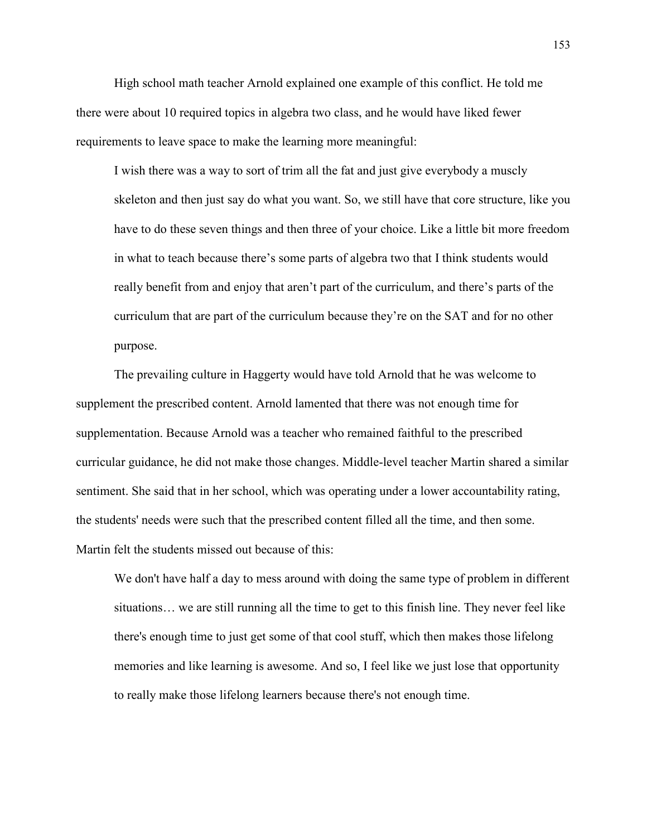High school math teacher Arnold explained one example of this conflict. He told me there were about 10 required topics in algebra two class, and he would have liked fewer requirements to leave space to make the learning more meaningful:

I wish there was a way to sort of trim all the fat and just give everybody a muscly skeleton and then just say do what you want. So, we still have that core structure, like you have to do these seven things and then three of your choice. Like a little bit more freedom in what to teach because there's some parts of algebra two that I think students would really benefit from and enjoy that aren't part of the curriculum, and there's parts of the curriculum that are part of the curriculum because they're on the SAT and for no other purpose.

The prevailing culture in Haggerty would have told Arnold that he was welcome to supplement the prescribed content. Arnold lamented that there was not enough time for supplementation. Because Arnold was a teacher who remained faithful to the prescribed curricular guidance, he did not make those changes. Middle-level teacher Martin shared a similar sentiment. She said that in her school, which was operating under a lower accountability rating, the students' needs were such that the prescribed content filled all the time, and then some. Martin felt the students missed out because of this:

We don't have half a day to mess around with doing the same type of problem in different situations… we are still running all the time to get to this finish line. They never feel like there's enough time to just get some of that cool stuff, which then makes those lifelong memories and like learning is awesome. And so, I feel like we just lose that opportunity to really make those lifelong learners because there's not enough time.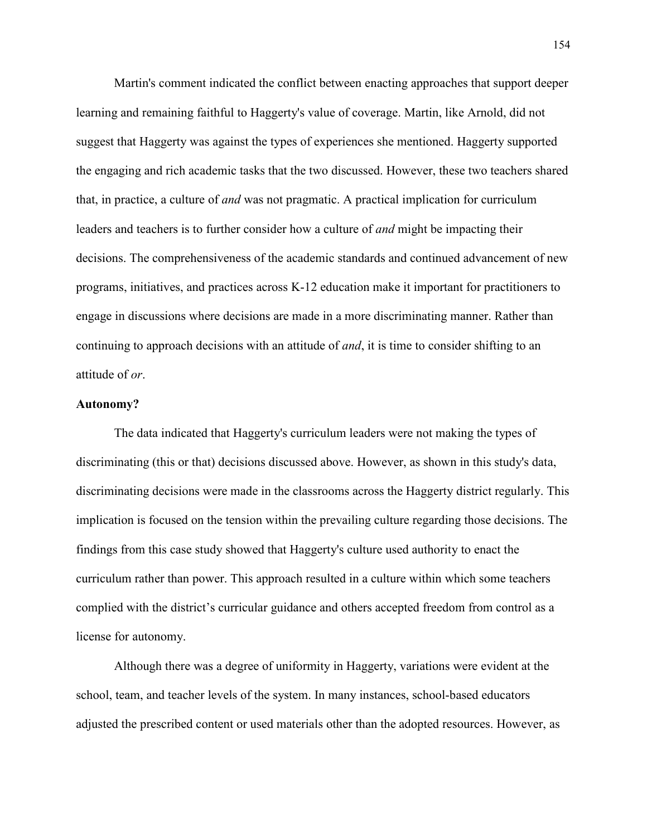Martin's comment indicated the conflict between enacting approaches that support deeper learning and remaining faithful to Haggerty's value of coverage. Martin, like Arnold, did not suggest that Haggerty was against the types of experiences she mentioned. Haggerty supported the engaging and rich academic tasks that the two discussed. However, these two teachers shared that, in practice, a culture of *and* was not pragmatic. A practical implication for curriculum leaders and teachers is to further consider how a culture of *and* might be impacting their decisions. The comprehensiveness of the academic standards and continued advancement of new programs, initiatives, and practices across K-12 education make it important for practitioners to engage in discussions where decisions are made in a more discriminating manner. Rather than continuing to approach decisions with an attitude of *and*, it is time to consider shifting to an attitude of *or*.

### **Autonomy?**

The data indicated that Haggerty's curriculum leaders were not making the types of discriminating (this or that) decisions discussed above. However, as shown in this study's data, discriminating decisions were made in the classrooms across the Haggerty district regularly. This implication is focused on the tension within the prevailing culture regarding those decisions. The findings from this case study showed that Haggerty's culture used authority to enact the curriculum rather than power. This approach resulted in a culture within which some teachers complied with the district's curricular guidance and others accepted freedom from control as a license for autonomy.

Although there was a degree of uniformity in Haggerty, variations were evident at the school, team, and teacher levels of the system. In many instances, school-based educators adjusted the prescribed content or used materials other than the adopted resources. However, as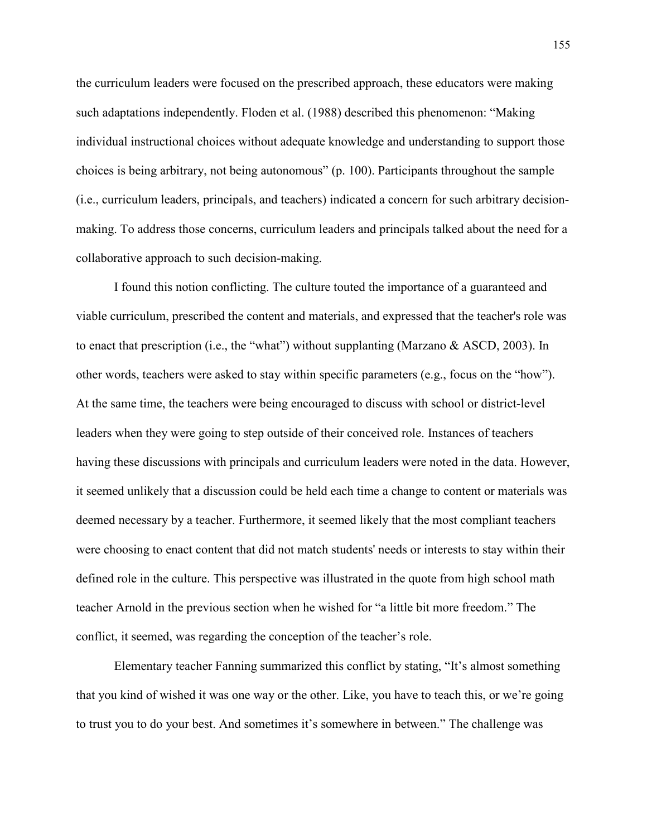the curriculum leaders were focused on the prescribed approach, these educators were making such adaptations independently. Floden et al. (1988) described this phenomenon: "Making individual instructional choices without adequate knowledge and understanding to support those choices is being arbitrary, not being autonomous" (p. 100). Participants throughout the sample (i.e., curriculum leaders, principals, and teachers) indicated a concern for such arbitrary decisionmaking. To address those concerns, curriculum leaders and principals talked about the need for a collaborative approach to such decision-making.

I found this notion conflicting. The culture touted the importance of a guaranteed and viable curriculum, prescribed the content and materials, and expressed that the teacher's role was to enact that prescription (i.e., the "what") without supplanting (Marzano & ASCD, 2003). In other words, teachers were asked to stay within specific parameters (e.g., focus on the "how"). At the same time, the teachers were being encouraged to discuss with school or district-level leaders when they were going to step outside of their conceived role. Instances of teachers having these discussions with principals and curriculum leaders were noted in the data. However, it seemed unlikely that a discussion could be held each time a change to content or materials was deemed necessary by a teacher. Furthermore, it seemed likely that the most compliant teachers were choosing to enact content that did not match students' needs or interests to stay within their defined role in the culture. This perspective was illustrated in the quote from high school math teacher Arnold in the previous section when he wished for "a little bit more freedom." The conflict, it seemed, was regarding the conception of the teacher's role.

Elementary teacher Fanning summarized this conflict by stating, "It's almost something that you kind of wished it was one way or the other. Like, you have to teach this, or we're going to trust you to do your best. And sometimes it's somewhere in between." The challenge was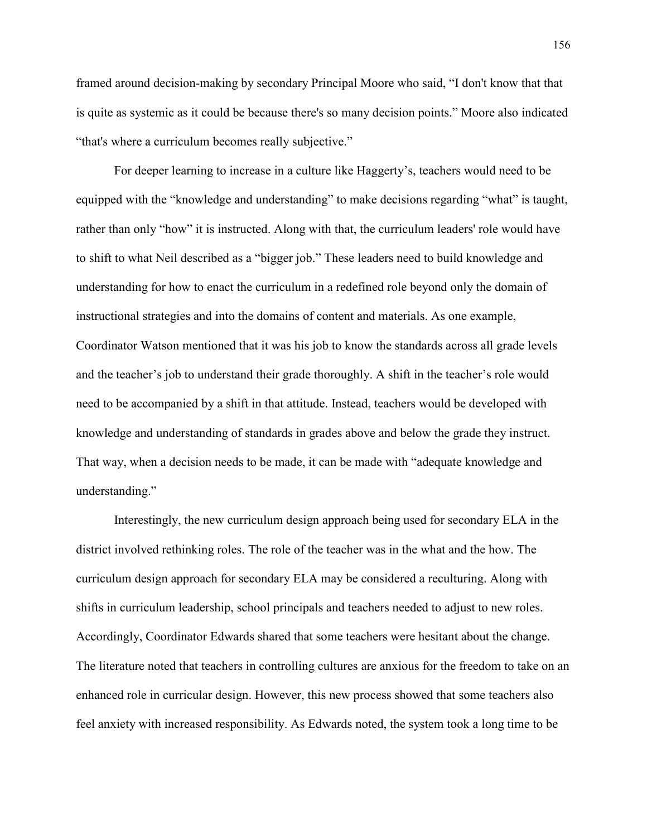framed around decision-making by secondary Principal Moore who said, "I don't know that that is quite as systemic as it could be because there's so many decision points." Moore also indicated "that's where a curriculum becomes really subjective."

For deeper learning to increase in a culture like Haggerty's, teachers would need to be equipped with the "knowledge and understanding" to make decisions regarding "what" is taught, rather than only "how" it is instructed. Along with that, the curriculum leaders' role would have to shift to what Neil described as a "bigger job." These leaders need to build knowledge and understanding for how to enact the curriculum in a redefined role beyond only the domain of instructional strategies and into the domains of content and materials. As one example, Coordinator Watson mentioned that it was his job to know the standards across all grade levels and the teacher's job to understand their grade thoroughly. A shift in the teacher's role would need to be accompanied by a shift in that attitude. Instead, teachers would be developed with knowledge and understanding of standards in grades above and below the grade they instruct. That way, when a decision needs to be made, it can be made with "adequate knowledge and understanding."

Interestingly, the new curriculum design approach being used for secondary ELA in the district involved rethinking roles. The role of the teacher was in the what and the how. The curriculum design approach for secondary ELA may be considered a reculturing. Along with shifts in curriculum leadership, school principals and teachers needed to adjust to new roles. Accordingly, Coordinator Edwards shared that some teachers were hesitant about the change. The literature noted that teachers in controlling cultures are anxious for the freedom to take on an enhanced role in curricular design. However, this new process showed that some teachers also feel anxiety with increased responsibility. As Edwards noted, the system took a long time to be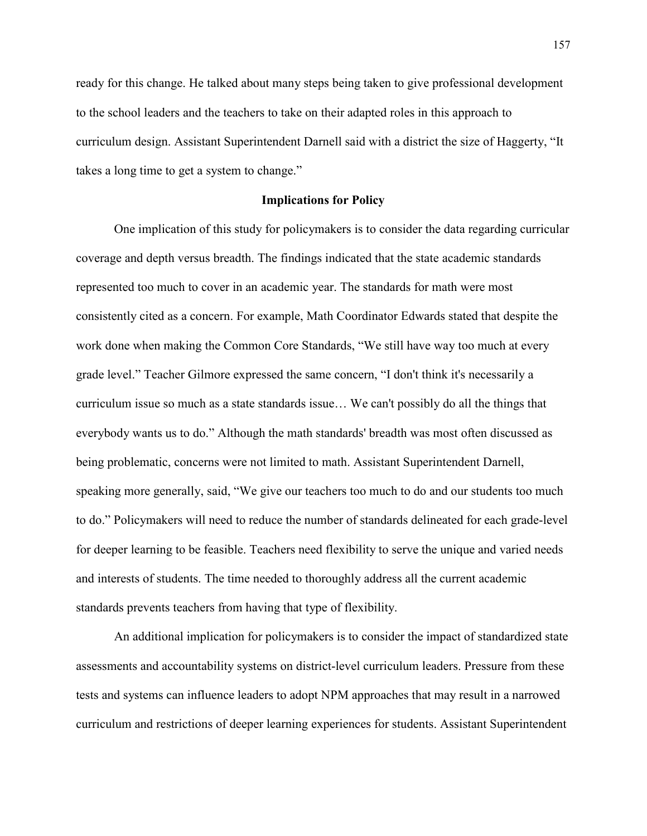ready for this change. He talked about many steps being taken to give professional development to the school leaders and the teachers to take on their adapted roles in this approach to curriculum design. Assistant Superintendent Darnell said with a district the size of Haggerty, "It takes a long time to get a system to change."

#### **Implications for Policy**

One implication of this study for policymakers is to consider the data regarding curricular coverage and depth versus breadth. The findings indicated that the state academic standards represented too much to cover in an academic year. The standards for math were most consistently cited as a concern. For example, Math Coordinator Edwards stated that despite the work done when making the Common Core Standards, "We still have way too much at every grade level." Teacher Gilmore expressed the same concern, "I don't think it's necessarily a curriculum issue so much as a state standards issue… We can't possibly do all the things that everybody wants us to do." Although the math standards' breadth was most often discussed as being problematic, concerns were not limited to math. Assistant Superintendent Darnell, speaking more generally, said, "We give our teachers too much to do and our students too much to do." Policymakers will need to reduce the number of standards delineated for each grade-level for deeper learning to be feasible. Teachers need flexibility to serve the unique and varied needs and interests of students. The time needed to thoroughly address all the current academic standards prevents teachers from having that type of flexibility.

An additional implication for policymakers is to consider the impact of standardized state assessments and accountability systems on district-level curriculum leaders. Pressure from these tests and systems can influence leaders to adopt NPM approaches that may result in a narrowed curriculum and restrictions of deeper learning experiences for students. Assistant Superintendent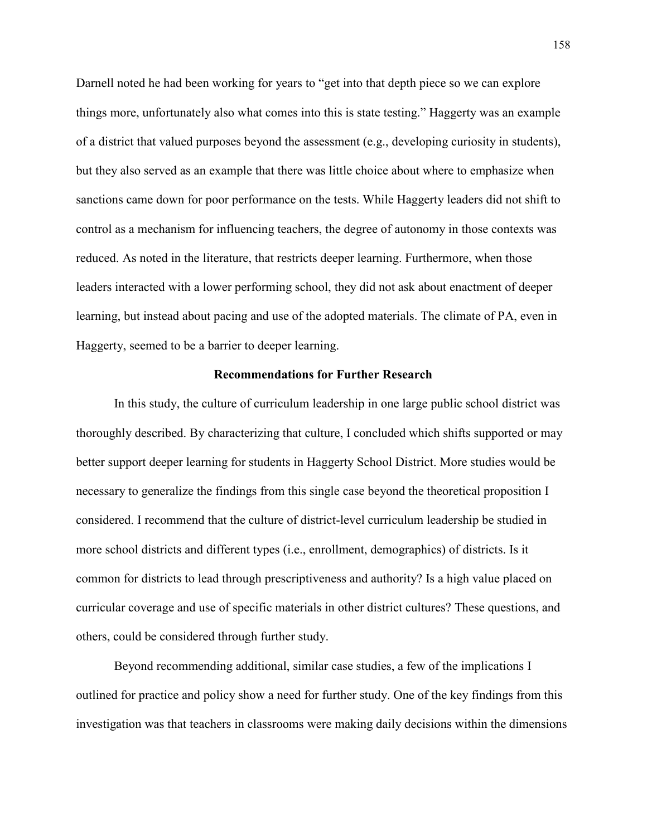Darnell noted he had been working for years to "get into that depth piece so we can explore things more, unfortunately also what comes into this is state testing." Haggerty was an example of a district that valued purposes beyond the assessment (e.g., developing curiosity in students), but they also served as an example that there was little choice about where to emphasize when sanctions came down for poor performance on the tests. While Haggerty leaders did not shift to control as a mechanism for influencing teachers, the degree of autonomy in those contexts was reduced. As noted in the literature, that restricts deeper learning. Furthermore, when those leaders interacted with a lower performing school, they did not ask about enactment of deeper learning, but instead about pacing and use of the adopted materials. The climate of PA, even in Haggerty, seemed to be a barrier to deeper learning.

#### **Recommendations for Further Research**

In this study, the culture of curriculum leadership in one large public school district was thoroughly described. By characterizing that culture, I concluded which shifts supported or may better support deeper learning for students in Haggerty School District. More studies would be necessary to generalize the findings from this single case beyond the theoretical proposition I considered. I recommend that the culture of district-level curriculum leadership be studied in more school districts and different types (i.e., enrollment, demographics) of districts. Is it common for districts to lead through prescriptiveness and authority? Is a high value placed on curricular coverage and use of specific materials in other district cultures? These questions, and others, could be considered through further study.

Beyond recommending additional, similar case studies, a few of the implications I outlined for practice and policy show a need for further study. One of the key findings from this investigation was that teachers in classrooms were making daily decisions within the dimensions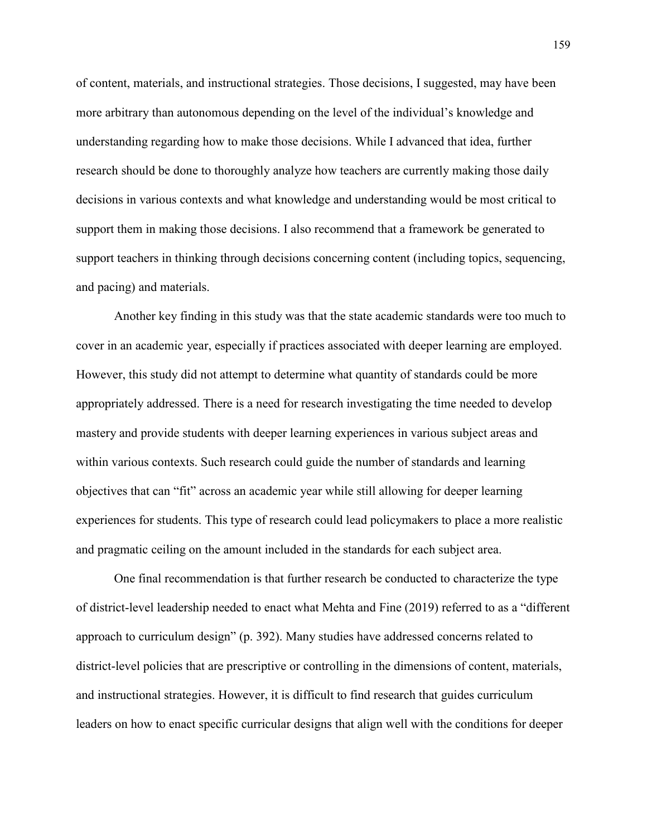of content, materials, and instructional strategies. Those decisions, I suggested, may have been more arbitrary than autonomous depending on the level of the individual's knowledge and understanding regarding how to make those decisions. While I advanced that idea, further research should be done to thoroughly analyze how teachers are currently making those daily decisions in various contexts and what knowledge and understanding would be most critical to support them in making those decisions. I also recommend that a framework be generated to support teachers in thinking through decisions concerning content (including topics, sequencing, and pacing) and materials.

Another key finding in this study was that the state academic standards were too much to cover in an academic year, especially if practices associated with deeper learning are employed. However, this study did not attempt to determine what quantity of standards could be more appropriately addressed. There is a need for research investigating the time needed to develop mastery and provide students with deeper learning experiences in various subject areas and within various contexts. Such research could guide the number of standards and learning objectives that can "fit" across an academic year while still allowing for deeper learning experiences for students. This type of research could lead policymakers to place a more realistic and pragmatic ceiling on the amount included in the standards for each subject area.

One final recommendation is that further research be conducted to characterize the type of district-level leadership needed to enact what Mehta and Fine (2019) referred to as a "different approach to curriculum design" (p. 392). Many studies have addressed concerns related to district-level policies that are prescriptive or controlling in the dimensions of content, materials, and instructional strategies. However, it is difficult to find research that guides curriculum leaders on how to enact specific curricular designs that align well with the conditions for deeper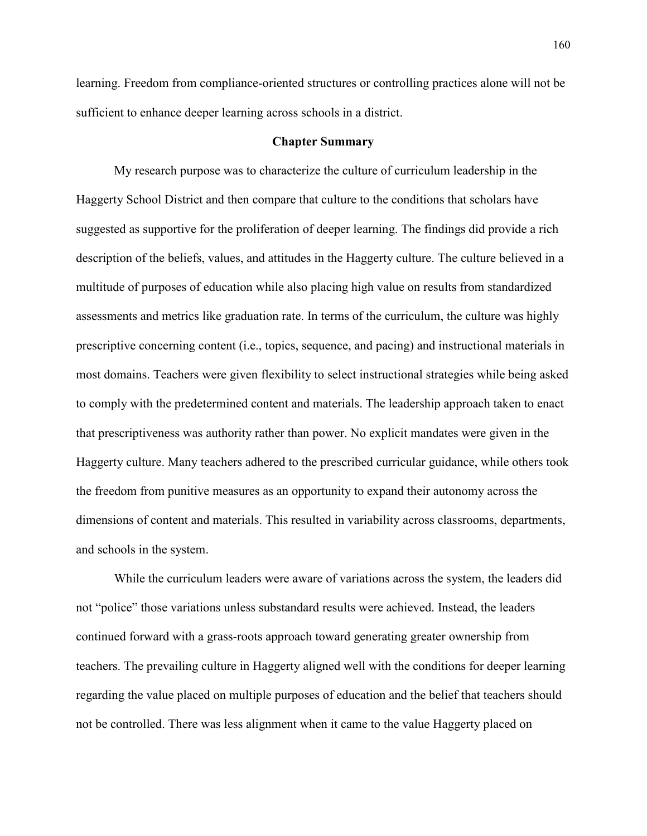learning. Freedom from compliance-oriented structures or controlling practices alone will not be sufficient to enhance deeper learning across schools in a district.

#### **Chapter Summary**

 My research purpose was to characterize the culture of curriculum leadership in the Haggerty School District and then compare that culture to the conditions that scholars have suggested as supportive for the proliferation of deeper learning. The findings did provide a rich description of the beliefs, values, and attitudes in the Haggerty culture. The culture believed in a multitude of purposes of education while also placing high value on results from standardized assessments and metrics like graduation rate. In terms of the curriculum, the culture was highly prescriptive concerning content (i.e., topics, sequence, and pacing) and instructional materials in most domains. Teachers were given flexibility to select instructional strategies while being asked to comply with the predetermined content and materials. The leadership approach taken to enact that prescriptiveness was authority rather than power. No explicit mandates were given in the Haggerty culture. Many teachers adhered to the prescribed curricular guidance, while others took the freedom from punitive measures as an opportunity to expand their autonomy across the dimensions of content and materials. This resulted in variability across classrooms, departments, and schools in the system.

 While the curriculum leaders were aware of variations across the system, the leaders did not "police" those variations unless substandard results were achieved. Instead, the leaders continued forward with a grass-roots approach toward generating greater ownership from teachers. The prevailing culture in Haggerty aligned well with the conditions for deeper learning regarding the value placed on multiple purposes of education and the belief that teachers should not be controlled. There was less alignment when it came to the value Haggerty placed on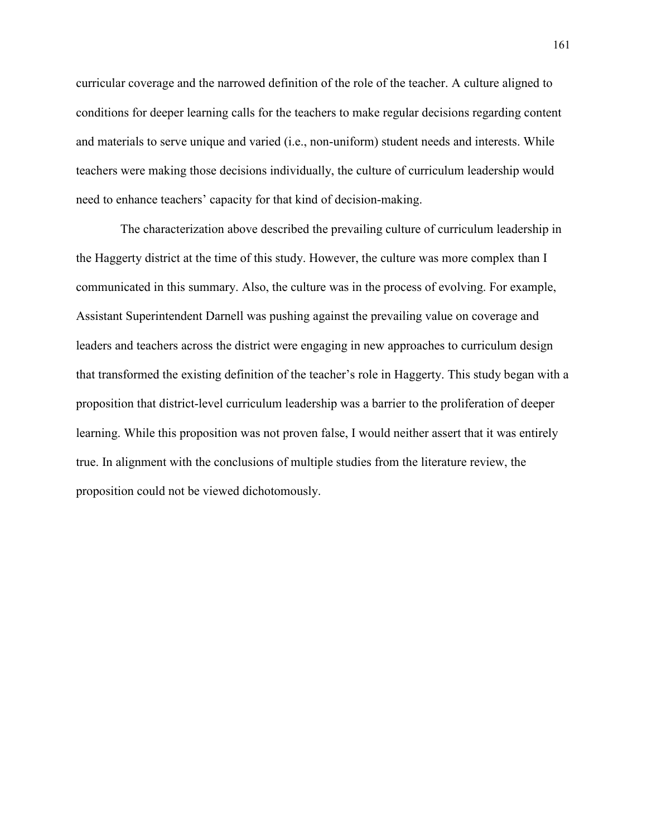curricular coverage and the narrowed definition of the role of the teacher. A culture aligned to conditions for deeper learning calls for the teachers to make regular decisions regarding content and materials to serve unique and varied (i.e., non-uniform) student needs and interests. While teachers were making those decisions individually, the culture of curriculum leadership would need to enhance teachers' capacity for that kind of decision-making.

 The characterization above described the prevailing culture of curriculum leadership in the Haggerty district at the time of this study. However, the culture was more complex than I communicated in this summary. Also, the culture was in the process of evolving. For example, Assistant Superintendent Darnell was pushing against the prevailing value on coverage and leaders and teachers across the district were engaging in new approaches to curriculum design that transformed the existing definition of the teacher's role in Haggerty. This study began with a proposition that district-level curriculum leadership was a barrier to the proliferation of deeper learning. While this proposition was not proven false, I would neither assert that it was entirely true. In alignment with the conclusions of multiple studies from the literature review, the proposition could not be viewed dichotomously.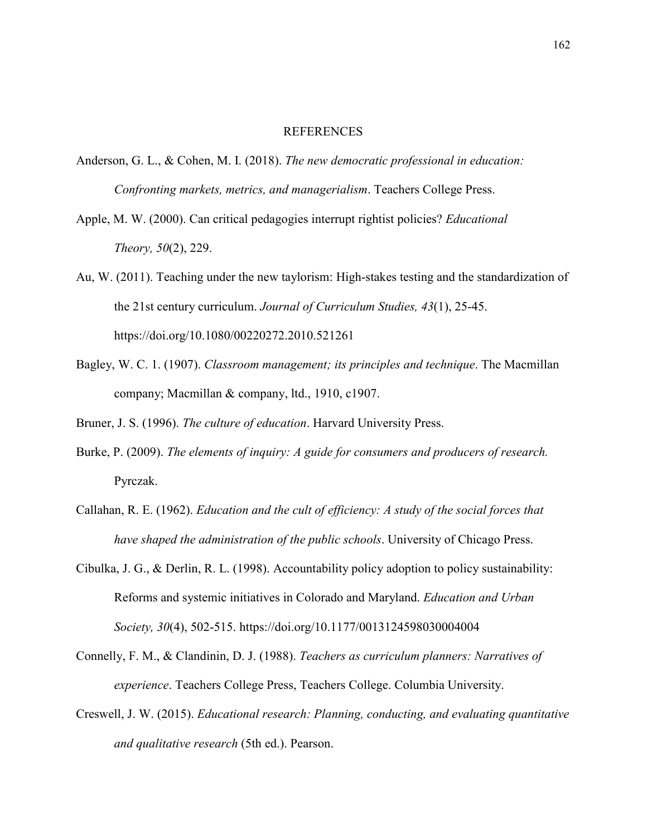#### REFERENCES

- Anderson, G. L., & Cohen, M. I. (2018). *The new democratic professional in education: Confronting markets, metrics, and managerialism*. Teachers College Press.
- Apple, M. W. (2000). Can critical pedagogies interrupt rightist policies? *Educational Theory, 50*(2), 229.
- Au, W. (2011). Teaching under the new taylorism: High-stakes testing and the standardization of the 21st century curriculum. *Journal of Curriculum Studies, 43*(1), 25-45. https://doi.org/10.1080/00220272.2010.521261
- Bagley, W. C. 1. (1907). *Classroom management; its principles and technique*. The Macmillan company; Macmillan & company, ltd., 1910, c1907.

Bruner, J. S. (1996). *The culture of education*. Harvard University Press.

- Burke, P. (2009). *The elements of inquiry: A guide for consumers and producers of research.*  Pyrczak.
- Callahan, R. E. (1962). *Education and the cult of efficiency: A study of the social forces that have shaped the administration of the public schools*. University of Chicago Press.
- Cibulka, J. G., & Derlin, R. L. (1998). Accountability policy adoption to policy sustainability: Reforms and systemic initiatives in Colorado and Maryland. *Education and Urban Society, 30*(4), 502-515. https://doi.org/10.1177/0013124598030004004
- Connelly, F. M., & Clandinin, D. J. (1988). *Teachers as curriculum planners: Narratives of experience*. Teachers College Press, Teachers College. Columbia University.
- Creswell, J. W. (2015). *Educational research: Planning, conducting, and evaluating quantitative and qualitative research* (5th ed.). Pearson.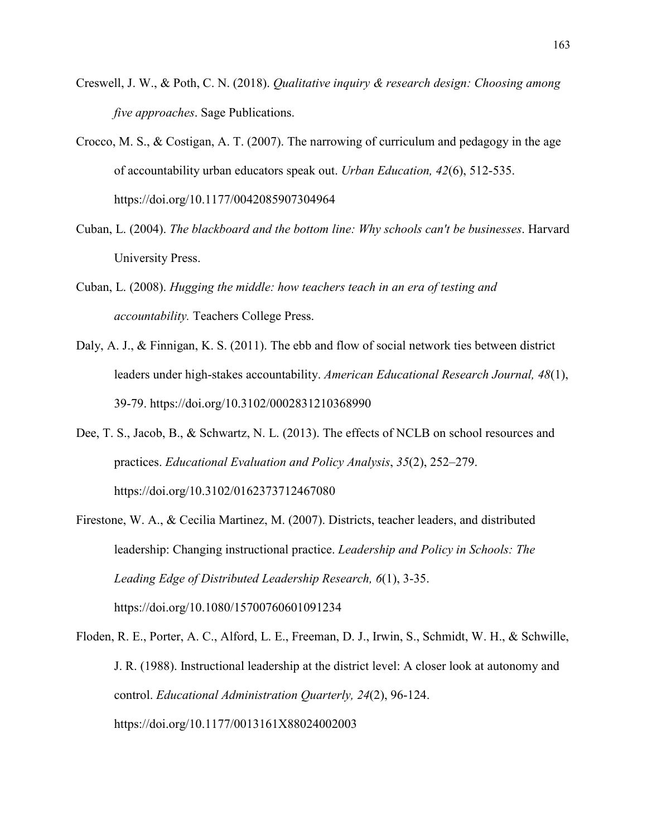- Creswell, J. W., & Poth, C. N. (2018). *Qualitative inquiry & research design: Choosing among five approaches*. Sage Publications.
- Crocco, M. S., & Costigan, A. T. (2007). The narrowing of curriculum and pedagogy in the age of accountability urban educators speak out. *Urban Education, 42*(6), 512-535. https://doi.org/10.1177/0042085907304964
- Cuban, L. (2004). *The blackboard and the bottom line: Why schools can't be businesses*. Harvard University Press.
- Cuban, L. (2008). *Hugging the middle: how teachers teach in an era of testing and accountability.* Teachers College Press.
- Daly, A. J., & Finnigan, K. S. (2011). The ebb and flow of social network ties between district leaders under high-stakes accountability. *American Educational Research Journal, 48*(1), 39-79. https://doi.org/10.3102/0002831210368990
- Dee, T. S., Jacob, B., & Schwartz, N. L. (2013). The effects of NCLB on school resources and practices. *Educational Evaluation and Policy Analysis*, *35*(2), 252–279. https://doi.org/10.3102/0162373712467080
- Firestone, W. A., & Cecilia Martinez, M. (2007). Districts, teacher leaders, and distributed leadership: Changing instructional practice. *Leadership and Policy in Schools: The Leading Edge of Distributed Leadership Research, 6*(1), 3-35. https://doi.org/10.1080/15700760601091234
- Floden, R. E., Porter, A. C., Alford, L. E., Freeman, D. J., Irwin, S., Schmidt, W. H., & Schwille, J. R. (1988). Instructional leadership at the district level: A closer look at autonomy and control. *Educational Administration Quarterly, 24*(2), 96-124. https://doi.org/10.1177/0013161X88024002003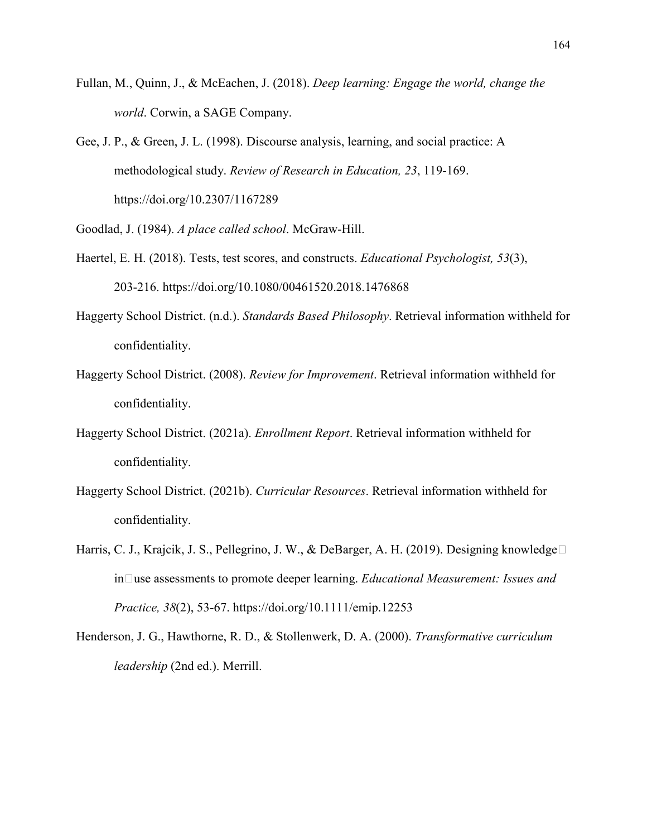- Fullan, M., Quinn, J., & McEachen, J. (2018). *Deep learning: Engage the world, change the world*. Corwin, a SAGE Company.
- Gee, J. P., & Green, J. L. (1998). Discourse analysis, learning, and social practice: A methodological study. *Review of Research in Education, 23*, 119-169. https://doi.org/10.2307/1167289

Goodlad, J. (1984). *A place called school*. McGraw-Hill.

- Haertel, E. H. (2018). Tests, test scores, and constructs. *Educational Psychologist, 53*(3), 203-216. https://doi.org/10.1080/00461520.2018.1476868
- Haggerty School District. (n.d.). *Standards Based Philosophy*. Retrieval information withheld for confidentiality.
- Haggerty School District. (2008). *Review for Improvement*. Retrieval information withheld for confidentiality.
- Haggerty School District. (2021a). *Enrollment Report*. Retrieval information withheld for confidentiality.
- Haggerty School District. (2021b). *Curricular Resources*. Retrieval information withheld for confidentiality.
- Harris, C. J., Krajcik, J. S., Pellegrino, J. W., & DeBarger, A. H. (2019). Designing knowledge□ in‐use assessments to promote deeper learning. *Educational Measurement: Issues and Practice, 38*(2), 53-67. https://doi.org/10.1111/emip.12253
- Henderson, J. G., Hawthorne, R. D., & Stollenwerk, D. A. (2000). *Transformative curriculum leadership* (2nd ed.). Merrill.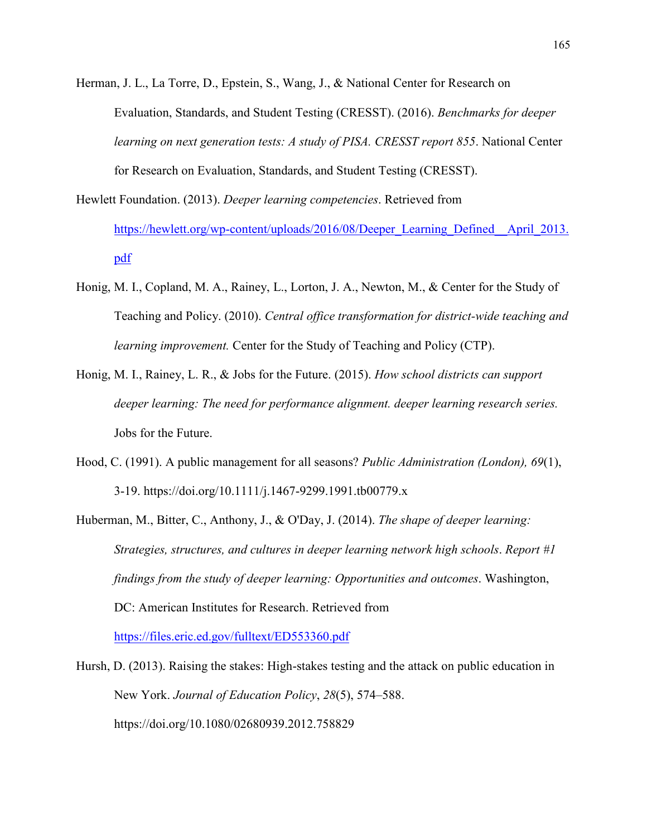Herman, J. L., La Torre, D., Epstein, S., Wang, J., & National Center for Research on Evaluation, Standards, and Student Testing (CRESST). (2016). *Benchmarks for deeper learning on next generation tests: A study of PISA. CRESST report 855*. National Center for Research on Evaluation, Standards, and Student Testing (CRESST).

- Hewlett Foundation. (2013). *Deeper learning competencies*. Retrieved from https://hewlett.org/wp-content/uploads/2016/08/Deeper\_Learning\_Defined\_April\_2013. pdf
- Honig, M. I., Copland, M. A., Rainey, L., Lorton, J. A., Newton, M., & Center for the Study of Teaching and Policy. (2010). *Central office transformation for district-wide teaching and learning improvement.* Center for the Study of Teaching and Policy (CTP).
- Honig, M. I., Rainey, L. R., & Jobs for the Future. (2015). *How school districts can support deeper learning: The need for performance alignment. deeper learning research series.*  Jobs for the Future.
- Hood, C. (1991). A public management for all seasons? *Public Administration (London), 69*(1), 3-19. https://doi.org/10.1111/j.1467-9299.1991.tb00779.x
- Huberman, M., Bitter, C., Anthony, J., & O'Day, J. (2014). *The shape of deeper learning: Strategies, structures, and cultures in deeper learning network high schools*. *Report #1 findings from the study of deeper learning: Opportunities and outcomes*. Washington, DC: American Institutes for Research. Retrieved from https://files.eric.ed.gov/fulltext/ED553360.pdf
- Hursh, D. (2013). Raising the stakes: High-stakes testing and the attack on public education in New York. *Journal of Education Policy*, *28*(5), 574–588. https://doi.org/10.1080/02680939.2012.758829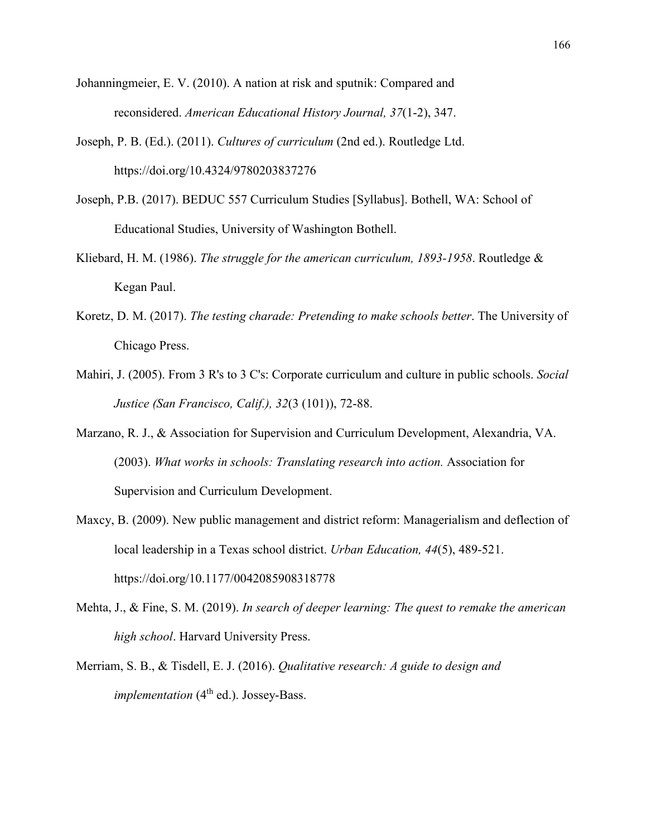Johanningmeier, E. V. (2010). A nation at risk and sputnik: Compared and reconsidered. *American Educational History Journal, 37*(1-2), 347.

- Joseph, P. B. (Ed.). (2011). *Cultures of curriculum* (2nd ed.). Routledge Ltd. https://doi.org/10.4324/9780203837276
- Joseph, P.B. (2017). BEDUC 557 Curriculum Studies [Syllabus]. Bothell, WA: School of Educational Studies, University of Washington Bothell.
- Kliebard, H. M. (1986). *The struggle for the american curriculum, 1893-1958*. Routledge & Kegan Paul.
- Koretz, D. M. (2017). *The testing charade: Pretending to make schools better*. The University of Chicago Press.
- Mahiri, J. (2005). From 3 R's to 3 C's: Corporate curriculum and culture in public schools. *Social Justice (San Francisco, Calif.), 32*(3 (101)), 72-88.
- Marzano, R. J., & Association for Supervision and Curriculum Development, Alexandria, VA. (2003). *What works in schools: Translating research into action.* Association for Supervision and Curriculum Development.
- Maxcy, B. (2009). New public management and district reform: Managerialism and deflection of local leadership in a Texas school district. *Urban Education, 44*(5), 489-521. https://doi.org/10.1177/0042085908318778
- Mehta, J., & Fine, S. M. (2019). *In search of deeper learning: The quest to remake the american high school*. Harvard University Press.
- Merriam, S. B., & Tisdell, E. J. (2016). *Qualitative research: A guide to design and implementation* (4<sup>th</sup> ed.). Jossey-Bass.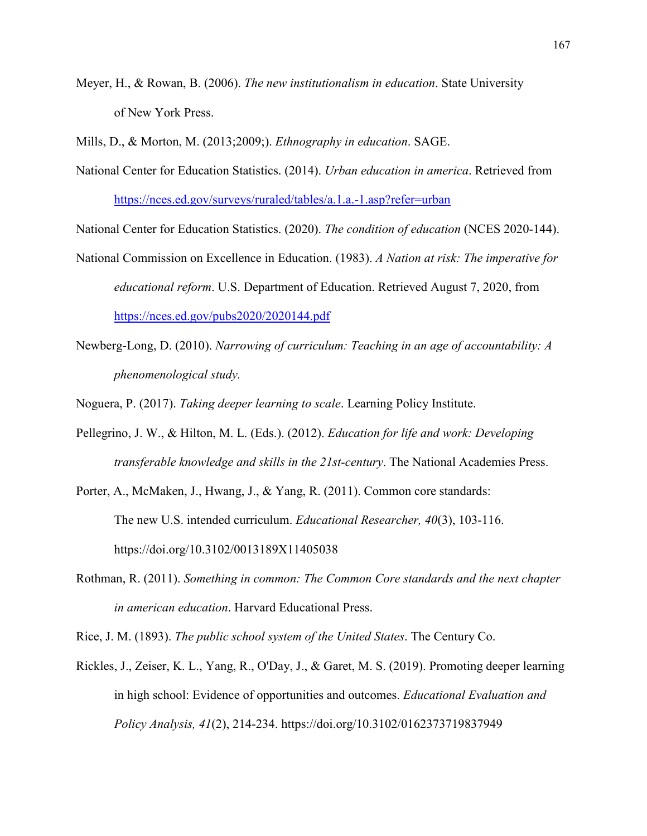Meyer, H., & Rowan, B. (2006). *The new institutionalism in education*. State University of New York Press.

Mills, D., & Morton, M. (2013;2009;). *Ethnography in education*. SAGE.

National Center for Education Statistics. (2014). *Urban education in america*. Retrieved from https://nces.ed.gov/surveys/ruraled/tables/a.1.a.-1.asp?refer=urban

National Center for Education Statistics. (2020). *The condition of education* (NCES 2020-144).

- National Commission on Excellence in Education. (1983). *A Nation at risk: The imperative for educational reform*. U.S. Department of Education. Retrieved August 7, 2020, from https://nces.ed.gov/pubs2020/2020144.pdf
- Newberg-Long, D. (2010). *Narrowing of curriculum: Teaching in an age of accountability: A phenomenological study.*

Noguera, P. (2017). *Taking deeper learning to scale*. Learning Policy Institute.

- Pellegrino, J. W., & Hilton, M. L. (Eds.). (2012). *Education for life and work: Developing transferable knowledge and skills in the 21st-century*. The National Academies Press.
- Porter, A., McMaken, J., Hwang, J., & Yang, R. (2011). Common core standards: The new U.S. intended curriculum. *Educational Researcher, 40*(3), 103-116. https://doi.org/10.3102/0013189X11405038
- Rothman, R. (2011). *Something in common: The Common Core standards and the next chapter in american education*. Harvard Educational Press.

Rice, J. M. (1893). *The public school system of the United States*. The Century Co.

Rickles, J., Zeiser, K. L., Yang, R., O'Day, J., & Garet, M. S. (2019). Promoting deeper learning in high school: Evidence of opportunities and outcomes. *Educational Evaluation and Policy Analysis, 41*(2), 214-234. https://doi.org/10.3102/0162373719837949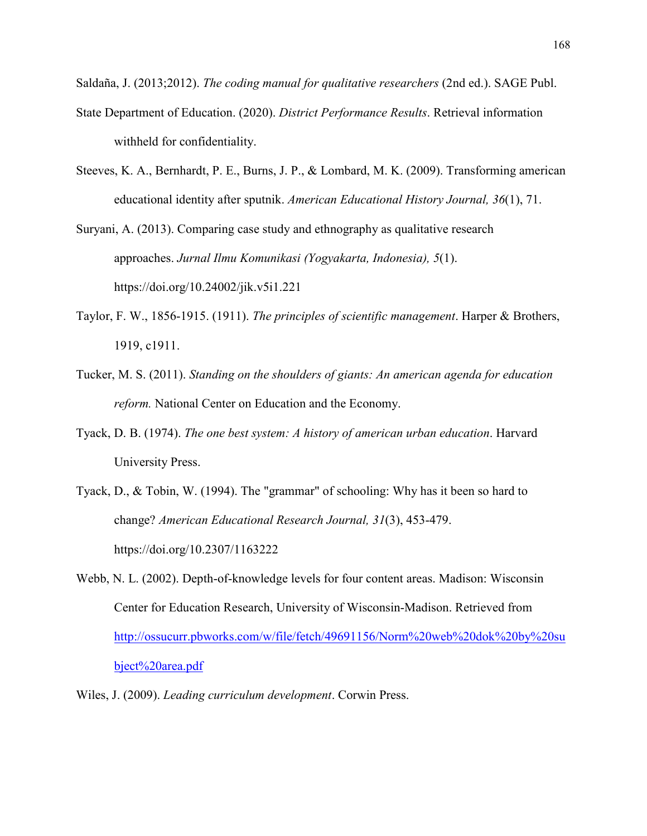Saldaña, J. (2013;2012). *The coding manual for qualitative researchers* (2nd ed.). SAGE Publ.

- State Department of Education. (2020). *District Performance Results*. Retrieval information withheld for confidentiality.
- Steeves, K. A., Bernhardt, P. E., Burns, J. P., & Lombard, M. K. (2009). Transforming american educational identity after sputnik. *American Educational History Journal, 36*(1), 71.

Suryani, A. (2013). Comparing case study and ethnography as qualitative research approaches. *Jurnal Ilmu Komunikasi (Yogyakarta, Indonesia), 5*(1). https://doi.org/10.24002/jik.v5i1.221

- Taylor, F. W., 1856-1915. (1911). *The principles of scientific management*. Harper & Brothers, 1919, c1911.
- Tucker, M. S. (2011). *Standing on the shoulders of giants: An american agenda for education reform.* National Center on Education and the Economy.
- Tyack, D. B. (1974). *The one best system: A history of american urban education*. Harvard University Press.
- Tyack, D., & Tobin, W. (1994). The "grammar" of schooling: Why has it been so hard to change? *American Educational Research Journal, 31*(3), 453-479. https://doi.org/10.2307/1163222
- Webb, N. L. (2002). Depth-of-knowledge levels for four content areas. Madison: Wisconsin Center for Education Research, University of Wisconsin-Madison. Retrieved from http://ossucurr.pbworks.com/w/file/fetch/49691156/Norm%20web%20dok%20by%20su bject%20area.pdf
- Wiles, J. (2009). *Leading curriculum development*. Corwin Press.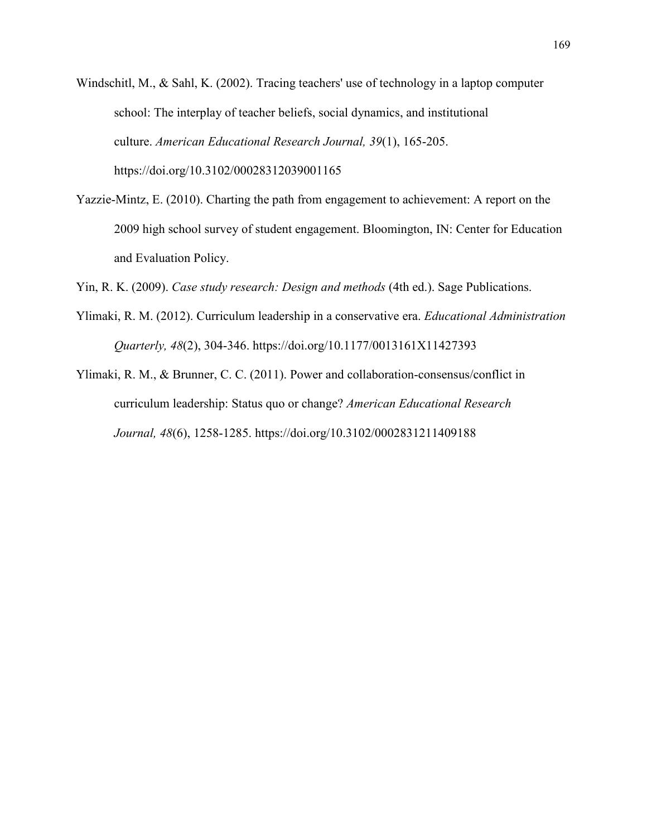Windschitl, M., & Sahl, K. (2002). Tracing teachers' use of technology in a laptop computer school: The interplay of teacher beliefs, social dynamics, and institutional culture. *American Educational Research Journal, 39*(1), 165-205. https://doi.org/10.3102/00028312039001165

- Yazzie-Mintz, E. (2010). Charting the path from engagement to achievement: A report on the 2009 high school survey of student engagement. Bloomington, IN: Center for Education and Evaluation Policy.
- Yin, R. K. (2009). *Case study research: Design and methods* (4th ed.). Sage Publications.
- Ylimaki, R. M. (2012). Curriculum leadership in a conservative era. *Educational Administration Quarterly, 48*(2), 304-346. https://doi.org/10.1177/0013161X11427393
- Ylimaki, R. M., & Brunner, C. C. (2011). Power and collaboration-consensus/conflict in curriculum leadership: Status quo or change? *American Educational Research Journal, 48*(6), 1258-1285. https://doi.org/10.3102/0002831211409188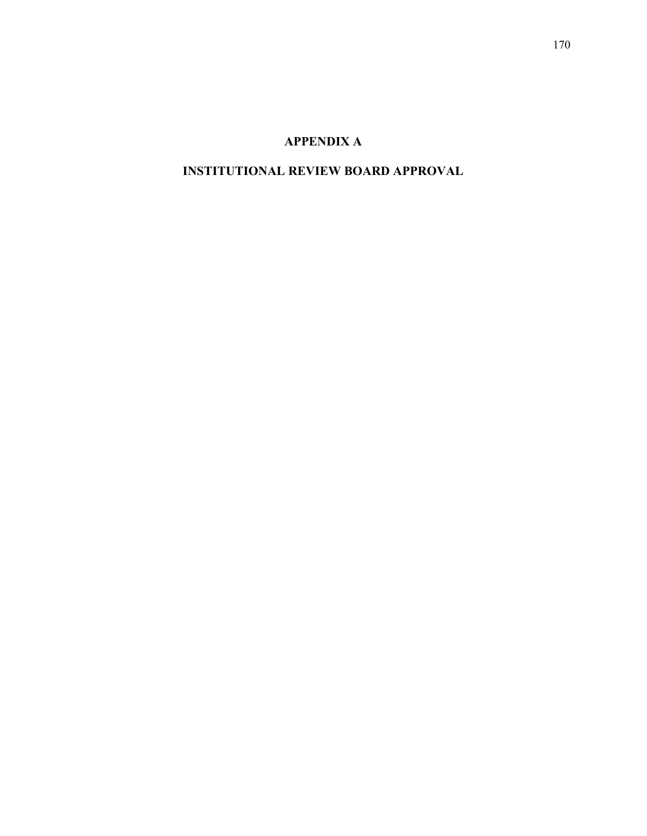# **APPENDIX A**

# **INSTITUTIONAL REVIEW BOARD APPROVAL**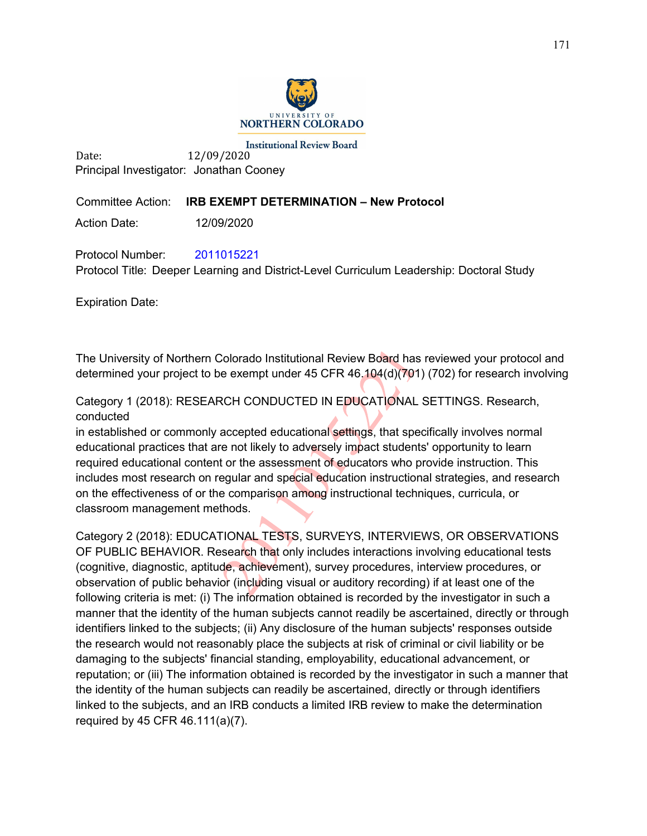

**Institutional Review Board** Date: 12/09/2020 Principal Investigator: Jonathan Cooney

# Committee Action: **IRB EXEMPT DETERMINATION – New Protocol**

Action Date: 12/09/2020

Protocol Number: 2011015221 Protocol Title: Deeper Learning and District-Level Curriculum Leadership: Doctoral Study

Expiration Date:

The University of Northern Colorado Institutional Review Board has reviewed your protocol and determined your project to be exempt under 45 CFR 46.104(d)(701) (702) for research involving

Category 1 (2018): RESEARCH CONDUCTED IN EDUCATIONAL SETTINGS. Research, conducted

in established or commonly accepted educational settings, that specifically involves normal educational practices that are not likely to adversely impact students' opportunity to learn required educational content or the assessment of educators who provide instruction. This includes most research on regular and special education instructional strategies, and research on the effectiveness of or the comparison among instructional techniques, curricula, or classroom management methods.

Category 2 (2018): EDUCATIONAL TESTS, SURVEYS, INTERVIEWS, OR OBSERVATIONS OF PUBLIC BEHAVIOR. Research that only includes interactions involving educational tests (cognitive, diagnostic, aptitude, achievement), survey procedures, interview procedures, or observation of public behavior (including visual or auditory recording) if at least one of the following criteria is met: (i) The information obtained is recorded by the investigator in such a manner that the identity of the human subjects cannot readily be ascertained, directly or through identifiers linked to the subjects; (ii) Any disclosure of the human subjects' responses outside the research would not reasonably place the subjects at risk of criminal or civil liability or be damaging to the subjects' financial standing, employability, educational advancement, or reputation; or (iii) The information obtained is recorded by the investigator in such a manner that the identity of the human subjects can readily be ascertained, directly or through identifiers linked to the subjects, and an IRB conducts a limited IRB review to make the determination required by 45 CFR 46.111(a)(7).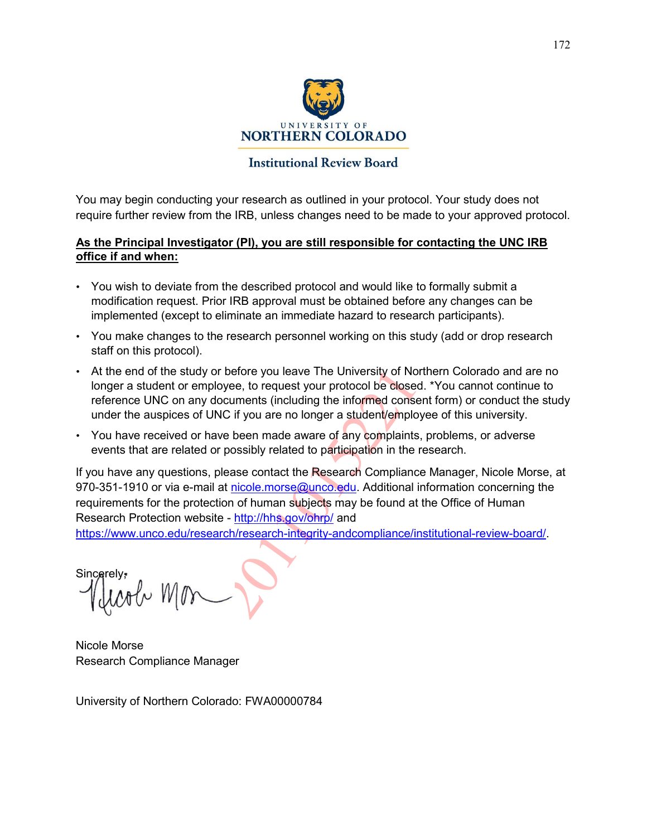

# **Institutional Review Board**

You may begin conducting your research as outlined in your protocol. Your study does not require further review from the IRB, unless changes need to be made to your approved protocol.

# **As the Principal Investigator (PI), you are still responsible for contacting the UNC IRB office if and when:**

- You wish to deviate from the described protocol and would like to formally submit a modification request. Prior IRB approval must be obtained before any changes can be implemented (except to eliminate an immediate hazard to research participants).
- You make changes to the research personnel working on this study (add or drop research staff on this protocol).
- At the end of the study or before you leave The University of Northern Colorado and are no longer a student or employee, to request your protocol be closed. \*You cannot continue to reference UNC on any documents (including the informed consent form) or conduct the study under the auspices of UNC if you are no longer a student/employee of this university.
- You have received or have been made aware of any complaints, problems, or adverse events that are related or possibly related to participation in the research.

If you have any questions, please contact the Research Compliance Manager, Nicole Morse, at 970-351-1910 or via e-mail at nicole.morse@unco.edu. Additional information concerning the requirements for the protection of human subjects may be found at the Office of Human Research Protection website - http://hhs.gov/ohrp/ and

https://www.unco.edu/research/research-integrity-andcompliance/institutional-review-board/.

**Sincerely** 

Nicole Morse Research Compliance Manager

University of Northern Colorado: FWA00000784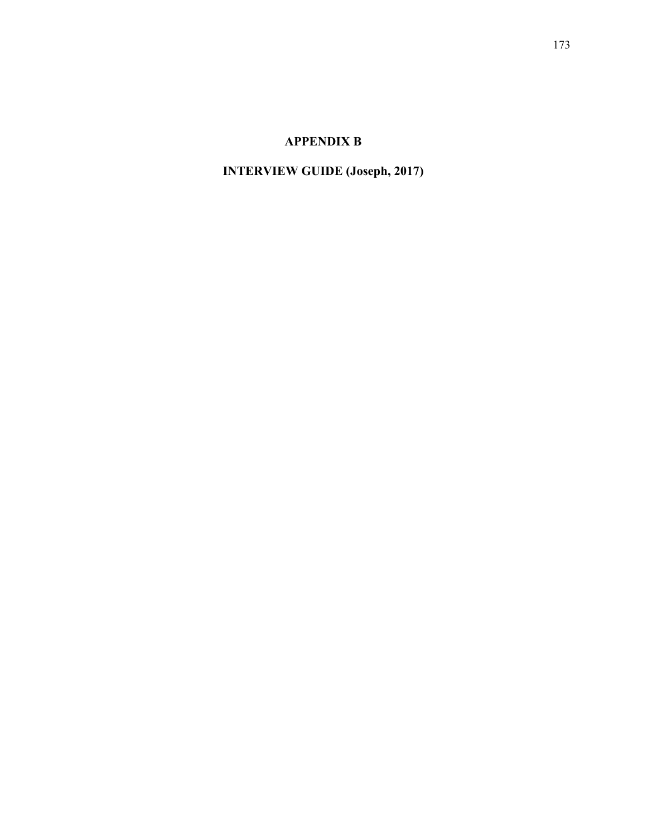# **APPENDIX B**

# **INTERVIEW GUIDE (Joseph, 2017)**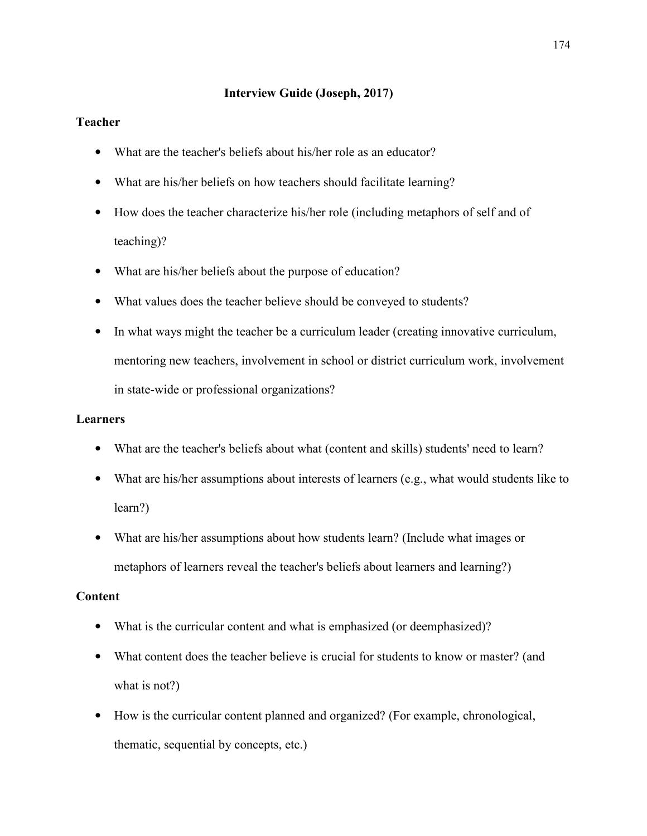### **Interview Guide (Joseph, 2017)**

### **Teacher**

- What are the teacher's beliefs about his/her role as an educator?
- What are his/her beliefs on how teachers should facilitate learning?
- How does the teacher characterize his/her role (including metaphors of self and of teaching)?
- What are his/her beliefs about the purpose of education?
- What values does the teacher believe should be conveyed to students?
- In what ways might the teacher be a curriculum leader (creating innovative curriculum, mentoring new teachers, involvement in school or district curriculum work, involvement in state-wide or professional organizations?

#### **Learners**

- What are the teacher's beliefs about what (content and skills) students' need to learn?
- What are his/her assumptions about interests of learners (e.g., what would students like to learn?)
- What are his/her assumptions about how students learn? (Include what images or metaphors of learners reveal the teacher's beliefs about learners and learning?)

#### **Content**

- What is the curricular content and what is emphasized (or deemphasized)?
- What content does the teacher believe is crucial for students to know or master? (and what is not?)
- How is the curricular content planned and organized? (For example, chronological, thematic, sequential by concepts, etc.)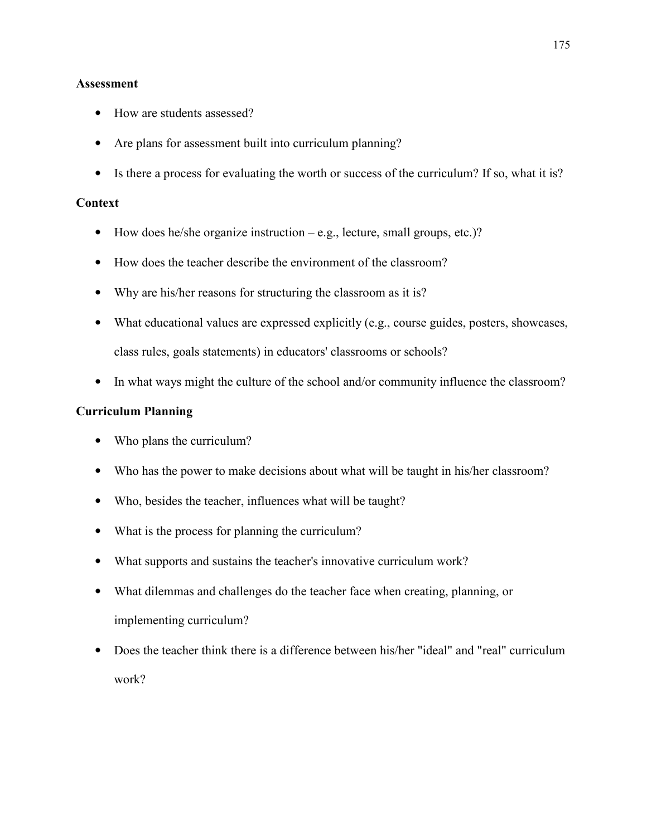#### **Assessment**

- How are students assessed?
- Are plans for assessment built into curriculum planning?
- Is there a process for evaluating the worth or success of the curriculum? If so, what it is?

#### **Context**

- How does he/she organize instruction  $-e.g.,$  lecture, small groups, etc.)?
- How does the teacher describe the environment of the classroom?
- Why are his/her reasons for structuring the classroom as it is?
- What educational values are expressed explicitly (e.g., course guides, posters, showcases, class rules, goals statements) in educators' classrooms or schools?
- In what ways might the culture of the school and/or community influence the classroom?

### **Curriculum Planning**

- Who plans the curriculum?
- Who has the power to make decisions about what will be taught in his/her classroom?
- Who, besides the teacher, influences what will be taught?
- What is the process for planning the curriculum?
- What supports and sustains the teacher's innovative curriculum work?
- What dilemmas and challenges do the teacher face when creating, planning, or implementing curriculum?
- Does the teacher think there is a difference between his/her "ideal" and "real" curriculum work?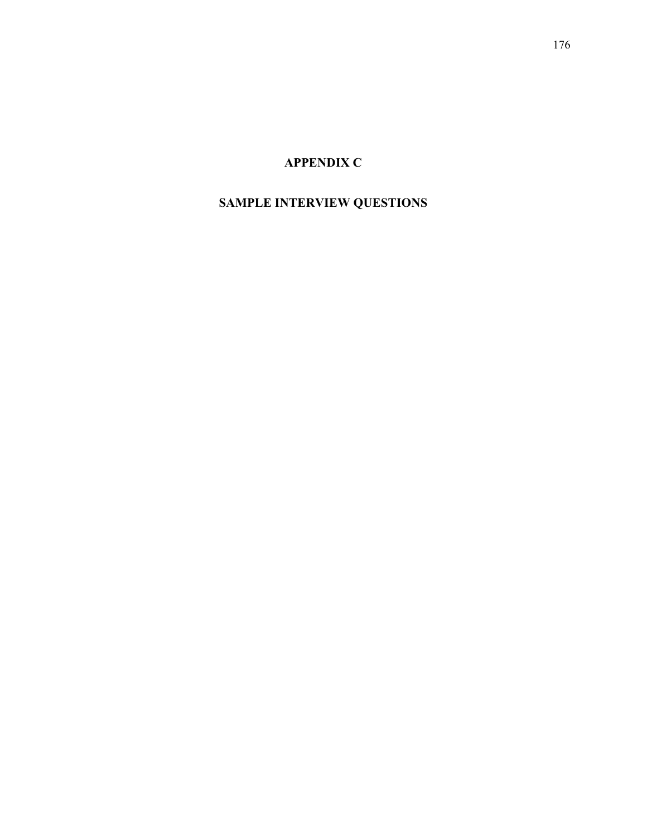# **APPENDIX C**

# **SAMPLE INTERVIEW QUESTIONS**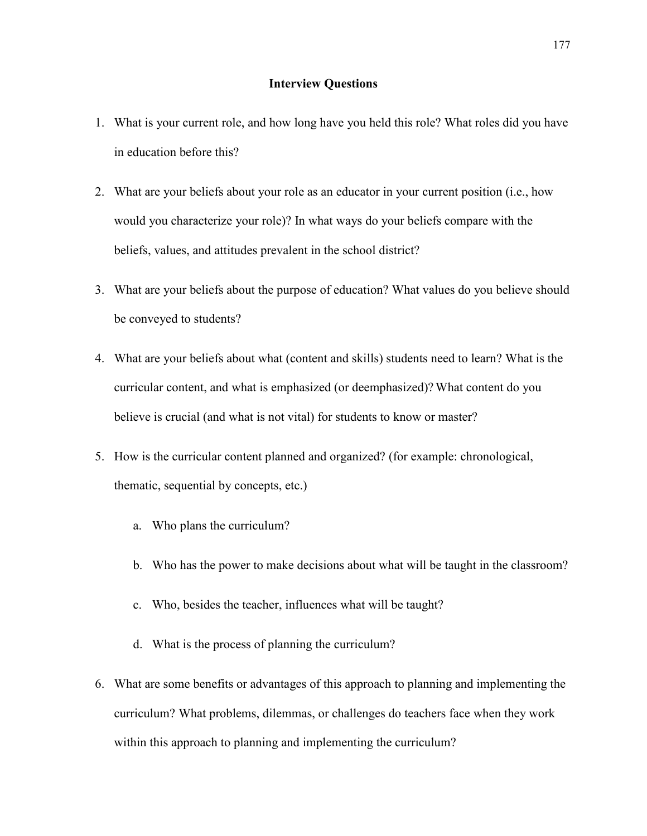#### **Interview Questions**

- 1. What is your current role, and how long have you held this role? What roles did you have in education before this?
- 2. What are your beliefs about your role as an educator in your current position (i.e., how would you characterize your role)? In what ways do your beliefs compare with the beliefs, values, and attitudes prevalent in the school district?
- 3. What are your beliefs about the purpose of education? What values do you believe should be conveyed to students?
- 4. What are your beliefs about what (content and skills) students need to learn? What is the curricular content, and what is emphasized (or deemphasized)? What content do you believe is crucial (and what is not vital) for students to know or master?
- 5. How is the curricular content planned and organized? (for example: chronological, thematic, sequential by concepts, etc.)
	- a. Who plans the curriculum?
	- b. Who has the power to make decisions about what will be taught in the classroom?
	- c. Who, besides the teacher, influences what will be taught?
	- d. What is the process of planning the curriculum?
- 6. What are some benefits or advantages of this approach to planning and implementing the curriculum? What problems, dilemmas, or challenges do teachers face when they work within this approach to planning and implementing the curriculum?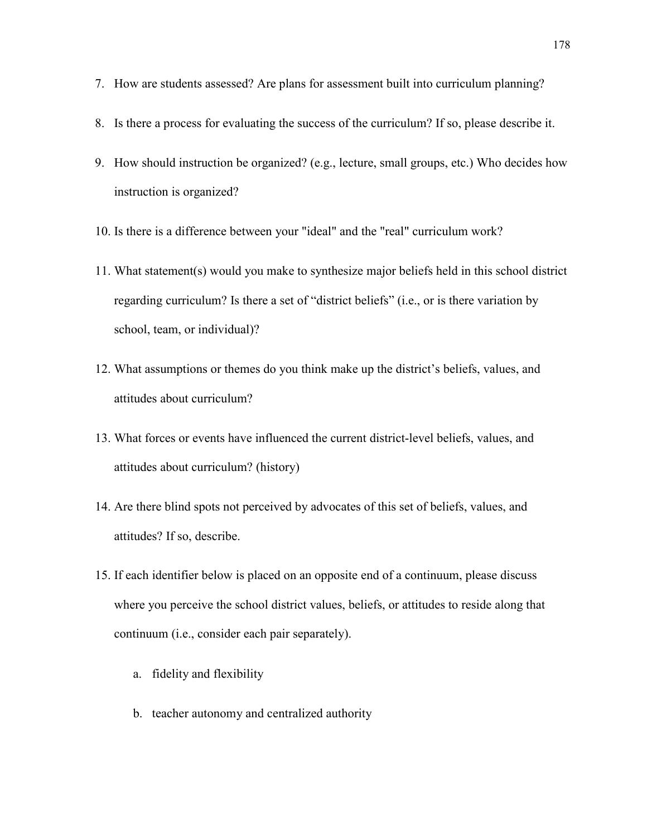- 7. How are students assessed? Are plans for assessment built into curriculum planning?
- 8. Is there a process for evaluating the success of the curriculum? If so, please describe it.
- 9. How should instruction be organized? (e.g., lecture, small groups, etc.) Who decides how instruction is organized?
- 10. Is there is a difference between your "ideal" and the "real" curriculum work?
- 11. What statement(s) would you make to synthesize major beliefs held in this school district regarding curriculum? Is there a set of "district beliefs" (i.e., or is there variation by school, team, or individual)?
- 12. What assumptions or themes do you think make up the district's beliefs, values, and attitudes about curriculum?
- 13. What forces or events have influenced the current district-level beliefs, values, and attitudes about curriculum? (history)
- 14. Are there blind spots not perceived by advocates of this set of beliefs, values, and attitudes? If so, describe.
- 15. If each identifier below is placed on an opposite end of a continuum, please discuss where you perceive the school district values, beliefs, or attitudes to reside along that continuum (i.e., consider each pair separately).
	- a. fidelity and flexibility
	- b. teacher autonomy and centralized authority